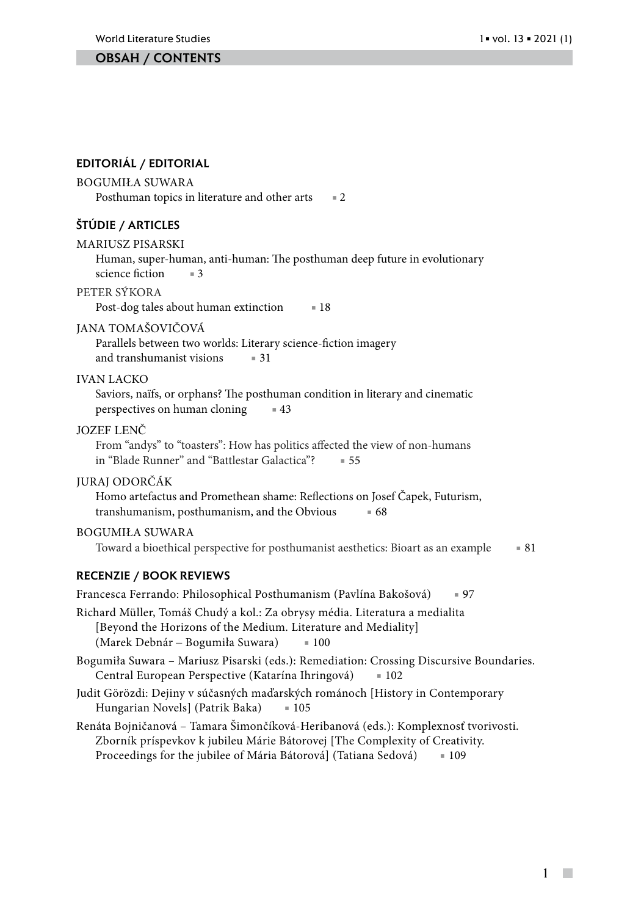### Obsah / contents

### Editoriál / editorial

#### BogumiŁa SUWARA

Posthuman topics in literature and other arts =  $2$ 

### Štúdie / articles

MARIUSZ PISARSKI

Human, super-human, anti-human: The posthuman deep future in evolutionary science fiction = 3

#### PETER SÝKORA

Post-dog tales about human extinction = 18

#### JANA TOMAŠOVIČOVÁ

Parallels between two worlds: Literary science-fiction imagery and transhumanist visions = 31

### IVAN LACKO

Saviors, naïfs, or orphans? The posthuman condition in literary and cinematic perspectives on human cloning **43** 

#### JOZEF LENČ

From "andys" to "toasters": How has politics affected the view of non-humans in "Blade Runner" and "Battlestar Galactica"? ■ 55

### JURAJ ODORČÁK

Homo artefactus and Promethean shame: Reflections on Josef Čapek, Futurism, transhumanism, posthumanism, and the Obvious **■ 68** 

#### BOGUMIŁA SUWARA

Toward a bioethical perspective for posthumanist aesthetics: Bioart as an example ■ 81

### Recenzie / book reviews

Francesca Ferrando: Philosophical Posthumanism (Pavlína Bakošová) ■ 97 Richard Müller, Tomáš Chudý a kol.: Za obrysy média. Literatura a medialita [Beyond the Horizons of the Medium. Literature and Mediality] (Marek Debnár – Bogumiła Suwara) ■ 100 Bogumiła Suwara – Mariusz Pisarski (eds.): Remediation: Crossing Discursive Boundaries. Central European Perspective (Katarína Ihringová) ■ 102 Judit Görözdi: Dejiny v súčasných maďarských románoch [History in Contemporary Hungarian Novels] (Patrik Baka) = 105 Renáta Bojničanová – Tamara Šimončíková-Heribanová (eds.): Komplexnosť tvorivosti. Zborník príspevkov k jubileu Márie Bátorovej [The Complexity of Creativity. Proceedings for the jubilee of Mária Bátorová] (Tatiana Sedová) = 109

> 1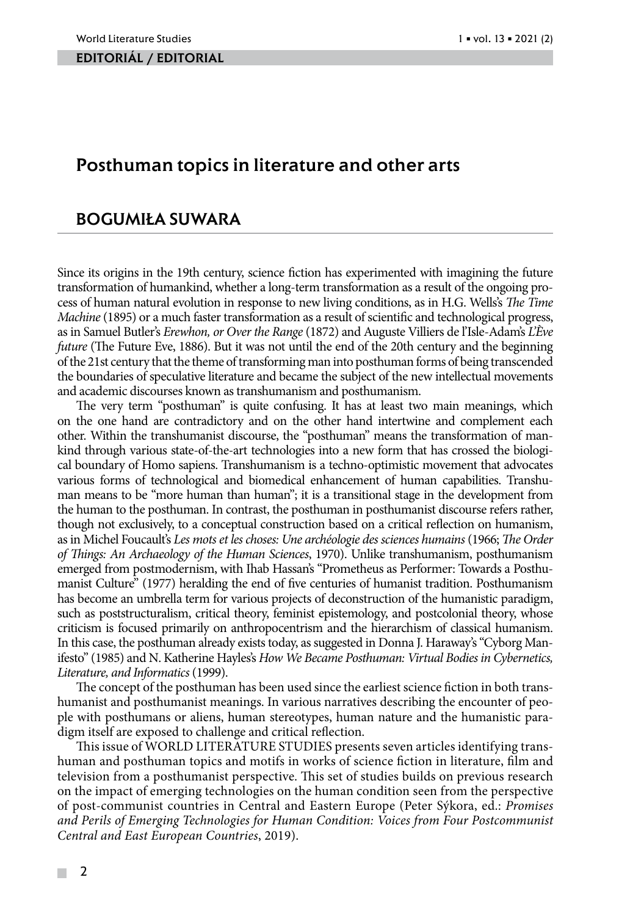#### editoriál / editorial

# Posthuman topics in literature and other arts

# BOGUMIŁA SUWARA

Since its origins in the 19th century, science fiction has experimented with imagining the future transformation of humankind, whether a long-term transformation as a result of the ongoing process of human natural evolution in response to new living conditions, as in H.G. Wells's *The Time Machine* (1895) or a much faster transformation as a result of scientific and technological progress, as in Samuel Butler's *Erewhon, or Over the Range* (1872) and Auguste Villiers de l'Isle-Adam's *L'Ève future* (The Future Eve, 1886). But it was not until the end of the 20th century and the beginning of the 21st century that the theme of transforming man into posthuman forms of being transcended the boundaries of speculative literature and became the subject of the new intellectual movements and academic discourses known as transhumanism and posthumanism.

The very term "posthuman" is quite confusing. It has at least two main meanings, which on the one hand are contradictory and on the other hand intertwine and complement each other. Within the transhumanist discourse, the "posthuman" means the transformation of mankind through various state-of-the-art technologies into a new form that has crossed the biological boundary of Homo sapiens. Transhumanism is a techno-optimistic movement that advocates various forms of technological and biomedical enhancement of human capabilities. Transhuman means to be "more human than human"; it is a transitional stage in the development from the human to the posthuman. In contrast, the posthuman in posthumanist discourse refers rather, though not exclusively, to a conceptual construction based on a critical reflection on humanism, as in Michel Foucault's *Les mots et les choses: Une archéologie des sciences humains* (1966; *The Order of Things: An Archaeology of the Human Sciences*, 1970). Unlike transhumanism, posthumanism emerged from postmodernism, with Ihab Hassan's "Prometheus as Performer: Towards a Posthumanist Culture" (1977) heralding the end of five centuries of humanist tradition. Posthumanism has become an umbrella term for various projects of deconstruction of the humanistic paradigm, such as poststructuralism, critical theory, feminist epistemology, and postcolonial theory, whose criticism is focused primarily on anthropocentrism and the hierarchism of classical humanism. In this case, the posthuman already exists today, as suggested in Donna J. Haraway's "Cyborg Manifesto" (1985) and N. Katherine Hayles's *How We Became Posthuman: Virtual Bodies in Cybernetics, Literature, and Informatics* (1999).

The concept of the posthuman has been used since the earliest science fiction in both transhumanist and posthumanist meanings. In various narratives describing the encounter of people with posthumans or aliens, human stereotypes, human nature and the humanistic paradigm itself are exposed to challenge and critical reflection.

This issue of WORLD LITERATURE STUDIES presents seven articles identifying transhuman and posthuman topics and motifs in works of science fiction in literature, film and television from a posthumanist perspective. This set of studies builds on previous research on the impact of emerging technologies on the human condition seen from the perspective of post-communist countries in Central and Eastern Europe (Peter Sýkora, ed.: *Promises and Perils of Emerging Technologies for Human Condition: Voices from Four Postcommunist Central and East European Countries*, 2019).

**COL**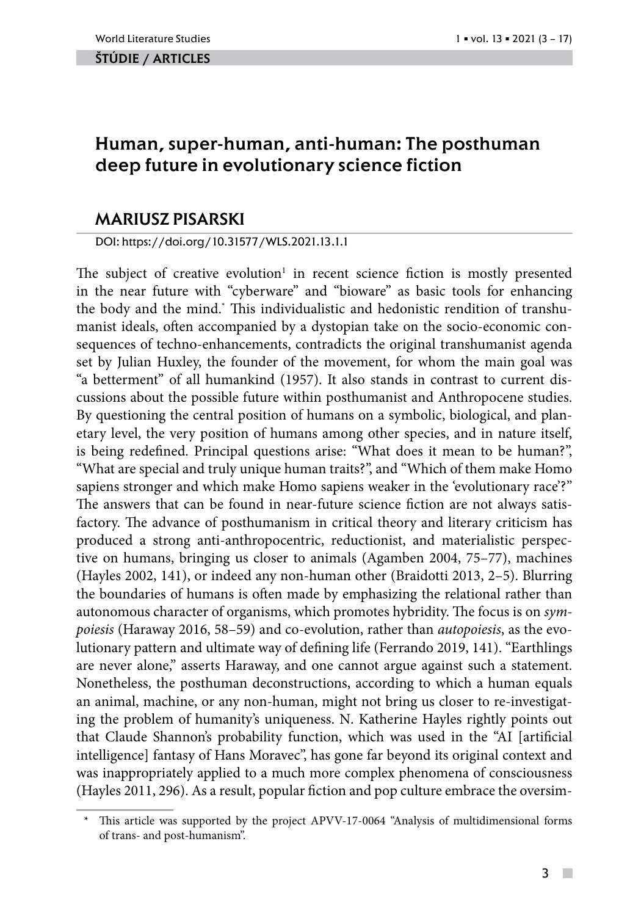#### ŠTÚDIE / ARTicles

# Human, super-human, anti-human: The posthuman deep future in evolutionary science fiction

# MARIUSZ PISARSKI

DOI: https://doi.org/10.31577/WLS.2021.13.1.1

The subject of creative evolution<sup>1</sup> in recent science fiction is mostly presented in the near future with "cyberware" and "bioware" as basic tools for enhancing the body and the mind.\* This individualistic and hedonistic rendition of transhumanist ideals, often accompanied by a dystopian take on the socio-economic consequences of techno-enhancements, contradicts the original transhumanist agenda set by Julian Huxley, the founder of the movement, for whom the main goal was "a betterment" of all humankind (1957). It also stands in contrast to current discussions about the possible future within posthumanist and Anthropocene studies. By questioning the central position of humans on a symbolic, biological, and planetary level, the very position of humans among other species, and in nature itself, is being redefined. Principal questions arise: "What does it mean to be human?", "What are special and truly unique human traits?", and "Which of them make Homo sapiens stronger and which make Homo sapiens weaker in the 'evolutionary race'?" The answers that can be found in near-future science fiction are not always satisfactory. The advance of posthumanism in critical theory and literary criticism has produced a strong anti-anthropocentric, reductionist, and materialistic perspective on humans, bringing us closer to animals (Agamben 2004, 75–77), machines (Hayles 2002, 141), or indeed any non-human other (Braidotti 2013, 2–5). Blurring the boundaries of humans is often made by emphasizing the relational rather than autonomous character of organisms, which promotes hybridity. The focus is on *sympoiesis* (Haraway 2016, 58–59) and co-evolution, rather than *autopoiesis*, as the evolutionary pattern and ultimate way of defining life (Ferrando 2019, 141). "Earthlings are never alone," asserts Haraway, and one cannot argue against such a statement. Nonetheless, the posthuman deconstructions, according to which a human equals an animal, machine, or any non-human, might not bring us closer to re-investigating the problem of humanity's uniqueness. N. Katherine Hayles rightly points out that Claude Shannon's probability function, which was used in the "AI [artificial intelligence] fantasy of Hans Moravec", has gone far beyond its original context and was inappropriately applied to a much more complex phenomena of consciousness (Hayles 2011, 296). As a result, popular fiction and pop culture embrace the oversim-

 $\mathcal{L}_{\mathcal{A}}$ 

This article was supported by the project APVV-17-0064 "Analysis of multidimensional forms of trans- and post-humanism".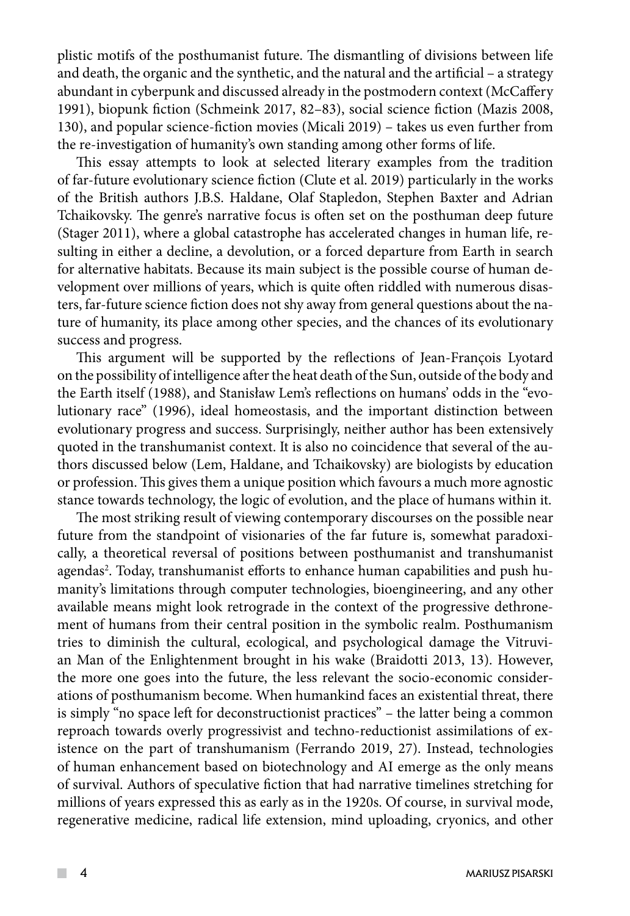plistic motifs of the posthumanist future. The dismantling of divisions between life and death, the organic and the synthetic, and the natural and the artificial – a strategy abundant in cyberpunk and discussed already in the postmodern context (McCaffery 1991), biopunk fiction (Schmeink 2017, 82–83), social science fiction (Mazis 2008, 130), and popular science-fiction movies (Micali 2019) – takes us even further from the re-investigation of humanity's own standing among other forms of life.

This essay attempts to look at selected literary examples from the tradition of far-future evolutionary science fiction (Clute et al. 2019) particularly in the works of the British authors J.B.S. Haldane, Olaf Stapledon, Stephen Baxter and Adrian Tchaikovsky. The genre's narrative focus is often set on the posthuman deep future (Stager 2011), where a global catastrophe has accelerated changes in human life, resulting in either a decline, a devolution, or a forced departure from Earth in search for alternative habitats. Because its main subject is the possible course of human development over millions of years, which is quite often riddled with numerous disasters, far-future science fiction does not shy away from general questions about the nature of humanity, its place among other species, and the chances of its evolutionary success and progress.

This argument will be supported by the reflections of Jean-François Lyotard on the possibility of intelligence after the heat death of the Sun, outside of the body and the Earth itself (1988), and Stanisław Lem's reflections on humans' odds in the "evolutionary race" (1996), ideal homeostasis, and the important distinction between evolutionary progress and success. Surprisingly, neither author has been extensively quoted in the transhumanist context. It is also no coincidence that several of the authors discussed below (Lem, Haldane, and Tchaikovsky) are biologists by education or profession. This gives them a unique position which favours a much more agnostic stance towards technology, the logic of evolution, and the place of humans within it.

The most striking result of viewing contemporary discourses on the possible near future from the standpoint of visionaries of the far future is, somewhat paradoxically, a theoretical reversal of positions between posthumanist and transhumanist agendas<sup>2</sup>. Today, transhumanist efforts to enhance human capabilities and push humanity's limitations through computer technologies, bioengineering, and any other available means might look retrograde in the context of the progressive dethronement of humans from their central position in the symbolic realm. Posthumanism tries to diminish the cultural, ecological, and psychological damage the Vitruvian Man of the Enlightenment brought in his wake (Braidotti 2013, 13). However, the more one goes into the future, the less relevant the socio-economic considerations of posthumanism become. When humankind faces an existential threat, there is simply "no space left for deconstructionist practices" – the latter being a common reproach towards overly progressivist and techno-reductionist assimilations of existence on the part of transhumanism (Ferrando 2019, 27). Instead, technologies of human enhancement based on biotechnology and AI emerge as the only means of survival. Authors of speculative fiction that had narrative timelines stretching for millions of years expressed this as early as in the 1920s. Of course, in survival mode, regenerative medicine, radical life extension, mind uploading, cryonics, and other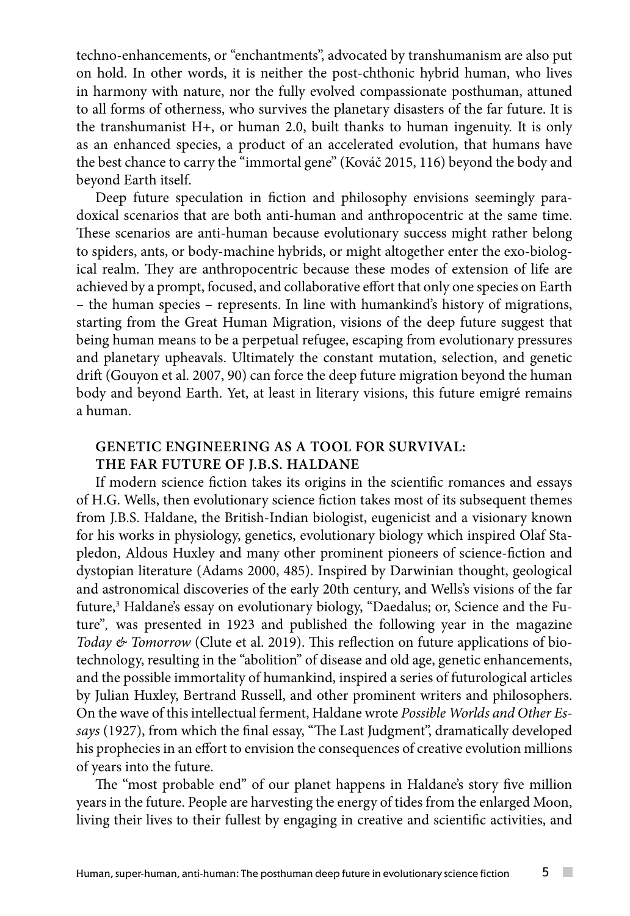techno-enhancements, or "enchantments", advocated by transhumanism are also put on hold. In other words, it is neither the post-chthonic hybrid human, who lives in harmony with nature, nor the fully evolved compassionate posthuman, attuned to all forms of otherness, who survives the planetary disasters of the far future. It is the transhumanist H+, or human 2.0, built thanks to human ingenuity. It is only as an enhanced species, a product of an accelerated evolution, that humans have the best chance to carry the "immortal gene" (Kováč 2015, 116) beyond the body and beyond Earth itself.

Deep future speculation in fiction and philosophy envisions seemingly paradoxical scenarios that are both anti-human and anthropocentric at the same time. These scenarios are anti-human because evolutionary success might rather belong to spiders, ants, or body-machine hybrids, or might altogether enter the exo-biological realm. They are anthropocentric because these modes of extension of life are achieved by a prompt, focused, and collaborative effort that only one species on Earth – the human species – represents. In line with humankind's history of migrations, starting from the Great Human Migration, visions of the deep future suggest that being human means to be a perpetual refugee, escaping from evolutionary pressures and planetary upheavals. Ultimately the constant mutation, selection, and genetic drift (Gouyon et al. 2007, 90) can force the deep future migration beyond the human body and beyond Earth. Yet, at least in literary visions, this future emigré remains a human.

# **GENETIC ENGINEERING AS A TOOL FOR SURVIVAL: THE FAR FUTURE OF J.B.S. HALDANE**

If modern science fiction takes its origins in the scientific romances and essays of H.G. Wells, then evolutionary science fiction takes most of its subsequent themes from J.B.S. Haldane, the British-Indian biologist, eugenicist and a visionary known for his works in physiology, genetics, evolutionary biology which inspired Olaf Stapledon, Aldous Huxley and many other prominent pioneers of science-fiction and dystopian literature (Adams 2000, 485). Inspired by Darwinian thought, geological and astronomical discoveries of the early 20th century, and Wells's visions of the far future,3 Haldane's essay on evolutionary biology, "Daedalus; or, Science and the Future"*,* was presented in 1923 and published the following year in the magazine *Today & Tomorrow* (Clute et al. 2019). This reflection on future applications of biotechnology, resulting in the "abolition" of disease and old age, genetic enhancements, and the possible immortality of humankind, inspired a series of futurological articles by Julian Huxley, Bertrand Russell, and other prominent writers and philosophers. On the wave of this intellectual ferment, Haldane wrote *Possible Worlds and Other Essays* (1927), from which the final essay, "The Last Judgment", dramatically developed his prophecies in an effort to envision the consequences of creative evolution millions of years into the future.

The "most probable end" of our planet happens in Haldane's story five million years in the future. People are harvesting the energy of tides from the enlarged Moon, living their lives to their fullest by engaging in creative and scientific activities, and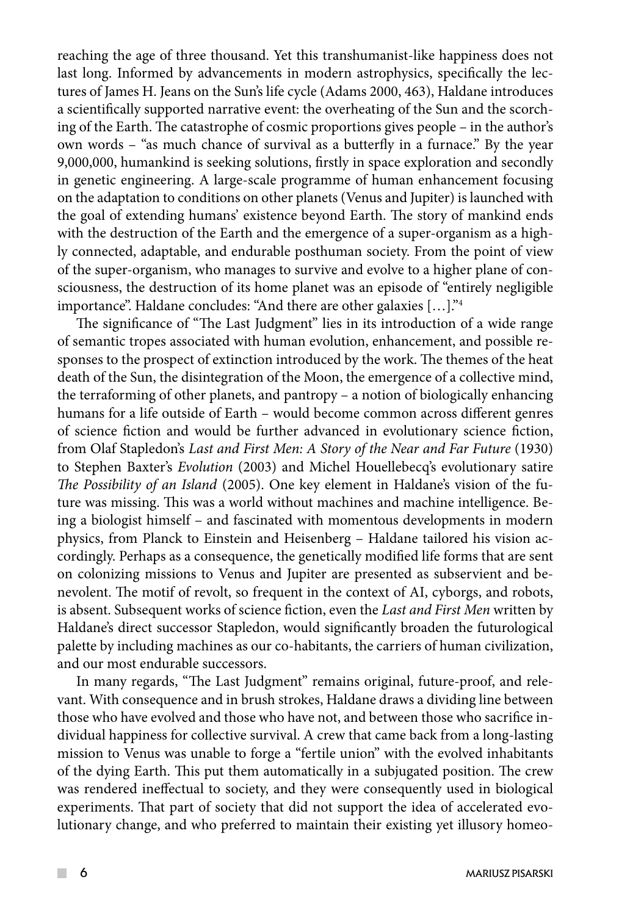reaching the age of three thousand. Yet this transhumanist-like happiness does not last long. Informed by advancements in modern astrophysics, specifically the lectures of James H. Jeans on the Sun's life cycle (Adams 2000, 463), Haldane introduces a scientifically supported narrative event: the overheating of the Sun and the scorching of the Earth. The catastrophe of cosmic proportions gives people – in the author's own words – "as much chance of survival as a butterfly in a furnace." By the year 9,000,000, humankind is seeking solutions, firstly in space exploration and secondly in genetic engineering. A large-scale programme of human enhancement focusing on the adaptation to conditions on other planets (Venus and Jupiter) is launched with the goal of extending humans' existence beyond Earth. The story of mankind ends with the destruction of the Earth and the emergence of a super-organism as a highly connected, adaptable, and endurable posthuman society. From the point of view of the super-organism, who manages to survive and evolve to a higher plane of consciousness, the destruction of its home planet was an episode of "entirely negligible importance". Haldane concludes: "And there are other galaxies […]."4

The significance of "The Last Judgment" lies in its introduction of a wide range of semantic tropes associated with human evolution, enhancement, and possible responses to the prospect of extinction introduced by the work. The themes of the heat death of the Sun, the disintegration of the Moon, the emergence of a collective mind, the terraforming of other planets, and pantropy – a notion of biologically enhancing humans for a life outside of Earth – would become common across different genres of science fiction and would be further advanced in evolutionary science fiction, from Olaf Stapledon's *Last and First Men: A Story of the Near and Far Future* (1930) to Stephen Baxter's *Evolution* (2003) and Michel Houellebecq's evolutionary satire *The Possibility of an Island* (2005). One key element in Haldane's vision of the future was missing. This was a world without machines and machine intelligence. Being a biologist himself – and fascinated with momentous developments in modern physics, from Planck to Einstein and Heisenberg – Haldane tailored his vision accordingly. Perhaps as a consequence, the genetically modified life forms that are sent on colonizing missions to Venus and Jupiter are presented as subservient and benevolent. The motif of revolt, so frequent in the context of AI, cyborgs, and robots, is absent. Subsequent works of science fiction, even the *Last and First Men* written by Haldane's direct successor Stapledon, would significantly broaden the futurological palette by including machines as our co-habitants, the carriers of human civilization, and our most endurable successors.

In many regards, "The Last Judgment" remains original, future-proof, and relevant. With consequence and in brush strokes, Haldane draws a dividing line between those who have evolved and those who have not, and between those who sacrifice individual happiness for collective survival. A crew that came back from a long-lasting mission to Venus was unable to forge a "fertile union" with the evolved inhabitants of the dying Earth. This put them automatically in a subjugated position. The crew was rendered ineffectual to society, and they were consequently used in biological experiments. That part of society that did not support the idea of accelerated evolutionary change, and who preferred to maintain their existing yet illusory homeo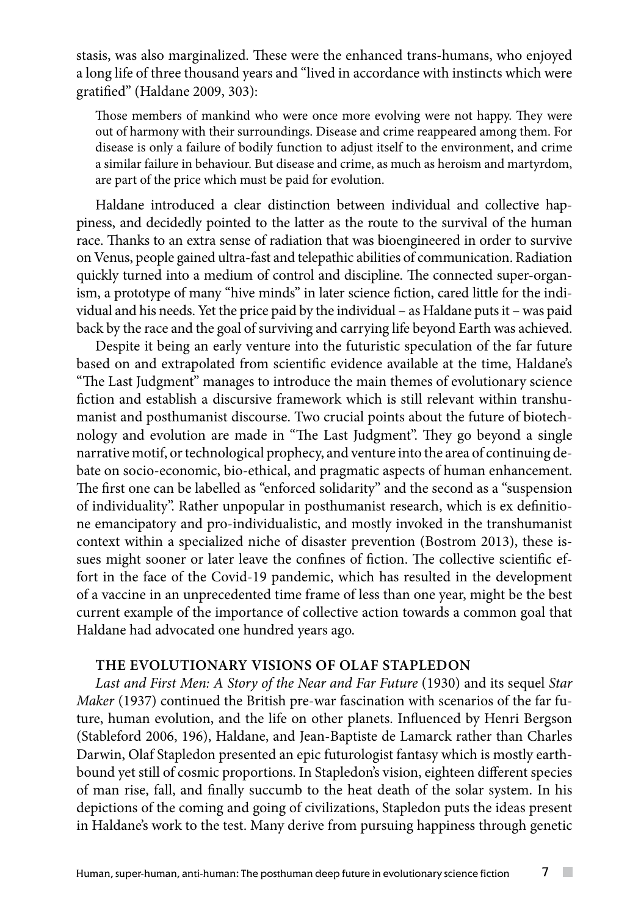stasis, was also marginalized. These were the enhanced trans-humans, who enjoyed a long life of three thousand years and "lived in accordance with instincts which were gratified" (Haldane 2009, 303):

Those members of mankind who were once more evolving were not happy. They were out of harmony with their surroundings. Disease and crime reappeared among them. For disease is only a failure of bodily function to adjust itself to the environment, and crime a similar failure in behaviour. But disease and crime, as much as heroism and martyrdom, are part of the price which must be paid for evolution.

Haldane introduced a clear distinction between individual and collective happiness, and decidedly pointed to the latter as the route to the survival of the human race. Thanks to an extra sense of radiation that was bioengineered in order to survive on Venus, people gained ultra-fast and telepathic abilities of communication. Radiation quickly turned into a medium of control and discipline. The connected super-organism, a prototype of many "hive minds" in later science fiction, cared little for the individual and his needs. Yet the price paid by the individual – as Haldane puts it – was paid back by the race and the goal of surviving and carrying life beyond Earth was achieved.

Despite it being an early venture into the futuristic speculation of the far future based on and extrapolated from scientific evidence available at the time, Haldane's "The Last Judgment" manages to introduce the main themes of evolutionary science fiction and establish a discursive framework which is still relevant within transhumanist and posthumanist discourse. Two crucial points about the future of biotechnology and evolution are made in "The Last Judgment". They go beyond a single narrative motif, or technological prophecy, and venture into the area of continuing debate on socio-economic, bio-ethical, and pragmatic aspects of human enhancement. The first one can be labelled as "enforced solidarity" and the second as a "suspension of individuality". Rather unpopular in posthumanist research, which is ex definitione emancipatory and pro-individualistic, and mostly invoked in the transhumanist context within a specialized niche of disaster prevention (Bostrom 2013), these issues might sooner or later leave the confines of fiction. The collective scientific effort in the face of the Covid-19 pandemic, which has resulted in the development of a vaccine in an unprecedented time frame of less than one year, might be the best current example of the importance of collective action towards a common goal that Haldane had advocated one hundred years ago.

## **THE EVOLUTIONARY VISIONS OF OLAF STAPLEDON**

*Last and First Men: A Story of the Near and Far Future* (1930) and its sequel *Star Maker* (1937) continued the British pre-war fascination with scenarios of the far future, human evolution, and the life on other planets. Influenced by Henri Bergson (Stableford 2006, 196), Haldane, and Jean-Baptiste de Lamarck rather than Charles Darwin, Olaf Stapledon presented an epic futurologist fantasy which is mostly earthbound yet still of cosmic proportions. In Stapledon's vision, eighteen different species of man rise, fall, and finally succumb to the heat death of the solar system. In his depictions of the coming and going of civilizations, Stapledon puts the ideas present in Haldane's work to the test. Many derive from pursuing happiness through genetic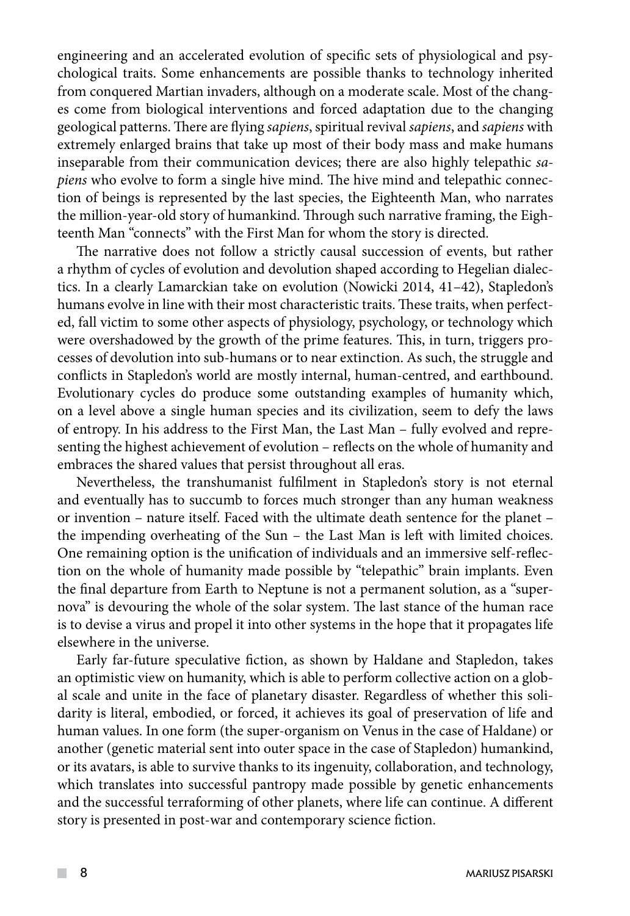engineering and an accelerated evolution of specific sets of physiological and psychological traits. Some enhancements are possible thanks to technology inherited from conquered Martian invaders, although on a moderate scale. Most of the changes come from biological interventions and forced adaptation due to the changing geological patterns. There are flying *sapiens*, spiritual revival *sapiens*, and *sapiens* with extremely enlarged brains that take up most of their body mass and make humans inseparable from their communication devices; there are also highly telepathic *sapiens* who evolve to form a single hive mind. The hive mind and telepathic connection of beings is represented by the last species, the Eighteenth Man, who narrates the million-year-old story of humankind. Through such narrative framing, the Eighteenth Man "connects" with the First Man for whom the story is directed.

The narrative does not follow a strictly causal succession of events, but rather a rhythm of cycles of evolution and devolution shaped according to Hegelian dialectics. In a clearly Lamarckian take on evolution (Nowicki 2014, 41–42), Stapledon's humans evolve in line with their most characteristic traits. These traits, when perfected, fall victim to some other aspects of physiology, psychology, or technology which were overshadowed by the growth of the prime features. This, in turn, triggers processes of devolution into sub-humans or to near extinction. As such, the struggle and conflicts in Stapledon's world are mostly internal, human-centred, and earthbound. Evolutionary cycles do produce some outstanding examples of humanity which, on a level above a single human species and its civilization, seem to defy the laws of entropy. In his address to the First Man, the Last Man – fully evolved and representing the highest achievement of evolution – reflects on the whole of humanity and embraces the shared values that persist throughout all eras.

Nevertheless, the transhumanist fulfilment in Stapledon's story is not eternal and eventually has to succumb to forces much stronger than any human weakness or invention – nature itself. Faced with the ultimate death sentence for the planet – the impending overheating of the Sun – the Last Man is left with limited choices. One remaining option is the unification of individuals and an immersive self-reflection on the whole of humanity made possible by "telepathic" brain implants. Even the final departure from Earth to Neptune is not a permanent solution, as a "supernova" is devouring the whole of the solar system. The last stance of the human race is to devise a virus and propel it into other systems in the hope that it propagates life elsewhere in the universe.

Early far-future speculative fiction, as shown by Haldane and Stapledon, takes an optimistic view on humanity, which is able to perform collective action on a global scale and unite in the face of planetary disaster. Regardless of whether this solidarity is literal, embodied, or forced, it achieves its goal of preservation of life and human values. In one form (the super-organism on Venus in the case of Haldane) or another (genetic material sent into outer space in the case of Stapledon) humankind, or its avatars, is able to survive thanks to its ingenuity, collaboration, and technology, which translates into successful pantropy made possible by genetic enhancements and the successful terraforming of other planets, where life can continue. A different story is presented in post-war and contemporary science fiction.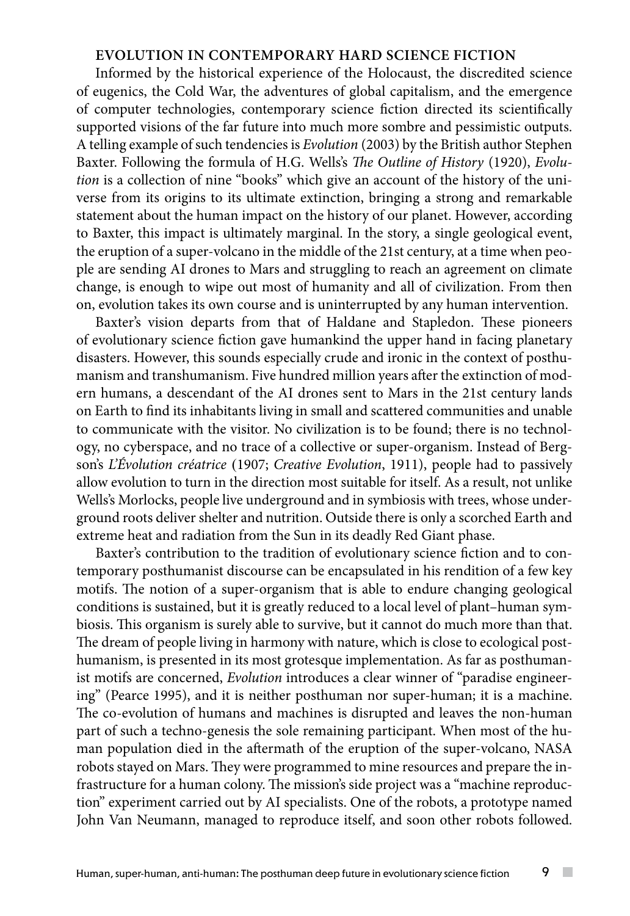# **EVOLUTION IN CONTEMPORARY HARD SCIENCE FICTION**

Informed by the historical experience of the Holocaust, the discredited science of eugenics, the Cold War, the adventures of global capitalism, and the emergence of computer technologies, contemporary science fiction directed its scientifically supported visions of the far future into much more sombre and pessimistic outputs. A telling example of such tendencies is *Evolution* (2003) by the British author Stephen Baxter. Following the formula of H.G. Wells's *The Outline of History* (1920), *Evolution* is a collection of nine "books" which give an account of the history of the universe from its origins to its ultimate extinction, bringing a strong and remarkable statement about the human impact on the history of our planet. However, according to Baxter, this impact is ultimately marginal. In the story, a single geological event, the eruption of a super-volcano in the middle of the 21st century, at a time when people are sending AI drones to Mars and struggling to reach an agreement on climate change, is enough to wipe out most of humanity and all of civilization. From then on, evolution takes its own course and is uninterrupted by any human intervention.

Baxter's vision departs from that of Haldane and Stapledon. These pioneers of evolutionary science fiction gave humankind the upper hand in facing planetary disasters. However, this sounds especially crude and ironic in the context of posthumanism and transhumanism. Five hundred million years after the extinction of modern humans, a descendant of the AI drones sent to Mars in the 21st century lands on Earth to find its inhabitants living in small and scattered communities and unable to communicate with the visitor. No civilization is to be found; there is no technology, no cyberspace, and no trace of a collective or super-organism. Instead of Bergson's *L'Évolution créatrice* (1907; *Creative Evolution*, 1911), people had to passively allow evolution to turn in the direction most suitable for itself. As a result, not unlike Wells's Morlocks, people live underground and in symbiosis with trees, whose underground roots deliver shelter and nutrition. Outside there is only a scorched Earth and extreme heat and radiation from the Sun in its deadly Red Giant phase.

Baxter's contribution to the tradition of evolutionary science fiction and to contemporary posthumanist discourse can be encapsulated in his rendition of a few key motifs. The notion of a super-organism that is able to endure changing geological conditions is sustained, but it is greatly reduced to a local level of plant–human symbiosis. This organism is surely able to survive, but it cannot do much more than that. The dream of people living in harmony with nature, which is close to ecological posthumanism, is presented in its most grotesque implementation. As far as posthumanist motifs are concerned, *Evolution* introduces a clear winner of "paradise engineering" (Pearce 1995), and it is neither posthuman nor super-human; it is a machine. The co-evolution of humans and machines is disrupted and leaves the non-human part of such a techno-genesis the sole remaining participant. When most of the human population died in the aftermath of the eruption of the super-volcano, NASA robots stayed on Mars. They were programmed to mine resources and prepare the infrastructure for a human colony. The mission's side project was a "machine reproduction" experiment carried out by AI specialists. One of the robots, a prototype named John Van Neumann, managed to reproduce itself, and soon other robots followed.

 $\sim$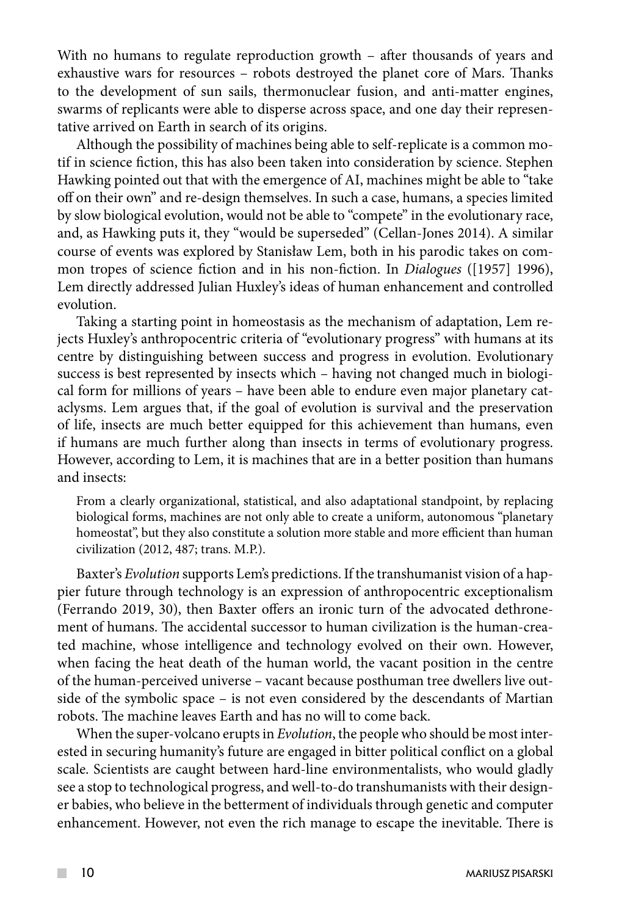With no humans to regulate reproduction growth – after thousands of years and exhaustive wars for resources – robots destroyed the planet core of Mars. Thanks to the development of sun sails, thermonuclear fusion, and anti-matter engines, swarms of replicants were able to disperse across space, and one day their representative arrived on Earth in search of its origins.

Although the possibility of machines being able to self-replicate is a common motif in science fiction, this has also been taken into consideration by science. Stephen Hawking pointed out that with the emergence of AI, machines might be able to "take off on their own" and re-design themselves. In such a case, humans, a species limited by slow biological evolution, would not be able to "compete" in the evolutionary race, and, as Hawking puts it, they "would be superseded" (Cellan-Jones 2014). A similar course of events was explored by Stanisław Lem, both in his parodic takes on common tropes of science fiction and in his non-fiction. In *Dialogues* ([1957] 1996), Lem directly addressed Julian Huxley's ideas of human enhancement and controlled evolution.

Taking a starting point in homeostasis as the mechanism of adaptation, Lem rejects Huxley's anthropocentric criteria of "evolutionary progress" with humans at its centre by distinguishing between success and progress in evolution. Evolutionary success is best represented by insects which – having not changed much in biological form for millions of years – have been able to endure even major planetary cataclysms. Lem argues that, if the goal of evolution is survival and the preservation of life, insects are much better equipped for this achievement than humans, even if humans are much further along than insects in terms of evolutionary progress. However, according to Lem, it is machines that are in a better position than humans and insects:

From a clearly organizational, statistical, and also adaptational standpoint, by replacing biological forms, machines are not only able to create a uniform, autonomous "planetary homeostat", but they also constitute a solution more stable and more efficient than human civilization (2012, 487; trans. M.P.).

Baxter's *Evolution* supports Lem's predictions. If the transhumanist vision of a happier future through technology is an expression of anthropocentric exceptionalism (Ferrando 2019, 30), then Baxter offers an ironic turn of the advocated dethronement of humans. The accidental successor to human civilization is the human-created machine, whose intelligence and technology evolved on their own. However, when facing the heat death of the human world, the vacant position in the centre of the human-perceived universe – vacant because posthuman tree dwellers live outside of the symbolic space – is not even considered by the descendants of Martian robots. The machine leaves Earth and has no will to come back.

When the super-volcano erupts in *Evolution*, the people who should be most interested in securing humanity's future are engaged in bitter political conflict on a global scale. Scientists are caught between hard-line environmentalists, who would gladly see a stop to technological progress, and well-to-do transhumanists with their designer babies, who believe in the betterment of individuals through genetic and computer enhancement. However, not even the rich manage to escape the inevitable. There is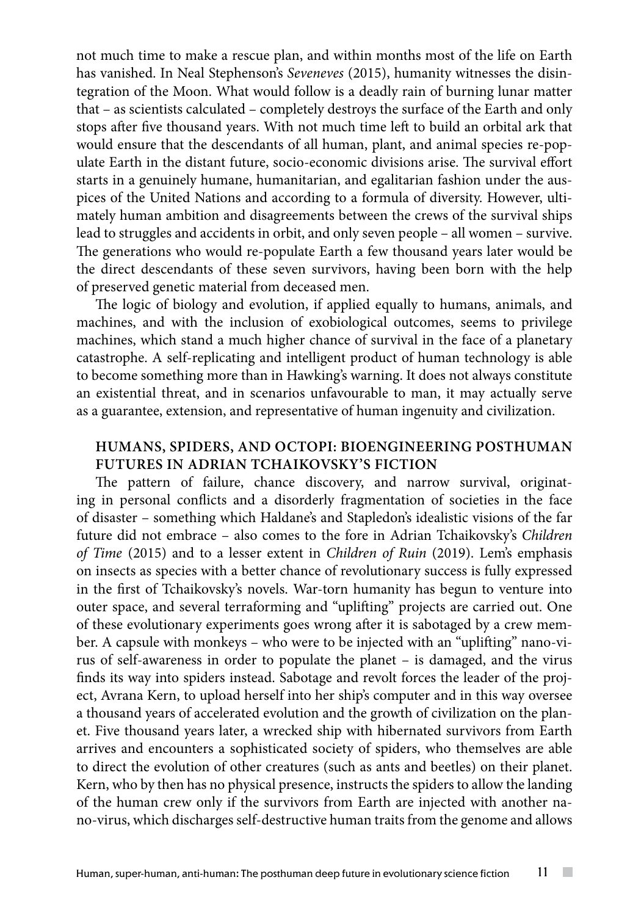not much time to make a rescue plan, and within months most of the life on Earth has vanished. In Neal Stephenson's *Seveneves* (2015), humanity witnesses the disintegration of the Moon. What would follow is a deadly rain of burning lunar matter that – as scientists calculated – completely destroys the surface of the Earth and only stops after five thousand years. With not much time left to build an orbital ark that would ensure that the descendants of all human, plant, and animal species re-populate Earth in the distant future, socio-economic divisions arise. The survival effort starts in a genuinely humane, humanitarian, and egalitarian fashion under the auspices of the United Nations and according to a formula of diversity. However, ultimately human ambition and disagreements between the crews of the survival ships lead to struggles and accidents in orbit, and only seven people – all women – survive. The generations who would re-populate Earth a few thousand years later would be the direct descendants of these seven survivors, having been born with the help of preserved genetic material from deceased men.

The logic of biology and evolution, if applied equally to humans, animals, and machines, and with the inclusion of exobiological outcomes, seems to privilege machines, which stand a much higher chance of survival in the face of a planetary catastrophe. A self-replicating and intelligent product of human technology is able to become something more than in Hawking's warning. It does not always constitute an existential threat, and in scenarios unfavourable to man, it may actually serve as a guarantee, extension, and representative of human ingenuity and civilization.

## **HUMANS, SPIDERS, AND OCTOPI: BIOENGINEERING POSTHUMAN FUTURES IN ADRIAN TCHAIKOVSKY'S FICTION**

The pattern of failure, chance discovery, and narrow survival, originating in personal conflicts and a disorderly fragmentation of societies in the face of disaster – something which Haldane's and Stapledon's idealistic visions of the far future did not embrace – also comes to the fore in Adrian Tchaikovsky's *Children of Time* (2015) and to a lesser extent in *Children of Ruin* (2019). Lem's emphasis on insects as species with a better chance of revolutionary success is fully expressed in the first of Tchaikovsky's novels. War-torn humanity has begun to venture into outer space, and several terraforming and "uplifting" projects are carried out. One of these evolutionary experiments goes wrong after it is sabotaged by a crew member. A capsule with monkeys – who were to be injected with an "uplifting" nano-virus of self-awareness in order to populate the planet – is damaged, and the virus finds its way into spiders instead. Sabotage and revolt forces the leader of the project, Avrana Kern, to upload herself into her ship's computer and in this way oversee a thousand years of accelerated evolution and the growth of civilization on the planet. Five thousand years later, a wrecked ship with hibernated survivors from Earth arrives and encounters a sophisticated society of spiders, who themselves are able to direct the evolution of other creatures (such as ants and beetles) on their planet. Kern, who by then has no physical presence, instructs the spiders to allow the landing of the human crew only if the survivors from Earth are injected with another nano-virus, which discharges self-destructive human traits from the genome and allows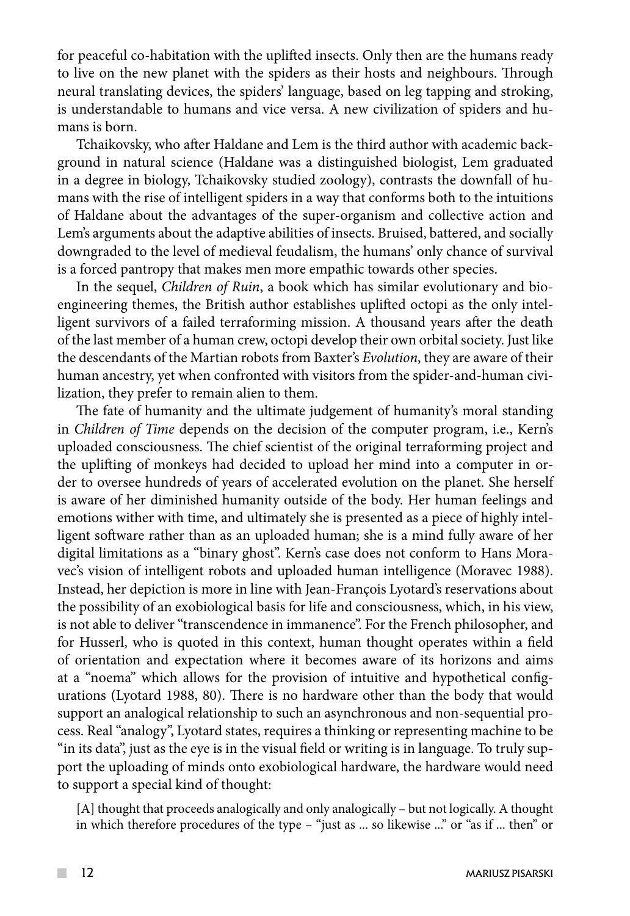for peaceful co-habitation with the uplifted insects. Only then are the humans ready to live on the new planet with the spiders as their hosts and neighbours. Through neural translating devices, the spiders' language, based on leg tapping and stroking, is understandable to humans and vice versa. A new civilization of spiders and humans is born.

Tchaikovsky, who after Haldane and Lem is the third author with academic background in natural science (Haldane was a distinguished biologist, Lem graduated in a degree in biology, Tchaikovsky studied zoology), contrasts the downfall of humans with the rise of intelligent spiders in a way that conforms both to the intuitions of Haldane about the advantages of the super-organism and collective action and Lem's arguments about the adaptive abilities of insects. Bruised, battered, and socially downgraded to the level of medieval feudalism, the humans' only chance of survival is a forced pantropy that makes men more empathic towards other species.

In the sequel, *Children of Ruin*, a book which has similar evolutionary and bioengineering themes, the British author establishes uplifted octopi as the only intelligent survivors of a failed terraforming mission. A thousand years after the death of the last member of a human crew, octopi develop their own orbital society. Just like the descendants of the Martian robots from Baxter's *Evolution*, they are aware of their human ancestry, yet when confronted with visitors from the spider-and-human civilization, they prefer to remain alien to them.

The fate of humanity and the ultimate judgement of humanity's moral standing in *Children of Time* depends on the decision of the computer program, i.e., Kern's uploaded consciousness. The chief scientist of the original terraforming project and the uplifting of monkeys had decided to upload her mind into a computer in order to oversee hundreds of years of accelerated evolution on the planet. She herself is aware of her diminished humanity outside of the body. Her human feelings and emotions wither with time, and ultimately she is presented as a piece of highly intelligent software rather than as an uploaded human; she is a mind fully aware of her digital limitations as a "binary ghost". Kern's case does not conform to Hans Moravec's vision of intelligent robots and uploaded human intelligence (Moravec 1988). Instead, her depiction is more in line with Jean-François Lyotard's reservations about the possibility of an exobiological basis for life and consciousness, which, in his view, is not able to deliver "transcendence in immanence". For the French philosopher, and for Husserl, who is quoted in this context, human thought operates within a field of orientation and expectation where it becomes aware of its horizons and aims at a "noema" which allows for the provision of intuitive and hypothetical configurations (Lyotard 1988, 80). There is no hardware other than the body that would support an analogical relationship to such an asynchronous and non-sequential process. Real "analogy", Lyotard states, requires a thinking or representing machine to be "in its data", just as the eye is in the visual field or writing is in language. To truly support the uploading of minds onto exobiological hardware, the hardware would need to support a special kind of thought:

[A] thought that proceeds analogically and only analogically – but not logically. A thought in which therefore procedures of the type – "just as ... so likewise ..." or "as if ... then" or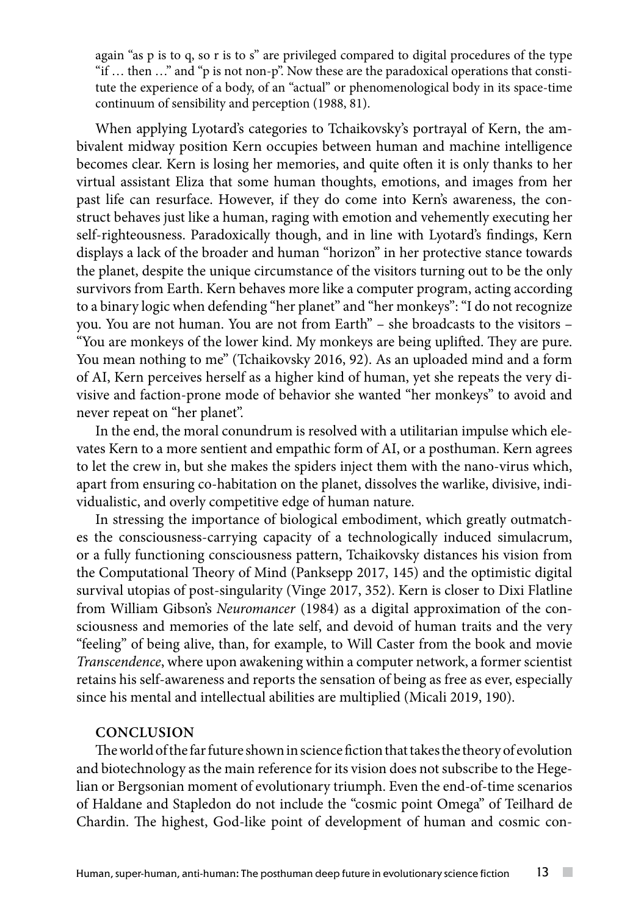again "as p is to q, so r is to s" are privileged compared to digital procedures of the type "if … then …" and "p is not non-p". Now these are the paradoxical operations that constitute the experience of a body, of an "actual" or phenomenological body in its space-time continuum of sensibility and perception (1988, 81).

When applying Lyotard's categories to Tchaikovsky's portrayal of Kern, the ambivalent midway position Kern occupies between human and machine intelligence becomes clear. Kern is losing her memories, and quite often it is only thanks to her virtual assistant Eliza that some human thoughts, emotions, and images from her past life can resurface. However, if they do come into Kern's awareness, the construct behaves just like a human, raging with emotion and vehemently executing her self-righteousness. Paradoxically though, and in line with Lyotard's findings, Kern displays a lack of the broader and human "horizon" in her protective stance towards the planet, despite the unique circumstance of the visitors turning out to be the only survivors from Earth. Kern behaves more like a computer program, acting according to a binary logic when defending "her planet" and "her monkeys": "I do not recognize you. You are not human. You are not from Earth" – she broadcasts to the visitors – "You are monkeys of the lower kind. My monkeys are being uplifted. They are pure. You mean nothing to me" (Tchaikovsky 2016, 92). As an uploaded mind and a form of AI, Kern perceives herself as a higher kind of human, yet she repeats the very divisive and faction-prone mode of behavior she wanted "her monkeys" to avoid and never repeat on "her planet".

In the end, the moral conundrum is resolved with a utilitarian impulse which elevates Kern to a more sentient and empathic form of AI, or a posthuman. Kern agrees to let the crew in, but she makes the spiders inject them with the nano-virus which, apart from ensuring co-habitation on the planet, dissolves the warlike, divisive, individualistic, and overly competitive edge of human nature.

In stressing the importance of biological embodiment, which greatly outmatches the consciousness-carrying capacity of a technologically induced simulacrum, or a fully functioning consciousness pattern, Tchaikovsky distances his vision from the Computational Theory of Mind (Panksepp 2017, 145) and the optimistic digital survival utopias of post-singularity (Vinge 2017, 352). Kern is closer to Dixi Flatline from William Gibson's *Neuromancer* (1984) as a digital approximation of the consciousness and memories of the late self, and devoid of human traits and the very "feeling" of being alive, than, for example, to Will Caster from the book and movie *Transcendence*, where upon awakening within a computer network, a former scientist retains his self-awareness and reports the sensation of being as free as ever, especially since his mental and intellectual abilities are multiplied (Micali 2019, 190).

### **CONCLUSION**

The world of the far future shown in science fiction that takes the theory of evolution and biotechnology as the main reference for its vision does not subscribe to the Hegelian or Bergsonian moment of evolutionary triumph. Even the end-of-time scenarios of Haldane and Stapledon do not include the "cosmic point Omega" of Teilhard de Chardin. The highest, God-like point of development of human and cosmic con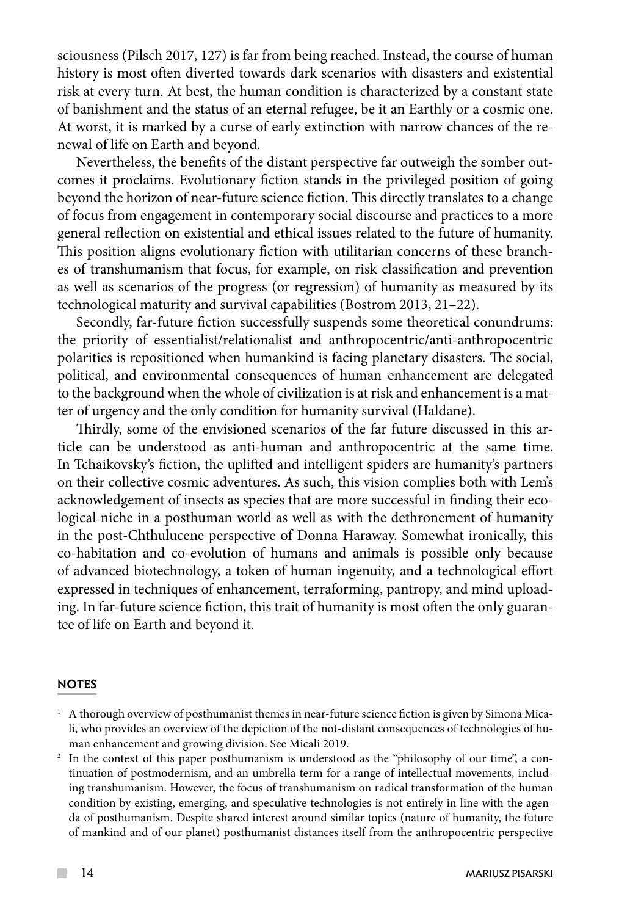sciousness (Pilsch 2017, 127) is far from being reached. Instead, the course of human history is most often diverted towards dark scenarios with disasters and existential risk at every turn. At best, the human condition is characterized by a constant state of banishment and the status of an eternal refugee, be it an Earthly or a cosmic one. At worst, it is marked by a curse of early extinction with narrow chances of the renewal of life on Earth and beyond.

Nevertheless, the benefits of the distant perspective far outweigh the somber outcomes it proclaims. Evolutionary fiction stands in the privileged position of going beyond the horizon of near-future science fiction. This directly translates to a change of focus from engagement in contemporary social discourse and practices to a more general reflection on existential and ethical issues related to the future of humanity. This position aligns evolutionary fiction with utilitarian concerns of these branches of transhumanism that focus, for example, on risk classification and prevention as well as scenarios of the progress (or regression) of humanity as measured by its technological maturity and survival capabilities (Bostrom 2013, 21–22).

Secondly, far-future fiction successfully suspends some theoretical conundrums: the priority of essentialist/relationalist and anthropocentric/anti-anthropocentric polarities is repositioned when humankind is facing planetary disasters. The social, political, and environmental consequences of human enhancement are delegated to the background when the whole of civilization is at risk and enhancement is a matter of urgency and the only condition for humanity survival (Haldane).

Thirdly, some of the envisioned scenarios of the far future discussed in this article can be understood as anti-human and anthropocentric at the same time. In Tchaikovsky's fiction, the uplifted and intelligent spiders are humanity's partners on their collective cosmic adventures. As such, this vision complies both with Lem's acknowledgement of insects as species that are more successful in finding their ecological niche in a posthuman world as well as with the dethronement of humanity in the post-Chthulucene perspective of Donna Haraway. Somewhat ironically, this co-habitation and co-evolution of humans and animals is possible only because of advanced biotechnology, a token of human ingenuity, and a technological effort expressed in techniques of enhancement, terraforming, pantropy, and mind uploading. In far-future science fiction, this trait of humanity is most often the only guarantee of life on Earth and beyond it.

#### **NOTES**

<sup>2</sup> In the context of this paper posthumanism is understood as the "philosophy of our time", a continuation of postmodernism, and an umbrella term for a range of intellectual movements, including transhumanism. However, the focus of transhumanism on radical transformation of the human condition by existing, emerging, and speculative technologies is not entirely in line with the agenda of posthumanism. Despite shared interest around similar topics (nature of humanity, the future of mankind and of our planet) posthumanist distances itself from the anthropocentric perspective

 $1$  A thorough overview of posthumanist themes in near-future science fiction is given by Simona Micali, who provides an overview of the depiction of the not-distant consequences of technologies of human enhancement and growing division. See Micali 2019.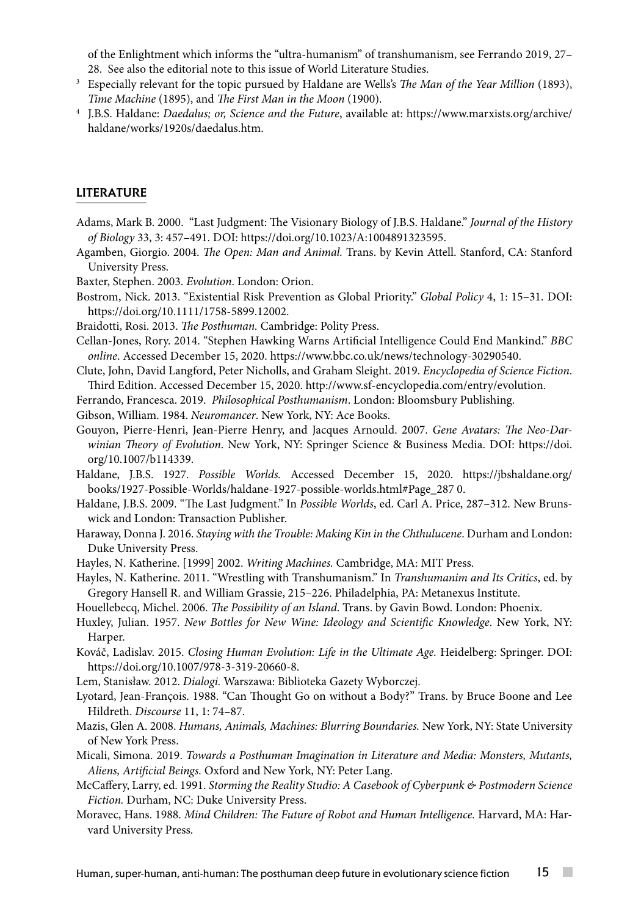of the Enlightment which informs the "ultra-humanism" of transhumanism, see Ferrando 2019, 27– 28. See also the editorial note to this issue of World Literature Studies. 3 Especially relevant for the topic pursued by Haldane are Wells's *The Man of the Year Million* (1893),

- *Time Machine* (1895), and *The First Man in the Moon* (1900).
- <sup>4</sup> J.B.S. Haldane: *Daedalus; or, Science and the Future*, available at: https://www.marxists.org/archive/ haldane/works/1920s/daedalus.htm.

### LITERATURE

- Adams, Mark B. 2000. "Last Judgment: The Visionary Biology of J.B.S. Haldane." *Journal of the History of Biology* 33, 3: 457–491. DOI: https://doi.org/10.1023/A:1004891323595.
- Agamben, Giorgio. 2004. *The Open: Man and Animal.* Trans. by Kevin Attell. Stanford, CA: Stanford University Press.
- Baxter, Stephen. 2003. *Evolution*. London: Orion.
- Bostrom, Nick. 2013. "Existential Risk Prevention as Global Priority." *Global Policy* 4, 1: 15–31. DOI: [https://doi.org/10.1111/1758-5899.12002.](https://doi.org/10.1111/1758-5899.12002)
- Braidotti, Rosi. 2013. *The Posthuman.* Cambridge: Polity Press.
- Cellan-Jones, Rory. 2014. "Stephen Hawking Warns Artificial Intelligence Could End Mankind." *BBC online*. Accessed December 15, 2020. https://www.bbc.co.uk/news/technology-30290540.
- Clute, John, David Langford, Peter Nicholls, and Graham Sleight. 2019. *Encyclopedia of Science Fiction*. Third Edition. Accessed December 15, 2020. http://www.sf-encyclopedia.com/entry/evolution.
- Ferrando, Francesca. 2019. *Philosophical Posthumanism*. London: Bloomsbury Publishing.
- Gibson, William. 1984. *Neuromancer*. New York, NY: Ace Books.
- Gouyon, Pierre-Henri, Jean-Pierre Henry, and Jacques Arnould. 2007. *Gene Avatars: The Neo-Darwinian Theory of Evolution*. New York, NY: Springer Science & Business Media. DOI: https://doi. org/10.1007/b114339.
- Haldane, J.B.S. 1927. *Possible Worlds.* Accessed December 15, 2020. https://jbshaldane.org/ books/1927-Possible-Worlds/haldane-1927-possible-worlds.html#Page\_287 0.
- Haldane, J.B.S. 2009. "The Last Judgment." In *Possible Worlds*, ed. Carl A. Price, 287–312. New Brunswick and London: Transaction Publisher.
- Haraway, Donna J. 2016. *Staying with the Trouble: Making Kin in the Chthulucene*. Durham and London: Duke University Press.
- Hayles, N. Katherine. [1999] 2002. *Writing Machines.* Cambridge, MA: MIT Press.
- Hayles, N. Katherine. 2011. "Wrestling with Transhumanism." In *Transhumanim and Its Critics*, ed. by Gregory Hansell R. and William Grassie, 215–226. Philadelphia, PA: Metanexus Institute.
- Houellebecq, Michel. 2006. *The Possibility of an Island*. Trans. by Gavin Bowd. London: Phoenix.
- Huxley, Julian. 1957. *New Bottles for New Wine: Ideology and Scientific Knowledge*. New York, NY: Harper.
- Kováč, Ladislav. 2015. *Closing Human Evolution: Life in the Ultimate Age.* Heidelberg: Springer. DOI: https://doi.org/10.1007/978-3-319-20660-8.
- Lem, Stanisław. 2012. *Dialogi.* Warszawa: Biblioteka Gazety Wyborczej.
- Lyotard, Jean-François. 1988. "Can Thought Go on without a Body?" Trans. by Bruce Boone and Lee Hildreth. *Discourse* 11, 1: 74–87.
- Mazis, Glen A. 2008. *Humans, Animals, Machines: Blurring Boundaries.* New York, NY: State University of New York Press.
- Micali, Simona. 2019. *Towards a Posthuman Imagination in Literature and Media: Monsters, Mutants, Aliens, Artificial Beings.* Oxford and New York, NY: Peter Lang.
- McCaffery, Larry, ed. 1991. *Storming the Reality Studio: A Casebook of Cyberpunk & Postmodern Science Fiction.* Durham, NC: Duke University Press.
- Moravec, Hans. 1988. *Mind Children: The Future of Robot and Human Intelligence.* Harvard, MA: Harvard University Press.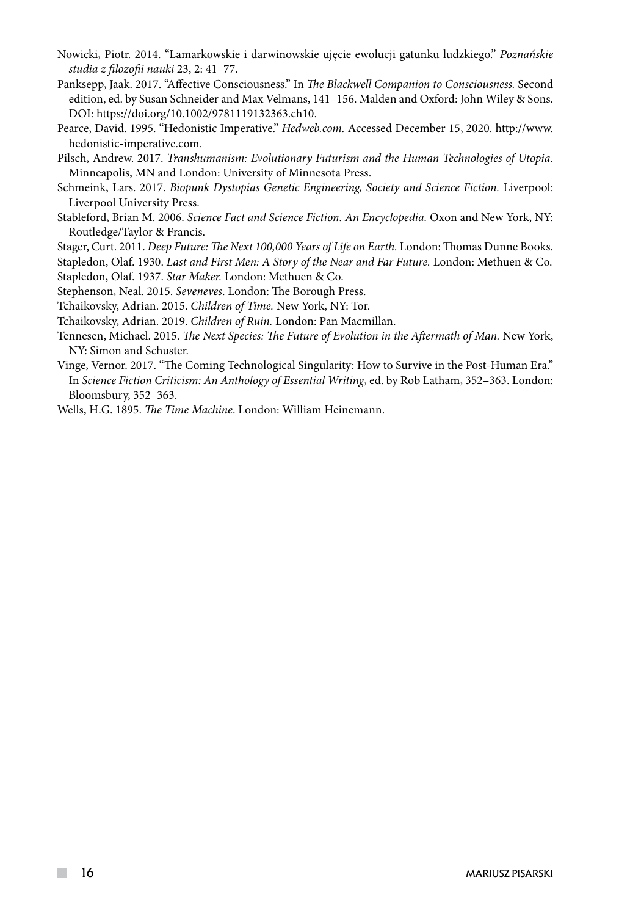- Nowicki, Piotr. 2014. "Lamarkowskie i darwinowskie ujęcie ewolucji gatunku ludzkiego." *Poznańskie studia z filozofii nauki* 23, 2: 41–77.
- Panksepp, Jaak. 2017. "Affective Consciousness." In *The Blackwell Companion to Consciousness.* Second edition, ed. by Susan Schneider and Max Velmans, 141–156. Malden and Oxford: John Wiley & Sons. DOI: <https://doi.org/10.1002/9781119132363.ch10>.
- Pearce, David. 1995. "Hedonistic Imperative." *Hedweb.com.* Accessed December 15, 2020. http://www. hedonistic-imperative.com.
- Pilsch, Andrew. 2017. *Transhumanism: Evolutionary Futurism and the Human Technologies of Utopia.* Minneapolis, MN and London: University of Minnesota Press.
- Schmeink, Lars. 2017. *Biopunk Dystopias Genetic Engineering, Society and Science Fiction.* Liverpool: Liverpool University Press.
- Stableford, Brian M. 2006. *Science Fact and Science Fiction. An Encyclopedia.* Oxon and New York, NY: Routledge/Taylor & Francis.
- Stager, Curt. 2011. *Deep Future: The Next 100,000 Years of Life on Earth.* London: Thomas Dunne Books.
- Stapledon, Olaf. 1930. *Last and First Men: A Story of the Near and Far Future.* London: Methuen & Co. Stapledon, Olaf. 1937. *Star Maker.* London: Methuen & Co.
- Stephenson, Neal. 2015. *Seveneves*. London: The Borough Press.
- Tchaikovsky, Adrian. 2015. *Children of Time.* New York, NY: Tor.
- Tchaikovsky, Adrian. 2019. *Children of Ruin.* London: Pan Macmillan.
- Tennesen, Michael. 2015. *The Next Species: The Future of Evolution in the Aftermath of Man.* New York, NY: Simon and Schuster.
- Vinge, Vernor. 2017. "The Coming Technological Singularity: How to Survive in the Post-Human Era." In *Science Fiction Criticism: An Anthology of Essential Writing*, ed. by Rob Latham, 352–363. London: Bloomsbury, 352–363.

Wells, H.G. 1895. *The Time Machine*. London: William Heinemann.

**The Co**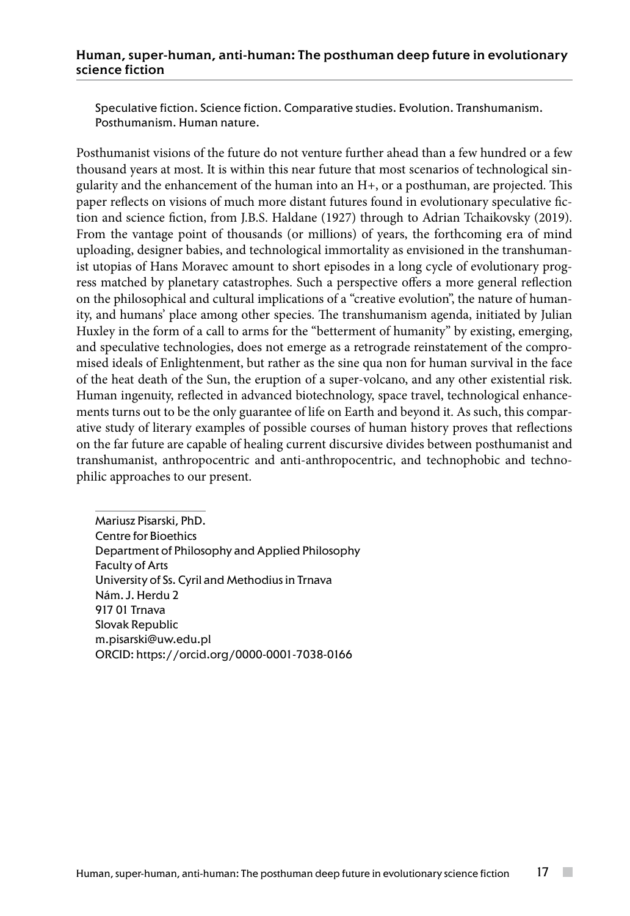### Human, super-human, anti-human: The posthuman deep future in evolutionary science fiction

Speculative fiction. Science fiction. Comparative studies. Evolution. Transhumanism. Posthumanism. Human nature.

Posthumanist visions of the future do not venture further ahead than a few hundred or a few thousand years at most. It is within this near future that most scenarios of technological singularity and the enhancement of the human into an H+, or a posthuman, are projected. This paper reflects on visions of much more distant futures found in evolutionary speculative fiction and science fiction, from J.B.S. Haldane (1927) through to Adrian Tchaikovsky (2019). From the vantage point of thousands (or millions) of years, the forthcoming era of mind uploading, designer babies, and technological immortality as envisioned in the transhumanist utopias of Hans Moravec amount to short episodes in a long cycle of evolutionary progress matched by planetary catastrophes. Such a perspective offers a more general reflection on the philosophical and cultural implications of a "creative evolution", the nature of humanity, and humans' place among other species. The transhumanism agenda, initiated by Julian Huxley in the form of a call to arms for the "betterment of humanity" by existing, emerging, and speculative technologies, does not emerge as a retrograde reinstatement of the compromised ideals of Enlightenment, but rather as the sine qua non for human survival in the face of the heat death of the Sun, the eruption of a super-volcano, and any other existential risk. Human ingenuity, reflected in advanced biotechnology, space travel, technological enhancements turns out to be the only guarantee of life on Earth and beyond it. As such, this comparative study of literary examples of possible courses of human history proves that reflections on the far future are capable of healing current discursive divides between posthumanist and transhumanist, anthropocentric and anti-anthropocentric, and technophobic and technophilic approaches to our present.

Mariusz Pisarski, PhD. Centre for Bioethics Department of Philosophy and Applied Philosophy Faculty of Arts University of Ss. Cyril and Methodius in Trnava Nám. J. Herdu 2 917 01 Trnava Slovak Republic m.pisarski@uw.edu.pl ORCID: https://orcid.org/0000-0001-7038-0166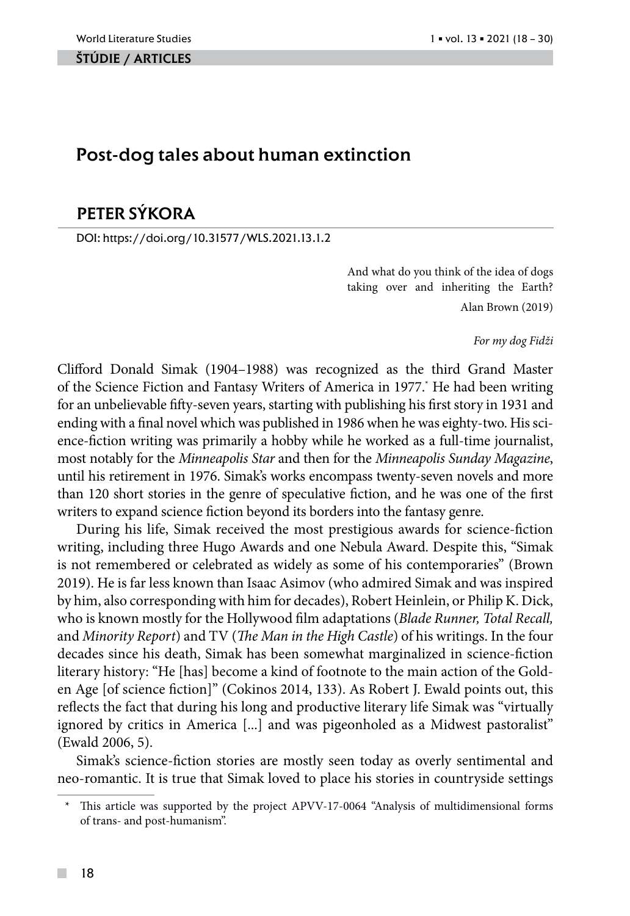#### ŠTÚDIE / ARTicles

# Post-dog tales about human extinction

# PETER SÝKORA

DOI: https://doi.org/10.31577/WLS.2021.13.1.2

And what do you think of the idea of dogs taking over and inheriting the Earth? Alan Brown (2019)

*For my dog Fidži*

Clifford Donald Simak (1904–1988) was recognized as the third Grand Master of the Science Fiction and Fantasy Writers of America in 1977.\* He had been writing for an unbelievable fifty-seven years, starting with publishing his first story in 1931 and ending with a final novel which was published in 1986 when he was eighty-two. His science-fiction writing was primarily a hobby while he worked as a full-time journalist, most notably for the *Minneapolis Star* and then for the *Minneapolis Sunday Magazine*, until his retirement in 1976. Simak's works encompass twenty-seven novels and more than 120 short stories in the genre of speculative fiction, and he was one of the first writers to expand science fiction beyond its borders into the fantasy genre.

During his life, Simak received the most prestigious awards for science-fiction writing, including three Hugo Awards and one Nebula Award. Despite this, "Simak is not remembered or celebrated as widely as some of his contemporaries" (Brown 2019). He is far less known than Isaac Asimov (who admired Simak and was inspired by him, also corresponding with him for decades), Robert Heinlein, or Philip K. Dick, who is known mostly for the Hollywood film adaptations (*Blade Runner, Total Recall,* and *Minority Report*) and TV (*The Man in the High Castle*) of his writings. In the four decades since his death, Simak has been somewhat marginalized in science-fiction literary history: "He [has] become a kind of footnote to the main action of the Golden Age [of science fiction]" (Cokinos 2014, 133). As Robert J. Ewald points out, this reflects the fact that during his long and productive literary life Simak was "virtually ignored by critics in America [...] and was pigeonholed as a Midwest pastoralist" (Ewald 2006, 5).

Simak's science-fiction stories are mostly seen today as overly sentimental and neo-romantic. It is true that Simak loved to place his stories in countryside settings

This article was supported by the project APVV-17-0064 "Analysis of multidimensional forms of trans- and post-humanism".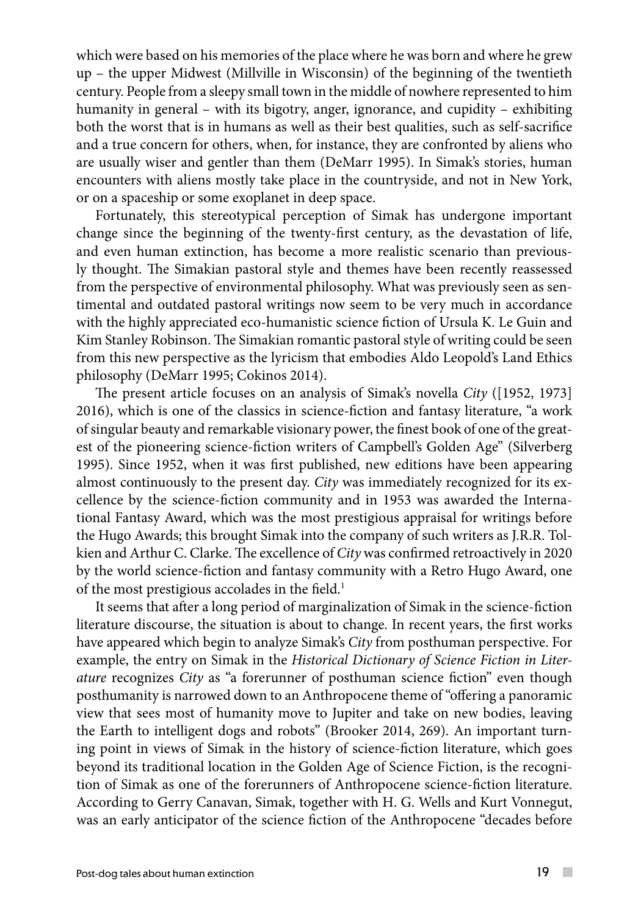which were based on his memories of the place where he was born and where he grew up – the upper Midwest (Millville in Wisconsin) of the beginning of the twentieth century. People from a sleepy small town in the middle of nowhere represented to him humanity in general – with its bigotry, anger, ignorance, and cupidity – exhibiting both the worst that is in humans as well as their best qualities, such as self-sacrifice and a true concern for others, when, for instance, they are confronted by aliens who are usually wiser and gentler than them (DeMarr 1995). In Simak's stories, human encounters with aliens mostly take place in the countryside, and not in New York, or on a spaceship or some exoplanet in deep space.

Fortunately, this stereotypical perception of Simak has undergone important change since the beginning of the twenty-first century, as the devastation of life, and even human extinction, has become a more realistic scenario than previously thought. The Simakian pastoral style and themes have been recently reassessed from the perspective of environmental philosophy. What was previously seen as sentimental and outdated pastoral writings now seem to be very much in accordance with the highly appreciated eco-humanistic science fiction of Ursula K. Le Guin and Kim Stanley Robinson. The Simakian romantic pastoral style of writing could be seen from this new perspective as the lyricism that embodies Aldo Leopold's Land Ethics philosophy (DeMarr 1995; Cokinos 2014).

The present article focuses on an analysis of Simak's novella *City* ([1952, 1973] 2016), which is one of the classics in science-fiction and fantasy literature, "a work of singular beauty and remarkable visionary power, the finest book of one of the greatest of the pioneering science-fiction writers of Campbell's Golden Age" (Silverberg 1995). Since 1952, when it was first published, new editions have been appearing almost continuously to the present day. *City* was immediately recognized for its excellence by the science-fiction community and in 1953 was awarded the International Fantasy Award, which was the most prestigious appraisal for writings before the Hugo Awards; this brought Simak into the company of such writers as J.R.R. Tolkien and Arthur C. Clarke. The excellence of *City* was confirmed retroactively in 2020 by the world science-fiction and fantasy community with a Retro Hugo Award, one of the most prestigious accolades in the field.<sup>1</sup>

It seems that after a long period of marginalization of Simak in the science-fiction literature discourse, the situation is about to change. In recent years, the first works have appeared which begin to analyze Simak's *City* from posthuman perspective. For example, the entry on Simak in the *Historical Dictionary of Science Fiction in Literature* recognizes *City* as "a forerunner of posthuman science fiction" even though posthumanity is narrowed down to an Anthropocene theme of "offering a panoramic view that sees most of humanity move to Jupiter and take on new bodies, leaving the Earth to intelligent dogs and robots" (Brooker 2014, 269). An important turning point in views of Simak in the history of science-fiction literature, which goes beyond its traditional location in the Golden Age of Science Fiction, is the recognition of Simak as one of the forerunners of Anthropocene science-fiction literature. According to Gerry Canavan, Simak, together with H. G. Wells and Kurt Vonnegut, was an early anticipator of the science fiction of the Anthropocene "decades before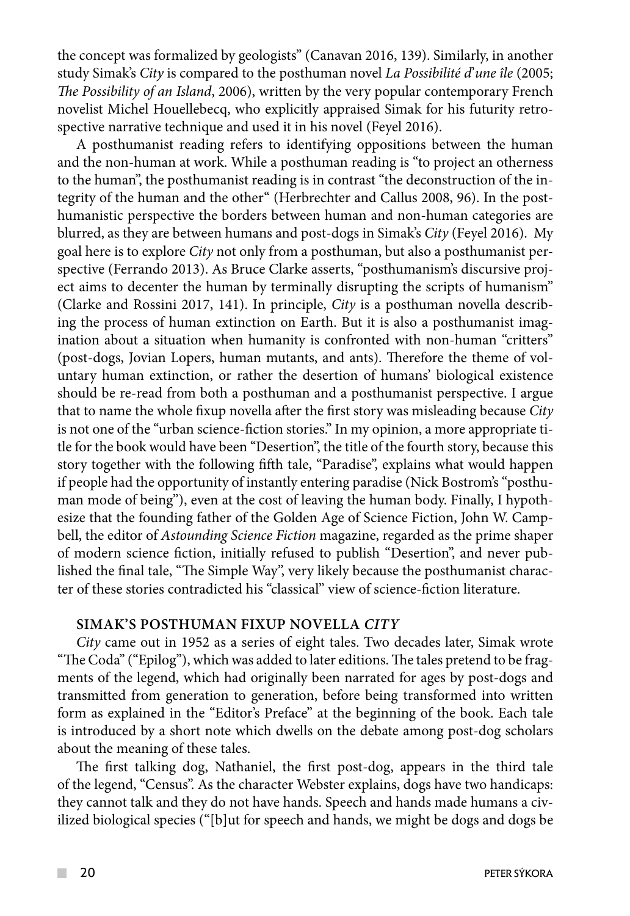the concept was formalized by geologists" (Canavan 2016, 139). Similarly, in another study Simak's *City* is compared to the posthuman novel *La Possibilité d*'*une île* (2005; *The Possibility of an Island*, 2006), written by the very popular contemporary French novelist Michel Houellebecq, who explicitly appraised Simak for his futurity retrospective narrative technique and used it in his novel (Feyel 2016).

A posthumanist reading refers to identifying oppositions between the human and the non-human at work. While a posthuman reading is "to project an otherness to the human", the posthumanist reading is in contrast "the deconstruction of the integrity of the human and the other" (Herbrechter and Callus 2008, 96). In the posthumanistic perspective the borders between human and non-human categories are blurred, as they are between humans and post-dogs in Simak's *City* (Feyel 2016). My goal here is to explore *City* not only from a posthuman, but also a posthumanist perspective (Ferrando 2013). As Bruce Clarke asserts, "posthumanism's discursive project aims to decenter the human by terminally disrupting the scripts of humanism" (Clarke and Rossini 2017, 141). In principle, *City* is a posthuman novella describing the process of human extinction on Earth. But it is also a posthumanist imagination about a situation when humanity is confronted with non-human "critters" (post-dogs, Jovian Lopers, human mutants, and ants). Therefore the theme of voluntary human extinction, or rather the desertion of humans' biological existence should be re-read from both a posthuman and a posthumanist perspective. I argue that to name the whole fixup novella after the first story was misleading because *City* is not one of the "urban science-fiction stories." In my opinion, a more appropriate title for the book would have been "Desertion", the title of the fourth story, because this story together with the following fifth tale, "Paradise", explains what would happen if people had the opportunity of instantly entering paradise (Nick Bostrom's "posthuman mode of being"), even at the cost of leaving the human body. Finally, I hypothesize that the founding father of the Golden Age of Science Fiction, John W. Campbell, the editor of *Astounding Science Fiction* magazine, regarded as the prime shaper of modern science fiction, initially refused to publish "Desertion", and never published the final tale, "The Simple Way", very likely because the posthumanist character of these stories contradicted his "classical" view of science-fiction literature.

## **Simak's posthuman fixup novella** *City*

*City* came out in 1952 as a series of eight tales. Two decades later, Simak wrote "The Coda" ("Epilog"), which was added to later editions. The tales pretend to be fragments of the legend, which had originally been narrated for ages by post-dogs and transmitted from generation to generation, before being transformed into written form as explained in the "Editor's Preface" at the beginning of the book. Each tale is introduced by a short note which dwells on the debate among post-dog scholars about the meaning of these tales.

The first talking dog, Nathaniel, the first post-dog, appears in the third tale of the legend, "Census". As the character Webster explains, dogs have two handicaps: they cannot talk and they do not have hands. Speech and hands made humans a civilized biological species ("[b]ut for speech and hands, we might be dogs and dogs be

 $\mathcal{L}^{\mathcal{L}}$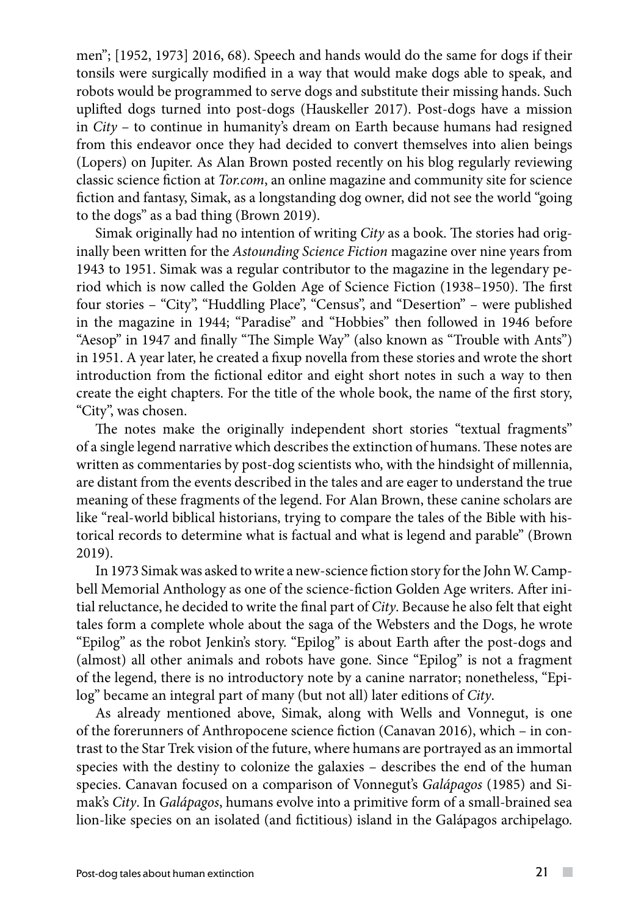men"; [1952, 1973] 2016, 68). Speech and hands would do the same for dogs if their tonsils were surgically modified in a way that would make dogs able to speak, and robots would be programmed to serve dogs and substitute their missing hands. Such uplifted dogs turned into post-dogs (Hauskeller 2017). Post-dogs have a mission in *City* – to continue in humanity's dream on Earth because humans had resigned from this endeavor once they had decided to convert themselves into alien beings (Lopers) on Jupiter. As Alan Brown posted recently on his blog regularly reviewing classic science fiction at *Tor.com*, an online magazine and community site for science fiction and fantasy, Simak, as a longstanding dog owner, did not see the world "going to the dogs" as a bad thing (Brown 2019).

Simak originally had no intention of writing *City* as a book. The stories had originally been written for the *Astounding Science Fiction* magazine over nine years from 1943 to 1951. Simak was a regular contributor to the magazine in the legendary period which is now called the Golden Age of Science Fiction (1938–1950). The first four stories – "City", "Huddling Place", "Census", and "Desertion" – were published in the magazine in 1944; "Paradise" and "Hobbies" then followed in 1946 before "Aesop" in 1947 and finally "The Simple Way" (also known as "Trouble with Ants") in 1951. A year later, he created a fixup novella from these stories and wrote the short introduction from the fictional editor and eight short notes in such a way to then create the eight chapters. For the title of the whole book, the name of the first story, "City", was chosen.

The notes make the originally independent short stories "textual fragments" of a single legend narrative which describes the extinction of humans. These notes are written as commentaries by post-dog scientists who, with the hindsight of millennia, are distant from the events described in the tales and are eager to understand the true meaning of these fragments of the legend. For Alan Brown, these canine scholars are like "real-world biblical historians, trying to compare the tales of the Bible with historical records to determine what is factual and what is legend and parable" (Brown 2019).

In 1973 Simak was asked to write a new-science fiction story for the John W. Campbell Memorial Anthology as one of the science-fiction Golden Age writers. After initial reluctance, he decided to write the final part of *City*. Because he also felt that eight tales form a complete whole about the saga of the Websters and the Dogs, he wrote "Epilog" as the robot Jenkin's story. "Epilog" is about Earth after the post-dogs and (almost) all other animals and robots have gone. Since "Epilog" is not a fragment of the legend, there is no introductory note by a canine narrator; nonetheless, "Epilog" became an integral part of many (but not all) later editions of *City*.

As already mentioned above, Simak, along with Wells and Vonnegut, is one of the forerunners of Anthropocene science fiction (Canavan 2016), which – in contrast to the Star Trek vision of the future, where humans are portrayed as an immortal species with the destiny to colonize the galaxies – describes the end of the human species. Canavan focused on a comparison of Vonnegut's *Galápagos* (1985) and Simak's *City*. In *Galápagos*, humans evolve into a primitive form of a small-brained sea lion-like species on an isolated (and fictitious) island in the Galápagos archipelago.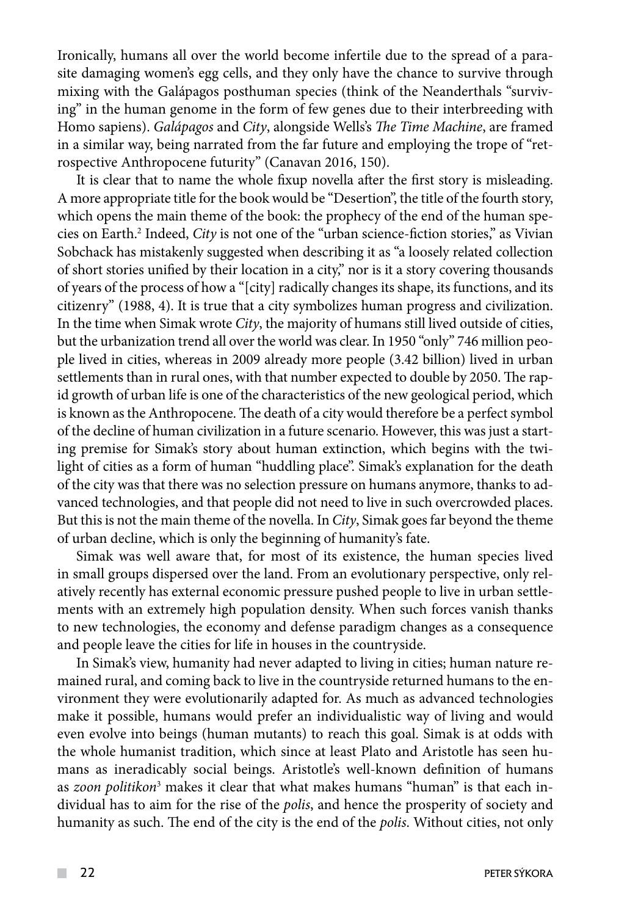Ironically, humans all over the world become infertile due to the spread of a parasite damaging women's egg cells, and they only have the chance to survive through mixing with the Galápagos posthuman species (think of the Neanderthals "surviving" in the human genome in the form of few genes due to their interbreeding with Homo sapiens). *Galápagos* and *City*, alongside Wells's *The Time Machine*, are framed in a similar way, being narrated from the far future and employing the trope of "retrospective Anthropocene futurity" (Canavan 2016, 150).

It is clear that to name the whole fixup novella after the first story is misleading. A more appropriate title for the book would be "Desertion", the title of the fourth story, which opens the main theme of the book: the prophecy of the end of the human species on Earth.2 Indeed, *City* is not one of the "urban science-fiction stories," as Vivian Sobchack has mistakenly suggested when describing it as "a loosely related collection of short stories unified by their location in a city," nor is it a story covering thousands of years of the process of how a "[city] radically changes its shape, its functions, and its citizenry" (1988, 4). It is true that a city symbolizes human progress and civilization. In the time when Simak wrote *City*, the majority of humans still lived outside of cities, but the urbanization trend all over the world was clear. In 1950 "only" 746 million people lived in cities, whereas in 2009 already more people (3.42 billion) lived in urban settlements than in rural ones, with that number expected to double by 2050. The rapid growth of urban life is one of the characteristics of the new geological period, which is known as the Anthropocene. The death of a city would therefore be a perfect symbol of the decline of human civilization in a future scenario. However, this was just a starting premise for Simak's story about human extinction, which begins with the twilight of cities as a form of human "huddling place". Simak's explanation for the death of the city was that there was no selection pressure on humans anymore, thanks to advanced technologies, and that people did not need to live in such overcrowded places. But this is not the main theme of the novella. In *City*, Simak goes far beyond the theme of urban decline, which is only the beginning of humanity's fate.

Simak was well aware that, for most of its existence, the human species lived in small groups dispersed over the land. From an evolutionary perspective, only relatively recently has external economic pressure pushed people to live in urban settlements with an extremely high population density. When such forces vanish thanks to new technologies, the economy and defense paradigm changes as a consequence and people leave the cities for life in houses in the countryside.

In Simak's view, humanity had never adapted to living in cities; human nature remained rural, and coming back to live in the countryside returned humans to the environment they were evolutionarily adapted for. As much as advanced technologies make it possible, humans would prefer an individualistic way of living and would even evolve into beings (human mutants) to reach this goal. Simak is at odds with the whole humanist tradition, which since at least Plato and Aristotle has seen humans as ineradicably social beings. Aristotle's well-known definition of humans as *zoon politikon*3 makes it clear that what makes humans "human" is that each individual has to aim for the rise of the *polis*, and hence the prosperity of society and humanity as such. The end of the city is the end of the *polis*. Without cities, not only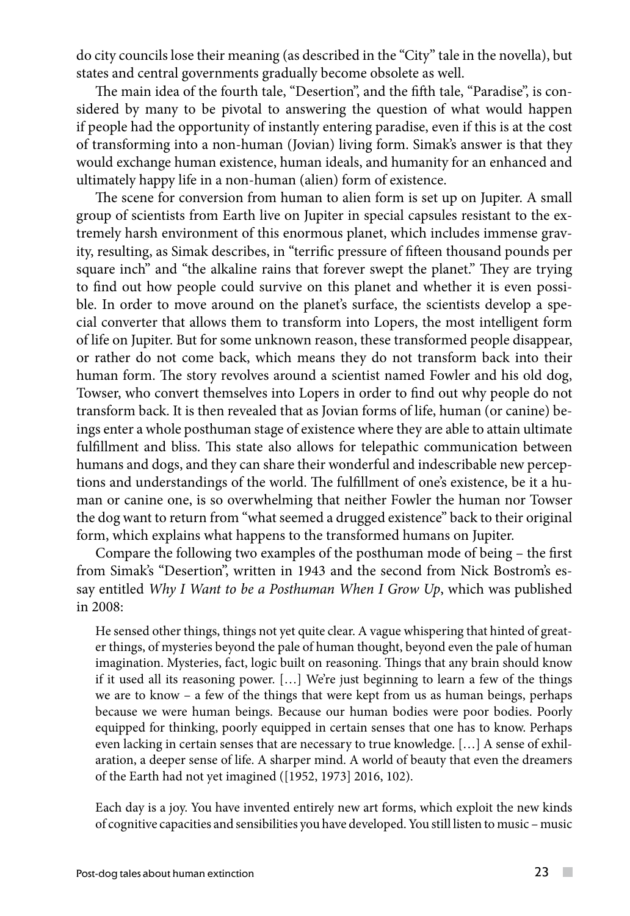do city councils lose their meaning (as described in the "City" tale in the novella), but states and central governments gradually become obsolete as well.

The main idea of the fourth tale, "Desertion", and the fifth tale, "Paradise", is considered by many to be pivotal to answering the question of what would happen if people had the opportunity of instantly entering paradise, even if this is at the cost of transforming into a non-human (Jovian) living form. Simak's answer is that they would exchange human existence, human ideals, and humanity for an enhanced and ultimately happy life in a non-human (alien) form of existence.

The scene for conversion from human to alien form is set up on Jupiter. A small group of scientists from Earth live on Jupiter in special capsules resistant to the extremely harsh environment of this enormous planet, which includes immense gravity, resulting, as Simak describes, in "terrific pressure of fifteen thousand pounds per square inch" and "the alkaline rains that forever swept the planet." They are trying to find out how people could survive on this planet and whether it is even possible. In order to move around on the planet's surface, the scientists develop a special converter that allows them to transform into Lopers, the most intelligent form of life on Jupiter. But for some unknown reason, these transformed people disappear, or rather do not come back, which means they do not transform back into their human form. The story revolves around a scientist named Fowler and his old dog, Towser, who convert themselves into Lopers in order to find out why people do not transform back. It is then revealed that as Jovian forms of life, human (or canine) beings enter a whole posthuman stage of existence where they are able to attain ultimate fulfillment and bliss. This state also allows for telepathic communication between humans and dogs, and they can share their wonderful and indescribable new perceptions and understandings of the world. The fulfillment of one's existence, be it a human or canine one, is so overwhelming that neither Fowler the human nor Towser the dog want to return from "what seemed a drugged existence" back to their original form, which explains what happens to the transformed humans on Jupiter.

Compare the following two examples of the posthuman mode of being – the first from Simak's "Desertion", written in 1943 and the second from Nick Bostrom's essay entitled *Why I Want to be a Posthuman When I Grow Up*, which was published in 2008:

He sensed other things, things not yet quite clear. A vague whispering that hinted of greater things, of mysteries beyond the pale of human thought, beyond even the pale of human imagination. Mysteries, fact, logic built on reasoning. Things that any brain should know if it used all its reasoning power. [...] We're just beginning to learn a few of the things we are to know – a few of the things that were kept from us as human beings, perhaps because we were human beings. Because our human bodies were poor bodies. Poorly equipped for thinking, poorly equipped in certain senses that one has to know. Perhaps even lacking in certain senses that are necessary to true knowledge. […] A sense of exhilaration, a deeper sense of life. A sharper mind. A world of beauty that even the dreamers of the Earth had not yet imagined ([1952, 1973] 2016, 102).

Each day is a joy. You have invented entirely new art forms, which exploit the new kinds of cognitive capacities and sensibilities you have developed. You still listen to music – music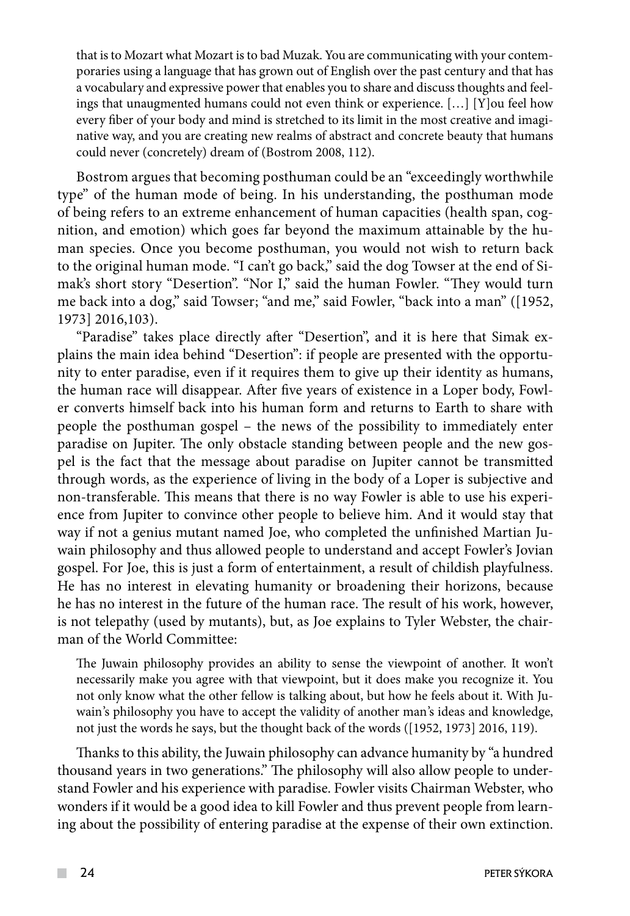that is to Mozart what Mozart is to bad Muzak. You are communicating with your contemporaries using a language that has grown out of English over the past century and that has a vocabulary and expressive power that enables you to share and discuss thoughts and feelings that unaugmented humans could not even think or experience. […] [Y]ou feel how every fiber of your body and mind is stretched to its limit in the most creative and imaginative way, and you are creating new realms of abstract and concrete beauty that humans could never (concretely) dream of (Bostrom 2008, 112).

Bostrom argues that becoming posthuman could be an "exceedingly worthwhile type" of the human mode of being. In his understanding, the posthuman mode of being refers to an extreme enhancement of human capacities (health span, cognition, and emotion) which goes far beyond the maximum attainable by the human species. Once you become posthuman, you would not wish to return back to the original human mode. "I can't go back," said the dog Towser at the end of Simak's short story "Desertion". "Nor I," said the human Fowler. "They would turn me back into a dog," said Towser; "and me," said Fowler, "back into a man" ([1952, 1973] 2016,103).

"Paradise" takes place directly after "Desertion", and it is here that Simak explains the main idea behind "Desertion": if people are presented with the opportunity to enter paradise, even if it requires them to give up their identity as humans, the human race will disappear. After five years of existence in a Loper body, Fowler converts himself back into his human form and returns to Earth to share with people the posthuman gospel – the news of the possibility to immediately enter paradise on Jupiter. The only obstacle standing between people and the new gospel is the fact that the message about paradise on Jupiter cannot be transmitted through words, as the experience of living in the body of a Loper is subjective and non-transferable. This means that there is no way Fowler is able to use his experience from Jupiter to convince other people to believe him. And it would stay that way if not a genius mutant named Joe, who completed the unfinished Martian Juwain philosophy and thus allowed people to understand and accept Fowler's Jovian gospel. For Joe, this is just a form of entertainment, a result of childish playfulness. He has no interest in elevating humanity or broadening their horizons, because he has no interest in the future of the human race. The result of his work, however, is not telepathy (used by mutants), but, as Joe explains to Tyler Webster, the chairman of the World Committee:

The Juwain philosophy provides an ability to sense the viewpoint of another. It won't necessarily make you agree with that viewpoint, but it does make you recognize it. You not only know what the other fellow is talking about, but how he feels about it. With Juwain's philosophy you have to accept the validity of another man's ideas and knowledge, not just the words he says, but the thought back of the words ([1952, 1973] 2016, 119).

Thanks to this ability, the Juwain philosophy can advance humanity by "a hundred thousand years in two generations." The philosophy will also allow people to understand Fowler and his experience with paradise. Fowler visits Chairman Webster, who wonders if it would be a good idea to kill Fowler and thus prevent people from learning about the possibility of entering paradise at the expense of their own extinction.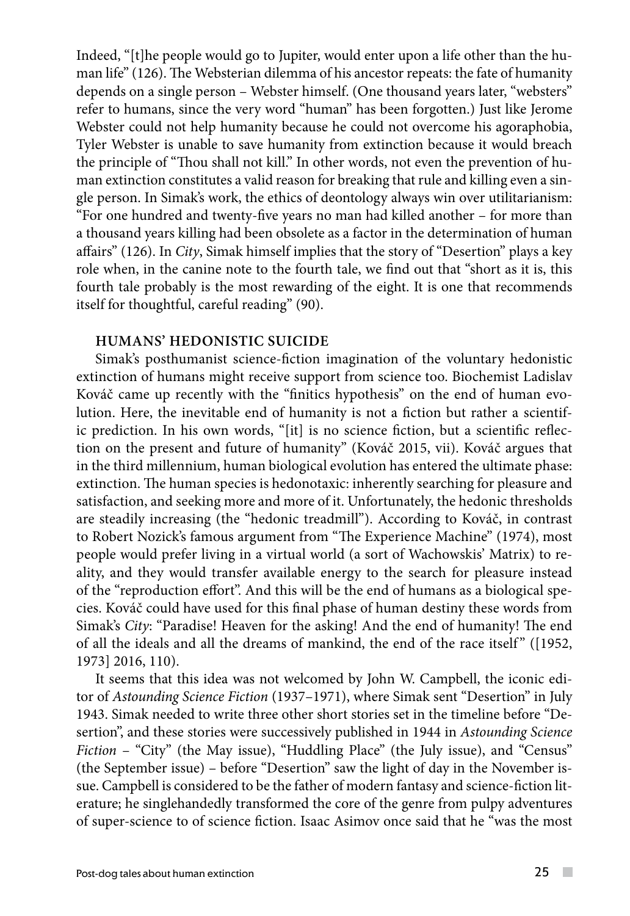Indeed, "[t]he people would go to Jupiter, would enter upon a life other than the human life" (126). The Websterian dilemma of his ancestor repeats: the fate of humanity depends on a single person – Webster himself. (One thousand years later, "websters" refer to humans, since the very word "human" has been forgotten.) Just like Jerome Webster could not help humanity because he could not overcome his agoraphobia, Tyler Webster is unable to save humanity from extinction because it would breach the principle of "Thou shall not kill." In other words, not even the prevention of human extinction constitutes a valid reason for breaking that rule and killing even a single person. In Simak's work, the ethics of deontology always win over utilitarianism: "For one hundred and twenty-five years no man had killed another – for more than a thousand years killing had been obsolete as a factor in the determination of human affairs" (126). In *City*, Simak himself implies that the story of "Desertion" plays a key role when, in the canine note to the fourth tale, we find out that "short as it is, this fourth tale probably is the most rewarding of the eight. It is one that recommends itself for thoughtful, careful reading" (90).

## **HUMANS' HEDONISTIC SUICIDE**

Simak's posthumanist science-fiction imagination of the voluntary hedonistic extinction of humans might receive support from science too. Biochemist Ladislav Kováč came up recently with the "finitics hypothesis" on the end of human evolution. Here, the inevitable end of humanity is not a fiction but rather a scientific prediction. In his own words, "[it] is no science fiction, but a scientific reflection on the present and future of humanity" (Kováč 2015, vii). Kováč argues that in the third millennium, human biological evolution has entered the ultimate phase: extinction. The human species is hedonotaxic: inherently searching for pleasure and satisfaction, and seeking more and more of it. Unfortunately, the hedonic thresholds are steadily increasing (the "hedonic treadmill"). According to Kováč, in contrast to Robert Nozick's famous argument from "The Experience Machine" (1974), most people would prefer living in a virtual world (a sort of Wachowskis' Matrix) to reality, and they would transfer available energy to the search for pleasure instead of the "reproduction effort". And this will be the end of humans as a biological species. Kováč could have used for this final phase of human destiny these words from Simak's *City*: "Paradise! Heaven for the asking! And the end of humanity! The end of all the ideals and all the dreams of mankind, the end of the race itself"  $(1952, 1952)$ 1973] 2016, 110).

It seems that this idea was not welcomed by John W. Campbell, the iconic editor of *Astounding Science Fiction* (1937–1971), where Simak sent "Desertion" in July 1943. Simak needed to write three other short stories set in the timeline before "Desertion", and these stories were successively published in 1944 in *Astounding Science Fiction* – "City" (the May issue), "Huddling Place" (the July issue), and "Census" (the September issue) – before "Desertion" saw the light of day in the November issue. Campbell is considered to be the father of modern fantasy and science-fiction literature; he singlehandedly transformed the core of the genre from pulpy adventures of super-science to of science fiction. Isaac Asimov once said that he "was the most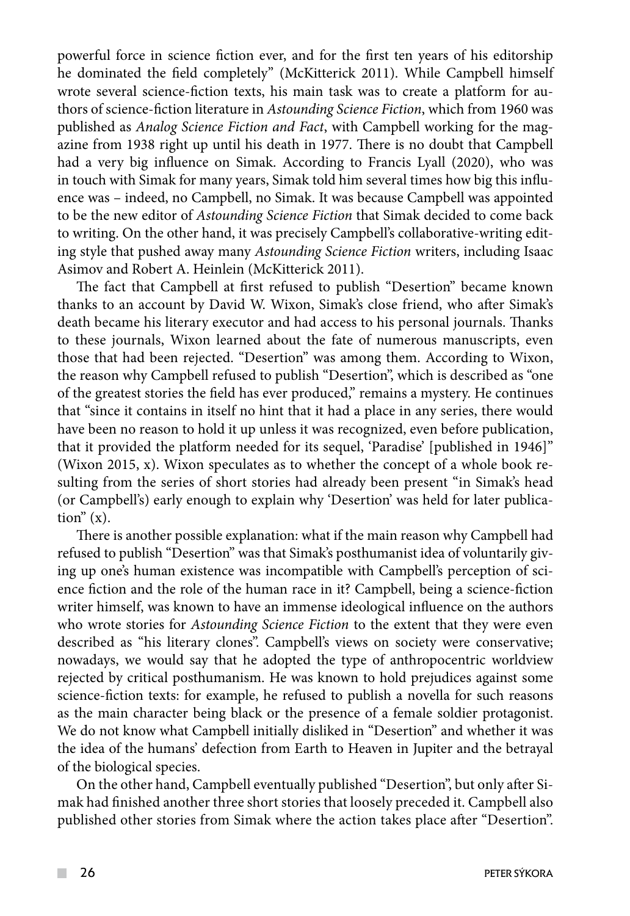powerful force in science fiction ever, and for the first ten years of his editorship he dominated the field completely" (McKitterick 2011). While Campbell himself wrote several science-fiction texts, his main task was to create a platform for authors of science-fiction literature in *Astounding Science Fiction*, which from 1960 was published as *Analog Science Fiction and Fact*, with Campbell working for the magazine from 1938 right up until his death in 1977. There is no doubt that Campbell had a very big influence on Simak. According to Francis Lyall (2020), who was in touch with Simak for many years, Simak told him several times how big this influence was – indeed, no Campbell, no Simak. It was because Campbell was appointed to be the new editor of *Astounding Science Fiction* that Simak decided to come back to writing. On the other hand, it was precisely Campbell's collaborative-writing editing style that pushed away many *Astounding Science Fiction* writers, including Isaac Asimov and Robert A. Heinlein (McKitterick 2011).

The fact that Campbell at first refused to publish "Desertion" became known thanks to an account by David W. Wixon, Simak's close friend, who after Simak's death became his literary executor and had access to his personal journals. Thanks to these journals, Wixon learned about the fate of numerous manuscripts, even those that had been rejected. "Desertion" was among them. According to Wixon, the reason why Campbell refused to publish "Desertion", which is described as "one of the greatest stories the field has ever produced," remains a mystery. He continues that "since it contains in itself no hint that it had a place in any series, there would have been no reason to hold it up unless it was recognized, even before publication, that it provided the platform needed for its sequel, 'Paradise' [published in 1946]" (Wixon 2015, x). Wixon speculates as to whether the concept of a whole book resulting from the series of short stories had already been present "in Simak's head (or Campbell's) early enough to explain why 'Desertion' was held for later publication"  $(x)$ .

There is another possible explanation: what if the main reason why Campbell had refused to publish "Desertion" was that Simak's posthumanist idea of voluntarily giving up one's human existence was incompatible with Campbell's perception of science fiction and the role of the human race in it? Campbell, being a science-fiction writer himself, was known to have an immense ideological influence on the authors who wrote stories for *Astounding Science Fiction* to the extent that they were even described as "his literary clones". Campbell's views on society were conservative; nowadays, we would say that he adopted the type of anthropocentric worldview rejected by critical posthumanism. He was known to hold prejudices against some science-fiction texts: for example, he refused to publish a novella for such reasons as the main character being black or the presence of a female soldier protagonist. We do not know what Campbell initially disliked in "Desertion" and whether it was the idea of the humans' defection from Earth to Heaven in Jupiter and the betrayal of the biological species.

On the other hand, Campbell eventually published "Desertion", but only after Simak had finished another three short stories that loosely preceded it. Campbell also published other stories from Simak where the action takes place after "Desertion".

 $\mathcal{L}^{\mathcal{L}}$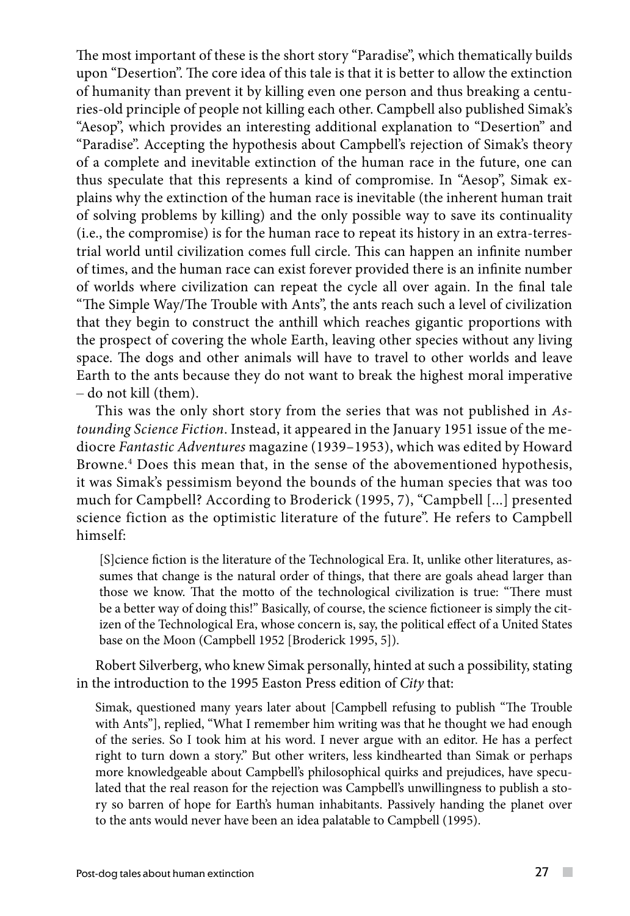The most important of these is the short story "Paradise", which thematically builds upon "Desertion". The core idea of this tale is that it is better to allow the extinction of humanity than prevent it by killing even one person and thus breaking a centuries-old principle of people not killing each other. Campbell also published Simak's "Aesop", which provides an interesting additional explanation to "Desertion" and "Paradise". Accepting the hypothesis about Campbell's rejection of Simak's theory of a complete and inevitable extinction of the human race in the future, one can thus speculate that this represents a kind of compromise. In "Aesop", Simak explains why the extinction of the human race is inevitable (the inherent human trait of solving problems by killing) and the only possible way to save its continuality (i.e., the compromise) is for the human race to repeat its history in an extra-terrestrial world until civilization comes full circle. This can happen an infinite number of times, and the human race can exist forever provided there is an infinite number of worlds where civilization can repeat the cycle all over again. In the final tale "The Simple Way/The Trouble with Ants", the ants reach such a level of civilization that they begin to construct the anthill which reaches gigantic proportions with the prospect of covering the whole Earth, leaving other species without any living space. The dogs and other animals will have to travel to other worlds and leave Earth to the ants because they do not want to break the highest moral imperative – do not kill (them).

This was the only short story from the series that was not published in *Astounding Science Fiction*. Instead, it appeared in the January 1951 issue of the mediocre *Fantastic Adventures* magazine (1939–1953), which was edited by Howard Browne.4 Does this mean that, in the sense of the abovementioned hypothesis, it was Simak's pessimism beyond the bounds of the human species that was too much for Campbell? According to Broderick (1995, 7), "Campbell [...] presented science fiction as the optimistic literature of the future". He refers to Campbell himself:

[S]cience fiction is the literature of the Technological Era. It, unlike other literatures, assumes that change is the natural order of things, that there are goals ahead larger than those we know. That the motto of the technological civilization is true: "There must be a better way of doing this!" Basically, of course, the science fictioneer is simply the citizen of the Technological Era, whose concern is, say, the political effect of a United States base on the Moon (Campbell 1952 [Broderick 1995, 5]).

Robert Silverberg, who knew Simak personally, hinted at such a possibility, stating in the introduction to the 1995 Easton Press edition of *City* that:

Simak, questioned many years later about [Campbell refusing to publish "The Trouble with Ants"], replied, "What I remember him writing was that he thought we had enough of the series. So I took him at his word. I never argue with an editor. He has a perfect right to turn down a story." But other writers, less kindhearted than Simak or perhaps more knowledgeable about Campbell's philosophical quirks and prejudices, have speculated that the real reason for the rejection was Campbell's unwillingness to publish a story so barren of hope for Earth's human inhabitants. Passively handing the planet over to the ants would never have been an idea palatable to Campbell (1995).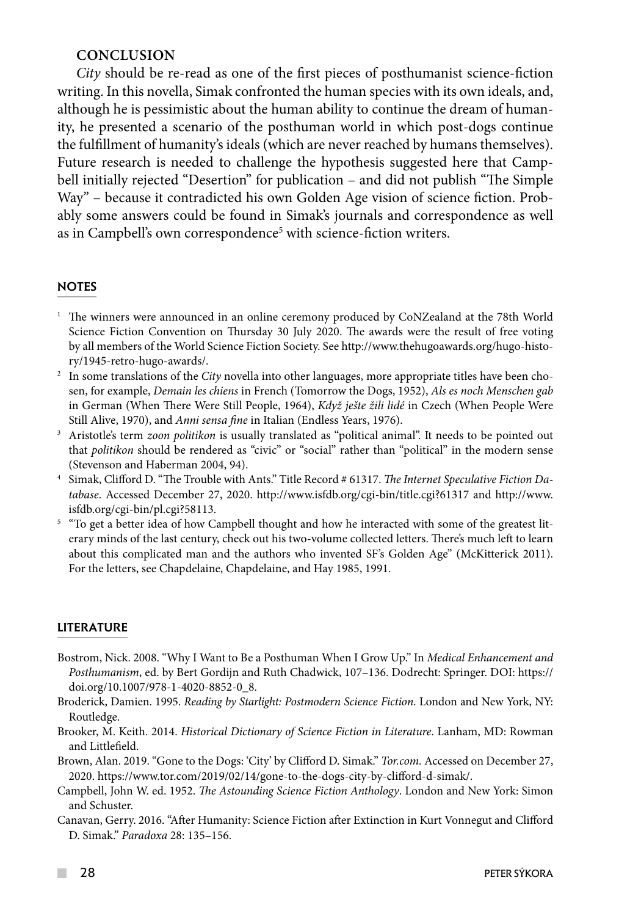## **CONCLUSION**

*City* should be re-read as one of the first pieces of posthumanist science-fiction writing. In this novella, Simak confronted the human species with its own ideals, and, although he is pessimistic about the human ability to continue the dream of humanity, he presented a scenario of the posthuman world in which post-dogs continue the fulfillment of humanity's ideals (which are never reached by humans themselves). Future research is needed to challenge the hypothesis suggested here that Campbell initially rejected "Desertion" for publication – and did not publish "The Simple Way" – because it contradicted his own Golden Age vision of science fiction. Probably some answers could be found in Simak's journals and correspondence as well as in Campbell's own correspondence<sup>5</sup> with science-fiction writers.

## **NOTES**

- <sup>1</sup> The winners were announced in an online ceremony produced by CoNZealand at the 78th World Science Fiction Convention on Thursday 30 July 2020. The awards were the result of free voting by all members of the World Science Fiction Society. See http://www.thehugoawards.org/hugo-history/1945-retro-hugo-awards/.
- <sup>2</sup> In some translations of the *City* novella into other languages, more appropriate titles have been chosen, for example, *Demain les chiens* in French (Tomorrow the Dogs, 1952), *Als es noch Menschen gab* in German (When There Were Still People, 1964), *Když ješte žili lidé* in Czech (When People Were
- Still Alive, 1970), and *Anni sensa fine* in Italian (Endless Years, 1976). 3 Aristotle's term *zoon politikon* is usually translated as "political animal". It needs to be pointed out that *politikon* should be rendered as "civic" or "social" rather than "political" in the modern sense (Stevenson and Haberman 2004, 94).
- 4 Simak, Clifford D. "The Trouble with Ants." Title Record # 61317. *The Internet Speculative Fiction Database*. Accessed December 27, 2020. http://www.isfdb.org/cgi-bin/title.cgi?61317 and http://www. isfdb.org/cgi-bin/pl.cgi?58113.
- <sup>5</sup> "To get a better idea of how Campbell thought and how he interacted with some of the greatest literary minds of the last century, check out his two-volume collected letters. There's much left to learn about this complicated man and the authors who invented SF's Golden Age" (McKitterick 2011). For the letters, see Chapdelaine, Chapdelaine, and Hay 1985, 1991.

### **LITERATURE**

- Bostrom, Nick. 2008. "Why I Want to Be a Posthuman When I Grow Up." In *Medical Enhancement and Posthumanism*, ed. by Bert Gordijn and Ruth Chadwick, 107–136. Dodrecht: Springer. DOI: https:// doi.org/10.1007/978-1-4020-8852-0\_8.
- Broderick, Damien. 1995. *Reading by Starlight: Postmodern Science Fiction*. London and New York, NY: Routledge.
- Brooker, M. Keith. 2014. *Historical Dictionary of Science Fiction in Literature*. Lanham, MD: Rowman and Littlefield.
- Brown, Alan. 2019. "Gone to the Dogs: 'City' by Clifford D. Simak." *Tor.com.* Accessed on December 27, 2020. https://www.tor.com/2019/02/14/gone-to-the-dogs-city-by-clifford-d-simak/.
- Campbell, John W. ed. 1952. *The Astounding Science Fiction Anthology*. London and New York: Simon and Schuster.
- Canavan, Gerry. 2016. "After Humanity: Science Fiction after Extinction in Kurt Vonnegut and Clifford D. Simak." *Paradoxa* 28: 135–156.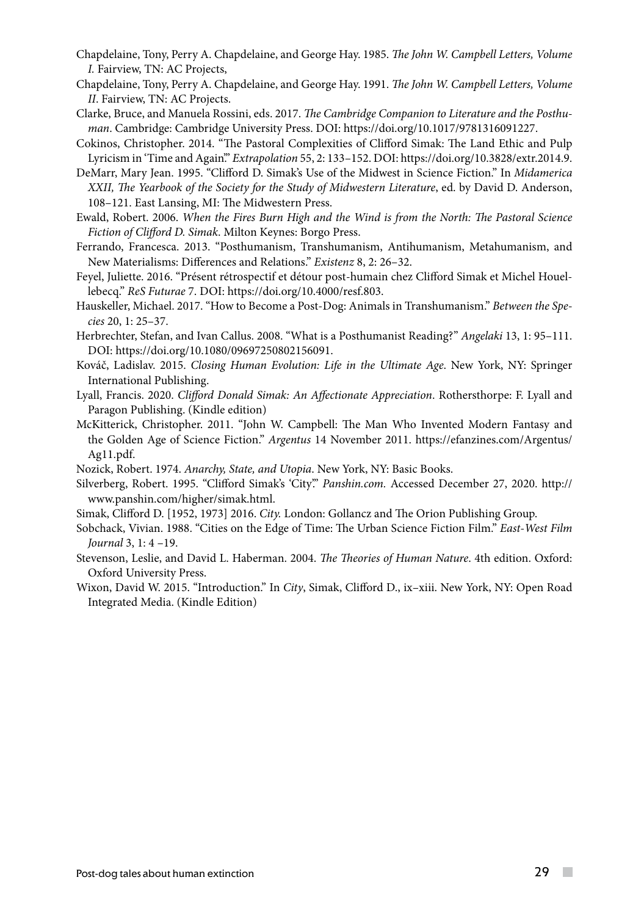- Chapdelaine, Tony, Perry A. Chapdelaine, and George Hay. 1985. *The John W. Campbell Letters, Volume I.* Fairview, TN: AC Projects,
- Chapdelaine, Tony, Perry A. Chapdelaine, and George Hay. 1991. *The John W. Campbell Letters, Volume II*. Fairview, TN: AC Projects.
- Clarke, Bruce, and Manuela Rossini, eds. 2017. *The Cambridge Companion to Literature and the Posthuman*. Cambridge: Cambridge University Press. DOI: https://doi.org/10.1017/9781316091227.
- Cokinos, Christopher. 2014. "The Pastoral Complexities of Clifford Simak: The Land Ethic and Pulp Lyricism in 'Time and Again'." *Extrapolation* 55, 2: 133–152. DOI: https://doi.org/10.3828/extr.2014.9.
- DeMarr, Mary Jean. 1995. "Clifford D. Simak's Use of the Midwest in Science Fiction." In *Midamerica XXII, The Yearbook of the Society for the Study of Midwestern Literature*, ed. by David D. Anderson, 108–121. East Lansing, MI: The Midwestern Press.
- Ewald, Robert. 2006. *When the Fires Burn High and the Wind is from the North: The Pastoral Science Fiction of Clifford D. Simak*. Milton Keynes: Borgo Press.
- Ferrando, Francesca. 2013. "Posthumanism, Transhumanism, Antihumanism, Metahumanism, and New Materialisms: Differences and Relations." *Existenz* 8, 2: 26–32.
- Feyel, Juliette. 2016. "Présent rétrospectif et détour post-humain chez Clifford Simak et Michel Houellebecq." *ReS Futurae* 7. DOI: https://doi.org/10.4000/resf.803.
- Hauskeller, Michael. 2017. "How to Become a Post-Dog: Animals in Transhumanism." *Between the Species* 20, 1: 25–37.
- Herbrechter, Stefan, and Ivan Callus. 2008. "What is a Posthumanist Reading?" *Angelaki* 13, 1: 95–111. DOI: [https://doi.org/10.1080/09697250802156091.](https://doi.org/10.1080/09697250802156091)
- Kováč, Ladislav. 2015. *Closing Human Evolution: Life in the Ultimate Age*. New York, NY: Springer International Publishing.
- Lyall, Francis. 2020. *Clifford Donald Simak: An Affectionate Appreciation*. Rothersthorpe: F. Lyall and Paragon Publishing. (Kindle edition)
- McKitterick, Christopher. 2011. "John W. Campbell: The Man Who Invented Modern Fantasy and the Golden Age of Science Fiction." *Argentus* 14 November 2011. https://efanzines.com/Argentus/ Ag11.pdf.
- Nozick, Robert. 1974. *[Anarchy, State, and Utopia](https://archive.org/details/anarchystateutop00nozi/page/42)*. New York, NY: Basic Books.
- Silverberg, Robert. 1995. "Clifford Simak's 'City'." *Panshin.com.* Accessed December 27, 2020. http:// www.panshin.com/higher/simak.html.
- Simak, Clifford D. [1952, 1973] 2016. *City.* London: Gollancz and The Orion Publishing Group.
- Sobchack, Vivian. 1988. "Cities on the Edge of Time: The Urban Science Fiction Film." *East-West Film Journal* 3, 1: 4 –19.
- Stevenson, Leslie, and David L. Haberman. 2004. *The Theories of Human Nature*. 4th edition. Oxford: Oxford University Press.
- Wixon, David W. 2015. "Introduction." In *City*, Simak, Clifford D., ix–xiii. New York, NY: Open Road Integrated Media. (Kindle Edition)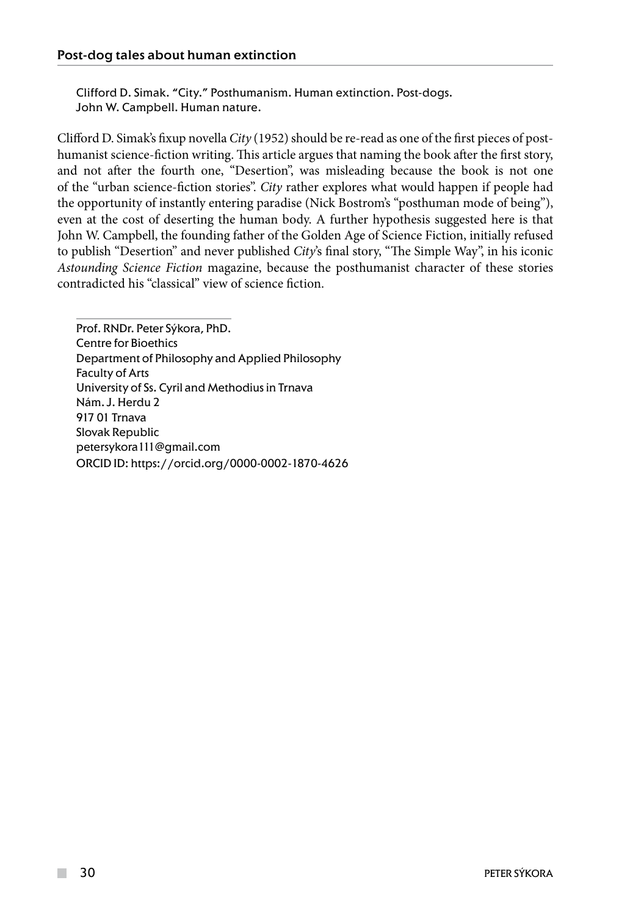Clifford D. Simak. "City." Posthumanism. Human extinction. Post-dogs. John W. Campbell. Human nature.

Clifford D. Simak's fixup novella *City* (1952) should be re-read as one of the first pieces of posthumanist science-fiction writing. This article argues that naming the book after the first story, and not after the fourth one, "Desertion", was misleading because the book is not one of the "urban science-fiction stories". *City* rather explores what would happen if people had the opportunity of instantly entering paradise (Nick Bostrom's "posthuman mode of being"), even at the cost of deserting the human body. A further hypothesis suggested here is that John W. Campbell, the founding father of the Golden Age of Science Fiction, initially refused to publish "Desertion" and never published *City*'s final story, "The Simple Way", in his iconic *Astounding Science Fiction* magazine, because the posthumanist character of these stories contradicted his "classical" view of science fiction.

Prof. RNDr. Peter Sýkora, PhD. Centre for Bioethics Department of Philosophy and Applied Philosophy Faculty of Arts University of Ss. Cyril and Methodius in Trnava Nám. J. Herdu 2 917 01 Trnava Slovak Republic petersykora111@gmail.com ORCID ID: https://orcid.org/0000-0002-1870-4626

**The Co**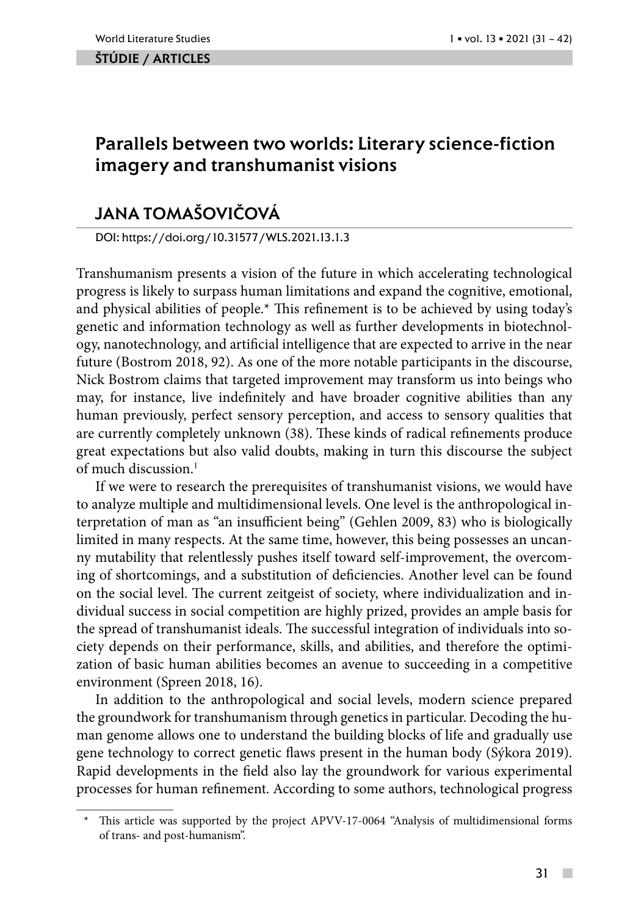### ŠTÚDIE / ARTicles

# Parallels between two worlds: Literary science-fiction imagery and transhumanist visions

# Jana TomaŠovičová

DOI: https://doi.org/10.31577/WLS.2021.13.1.3

Transhumanism presents a vision of the future in which accelerating technological progress is likely to surpass human limitations and expand the cognitive, emotional, and physical abilities of people.\* This refinement is to be achieved by using today's genetic and information technology as well as further developments in biotechnology, nanotechnology, and artificial intelligence that are expected to arrive in the near future (Bostrom 2018, 92). As one of the more notable participants in the discourse, Nick Bostrom claims that targeted improvement may transform us into beings who may, for instance, live indefinitely and have broader cognitive abilities than any human previously, perfect sensory perception, and access to sensory qualities that are currently completely unknown (38). These kinds of radical refinements produce great expectations but also valid doubts, making in turn this discourse the subject of much discussion.<sup>1</sup>

If we were to research the prerequisites of transhumanist visions, we would have to analyze multiple and multidimensional levels. One level is the anthropological interpretation of man as "an insufficient being" (Gehlen 2009, 83) who is biologically limited in many respects. At the same time, however, this being possesses an uncanny mutability that relentlessly pushes itself toward self-improvement, the overcoming of shortcomings, and a substitution of deficiencies. Another level can be found on the social level. The current zeitgeist of society, where individualization and individual success in social competition are highly prized, provides an ample basis for the spread of transhumanist ideals. The successful integration of individuals into society depends on their performance, skills, and abilities, and therefore the optimization of basic human abilities becomes an avenue to succeeding in a competitive environment (Spreen 2018, 16).

In addition to the anthropological and social levels, modern science prepared the groundwork for transhumanism through genetics in particular. Decoding the human genome allows one to understand the building blocks of life and gradually use gene technology to correct genetic flaws present in the human body (Sýkora 2019). Rapid developments in the field also lay the groundwork for various experimental processes for human refinement. According to some authors, technological progress

 $\overline{\phantom{a}}$ 

This article was supported by the project APVV-17-0064 "Analysis of multidimensional forms of trans- and post-humanism".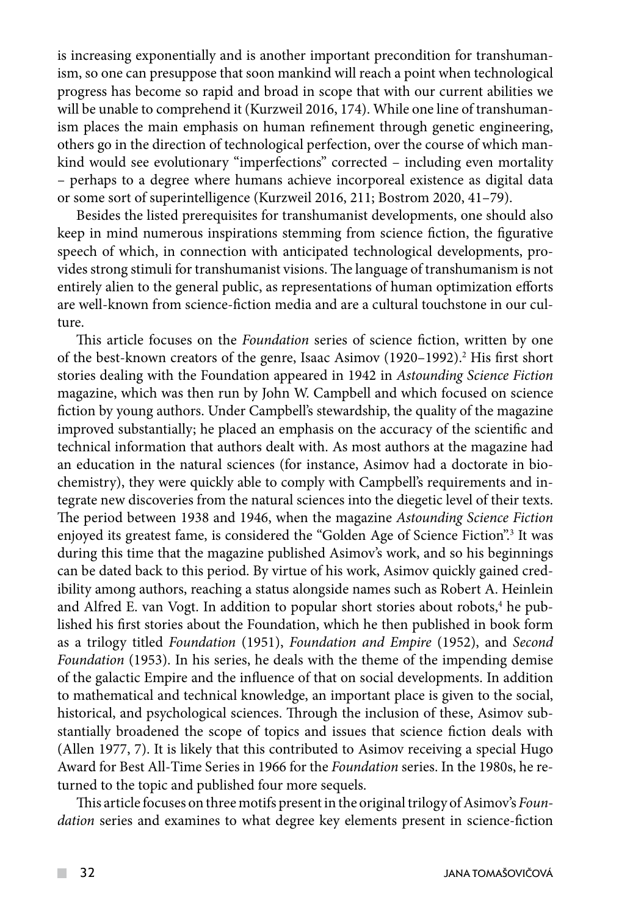is increasing exponentially and is another important precondition for transhumanism, so one can presuppose that soon mankind will reach a point when technological progress has become so rapid and broad in scope that with our current abilities we will be unable to comprehend it (Kurzweil 2016, 174). While one line of transhumanism places the main emphasis on human refinement through genetic engineering, others go in the direction of technological perfection, over the course of which mankind would see evolutionary "imperfections" corrected – including even mortality – perhaps to a degree where humans achieve incorporeal existence as digital data or some sort of superintelligence (Kurzweil 2016, 211; Bostrom 2020, 41–79).

Besides the listed prerequisites for transhumanist developments, one should also keep in mind numerous inspirations stemming from science fiction, the figurative speech of which, in connection with anticipated technological developments, provides strong stimuli for transhumanist visions. The language of transhumanism is not entirely alien to the general public, as representations of human optimization efforts are well-known from science-fiction media and are a cultural touchstone in our culture.

This article focuses on the *Foundation* series of science fiction, written by one of the best-known creators of the genre, Isaac Asimov (1920–1992).<sup>2</sup> His first short stories dealing with the Foundation appeared in 1942 in *Astounding Science Fiction* magazine, which was then run by John W. Campbell and which focused on science fiction by young authors. Under Campbell's stewardship, the quality of the magazine improved substantially; he placed an emphasis on the accuracy of the scientific and technical information that authors dealt with. As most authors at the magazine had an education in the natural sciences (for instance, Asimov had a doctorate in biochemistry), they were quickly able to comply with Campbell's requirements and integrate new discoveries from the natural sciences into the diegetic level of their texts. The period between 1938 and 1946, when the magazine *Astounding Science Fiction*  enjoyed its greatest fame, is considered the "Golden Age of Science Fiction".3 It was during this time that the magazine published Asimov's work, and so his beginnings can be dated back to this period. By virtue of his work, Asimov quickly gained credibility among authors, reaching a status alongside names such as Robert A. Heinlein and Alfred E. van Vogt. In addition to popular short stories about robots,<sup>4</sup> he published his first stories about the Foundation, which he then published in book form as a trilogy titled *Foundation* (1951), *Foundation and Empire* (1952), and *Second Foundation* (1953). In his series, he deals with the theme of the impending demise of the galactic Empire and the influence of that on social developments. In addition to mathematical and technical knowledge, an important place is given to the social, historical, and psychological sciences. Through the inclusion of these, Asimov substantially broadened the scope of topics and issues that science fiction deals with (Allen 1977, 7). It is likely that this contributed to Asimov receiving a special Hugo Award for Best All-Time Series in 1966 for the *Foundation* series. In the 1980s, he returned to the topic and published four more sequels.

This article focuses on three motifs present in the original trilogy of Asimov's *Foundation* series and examines to what degree key elements present in science-fiction

 $\mathcal{L}^{\mathcal{L}}$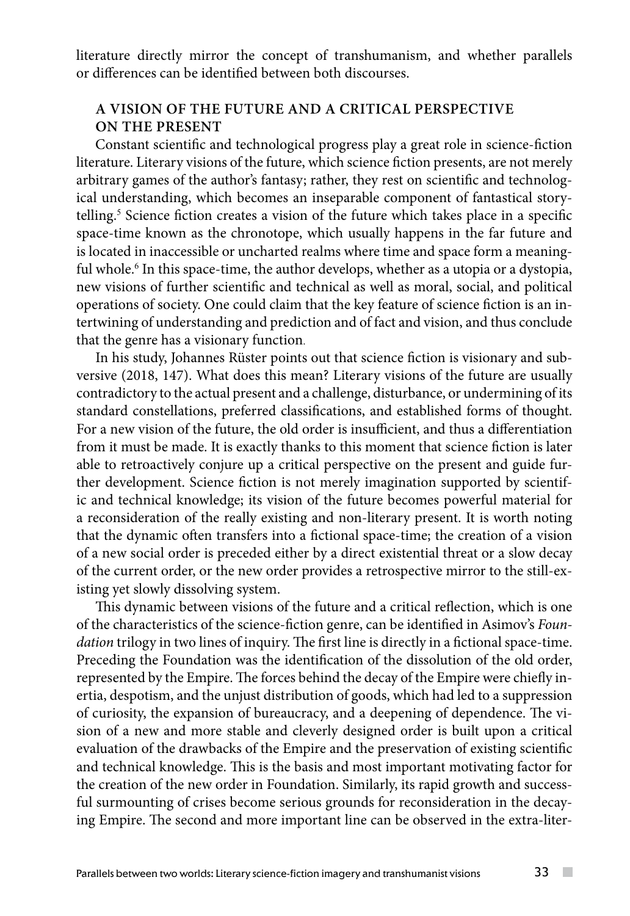literature directly mirror the concept of transhumanism, and whether parallels or differences can be identified between both discourses.

# **A VISION OF THE FUTURE AND A CRITICAL PERSPECTIVE ON THE PRESENT**

Constant scientific and technological progress play a great role in science-fiction literature. Literary visions of the future, which science fiction presents, are not merely arbitrary games of the author's fantasy; rather, they rest on scientific and technological understanding, which becomes an inseparable component of fantastical storytelling.<sup>5</sup> Science fiction creates a vision of the future which takes place in a specific space-time known as the chronotope, which usually happens in the far future and is located in inaccessible or uncharted realms where time and space form a meaningful whole.<sup>6</sup> In this space-time, the author develops, whether as a utopia or a dystopia, new visions of further scientific and technical as well as moral, social, and political operations of society. One could claim that the key feature of science fiction is an intertwining of understanding and prediction and of fact and vision, and thus conclude that the genre has a visionary function.

In his study, Johannes Rüster points out that science fiction is visionary and subversive (2018, 147). What does this mean? Literary visions of the future are usually contradictory to the actual present and a challenge, disturbance, or undermining of its standard constellations, preferred classifications, and established forms of thought. For a new vision of the future, the old order is insufficient, and thus a differentiation from it must be made. It is exactly thanks to this moment that science fiction is later able to retroactively conjure up a critical perspective on the present and guide further development. Science fiction is not merely imagination supported by scientific and technical knowledge; its vision of the future becomes powerful material for a reconsideration of the really existing and non-literary present. It is worth noting that the dynamic often transfers into a fictional space-time; the creation of a vision of a new social order is preceded either by a direct existential threat or a slow decay of the current order, or the new order provides a retrospective mirror to the still-existing yet slowly dissolving system.

This dynamic between visions of the future and a critical reflection, which is one of the characteristics of the science-fiction genre, can be identified in Asimov's *Foundation* trilogy in two lines of inquiry. The first line is directly in a fictional space-time. Preceding the Foundation was the identification of the dissolution of the old order, represented by the Empire. The forces behind the decay of the Empire were chiefly inertia, despotism, and the unjust distribution of goods, which had led to a suppression of curiosity, the expansion of bureaucracy, and a deepening of dependence. The vision of a new and more stable and cleverly designed order is built upon a critical evaluation of the drawbacks of the Empire and the preservation of existing scientific and technical knowledge. This is the basis and most important motivating factor for the creation of the new order in Foundation. Similarly, its rapid growth and successful surmounting of crises become serious grounds for reconsideration in the decaying Empire. The second and more important line can be observed in the extra-liter-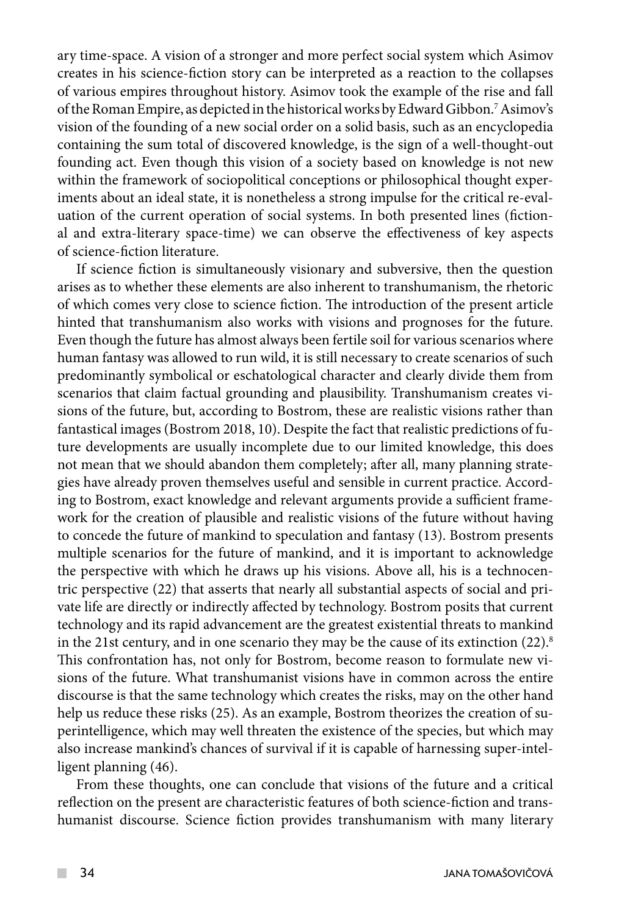ary time-space. A vision of a stronger and more perfect social system which Asimov creates in his science-fiction story can be interpreted as a reaction to the collapses of various empires throughout history. Asimov took the example of the rise and fall of the Roman Empire, as depicted in the historical works by Edward Gibbon.7Asimov's vision of the founding of a new social order on a solid basis, such as an encyclopedia containing the sum total of discovered knowledge, is the sign of a well-thought-out founding act. Even though this vision of a society based on knowledge is not new within the framework of sociopolitical conceptions or philosophical thought experiments about an ideal state, it is nonetheless a strong impulse for the critical re-evaluation of the current operation of social systems. In both presented lines (fictional and extra-literary space-time) we can observe the effectiveness of key aspects of science-fiction literature.

If science fiction is simultaneously visionary and subversive, then the question arises as to whether these elements are also inherent to transhumanism, the rhetoric of which comes very close to science fiction. The introduction of the present article hinted that transhumanism also works with visions and prognoses for the future. Even though the future has almost always been fertile soil for various scenarios where human fantasy was allowed to run wild, it is still necessary to create scenarios of such predominantly symbolical or eschatological character and clearly divide them from scenarios that claim factual grounding and plausibility. Transhumanism creates visions of the future, but, according to Bostrom, these are realistic visions rather than fantastical images (Bostrom 2018, 10). Despite the fact that realistic predictions of future developments are usually incomplete due to our limited knowledge, this does not mean that we should abandon them completely; after all, many planning strategies have already proven themselves useful and sensible in current practice. According to Bostrom, exact knowledge and relevant arguments provide a sufficient framework for the creation of plausible and realistic visions of the future without having to concede the future of mankind to speculation and fantasy (13). Bostrom presents multiple scenarios for the future of mankind, and it is important to acknowledge the perspective with which he draws up his visions. Above all, his is a technocentric perspective (22) that asserts that nearly all substantial aspects of social and private life are directly or indirectly affected by technology. Bostrom posits that current technology and its rapid advancement are the greatest existential threats to mankind in the 21st century, and in one scenario they may be the cause of its extinction  $(22)^8$ . This confrontation has, not only for Bostrom, become reason to formulate new visions of the future. What transhumanist visions have in common across the entire discourse is that the same technology which creates the risks, may on the other hand help us reduce these risks (25). As an example, Bostrom theorizes the creation of superintelligence, which may well threaten the existence of the species, but which may also increase mankind's chances of survival if it is capable of harnessing super-intelligent planning (46).

From these thoughts, one can conclude that visions of the future and a critical reflection on the present are characteristic features of both science-fiction and transhumanist discourse. Science fiction provides transhumanism with many literary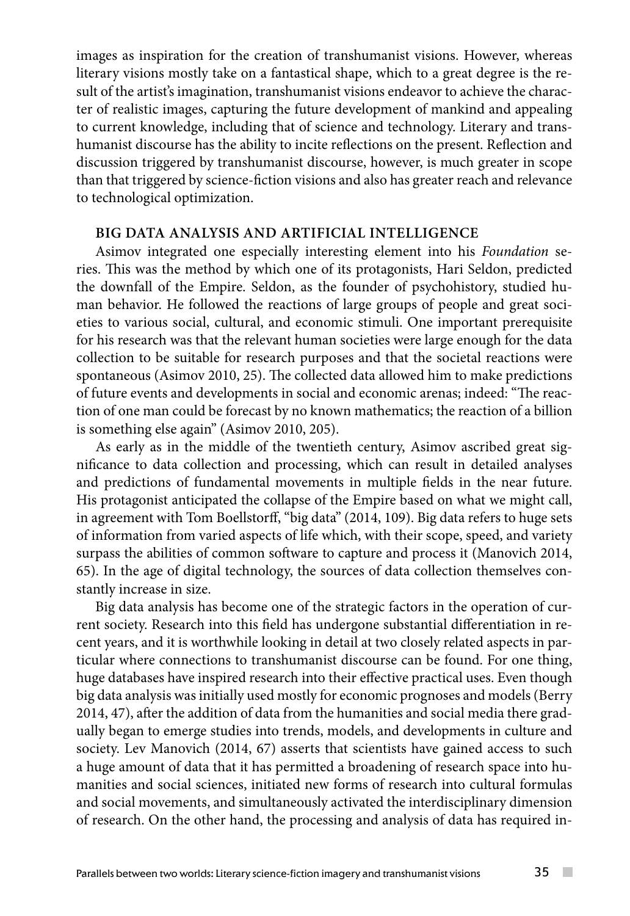images as inspiration for the creation of transhumanist visions. However, whereas literary visions mostly take on a fantastical shape, which to a great degree is the result of the artist's imagination, transhumanist visions endeavor to achieve the character of realistic images, capturing the future development of mankind and appealing to current knowledge, including that of science and technology. Literary and transhumanist discourse has the ability to incite reflections on the present. Reflection and discussion triggered by transhumanist discourse, however, is much greater in scope than that triggered by science-fiction visions and also has greater reach and relevance to technological optimization.

## **BIG DATA ANALYSIS AND ARTIFICIAL INTELLIGENCE**

Asimov integrated one especially interesting element into his *Foundation* series. This was the method by which one of its protagonists, Hari Seldon, predicted the downfall of the Empire. Seldon, as the founder of psychohistory, studied human behavior. He followed the reactions of large groups of people and great societies to various social, cultural, and economic stimuli. One important prerequisite for his research was that the relevant human societies were large enough for the data collection to be suitable for research purposes and that the societal reactions were spontaneous (Asimov 2010, 25). The collected data allowed him to make predictions of future events and developments in social and economic arenas; indeed: "The reaction of one man could be forecast by no known mathematics; the reaction of a billion is something else again" (Asimov 2010, 205).

As early as in the middle of the twentieth century, Asimov ascribed great significance to data collection and processing, which can result in detailed analyses and predictions of fundamental movements in multiple fields in the near future. His protagonist anticipated the collapse of the Empire based on what we might call, in agreement with Tom Boellstorff, "big data" (2014, 109). Big data refers to huge sets of information from varied aspects of life which, with their scope, speed, and variety surpass the abilities of common software to capture and process it (Manovich 2014, 65). In the age of digital technology, the sources of data collection themselves constantly increase in size.

Big data analysis has become one of the strategic factors in the operation of current society. Research into this field has undergone substantial differentiation in recent years, and it is worthwhile looking in detail at two closely related aspects in particular where connections to transhumanist discourse can be found. For one thing, huge databases have inspired research into their effective practical uses. Even though big data analysis was initially used mostly for economic prognoses and models (Berry 2014, 47), after the addition of data from the humanities and social media there gradually began to emerge studies into trends, models, and developments in culture and society. Lev Manovich (2014, 67) asserts that scientists have gained access to such a huge amount of data that it has permitted a broadening of research space into humanities and social sciences, initiated new forms of research into cultural formulas and social movements, and simultaneously activated the interdisciplinary dimension of research. On the other hand, the processing and analysis of data has required in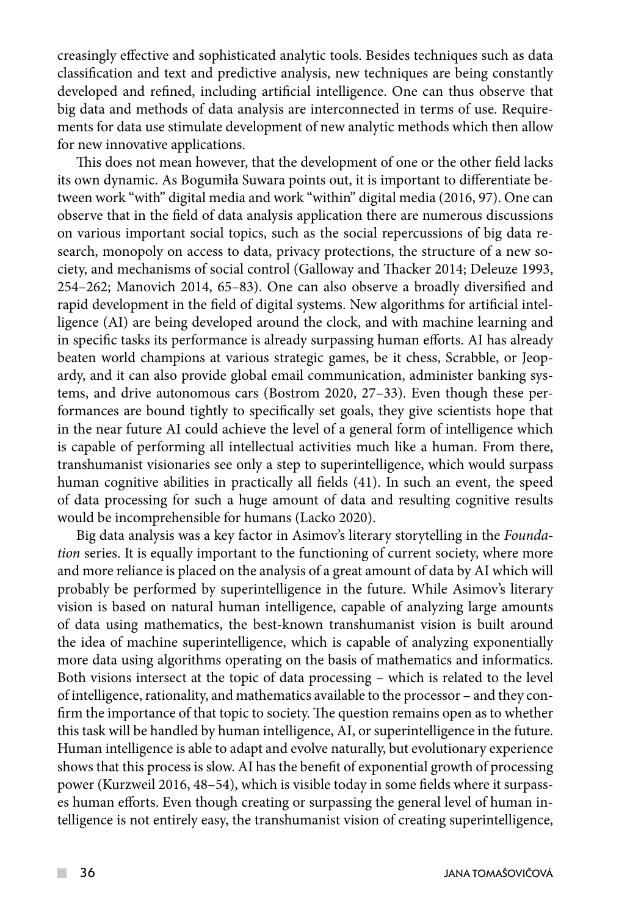creasingly effective and sophisticated analytic tools. Besides techniques such as data classification and text and predictive analysis, new techniques are being constantly developed and refined, including artificial intelligence. One can thus observe that big data and methods of data analysis are interconnected in terms of use. Requirements for data use stimulate development of new analytic methods which then allow for new innovative applications.

This does not mean however, that the development of one or the other field lacks its own dynamic. As Bogumiła Suwara points out, it is important to differentiate between work "with" digital media and work "within" digital media (2016, 97). One can observe that in the field of data analysis application there are numerous discussions on various important social topics, such as the social repercussions of big data research, monopoly on access to data, privacy protections, the structure of a new society, and mechanisms of social control (Galloway and Thacker 2014; Deleuze 1993, 254–262; Manovich 2014, 65–83). One can also observe a broadly diversified and rapid development in the field of digital systems. New algorithms for artificial intelligence (AI) are being developed around the clock, and with machine learning and in specific tasks its performance is already surpassing human efforts. AI has already beaten world champions at various strategic games, be it chess, Scrabble, or Jeopardy, and it can also provide global email communication, administer banking systems, and drive autonomous cars (Bostrom 2020, 27–33). Even though these performances are bound tightly to specifically set goals, they give scientists hope that in the near future AI could achieve the level of a general form of intelligence which is capable of performing all intellectual activities much like a human. From there, transhumanist visionaries see only a step to superintelligence, which would surpass human cognitive abilities in practically all fields (41). In such an event, the speed of data processing for such a huge amount of data and resulting cognitive results would be incomprehensible for humans (Lacko 2020).

Big data analysis was a key factor in Asimov's literary storytelling in the *Foundation* series. It is equally important to the functioning of current society, where more and more reliance is placed on the analysis of a great amount of data by AI which will probably be performed by superintelligence in the future. While Asimov's literary vision is based on natural human intelligence, capable of analyzing large amounts of data using mathematics, the best-known transhumanist vision is built around the idea of machine superintelligence, which is capable of analyzing exponentially more data using algorithms operating on the basis of mathematics and informatics. Both visions intersect at the topic of data processing – which is related to the level of intelligence, rationality, and mathematics available to the processor – and they confirm the importance of that topic to society. The question remains open as to whether this task will be handled by human intelligence, AI, or superintelligence in the future. Human intelligence is able to adapt and evolve naturally, but evolutionary experience shows that this process is slow. AI has the benefit of exponential growth of processing power (Kurzweil 2016, 48–54), which is visible today in some fields where it surpasses human efforts. Even though creating or surpassing the general level of human intelligence is not entirely easy, the transhumanist vision of creating superintelligence,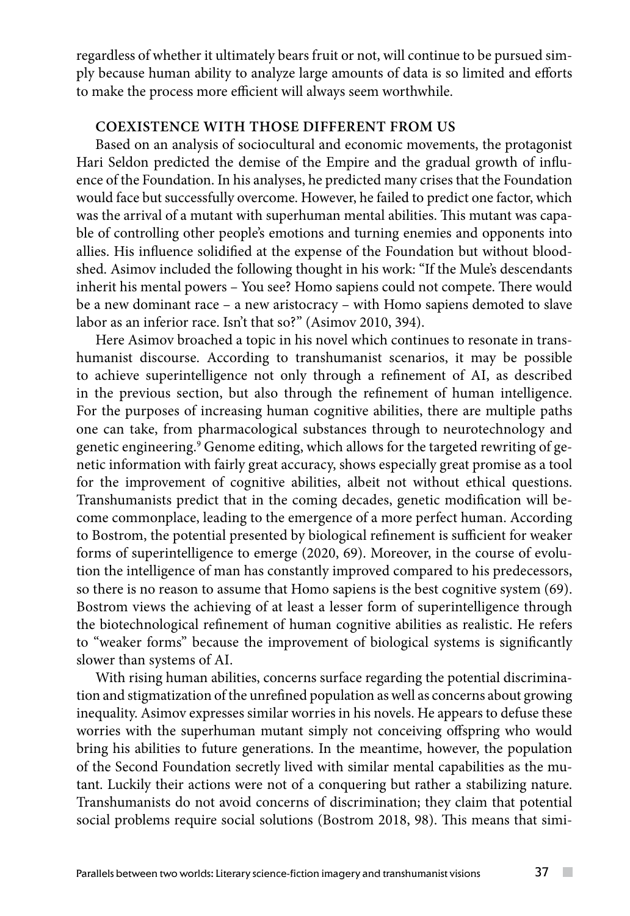regardless of whether it ultimately bears fruit or not, will continue to be pursued simply because human ability to analyze large amounts of data is so limited and efforts to make the process more efficient will always seem worthwhile.

# **COEXISTENCE WITH THOSE DIFFERENT FROM US**

Based on an analysis of sociocultural and economic movements, the protagonist Hari Seldon predicted the demise of the Empire and the gradual growth of influence of the Foundation. In his analyses, he predicted many crises that the Foundation would face but successfully overcome. However, he failed to predict one factor, which was the arrival of a mutant with superhuman mental abilities. This mutant was capable of controlling other people's emotions and turning enemies and opponents into allies. His influence solidified at the expense of the Foundation but without bloodshed. Asimov included the following thought in his work: "If the Mule's descendants inherit his mental powers – You see? Homo sapiens could not compete. There would be a new dominant race – a new aristocracy – with Homo sapiens demoted to slave labor as an inferior race. Isn't that so?" (Asimov 2010, 394).

Here Asimov broached a topic in his novel which continues to resonate in transhumanist discourse. According to transhumanist scenarios, it may be possible to achieve superintelligence not only through a refinement of AI, as described in the previous section, but also through the refinement of human intelligence. For the purposes of increasing human cognitive abilities, there are multiple paths one can take, from pharmacological substances through to neurotechnology and genetic engineering.9 Genome editing, which allows for the targeted rewriting of genetic information with fairly great accuracy, shows especially great promise as a tool for the improvement of cognitive abilities, albeit not without ethical questions. Transhumanists predict that in the coming decades, genetic modification will become commonplace, leading to the emergence of a more perfect human. According to Bostrom, the potential presented by biological refinement is sufficient for weaker forms of superintelligence to emerge (2020, 69). Moreover, in the course of evolution the intelligence of man has constantly improved compared to his predecessors, so there is no reason to assume that Homo sapiens is the best cognitive system (69). Bostrom views the achieving of at least a lesser form of superintelligence through the biotechnological refinement of human cognitive abilities as realistic. He refers to "weaker forms" because the improvement of biological systems is significantly slower than systems of AI.

With rising human abilities, concerns surface regarding the potential discrimination and stigmatization of the unrefined population as well as concerns about growing inequality. Asimov expresses similar worries in his novels. He appears to defuse these worries with the superhuman mutant simply not conceiving offspring who would bring his abilities to future generations. In the meantime, however, the population of the Second Foundation secretly lived with similar mental capabilities as the mutant. Luckily their actions were not of a conquering but rather a stabilizing nature. Transhumanists do not avoid concerns of discrimination; they claim that potential social problems require social solutions (Bostrom 2018, 98). This means that simi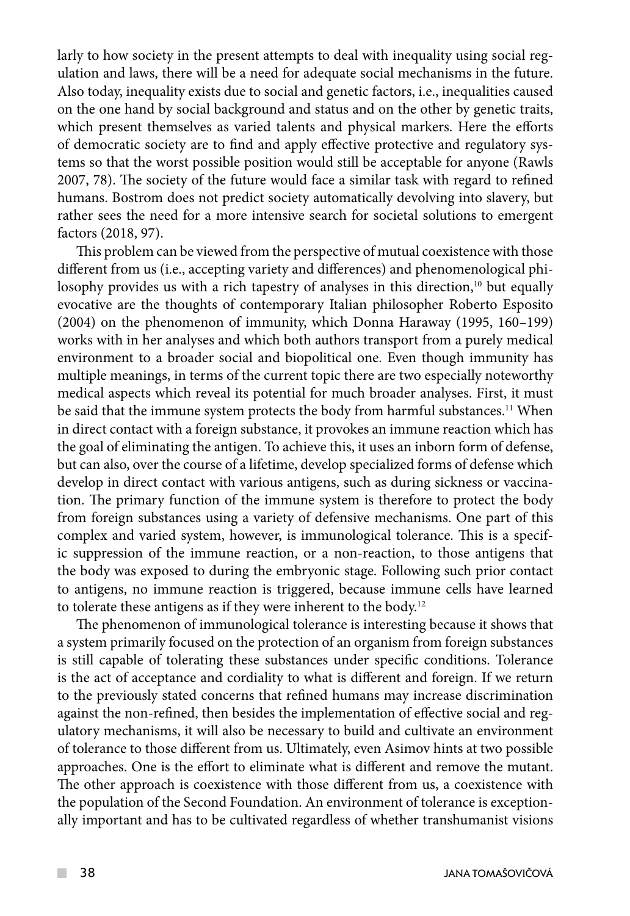larly to how society in the present attempts to deal with inequality using social regulation and laws, there will be a need for adequate social mechanisms in the future. Also today, inequality exists due to social and genetic factors, i.e., inequalities caused on the one hand by social background and status and on the other by genetic traits, which present themselves as varied talents and physical markers. Here the efforts of democratic society are to find and apply effective protective and regulatory systems so that the worst possible position would still be acceptable for anyone (Rawls 2007, 78). The society of the future would face a similar task with regard to refined humans. Bostrom does not predict society automatically devolving into slavery, but rather sees the need for a more intensive search for societal solutions to emergent factors (2018, 97).

This problem can be viewed from the perspective of mutual coexistence with those different from us (i.e., accepting variety and differences) and phenomenological philosophy provides us with a rich tapestry of analyses in this direction,<sup>10</sup> but equally evocative are the thoughts of contemporary Italian philosopher Roberto Esposito (2004) on the phenomenon of immunity, which Donna Haraway (1995, 160–199) works with in her analyses and which both authors transport from a purely medical environment to a broader social and biopolitical one. Even though immunity has multiple meanings, in terms of the current topic there are two especially noteworthy medical aspects which reveal its potential for much broader analyses. First, it must be said that the immune system protects the body from harmful substances.<sup>11</sup> When in direct contact with a foreign substance, it provokes an immune reaction which has the goal of eliminating the antigen. To achieve this, it uses an inborn form of defense, but can also, over the course of a lifetime, develop specialized forms of defense which develop in direct contact with various antigens, such as during sickness or vaccination. The primary function of the immune system is therefore to protect the body from foreign substances using a variety of defensive mechanisms. One part of this complex and varied system, however, is immunological tolerance. This is a specific suppression of the immune reaction, or a non-reaction, to those antigens that the body was exposed to during the embryonic stage. Following such prior contact to antigens, no immune reaction is triggered, because immune cells have learned to tolerate these antigens as if they were inherent to the body.12

The phenomenon of immunological tolerance is interesting because it shows that a system primarily focused on the protection of an organism from foreign substances is still capable of tolerating these substances under specific conditions. Tolerance is the act of acceptance and cordiality to what is different and foreign. If we return to the previously stated concerns that refined humans may increase discrimination against the non-refined, then besides the implementation of effective social and regulatory mechanisms, it will also be necessary to build and cultivate an environment of tolerance to those different from us. Ultimately, even Asimov hints at two possible approaches. One is the effort to eliminate what is different and remove the mutant. The other approach is coexistence with those different from us, a coexistence with the population of the Second Foundation. An environment of tolerance is exceptionally important and has to be cultivated regardless of whether transhumanist visions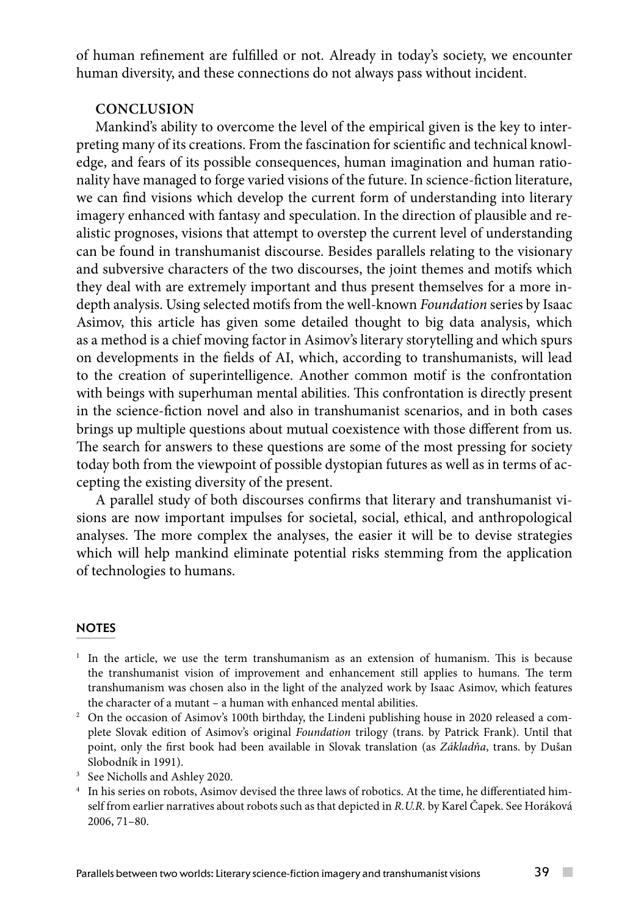of human refinement are fulfilled or not. Already in today's society, we encounter human diversity, and these connections do not always pass without incident.

# **CONCLUSION**

Mankind's ability to overcome the level of the empirical given is the key to interpreting many of its creations. From the fascination for scientific and technical knowledge, and fears of its possible consequences, human imagination and human rationality have managed to forge varied visions of the future. In science-fiction literature, we can find visions which develop the current form of understanding into literary imagery enhanced with fantasy and speculation. In the direction of plausible and realistic prognoses, visions that attempt to overstep the current level of understanding can be found in transhumanist discourse. Besides parallels relating to the visionary and subversive characters of the two discourses, the joint themes and motifs which they deal with are extremely important and thus present themselves for a more indepth analysis. Using selected motifs from the well-known *Foundation* series by Isaac Asimov, this article has given some detailed thought to big data analysis, which as a method is a chief moving factor in Asimov's literary storytelling and which spurs on developments in the fields of AI, which, according to transhumanists, will lead to the creation of superintelligence. Another common motif is the confrontation with beings with superhuman mental abilities. This confrontation is directly present in the science-fiction novel and also in transhumanist scenarios, and in both cases brings up multiple questions about mutual coexistence with those different from us. The search for answers to these questions are some of the most pressing for society today both from the viewpoint of possible dystopian futures as well as in terms of accepting the existing diversity of the present.

A parallel study of both discourses confirms that literary and transhumanist visions are now important impulses for societal, social, ethical, and anthropological analyses. The more complex the analyses, the easier it will be to devise strategies which will help mankind eliminate potential risks stemming from the application of technologies to humans.

### **NOTES**

- 1 In the article, we use the term transhumanism as an extension of humanism. This is because the transhumanist vision of improvement and enhancement still applies to humans. The term transhumanism was chosen also in the light of the analyzed work by Isaac Asimov, which features the character of a mutant – a human with enhanced mental abilities.
- 2 On the occasion of Asimov's 100th birthday, the Lindeni publishing house in 2020 released a complete Slovak edition of Asimov's original *Foundation* trilogy (trans. by Patrick Frank). Until that point, only the first book had been available in Slovak translation (as *Základňa*, trans. by Dušan Slobodník in 1991).  $3\text{ See }$  Nicholls and Ashley 2020.
- 
- <sup>4</sup> In his series on robots, Asimov devised the three laws of robotics. At the time, he differentiated himself from earlier narratives about robots such as that depicted in *R.U.R.* by Karel Čapek. See Horáková 2006, 71–80.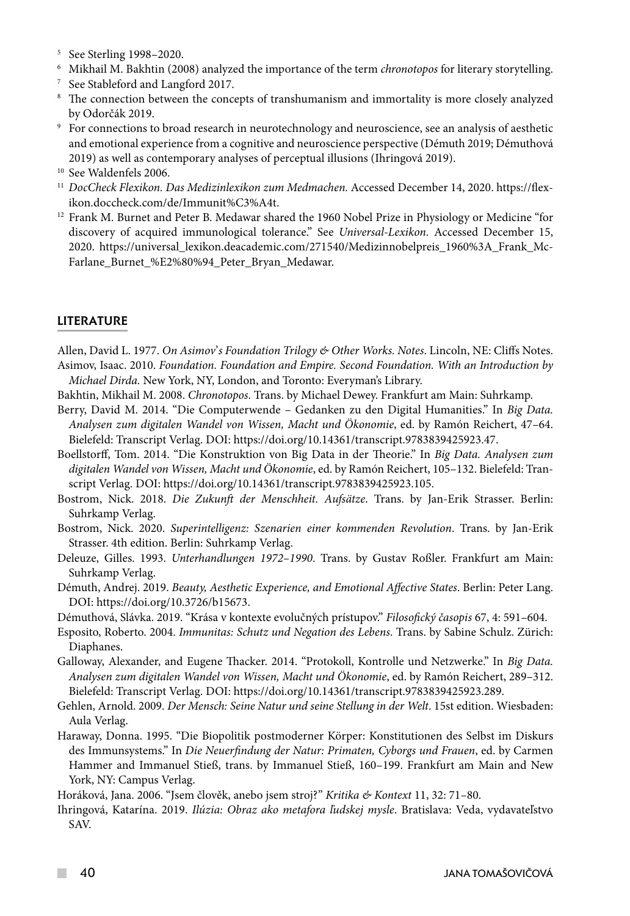- <sup>5</sup> See Sterling 1998–2020.
- $^6$  Mikhail M. Bakhtin (2008) analyzed the importance of the term  $\emph{chronotops}$  for literary storytelling.<br> $^7$  See Stableford and Langford 2017.
- 
- <sup>8</sup> The connection between the concepts of transhumanism and immortality is more closely analyzed
- by Odorčák 2019. 9 For connections to broad research in neurotechnology and neuroscience, see an analysis of aesthetic and emotional experience from a cognitive and neuroscience perspective (Démuth 2019; Démuthová 2019) as well as contemporary analyses of perceptual illusions (Ihringová 2019). 10 See Waldenfels 2006.
- 
- <sup>11</sup> *DocCheck Flexikon. Das Medizinlexikon zum Medmachen.* Accessed December 14, 2020. https://flexikon.doccheck.com/de/Immunit%C3%A4t. 12 Frank M. Burnet and Peter B. Medawar shared the 1960 Nobel Prize in Physiology or Medicine "for
- discovery of acquired immunological tolerance." See *Universal-Lexikon.* Accessed December 15, 2020. https://universal\_lexikon.deacademic.com/271540/Medizinnobelpreis\_1960%3A\_Frank\_Mc-Farlane\_Burnet\_%E2%80%94\_Peter\_Bryan\_Medawar.

## LITERATURE

Allen, David L. 1977. *On Asimov*'*s Foundation Trilogy & Other Works. Notes*. Lincoln, NE: Cliffs Notes. Asimov, Isaac. 2010. *Foundation. Foundation and Empire. Second Foundation. With an Introduction by Michael Dirda.* New York, NY, London, and Toronto: Everyman's Library.

- Bakhtin, Mikhail M. 2008. *Chronotopos*. Trans. by Michael Dewey. Frankfurt am Main: Suhrkamp.
- Berry, David M. 2014. "Die Computerwende Gedanken zu den Digital Humanities." In *Big Data. Analysen zum digitalen Wandel von Wissen, Macht und Ökonomie*, ed. by Ramón Reichert, 47–64. Bielefeld: Transcript Verlag. DOI: <https://doi.org/10.14361/transcript.9783839425923.47>.

Boellstorff, Tom. 2014. "Die Konstruktion von Big Data in der Theorie." In *Big Data. Analysen zum digitalen Wandel von Wissen, Macht und Ökonomie*, ed. by Ramón Reichert, 105–132. Bielefeld: Transcript Verlag. DOI: https://doi.org/10.14361/transcript.9783839425923.105.

- Bostrom, Nick. 2018. *Die Zukunft der Menschheit. Aufsätze*. Trans. by Jan-Erik Strasser. Berlin: Suhrkamp Verlag.
- Bostrom, Nick. 2020. *Superintelligenz: Szenarien einer kommenden Revolution*. Trans. by Jan-Erik Strasser. 4th edition. Berlin: Suhrkamp Verlag.
- Deleuze, Gilles. 1993. *Unterhandlungen 1972–1990*. Trans. by Gustav Roßler. Frankfurt am Main: Suhrkamp Verlag.
- Démuth, Andrej. 2019. *Beauty, Aesthetic Experience, and Emotional Affective States*. Berlin: Peter Lang. DOI: [https://doi.org/10.3726/b15673.](https://doi.org/10.3726/b15673)

Démuthová, Slávka. 2019. "Krása v kontexte evolučných prístupov." *Filosofický časopis* 67, 4: 591–604.

- Esposito, Roberto. 2004. *Immunitas: Schutz und Negation des Lebens*. Trans. by Sabine Schulz. Zürich: Diaphanes.
- Galloway, Alexander, and Eugene Thacker. 2014. "Protokoll, Kontrolle und Netzwerke." In *Big Data. Analysen zum digitalen Wandel von Wissen, Macht und Ökonomie*, ed. by Ramón Reichert, 289–312. Bielefeld: Transcript Verlag. DOI: https://doi.org/10.14361/transcript.9783839425923.289.
- Gehlen, Arnold. 2009. *Der Mensch: Seine Natur und seine Stellung in der Welt*. 15st edition. Wiesbaden: Aula Verlag.
- Haraway, Donna. 1995. "Die Biopolitik postmoderner Körper: Konstitutionen des Selbst im Diskurs des Immunsystems." In *Die Neuerfindung der Natur: Primaten, Cyborgs und Frauen*, ed. by Carmen Hammer and Immanuel Stieß, trans. by Immanuel Stieß, 160–199. Frankfurt am Main and New York, NY: Campus Verlag.

Horáková, Jana. 2006. "Jsem člověk, anebo jsem stroj?" *Kritika & Kontext* 11, 32: 71–80.

Ihringová, Katarína. 2019. *Ilúzia: Obraz ako metafora ľudskej mysle*. Bratislava: Veda, vydavateľstvo SAV.

**The Co**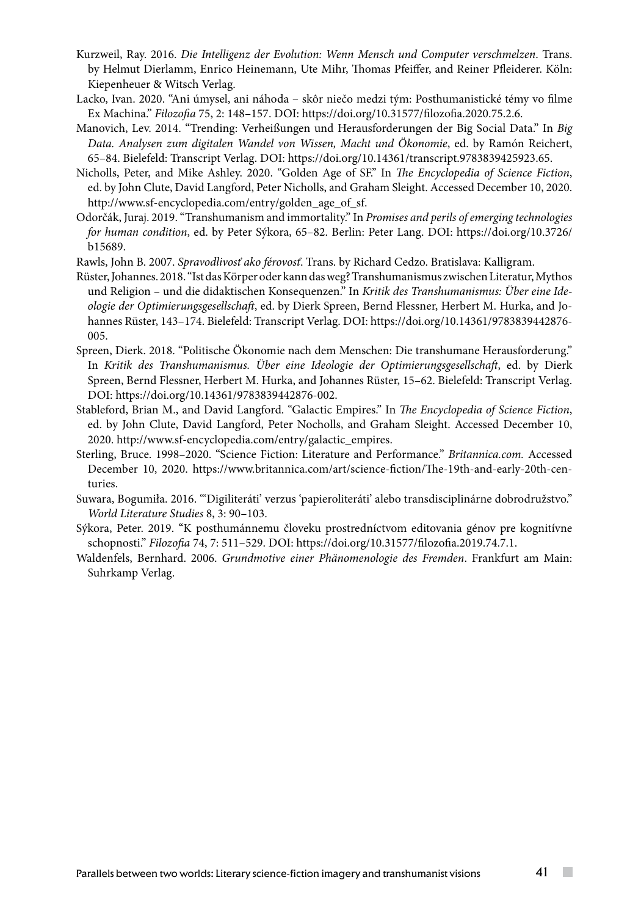- Kurzweil, Ray. 2016. *Die Intelligenz der Evolution: Wenn Mensch und Computer verschmelzen*. Trans. by Helmut Dierlamm, Enrico Heinemann, Ute Mihr, Thomas Pfeiffer, and Reiner Pfleiderer. Köln: Kiepenheuer & Witsch Verlag.
- Lacko, Ivan. 2020. "Ani úmysel, ani náhoda skôr niečo medzi tým: Posthumanistické témy vo filme Ex Machina." *Filozofia* 75, 2: 148–157. DOI: https://doi.org/10.31577/filozofia.2020.75.2.6.
- Manovich, Lev. 2014. "Trending: Verheißungen und Herausforderungen der Big Social Data." In *Big Data. Analysen zum digitalen Wandel von Wissen, Macht und Ökonomie*, ed. by Ramón Reichert, 65–84. Bielefeld: Transcript Verlag. DOI: https://doi.org/10.14361/transcript.9783839425923.65.
- Nicholls, Peter, and Mike Ashley. 2020. "Golden Age of SF." In *The Encyclopedia of Science Fiction*, ed. by John Clute, David Langford, Peter Nicholls, and Graham Sleight. Accessed December 10, 2020. [http://www.sf-encyclopedia.com/entry/golden\\_age\\_of\\_sf.](http://www.sf-encyclopedia.com/entry/golden_age_of_sf)
- Odorčák, Juraj. 2019. "Transhumanism and immortality." In *Promises and perils of emerging technologies for human condition*, ed. by Peter Sýkora, 65–82. Berlin: Peter Lang. DOI: [https://doi.org/10.3726/](https://doi.org/10.3726/b15689) [b15689](https://doi.org/10.3726/b15689).
- Rawls, John B. 2007. *Spravodlivosť ako férovosť*. Trans. by Richard Cedzo. Bratislava: Kalligram.
- Rüster, Johannes. 2018. "Ist das Körper oder kann das weg? Transhumanismus zwischen Literatur, Mythos und Religion – und die didaktischen Konsequenzen." In *Kritik des Transhumanismus: Über eine Ideologie der Optimierungsgesellschaft*, ed. by Dierk Spreen, Bernd Flessner, Herbert M. Hurka, and Johannes Rüster, 143–174. Bielefeld: Transcript Verlag. DOI: [https://doi.org/10.14361/9783839442876-](https://doi.org/10.14361/9783839442876-005) [005](https://doi.org/10.14361/9783839442876-005).
- Spreen, Dierk. 2018. "Politische Ökonomie nach dem Menschen: Die transhumane Herausforderung." In *Kritik des Transhumanismus. Über eine Ideologie der Optimierungsgesellschaft*, ed. by Dierk Spreen, Bernd Flessner, Herbert M. Hurka, and Johannes Rüster, 15–62. Bielefeld: Transcript Verlag. DOI: [https://doi.org/10.14361/9783839442876-002.](https://doi.org/10.14361/9783839442876-002)
- Stableford, Brian M., and David Langford. "Galactic Empires." In *The Encyclopedia of Science Fiction*, ed. by John Clute, David Langford, Peter Nocholls, and Graham Sleight. Accessed December 10, 2020. [http://www.sf-encyclopedia.com/entry/galactic\\_empires.](http://www.sf-encyclopedia.com/entry/galactic_empires)
- Sterling, Bruce. 1998–2020. "Science Fiction: Literature and Performance." *Britannica.com.* Accessed December 10, 2020. [https://www.britannica.com/art/science-fiction/The-19th-and-early-20th-cen](https://www.britannica.com/art/science-fiction/The-19th-and-early-20th-centuries)[turies.](https://www.britannica.com/art/science-fiction/The-19th-and-early-20th-centuries)
- Suwara, Bogumiła. 2016. "'Digiliteráti' verzus 'papieroliteráti' alebo transdisciplinárne dobrodružstvo." *World Literature Studies* 8, 3: 90–103.
- Sýkora, Peter. 2019. "K posthumánnemu človeku prostredníctvom editovania génov pre kognitívne schopnosti." *Filozofia* 74, 7: 511–529. DOI: https://doi.org/10.31577/filozofia.2019.74.7.1.
- Waldenfels, Bernhard. 2006. *Grundmotive einer Phänomenologie des Fremden*. Frankfurt am Main: Suhrkamp Verlag.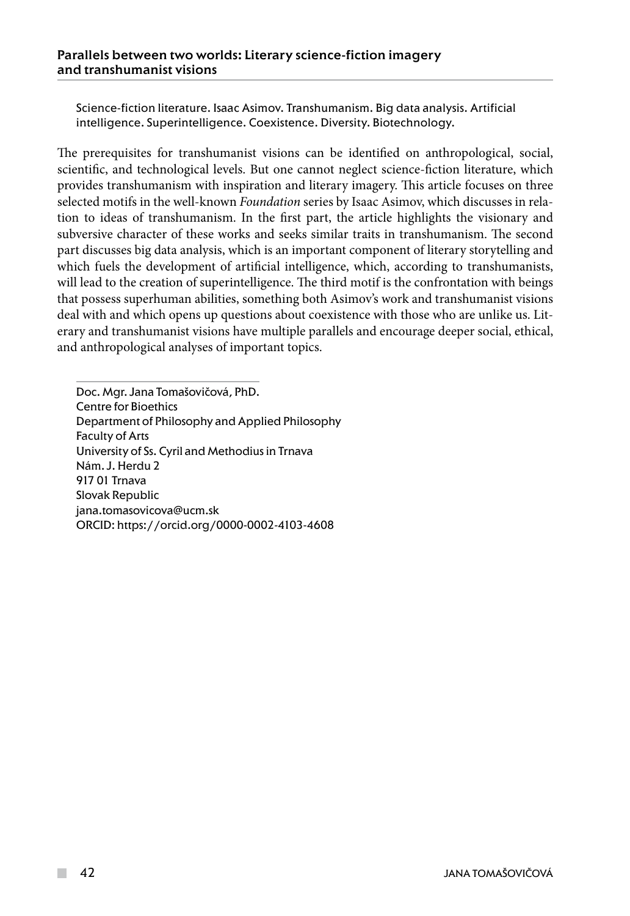Science-fiction literature. Isaac Asimov. Transhumanism. Big data analysis. Artificial intelligence. Superintelligence. Coexistence. Diversity. Biotechnology.

The prerequisites for transhumanist visions can be identified on anthropological, social, scientific, and technological levels. But one cannot neglect science-fiction literature, which provides transhumanism with inspiration and literary imagery. This article focuses on three selected motifs in the well-known *Foundation* series by Isaac Asimov, which discusses in relation to ideas of transhumanism. In the first part, the article highlights the visionary and subversive character of these works and seeks similar traits in transhumanism. The second part discusses big data analysis, which is an important component of literary storytelling and which fuels the development of artificial intelligence, which, according to transhumanists, will lead to the creation of superintelligence. The third motif is the confrontation with beings that possess superhuman abilities, something both Asimov's work and transhumanist visions deal with and which opens up questions about coexistence with those who are unlike us. Literary and transhumanist visions have multiple parallels and encourage deeper social, ethical, and anthropological analyses of important topics.

Doc. Mgr. Jana Tomašovičová, PhD. Centre for Bioethics Department of Philosophy and Applied Philosophy Faculty of Arts University of Ss. Cyril and Methodius in Trnava Nám. J. Herdu 2 917 01 Trnava Slovak Republic [jana.tomasovicova@ucm.sk](mailto:jana.tomasovicova@ucm.sk) ORCID:<https://orcid.org/0000-0002-4103-4608>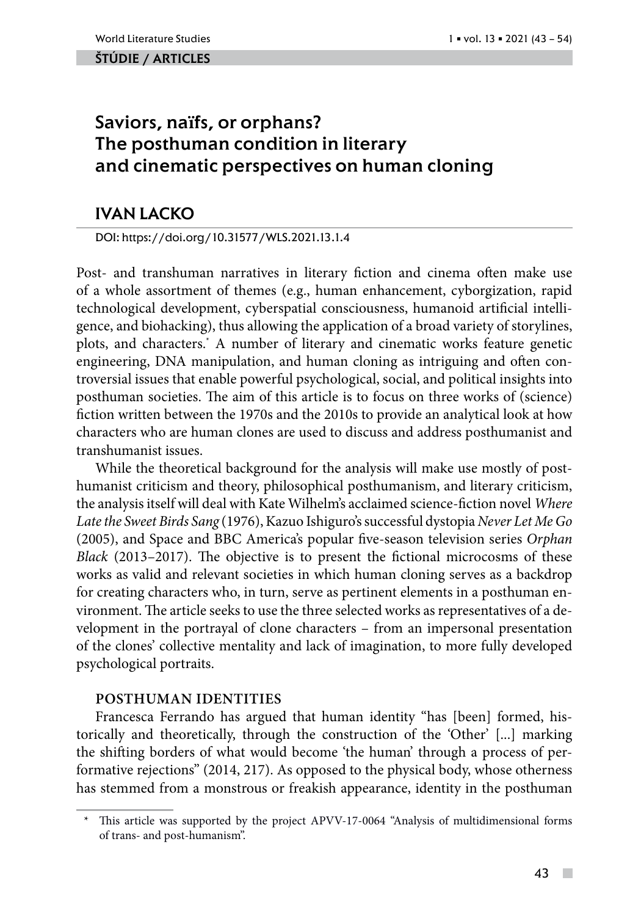### ŠTÚDIE / ARTicles

# Saviors, na**ï**fs, or orphans? The posthuman condition in literary and cinematic perspectives on human cloning

# IVAN LACKO

DOI: https://doi.org/10.31577/WLS.2021.13.1.4

Post- and transhuman narratives in literary fiction and cinema often make use of a whole assortment of themes (e.g., human enhancement, cyborgization, rapid technological development, cyberspatial consciousness, humanoid artificial intelligence, and biohacking), thus allowing the application of a broad variety of storylines, plots, and characters.\* A number of literary and cinematic works feature genetic engineering, DNA manipulation, and human cloning as intriguing and often controversial issues that enable powerful psychological, social, and political insights into posthuman societies. The aim of this article is to focus on three works of (science) fiction written between the 1970s and the 2010s to provide an analytical look at how characters who are human clones are used to discuss and address posthumanist and transhumanist issues.

While the theoretical background for the analysis will make use mostly of posthumanist criticism and theory, philosophical posthumanism, and literary criticism, the analysis itself will deal with Kate Wilhelm's acclaimed science-fiction novel *Where Late the Sweet Birds Sang* (1976), Kazuo Ishiguro's successful dystopia *Never Let Me Go*  (2005), and Space and BBC America's popular five-season television series *Orphan Black* (2013–2017). The objective is to present the fictional microcosms of these works as valid and relevant societies in which human cloning serves as a backdrop for creating characters who, in turn, serve as pertinent elements in a posthuman environment. The article seeks to use the three selected works as representatives of a development in the portrayal of clone characters – from an impersonal presentation of the clones' collective mentality and lack of imagination, to more fully developed psychological portraits.

### **Posthuman identities**

Francesca Ferrando has argued that human identity "has [been] formed, historically and theoretically, through the construction of the 'Other' [...] marking the shifting borders of what would become 'the human' through a process of performative rejections" (2014, 217). As opposed to the physical body, whose otherness has stemmed from a monstrous or freakish appearance, identity in the posthuman

<sup>\*</sup> This article was supported by the project APVV-17-0064 "Analysis of multidimensional forms of trans- and post-humanism".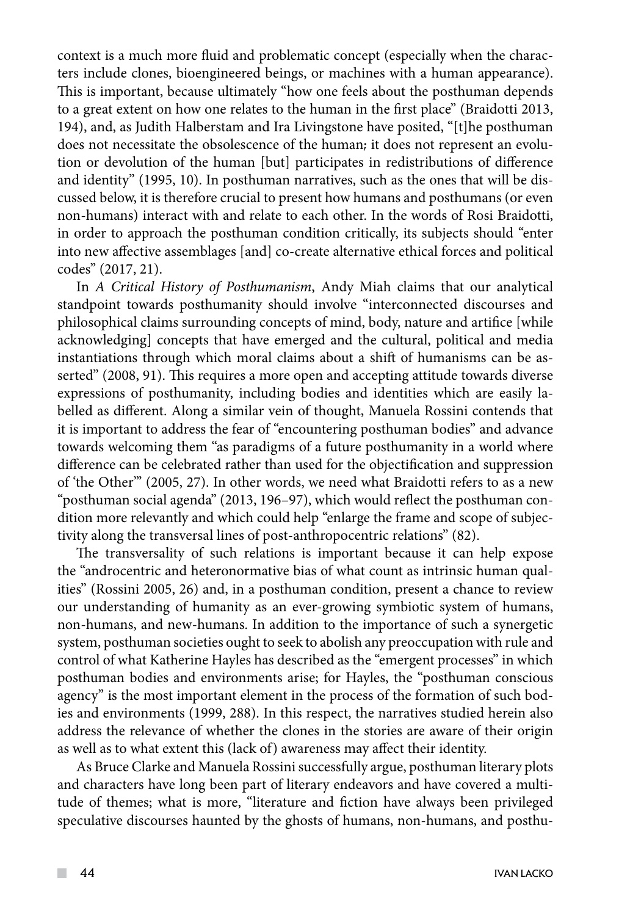context is a much more fluid and problematic concept (especially when the characters include clones, bioengineered beings, or machines with a human appearance). This is important, because ultimately "how one feels about the posthuman depends to a great extent on how one relates to the human in the first place" (Braidotti 2013, 194), and, as Judith Halberstam and Ira Livingstone have posited, "[t]he posthuman does not necessitate the obsolescence of the human; it does not represent an evolution or devolution of the human [but] participates in redistributions of difference and identity" (1995, 10). In posthuman narratives, such as the ones that will be discussed below, it is therefore crucial to present how humans and posthumans (or even non-humans) interact with and relate to each other. In the words of Rosi Braidotti, in order to approach the posthuman condition critically, its subjects should "enter into new affective assemblages [and] co-create alternative ethical forces and political codes" (2017, 21).

In *A Critical History of Posthumanism*, Andy Miah claims that our analytical standpoint towards posthumanity should involve "interconnected discourses and philosophical claims surrounding concepts of mind, body, nature and artifice [while acknowledging] concepts that have emerged and the cultural, political and media instantiations through which moral claims about a shift of humanisms can be asserted" (2008, 91). This requires a more open and accepting attitude towards diverse expressions of posthumanity, including bodies and identities which are easily labelled as different. Along a similar vein of thought, Manuela Rossini contends that it is important to address the fear of "encountering posthuman bodies" and advance towards welcoming them "as paradigms of a future posthumanity in a world where difference can be celebrated rather than used for the objectification and suppression of 'the Other'" (2005, 27). In other words, we need what Braidotti refers to as a new "posthuman social agenda" (2013, 196–97), which would reflect the posthuman condition more relevantly and which could help "enlarge the frame and scope of subjectivity along the transversal lines of post-anthropocentric relations" (82).

The transversality of such relations is important because it can help expose the "androcentric and heteronormative bias of what count as intrinsic human qualities" (Rossini 2005, 26) and, in a posthuman condition, present a chance to review our understanding of humanity as an ever-growing symbiotic system of humans, non-humans, and new-humans. In addition to the importance of such a synergetic system, posthuman societies ought to seek to abolish any preoccupation with rule and control of what Katherine Hayles has described as the "emergent processes" in which posthuman bodies and environments arise; for Hayles, the "posthuman conscious agency" is the most important element in the process of the formation of such bodies and environments (1999, 288). In this respect, the narratives studied herein also address the relevance of whether the clones in the stories are aware of their origin as well as to what extent this (lack of) awareness may affect their identity.

As Bruce Clarke and Manuela Rossini successfully argue, posthuman literary plots and characters have long been part of literary endeavors and have covered a multitude of themes; what is more, "literature and fiction have always been privileged speculative discourses haunted by the ghosts of humans, non-humans, and posthu-

 $\mathcal{L}^{\mathcal{L}}$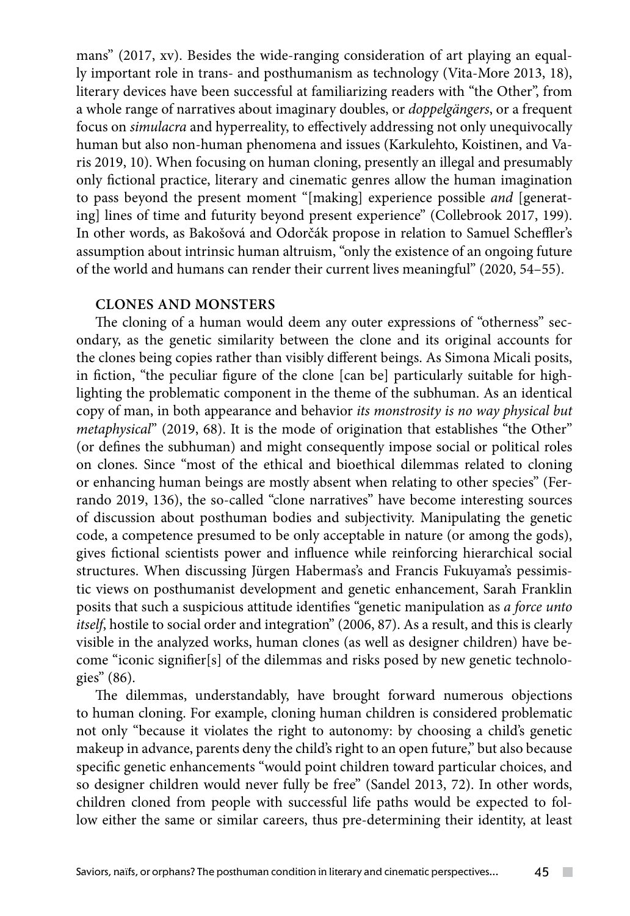mans" (2017, xv). Besides the wide-ranging consideration of art playing an equally important role in trans- and posthumanism as technology (Vita-More 2013, 18), literary devices have been successful at familiarizing readers with "the Other", from a whole range of narratives about imaginary doubles, or *doppelgängers*, or a frequent focus on *simulacra* and hyperreality, to effectively addressing not only unequivocally human but also non-human phenomena and issues (Karkulehto, Koistinen, and Varis 2019, 10). When focusing on human cloning, presently an illegal and presumably only fictional practice, literary and cinematic genres allow the human imagination to pass beyond the present moment "[making] experience possible *and* [generating] lines of time and futurity beyond present experience" (Collebrook 2017, 199). In other words, as Bakošová and Odorčák propose in relation to Samuel Scheffler's assumption about intrinsic human altruism, "only the existence of an ongoing future of the world and humans can render their current lives meaningful" (2020, 54–55).

# **Clones and monsters**

The cloning of a human would deem any outer expressions of "otherness" secondary, as the genetic similarity between the clone and its original accounts for the clones being copies rather than visibly different beings. As Simona Micali posits, in fiction, "the peculiar figure of the clone [can be] particularly suitable for highlighting the problematic component in the theme of the subhuman. As an identical copy of man, in both appearance and behavior *its monstrosity is no way physical but metaphysical*" (2019, 68). It is the mode of origination that establishes "the Other" (or defines the subhuman) and might consequently impose social or political roles on clones. Since "most of the ethical and bioethical dilemmas related to cloning or enhancing human beings are mostly absent when relating to other species" (Ferrando 2019, 136), the so-called "clone narratives" have become interesting sources of discussion about posthuman bodies and subjectivity. Manipulating the genetic code, a competence presumed to be only acceptable in nature (or among the gods), gives fictional scientists power and influence while reinforcing hierarchical social structures. When discussing Jürgen Habermas's and Francis Fukuyama's pessimistic views on posthumanist development and genetic enhancement, Sarah Franklin posits that such a suspicious attitude identifies "genetic manipulation as *a force unto itself*, hostile to social order and integration" (2006, 87). As a result, and this is clearly visible in the analyzed works, human clones (as well as designer children) have become "iconic signifier[s] of the dilemmas and risks posed by new genetic technologies" (86).

The dilemmas, understandably, have brought forward numerous objections to human cloning. For example, cloning human children is considered problematic not only "because it violates the right to autonomy: by choosing a child's genetic makeup in advance, parents deny the child's right to an open future," but also because specific genetic enhancements "would point children toward particular choices, and so designer children would never fully be free" (Sandel 2013, 72). In other words, children cloned from people with successful life paths would be expected to follow either the same or similar careers, thus pre-determining their identity, at least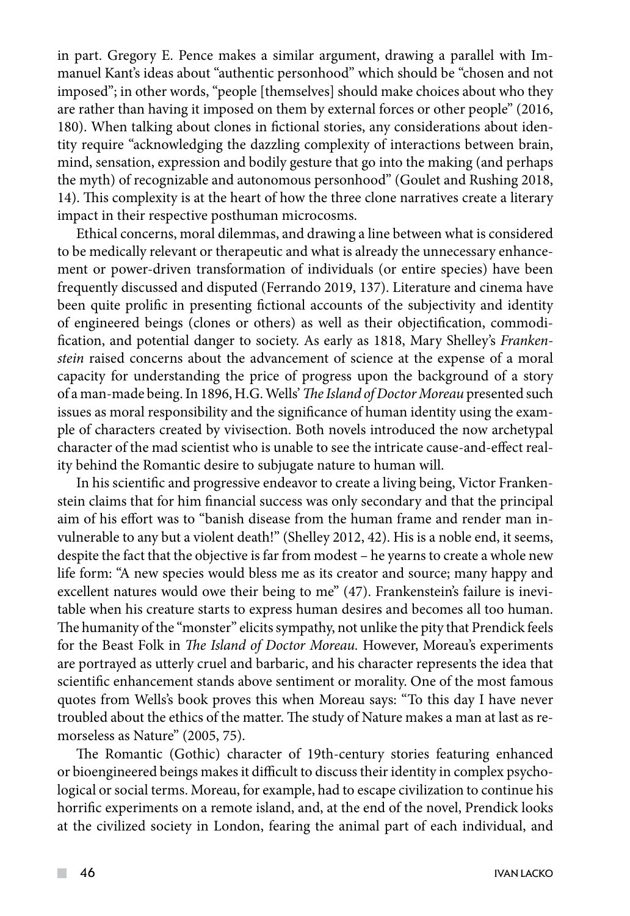in part. Gregory E. Pence makes a similar argument, drawing a parallel with Immanuel Kant's ideas about "authentic personhood" which should be "chosen and not imposed"; in other words, "people [themselves] should make choices about who they are rather than having it imposed on them by external forces or other people" (2016, 180). When talking about clones in fictional stories, any considerations about identity require "acknowledging the dazzling complexity of interactions between brain, mind, sensation, expression and bodily gesture that go into the making (and perhaps the myth) of recognizable and autonomous personhood" (Goulet and Rushing 2018, 14). This complexity is at the heart of how the three clone narratives create a literary impact in their respective posthuman microcosms.

Ethical concerns, moral dilemmas, and drawing a line between what is considered to be medically relevant or therapeutic and what is already the unnecessary enhancement or power-driven transformation of individuals (or entire species) have been frequently discussed and disputed (Ferrando 2019, 137). Literature and cinema have been quite prolific in presenting fictional accounts of the subjectivity and identity of engineered beings (clones or others) as well as their objectification, commodification, and potential danger to society. As early as 1818, Mary Shelley's *Frankenstein* raised concerns about the advancement of science at the expense of a moral capacity for understanding the price of progress upon the background of a story of a man-made being. In 1896, H.G. Wells' *The Island of Doctor Moreau* presented such issues as moral responsibility and the significance of human identity using the example of characters created by vivisection. Both novels introduced the now archetypal character of the mad scientist who is unable to see the intricate cause-and-effect reality behind the Romantic desire to subjugate nature to human will.

In his scientific and progressive endeavor to create a living being, Victor Frankenstein claims that for him financial success was only secondary and that the principal aim of his effort was to "banish disease from the human frame and render man invulnerable to any but a violent death!" (Shelley 2012, 42). His is a noble end, it seems, despite the fact that the objective is far from modest – he yearns to create a whole new life form: "A new species would bless me as its creator and source; many happy and excellent natures would owe their being to me" (47). Frankenstein's failure is inevitable when his creature starts to express human desires and becomes all too human. The humanity of the "monster" elicits sympathy, not unlike the pity that Prendick feels for the Beast Folk in *The Island of Doctor Moreau.* However, Moreau's experiments are portrayed as utterly cruel and barbaric, and his character represents the idea that scientific enhancement stands above sentiment or morality. One of the most famous quotes from Wells's book proves this when Moreau says: "To this day I have never troubled about the ethics of the matter. The study of Nature makes a man at last as remorseless as Nature" (2005, 75).

The Romantic (Gothic) character of 19th-century stories featuring enhanced or bioengineered beings makes it difficult to discuss their identity in complex psychological or social terms. Moreau, for example, had to escape civilization to continue his horrific experiments on a remote island, and, at the end of the novel, Prendick looks at the civilized society in London, fearing the animal part of each individual, and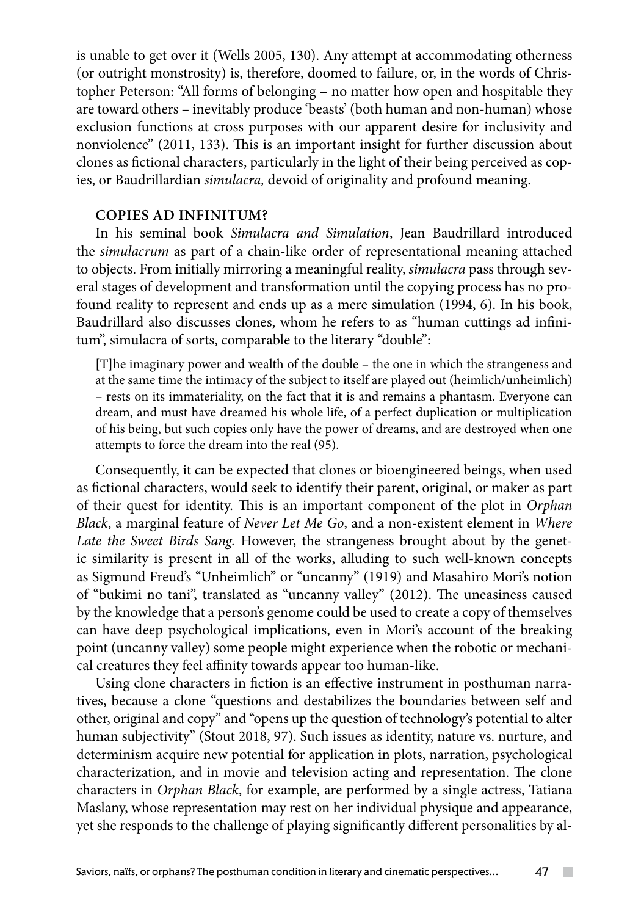is unable to get over it (Wells 2005, 130). Any attempt at accommodating otherness (or outright monstrosity) is, therefore, doomed to failure, or, in the words of Christopher Peterson: "All forms of belonging – no matter how open and hospitable they are toward others – inevitably produce 'beasts' (both human and non-human) whose exclusion functions at cross purposes with our apparent desire for inclusivity and nonviolence" (2011, 133). This is an important insight for further discussion about clones as fictional characters, particularly in the light of their being perceived as copies, or Baudrillardian *simulacra,* devoid of originality and profound meaning.

# **Copies ad infinitum?**

In his seminal book *Simulacra and Simulation*, Jean Baudrillard introduced the *simulacrum* as part of a chain-like order of representational meaning attached to objects. From initially mirroring a meaningful reality, *simulacra* pass through several stages of development and transformation until the copying process has no profound reality to represent and ends up as a mere simulation (1994, 6). In his book, Baudrillard also discusses clones, whom he refers to as "human cuttings ad infinitum", simulacra of sorts, comparable to the literary "double":

[T]he imaginary power and wealth of the double – the one in which the strangeness and at the same time the intimacy of the subject to itself are played out (heimlich/unheimlich) – rests on its immateriality, on the fact that it is and remains a phantasm. Everyone can dream, and must have dreamed his whole life, of a perfect duplication or multiplication of his being, but such copies only have the power of dreams, and are destroyed when one attempts to force the dream into the real (95).

Consequently, it can be expected that clones or bioengineered beings, when used as fictional characters, would seek to identify their parent, original, or maker as part of their quest for identity. This is an important component of the plot in *Orphan Black*, a marginal feature of *Never Let Me Go*, and a non-existent element in *Where Late the Sweet Birds Sang.* However, the strangeness brought about by the genetic similarity is present in all of the works, alluding to such well-known concepts as Sigmund Freud's "Unheimlich" or "uncanny" (1919) and Masahiro Mori's notion of "bukimi no tani", translated as "uncanny valley" (2012). The uneasiness caused by the knowledge that a person's genome could be used to create a copy of themselves can have deep psychological implications, even in Mori's account of the breaking point (uncanny valley) some people might experience when the robotic or mechanical creatures they feel affinity towards appear too human-like.

Using clone characters in fiction is an effective instrument in posthuman narratives, because a clone "questions and destabilizes the boundaries between self and other, original and copy" and "opens up the question of technology's potential to alter human subjectivity" (Stout 2018, 97). Such issues as identity, nature vs. nurture, and determinism acquire new potential for application in plots, narration, psychological characterization, and in movie and television acting and representation. The clone characters in *Orphan Black*, for example, are performed by a single actress, Tatiana Maslany, whose representation may rest on her individual physique and appearance, yet she responds to the challenge of playing significantly different personalities by al-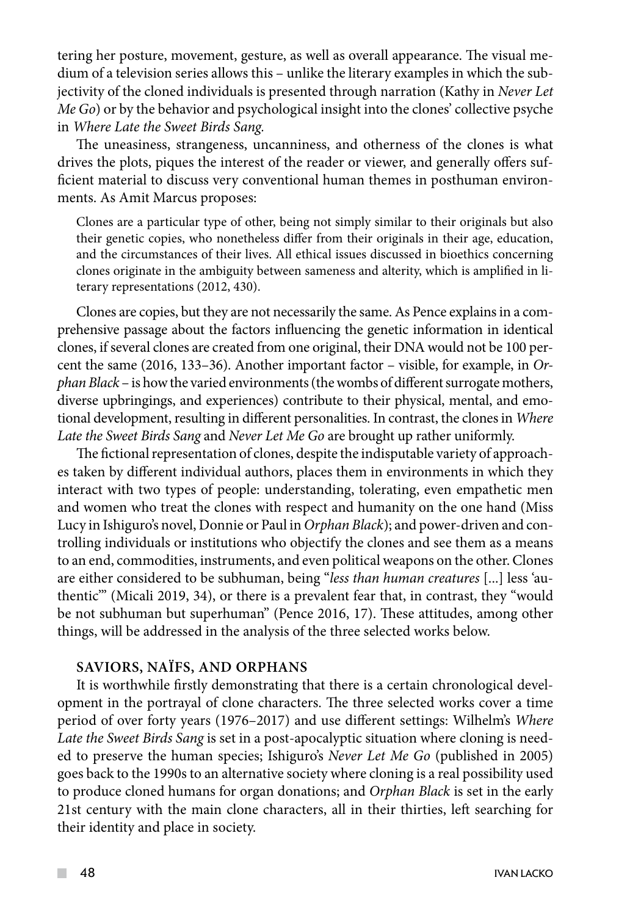tering her posture, movement, gesture, as well as overall appearance. The visual medium of a television series allows this – unlike the literary examples in which the subjectivity of the cloned individuals is presented through narration (Kathy in *Never Let Me Go*) or by the behavior and psychological insight into the clones' collective psyche in *Where Late the Sweet Birds Sang.*

The uneasiness, strangeness, uncanniness, and otherness of the clones is what drives the plots, piques the interest of the reader or viewer, and generally offers sufficient material to discuss very conventional human themes in posthuman environments. As Amit Marcus proposes:

Clones are a particular type of other, being not simply similar to their originals but also their genetic copies, who nonetheless differ from their originals in their age, education, and the circumstances of their lives. All ethical issues discussed in bioethics concerning clones originate in the ambiguity between sameness and alterity, which is amplified in literary representations (2012, 430).

Clones are copies, but they are not necessarily the same. As Pence explains in a comprehensive passage about the factors influencing the genetic information in identical clones, if several clones are created from one original, their DNA would not be 100 percent the same (2016, 133–36). Another important factor – visible, for example, in *Orphan Black* – is how the varied environments (the wombs of different surrogate mothers, diverse upbringings, and experiences) contribute to their physical, mental, and emotional development, resulting in different personalities. In contrast, the clones in *Where Late the Sweet Birds Sang* and *Never Let Me Go* are brought up rather uniformly.

The fictional representation of clones, despite the indisputable variety of approaches taken by different individual authors, places them in environments in which they interact with two types of people: understanding, tolerating, even empathetic men and women who treat the clones with respect and humanity on the one hand (Miss Lucy in Ishiguro's novel, Donnie or Paul in *Orphan Black*); and power-driven and controlling individuals or institutions who objectify the clones and see them as a means to an end, commodities, instruments, and even political weapons on the other. Clones are either considered to be subhuman, being "*less than human creatures* [...] less 'authentic'" (Micali 2019, 34), or there is a prevalent fear that, in contrast, they "would be not subhuman but superhuman" (Pence 2016, 17). These attitudes, among other things, will be addressed in the analysis of the three selected works below.

## **Saviors, naïfs, and orphans**

It is worthwhile firstly demonstrating that there is a certain chronological development in the portrayal of clone characters. The three selected works cover a time period of over forty years (1976–2017) and use different settings: Wilhelm's *Where Late the Sweet Birds Sang* is set in a post-apocalyptic situation where cloning is needed to preserve the human species; Ishiguro's *Never Let Me Go* (published in 2005) goes back to the 1990s to an alternative society where cloning is a real possibility used to produce cloned humans for organ donations; and *Orphan Black* is set in the early 21st century with the main clone characters, all in their thirties, left searching for their identity and place in society.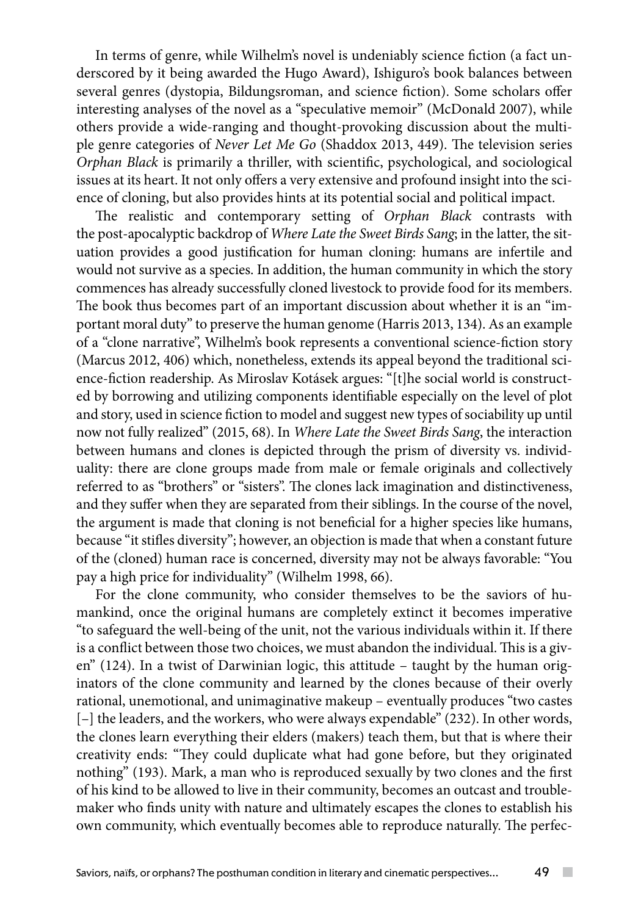In terms of genre, while Wilhelm's novel is undeniably science fiction (a fact underscored by it being awarded the Hugo Award), Ishiguro's book balances between several genres (dystopia, Bildungsroman, and science fiction). Some scholars offer interesting analyses of the novel as a "speculative memoir" (McDonald 2007), while others provide a wide-ranging and thought-provoking discussion about the multiple genre categories of *Never Let Me Go* (Shaddox 2013, 449). The television series *Orphan Black* is primarily a thriller, with scientific, psychological, and sociological issues at its heart. It not only offers a very extensive and profound insight into the science of cloning, but also provides hints at its potential social and political impact.

The realistic and contemporary setting of *Orphan Black* contrasts with the post-apocalyptic backdrop of *Where Late the Sweet Birds Sang*; in the latter, the situation provides a good justification for human cloning: humans are infertile and would not survive as a species. In addition, the human community in which the story commences has already successfully cloned livestock to provide food for its members. The book thus becomes part of an important discussion about whether it is an "important moral duty" to preserve the human genome (Harris 2013, 134). As an example of a "clone narrative", Wilhelm's book represents a conventional science-fiction story (Marcus 2012, 406) which, nonetheless, extends its appeal beyond the traditional science-fiction readership. As Miroslav Kotásek argues: "[t]he social world is constructed by borrowing and utilizing components identifiable especially on the level of plot and story, used in science fiction to model and suggest new types of sociability up until now not fully realized" (2015, 68). In *Where Late the Sweet Birds Sang*, the interaction between humans and clones is depicted through the prism of diversity vs. individuality: there are clone groups made from male or female originals and collectively referred to as "brothers" or "sisters". The clones lack imagination and distinctiveness, and they suffer when they are separated from their siblings. In the course of the novel, the argument is made that cloning is not beneficial for a higher species like humans, because "it stifles diversity"; however, an objection is made that when a constant future of the (cloned) human race is concerned, diversity may not be always favorable: "You pay a high price for individuality" (Wilhelm 1998, 66).

For the clone community, who consider themselves to be the saviors of humankind, once the original humans are completely extinct it becomes imperative "to safeguard the well-being of the unit, not the various individuals within it. If there is a conflict between those two choices, we must abandon the individual. This is a given" (124). In a twist of Darwinian logic, this attitude – taught by the human originators of the clone community and learned by the clones because of their overly rational, unemotional, and unimaginative makeup – eventually produces "two castes [–] the leaders, and the workers, who were always expendable" (232). In other words, the clones learn everything their elders (makers) teach them, but that is where their creativity ends: "They could duplicate what had gone before, but they originated nothing" (193). Mark, a man who is reproduced sexually by two clones and the first of his kind to be allowed to live in their community, becomes an outcast and troublemaker who finds unity with nature and ultimately escapes the clones to establish his own community, which eventually becomes able to reproduce naturally. The perfec-

 $\sim$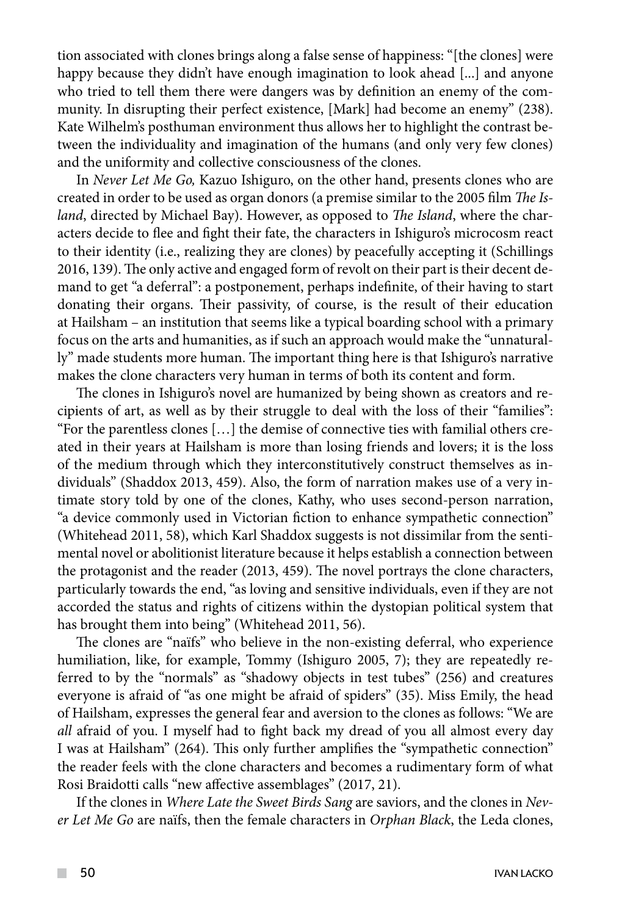tion associated with clones brings along a false sense of happiness: "[the clones] were happy because they didn't have enough imagination to look ahead [...] and anyone who tried to tell them there were dangers was by definition an enemy of the community. In disrupting their perfect existence, [Mark] had become an enemy" (238). Kate Wilhelm's posthuman environment thus allows her to highlight the contrast between the individuality and imagination of the humans (and only very few clones) and the uniformity and collective consciousness of the clones.

In *Never Let Me Go,* Kazuo Ishiguro, on the other hand, presents clones who are created in order to be used as organ donors (a premise similar to the 2005 film *The Island*, directed by Michael Bay). However, as opposed to *The Island*, where the characters decide to flee and fight their fate, the characters in Ishiguro's microcosm react to their identity (i.e., realizing they are clones) by peacefully accepting it (Schillings 2016, 139). The only active and engaged form of revolt on their part is their decent demand to get "a deferral": a postponement, perhaps indefinite, of their having to start donating their organs. Their passivity, of course, is the result of their education at Hailsham – an institution that seems like a typical boarding school with a primary focus on the arts and humanities, as if such an approach would make the "unnaturally" made students more human. The important thing here is that Ishiguro's narrative makes the clone characters very human in terms of both its content and form.

The clones in Ishiguro's novel are humanized by being shown as creators and recipients of art, as well as by their struggle to deal with the loss of their "families": "For the parentless clones […] the demise of connective ties with familial others created in their years at Hailsham is more than losing friends and lovers; it is the loss of the medium through which they interconstitutively construct themselves as individuals" (Shaddox 2013, 459). Also, the form of narration makes use of a very intimate story told by one of the clones, Kathy, who uses second-person narration, "a device commonly used in Victorian fiction to enhance sympathetic connection" (Whitehead 2011, 58), which Karl Shaddox suggests is not dissimilar from the sentimental novel or abolitionist literature because it helps establish a connection between the protagonist and the reader (2013, 459). The novel portrays the clone characters, particularly towards the end, "as loving and sensitive individuals, even if they are not accorded the status and rights of citizens within the dystopian political system that has brought them into being" (Whitehead 2011, 56).

The clones are "naïfs" who believe in the non-existing deferral, who experience humiliation, like, for example, Tommy (Ishiguro 2005, 7); they are repeatedly referred to by the "normals" as "shadowy objects in test tubes" (256) and creatures everyone is afraid of "as one might be afraid of spiders" (35). Miss Emily, the head of Hailsham, expresses the general fear and aversion to the clones as follows: "We are *all* afraid of you. I myself had to fight back my dread of you all almost every day I was at Hailsham" (264). This only further amplifies the "sympathetic connection" the reader feels with the clone characters and becomes a rudimentary form of what Rosi Braidotti calls "new affective assemblages" (2017, 21).

If the clones in *Where Late the Sweet Birds Sang* are saviors, and the clones in *Never Let Me Go* are naïfs, then the female characters in *Orphan Black*, the Leda clones,

 $\mathcal{L}^{\mathcal{L}}$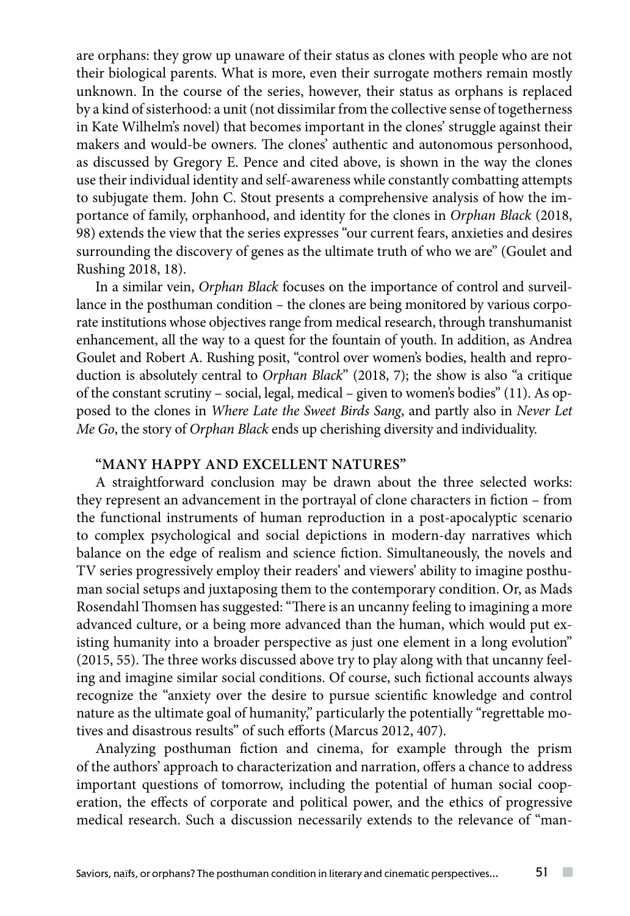are orphans: they grow up unaware of their status as clones with people who are not their biological parents. What is more, even their surrogate mothers remain mostly unknown. In the course of the series, however, their status as orphans is replaced by a kind of sisterhood: a unit (not dissimilar from the collective sense of togetherness in Kate Wilhelm's novel) that becomes important in the clones' struggle against their makers and would-be owners. The clones' authentic and autonomous personhood, as discussed by Gregory E. Pence and cited above, is shown in the way the clones use their individual identity and self-awareness while constantly combatting attempts to subjugate them. John C. Stout presents a comprehensive analysis of how the importance of family, orphanhood, and identity for the clones in *Orphan Black* (2018, 98) extends the view that the series expresses "our current fears, anxieties and desires surrounding the discovery of genes as the ultimate truth of who we are" (Goulet and Rushing 2018, 18).

In a similar vein, *Orphan Black* focuses on the importance of control and surveillance in the posthuman condition – the clones are being monitored by various corporate institutions whose objectives range from medical research, through transhumanist enhancement, all the way to a quest for the fountain of youth. In addition, as Andrea Goulet and Robert A. Rushing posit, "control over women's bodies, health and reproduction is absolutely central to *Orphan Black*" (2018, 7); the show is also "a critique of the constant scrutiny – social, legal, medical – given to women's bodies" (11). As opposed to the clones in *Where Late the Sweet Birds Sang*, and partly also in *Never Let Me Go*, the story of *Orphan Black* ends up cherishing diversity and individuality.

# **"Many happy and excellent natures"**

A straightforward conclusion may be drawn about the three selected works: they represent an advancement in the portrayal of clone characters in fiction – from the functional instruments of human reproduction in a post-apocalyptic scenario to complex psychological and social depictions in modern-day narratives which balance on the edge of realism and science fiction. Simultaneously, the novels and TV series progressively employ their readers' and viewers' ability to imagine posthuman social setups and juxtaposing them to the contemporary condition. Or, as Mads Rosendahl Thomsen has suggested: "There is an uncanny feeling to imagining a more advanced culture, or a being more advanced than the human, which would put existing humanity into a broader perspective as just one element in a long evolution" (2015, 55). The three works discussed above try to play along with that uncanny feeling and imagine similar social conditions. Of course, such fictional accounts always recognize the "anxiety over the desire to pursue scientific knowledge and control nature as the ultimate goal of humanity," particularly the potentially "regrettable motives and disastrous results" of such efforts (Marcus 2012, 407).

Analyzing posthuman fiction and cinema, for example through the prism of the authors' approach to characterization and narration, offers a chance to address important questions of tomorrow, including the potential of human social cooperation, the effects of corporate and political power, and the ethics of progressive medical research. Such a discussion necessarily extends to the relevance of "man-

 $\sim$  10  $\pm$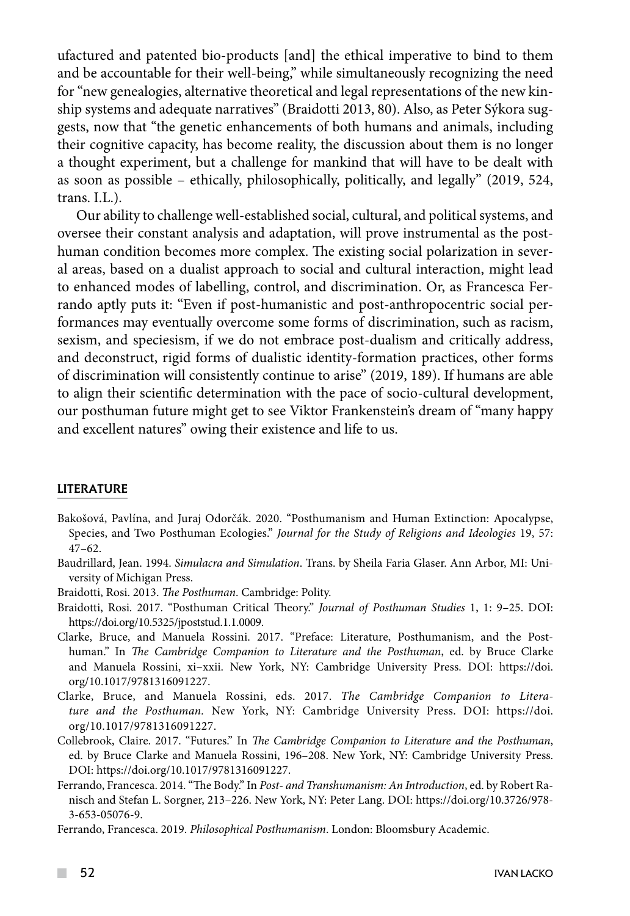ufactured and patented bio-products [and] the ethical imperative to bind to them and be accountable for their well-being," while simultaneously recognizing the need for "new genealogies, alternative theoretical and legal representations of the new kinship systems and adequate narratives" (Braidotti 2013, 80). Also, as Peter Sýkora suggests, now that "the genetic enhancements of both humans and animals, including their cognitive capacity, has become reality, the discussion about them is no longer a thought experiment, but a challenge for mankind that will have to be dealt with as soon as possible – ethically, philosophically, politically, and legally" (2019, 524, trans. I.L.).

Our ability to challenge well-established social, cultural, and political systems, and oversee their constant analysis and adaptation, will prove instrumental as the posthuman condition becomes more complex. The existing social polarization in several areas, based on a dualist approach to social and cultural interaction, might lead to enhanced modes of labelling, control, and discrimination. Or, as Francesca Ferrando aptly puts it: "Even if post-humanistic and post-anthropocentric social performances may eventually overcome some forms of discrimination, such as racism, sexism, and speciesism, if we do not embrace post-dualism and critically address, and deconstruct, rigid forms of dualistic identity-formation practices, other forms of discrimination will consistently continue to arise" (2019, 189). If humans are able to align their scientific determination with the pace of socio-cultural development, our posthuman future might get to see Viktor Frankenstein's dream of "many happy and excellent natures" owing their existence and life to us.

### LITERATURE

- Bakošová, Pavlína, and Juraj Odorčák. 2020. "Posthumanism and Human Extinction: Apocalypse, Species, and Two Posthuman Ecologies." *Journal for the Study of Religions and Ideologies* 19, 57:  $47-62.$
- Baudrillard, Jean. 1994. *Simulacra and Simulation*. Trans. by Sheila Faria Glaser. Ann Arbor, MI: University of Michigan Press.
- Braidotti, Rosi. 2013. *The Posthuman*. Cambridge: Polity.
- Braidotti, Rosi. 2017. "Posthuman Critical Theory." *Journal of Posthuman Studies* 1, 1: 9–25. DOI: <https://doi.org/10.5325/jpoststud.1.1.0009>.
- Clarke, Bruce, and Manuela Rossini. 2017. "Preface: Literature, Posthumanism, and the Posthuman." In *The Cambridge Companion to Literature and the Posthuman*, ed. by Bruce Clarke and Manuela Rossini, xi–xxii. New York, NY: Cambridge University Press. DOI: https://doi. org/10.1017/9781316091227.
- Clarke, Bruce, and Manuela Rossini, eds. 2017. *The Cambridge Companion to Literature and the Posthuman.* New York, NY: Cambridge University Press. DOI: https://doi. org/10.1017/9781316091227.
- Collebrook, Claire. 2017. "Futures." In *The Cambridge Companion to Literature and the Posthuman*, ed. by Bruce Clarke and Manuela Rossini, 196–208. New York, NY: Cambridge University Press. DOI: https://doi.org/10.1017/9781316091227.
- Ferrando, Francesca. 2014. "The Body." In *Post- and Transhumanism: An Introduction*, ed. by Robert Ranisch and Stefan L. Sorgner, 213–226. New York, NY: Peter Lang. DOI: [https://doi.org/10.3726/978-](https://doi.org/10.3726/978-3-653-05076-9) [3-653-05076-9](https://doi.org/10.3726/978-3-653-05076-9).
- Ferrando, Francesca. 2019. *Philosophical Posthumanism*. London: Bloomsbury Academic.

 $\sim$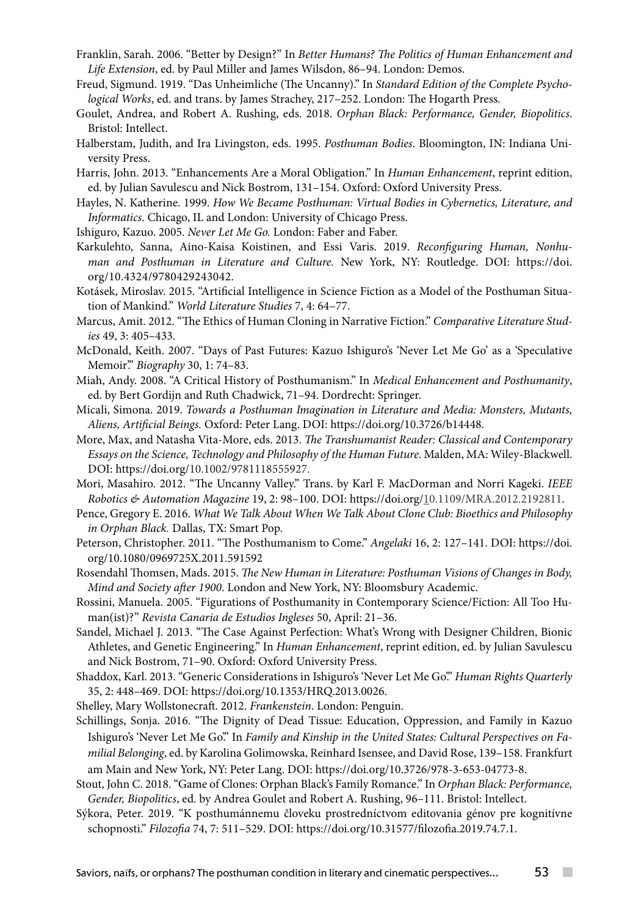- Franklin, Sarah. 2006. "Better by Design?" In *Better Humans? The Politics of Human Enhancement and Life Extension*, ed. by Paul Miller and James Wilsdon, 86–94. London: Demos.
- Freud, Sigmund. 1919. "Das Unheimliche (The Uncanny)." In *Standard Edition of the Complete Psychological Works*, ed. and trans. by James Strachey, 217–252. London: The Hogarth Press.
- Goulet, Andrea, and Robert A. Rushing, eds. 2018. *Orphan Black: Performance, Gender, Biopolitics*. Bristol: Intellect.
- Halberstam, Judith, and Ira Livingston, eds. 1995. *Posthuman Bodies*. Bloomington, IN: Indiana University Press.
- Harris, John. 2013. "Enhancements Are a Moral Obligation." In *Human Enhancement*, reprint edition, ed. by Julian Savulescu and Nick Bostrom, 131–154. Oxford: Oxford University Press.
- Hayles, N. Katherine. 1999. *How We Became Posthuman: Virtual Bodies in Cybernetics, Literature, and Informatics*. Chicago, IL and London: University of Chicago Press.
- Ishiguro, Kazuo. 2005. *Never Let Me Go.* London: Faber and Faber.
- Karkulehto, Sanna, Aino-Kaisa Koistinen, and Essi Varis. 2019. *Reconfiguring Human, Nonhuman and Posthuman in Literature and Culture.* New York, NY: Routledge. DOI: [https://doi.](https://doi.org/10.4324/9780429243042) [org/10.4324/9780429243042.](https://doi.org/10.4324/9780429243042)
- Kotásek, Miroslav. 2015. "Artificial Intelligence in Science Fiction as a Model of the Posthuman Situation of Mankind." *World Literature Studies* 7, 4: 64–77.
- Marcus, Amit. 2012. "The Ethics of Human Cloning in Narrative Fiction." *Comparative Literature Studies* 49, 3: 405–433.
- McDonald, Keith. 2007. "Days of Past Futures: Kazuo Ishiguro's 'Never Let Me Go' as a 'Speculative Memoir'." *Biography* 30, 1: 74–83.
- Miah, Andy. 2008. "A Critical History of Posthumanism." In *Medical Enhancement and Posthumanity*, ed. by Bert Gordijn and Ruth Chadwick, 71–94. Dordrecht: Springer.
- Micali, Simona. 2019. *Towards a Posthuman Imagination in Literature and Media: Monsters, Mutants, Aliens, Artificial Beings.* Oxford: Peter Lang. DOI: [https://doi.org/10.3726/b14448.](https://doi.org/10.3726/b14448)
- More, Max, and Natasha Vita-More, eds. 2013. *The Transhumanist Reader: Classical and Contemporary Essays on the Science, Technology and Philosophy of the Human Future*. Malden, MA: Wiley-Blackwell. DOI: https://doi.org/10.1002/9781118555927.
- Mori, Masahiro. 2012. "The Uncanny Valley." Trans. by Karl F. MacDorman and Norri Kageki. *IEEE Robotics & Automation Magazine* 19, 2: 98–100. DOI: https://doi.org/[10.1109/MRA.2012.2192811](https://doi.org/10.1109/MRA.2012.2192811).
- Pence, Gregory E. 2016. *What We Talk About When We Talk About Clone Club: Bioethics and Philosophy in Orphan Black.* Dallas, TX: Smart Pop.
- Peterson, Christopher. 2011. "The Posthumanism to Come." *Angelaki* 16, 2: 127–141. DOI: [https://doi.](https://doi.org/10.1080/0969725X.2011.591592) [org/10.1080/0969725X.2011.591592](https://doi.org/10.1080/0969725X.2011.591592)
- Rosendahl Thomsen, Mads. 2015. *The New Human in Literature: Posthuman Visions of Changes in Body, Mind and Society after 1900*. London and New York, NY: Bloomsbury Academic.
- Rossini, Manuela. 2005. "Figurations of Posthumanity in Contemporary Science/Fiction: All Too Human(ist)?" *Revista Canaria de Estudios Ingleses* 50, April: 21–36.
- Sandel, Michael J. 2013. "The Case Against Perfection: What's Wrong with Designer Children, Bionic Athletes, and Genetic Engineering." In *Human Enhancement*, reprint edition, ed. by Julian Savulescu and Nick Bostrom, 71–90. Oxford: Oxford University Press.
- Shaddox, Karl. 2013. "Generic Considerations in Ishiguro's 'Never Let Me Go'." *Human Rights Quarterly* 35, 2: 448–469. DOI: [https://doi.org/10.1353/HRQ.2013.0026.](https://doi.org/10.1353/HRQ.2013.0026)
- Shelley, Mary Wollstonecraft. 2012. *Frankenstein*. London: Penguin.
- Schillings, Sonja. 2016. "The Dignity of Dead Tissue: Education, Oppression, and Family in Kazuo Ishiguro's 'Never Let Me Go." In *Family and Kinship in the United States: Cultural Perspectives on Familial Belonging*, ed. by Karolina Golimowska, Reinhard Isensee, and David Rose, 139–158. Frankfurt am Main and New York, NY: Peter Lang. DOI: [https://doi.org/10.3726/978-3-653-04773-8.](https://doi.org/10.3726/978-3-653-04773-8)
- Stout, John C. 2018. "Game of Clones: Orphan Black's Family Romance." In *Orphan Black: Performance, Gender, Biopolitics*, ed. by Andrea Goulet and Robert A. Rushing, 96–111. Bristol: Intellect.
- Sýkora, Peter. 2019. "K posthumánnemu človeku prostredníctvom editovania génov pre kognitívne schopnosti." *Filozofia* 74, 7: 511–529. DOI:<https://doi.org/10.31577/filozofia.2019.74.7.1>.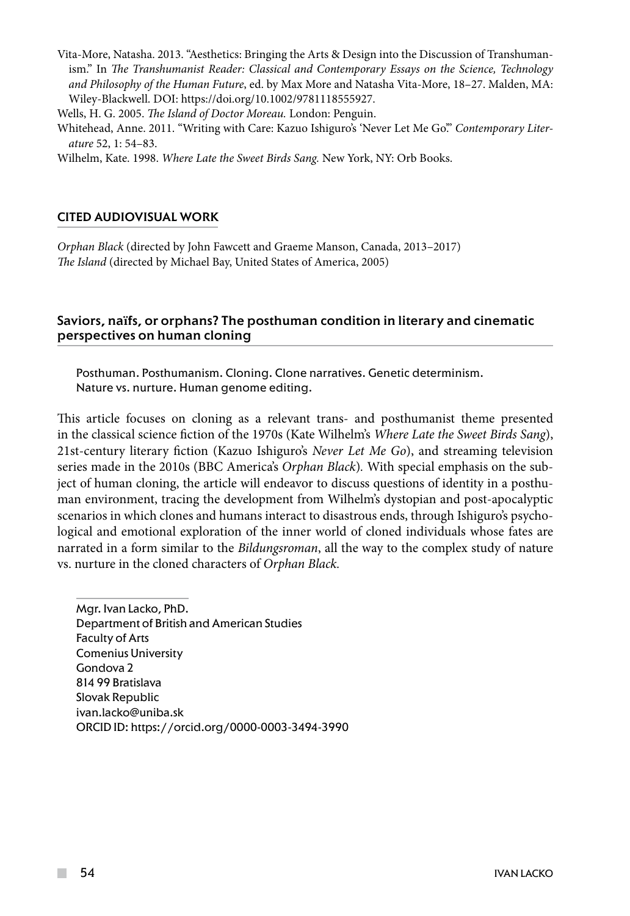Vita-More, Natasha. 2013. "Aesthetics: Bringing the Arts & Design into the Discussion of Transhumanism." In *The Transhumanist Reader: Classical and Contemporary Essays on the Science, Technology and Philosophy of the Human Future*, ed. by Max More and Natasha Vita-More, 18–27. Malden, MA: Wiley-Blackwell. DOI: [https://doi.org/10.1002/9781118555927.](https://doi.org/10.1002/9781118555927)

Wells, H. G. 2005. *The Island of Doctor Moreau.* London: Penguin.

Whitehead, Anne. 2011. "Writing with Care: Kazuo Ishiguro's 'Never Let Me Go'." *Contemporary Literature* 52, 1: 54–83.

Wilhelm, Kate. 1998. *Where Late the Sweet Birds Sang.* New York, NY: Orb Books.

### CITED AUDIOVISUAL WORK

*Orphan Black* (directed by John Fawcett and Graeme Manson, Canada, 2013–2017) *The Island* (directed by Michael Bay, United States of America, 2005)

## Saviors, na**ï**fs, or orphans? The posthuman condition in literary and cinematic perspectives on human cloning

Posthuman. Posthumanism. Cloning. Clone narratives. Genetic determinism. Nature vs. nurture. Human genome editing.

This article focuses on cloning as a relevant trans- and posthumanist theme presented in the classical science fiction of the 1970s (Kate Wilhelm's *Where Late the Sweet Birds Sang*), 21st-century literary fiction (Kazuo Ishiguro's *Never Let Me Go*), and streaming television series made in the 2010s (BBC America's *Orphan Black*)*.* With special emphasis on the subject of human cloning, the article will endeavor to discuss questions of identity in a posthuman environment, tracing the development from Wilhelm's dystopian and post-apocalyptic scenarios in which clones and humans interact to disastrous ends, through Ishiguro's psychological and emotional exploration of the inner world of cloned individuals whose fates are narrated in a form similar to the *Bildungsroman*, all the way to the complex study of nature vs. nurture in the cloned characters of *Orphan Black.* 

Mgr. Ivan Lacko, PhD. Department of British and American Studies Faculty of Arts Comenius University Gondova 2 814 99 Bratislava Slovak Republic ivan.lacko@uniba.sk ORCID ID: https://orcid.org/0000-0003-3494-3990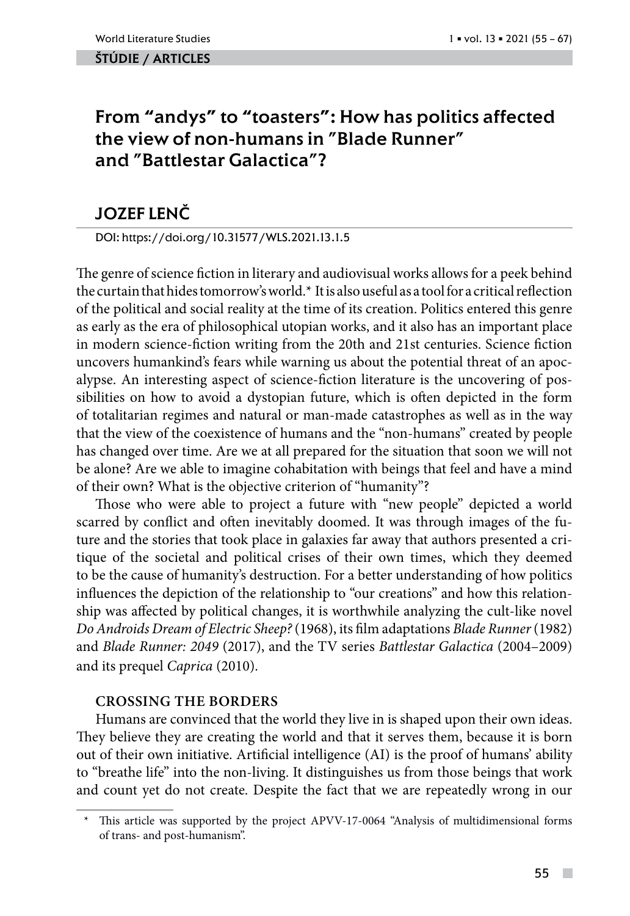### ŠTÚDIE / ARTicles

# From "andys" to "toasters": How has politics affected the view of non-humans in "Blade Runner" and "Battlestar Galactica"?

# JOZEF LENČ

DOI: https://doi.org/10.31577/WLS.2021.13.1.5

The genre of science fiction in literary and audiovisual works allows for a peek behind the curtain that hides tomorrow's world.\* It is also useful as a tool for a critical reflection of the political and social reality at the time of its creation. Politics entered this genre as early as the era of philosophical utopian works, and it also has an important place in modern science-fiction writing from the 20th and 21st centuries. Science fiction uncovers humankind's fears while warning us about the potential threat of an apocalypse. An interesting aspect of science-fiction literature is the uncovering of possibilities on how to avoid a dystopian future, which is often depicted in the form of totalitarian regimes and natural or man-made catastrophes as well as in the way that the view of the coexistence of humans and the "non-humans" created by people has changed over time. Are we at all prepared for the situation that soon we will not be alone? Are we able to imagine cohabitation with beings that feel and have a mind of their own? What is the objective criterion of "humanity"?

Those who were able to project a future with "new people" depicted a world scarred by conflict and often inevitably doomed. It was through images of the future and the stories that took place in galaxies far away that authors presented a critique of the societal and political crises of their own times, which they deemed to be the cause of humanity's destruction. For a better understanding of how politics influences the depiction of the relationship to "our creations" and how this relationship was affected by political changes, it is worthwhile analyzing the cult-like novel *Do Androids Dream of Electric Sheep?* (1968), its film adaptations *Blade Runner* (1982) and *Blade Runner: 2049* (2017), and the TV series *Battlestar Galactica* (2004–2009) and its prequel *Caprica* (2010).

## **Crossing the borders**

Humans are convinced that the world they live in is shaped upon their own ideas. They believe they are creating the world and that it serves them, because it is born out of their own initiative. Artificial intelligence (AI) is the proof of humans' ability to "breathe life" into the non-living. It distinguishes us from those beings that work and count yet do not create. Despite the fact that we are repeatedly wrong in our

 $\sim$ 

This article was supported by the project APVV-17-0064 "Analysis of multidimensional forms of trans- and post-humanism".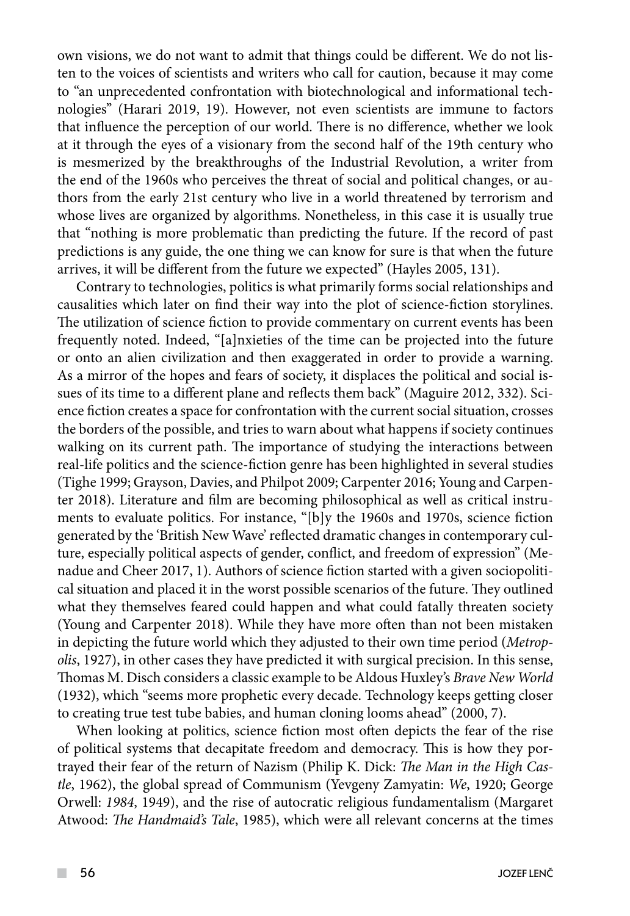own visions, we do not want to admit that things could be different. We do not listen to the voices of scientists and writers who call for caution, because it may come to "an unprecedented confrontation with biotechnological and informational technologies" (Harari 2019, 19). However, not even scientists are immune to factors that influence the perception of our world. There is no difference, whether we look at it through the eyes of a visionary from the second half of the 19th century who is mesmerized by the breakthroughs of the Industrial Revolution, a writer from the end of the 1960s who perceives the threat of social and political changes, or authors from the early 21st century who live in a world threatened by terrorism and whose lives are organized by algorithms. Nonetheless, in this case it is usually true that "nothing is more problematic than predicting the future. If the record of past predictions is any guide, the one thing we can know for sure is that when the future arrives, it will be different from the future we expected" (Hayles 2005, 131).

Contrary to technologies, politics is what primarily forms social relationships and causalities which later on find their way into the plot of science-fiction storylines. The utilization of science fiction to provide commentary on current events has been frequently noted. Indeed, "[a]nxieties of the time can be projected into the future or onto an alien civilization and then exaggerated in order to provide a warning. As a mirror of the hopes and fears of society, it displaces the political and social issues of its time to a different plane and reflects them back" (Maguire 2012, 332). Science fiction creates a space for confrontation with the current social situation, crosses the borders of the possible, and tries to warn about what happens if society continues walking on its current path. The importance of studying the interactions between real-life politics and the science-fiction genre has been highlighted in several studies (Tighe 1999; Grayson, Davies, and Philpot 2009; Carpenter 2016; Young and Carpenter 2018). Literature and film are becoming philosophical as well as critical instruments to evaluate politics. For instance, "[b]y the 1960s and 1970s, science fiction generated by the 'British New Wave' reflected dramatic changes in contemporary culture, especially political aspects of gender, conflict, and freedom of expression" (Menadue and Cheer 2017, 1). Authors of science fiction started with a given sociopolitical situation and placed it in the worst possible scenarios of the future. They outlined what they themselves feared could happen and what could fatally threaten society (Young and Carpenter 2018). While they have more often than not been mistaken in depicting the future world which they adjusted to their own time period (*Metropolis*, 1927), in other cases they have predicted it with surgical precision. In this sense, Thomas M. Disch considers a classic example to be Aldous Huxley's *Brave New World* (1932), which "seems more prophetic every decade. Technology keeps getting closer to creating true test tube babies, and human cloning looms ahead" (2000, 7).

When looking at politics, science fiction most often depicts the fear of the rise of political systems that decapitate freedom and democracy. This is how they portrayed their fear of the return of Nazism (Philip K. Dick: *The Man in the High Castle*, 1962), the global spread of Communism (Yevgeny Zamyatin: *We*, 1920; George Orwell: *1984*, 1949), and the rise of autocratic religious fundamentalism (Margaret Atwood: *The Handmaid's Tale*, 1985), which were all relevant concerns at the times

 $\mathcal{L}^{\mathcal{L}}$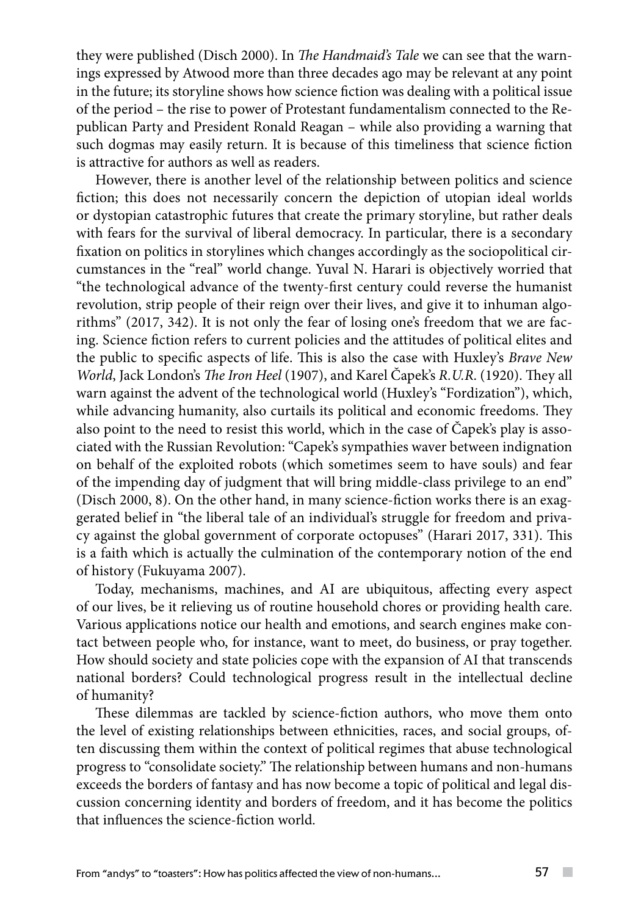they were published (Disch 2000). In *The Handmaid's Tale* we can see that the warnings expressed by Atwood more than three decades ago may be relevant at any point in the future; its storyline shows how science fiction was dealing with a political issue of the period – the rise to power of Protestant fundamentalism connected to the Republican Party and President Ronald Reagan – while also providing a warning that such dogmas may easily return. It is because of this timeliness that science fiction is attractive for authors as well as readers.

However, there is another level of the relationship between politics and science fiction; this does not necessarily concern the depiction of utopian ideal worlds or dystopian catastrophic futures that create the primary storyline, but rather deals with fears for the survival of liberal democracy. In particular, there is a secondary fixation on politics in storylines which changes accordingly as the sociopolitical circumstances in the "real" world change. Yuval N. Harari is objectively worried that "the technological advance of the twenty-first century could reverse the humanist revolution, strip people of their reign over their lives, and give it to inhuman algorithms" (2017, 342). It is not only the fear of losing one's freedom that we are facing. Science fiction refers to current policies and the attitudes of political elites and the public to specific aspects of life. This is also the case with Huxley's *Brave New World*, Jack London's *The Iron Heel* (1907), and Karel Čapek's *R.U.R*. (1920). They all warn against the advent of the technological world (Huxley's "Fordization"), which, while advancing humanity, also curtails its political and economic freedoms. They also point to the need to resist this world, which in the case of Čapek's play is associated with the Russian Revolution: "Capek's sympathies waver between indignation on behalf of the exploited robots (which sometimes seem to have souls) and fear of the impending day of judgment that will bring middle-class privilege to an end" (Disch 2000, 8). On the other hand, in many science-fiction works there is an exaggerated belief in "the liberal tale of an individual's struggle for freedom and privacy against the global government of corporate octopuses" (Harari 2017, 331). This is a faith which is actually the culmination of the contemporary notion of the end of history (Fukuyama 2007).

Today, mechanisms, machines, and AI are ubiquitous, affecting every aspect of our lives, be it relieving us of routine household chores or providing health care. Various applications notice our health and emotions, and search engines make contact between people who, for instance, want to meet, do business, or pray together. How should society and state policies cope with the expansion of AI that transcends national borders? Could technological progress result in the intellectual decline of humanity?

These dilemmas are tackled by science-fiction authors, who move them onto the level of existing relationships between ethnicities, races, and social groups, often discussing them within the context of political regimes that abuse technological progress to "consolidate society." The relationship between humans and non-humans exceeds the borders of fantasy and has now become a topic of political and legal discussion concerning identity and borders of freedom, and it has become the politics that influences the science-fiction world.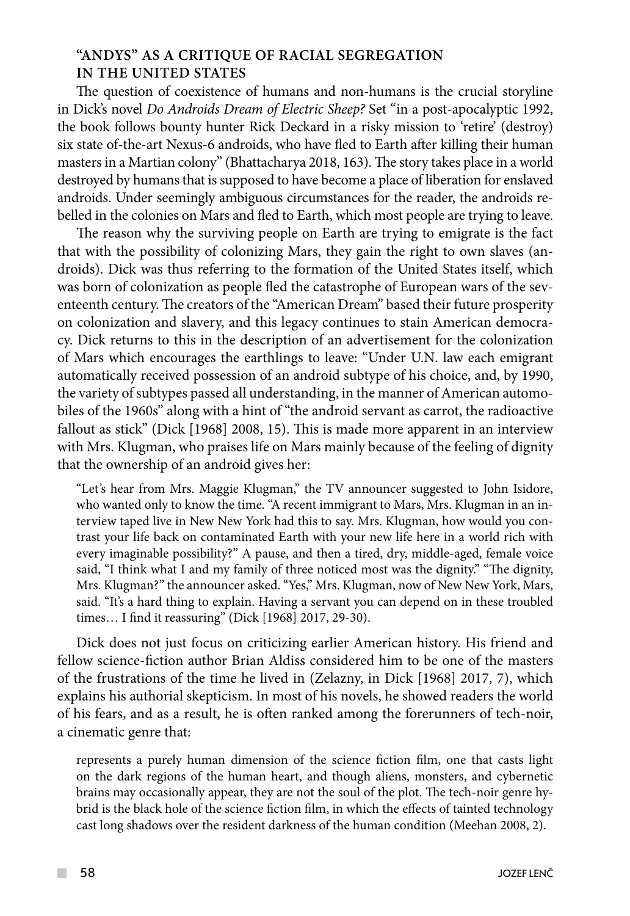# **"Andys" as a critique of racial segregation in the United States**

The question of coexistence of humans and non-humans is the crucial storyline in Dick's novel *Do Androids Dream of Electric Sheep?* Set "in a post-apocalyptic 1992, the book follows bounty hunter Rick Deckard in a risky mission to 'retire' (destroy) six state of-the-art Nexus-6 androids, who have fled to Earth after killing their human masters in a Martian colony" (Bhattacharya 2018, 163). The story takes place in a world destroyed by humans that is supposed to have become a place of liberation for enslaved androids. Under seemingly ambiguous circumstances for the reader, the androids rebelled in the colonies on Mars and fled to Earth, which most people are trying to leave.

The reason why the surviving people on Earth are trying to emigrate is the fact that with the possibility of colonizing Mars, they gain the right to own slaves (androids). Dick was thus referring to the formation of the United States itself, which was born of colonization as people fled the catastrophe of European wars of the seventeenth century. The creators of the "American Dream" based their future prosperity on colonization and slavery, and this legacy continues to stain American democracy. Dick returns to this in the description of an advertisement for the colonization of Mars which encourages the earthlings to leave: "Under U.N. law each emigrant automatically received possession of an android subtype of his choice, and, by 1990, the variety of subtypes passed all understanding, in the manner of American automobiles of the 1960s" along with a hint of "the android servant as carrot, the radioactive fallout as stick" (Dick [1968] 2008, 15). This is made more apparent in an interview with Mrs. Klugman, who praises life on Mars mainly because of the feeling of dignity that the ownership of an android gives her:

"Let's hear from Mrs. Maggie Klugman," the TV announcer suggested to John Isidore, who wanted only to know the time. "A recent immigrant to Mars, Mrs. Klugman in an interview taped live in New New York had this to say. Mrs. Klugman, how would you contrast your life back on contaminated Earth with your new life here in a world rich with every imaginable possibility?" A pause, and then a tired, dry, middle-aged, female voice said, "I think what I and my family of three noticed most was the dignity." "The dignity, Mrs. Klugman?" the announcer asked. "Yes," Mrs. Klugman, now of New New York, Mars, said. "It's a hard thing to explain. Having a servant you can depend on in these troubled times… I find it reassuring" (Dick [1968] 2017, 29-30).

Dick does not just focus on criticizing earlier American history. His friend and fellow science-fiction author Brian Aldiss considered him to be one of the masters of the frustrations of the time he lived in (Zelazny, in Dick [1968] 2017, 7), which explains his authorial skepticism. In most of his novels, he showed readers the world of his fears, and as a result, he is often ranked among the forerunners of tech-noir, a cinematic genre that:

represents a purely human dimension of the science fiction film, one that casts light on the dark regions of the human heart, and though aliens, monsters, and cybernetic brains may occasionally appear, they are not the soul of the plot. The tech-noir genre hybrid is the black hole of the science fiction film, in which the effects of tainted technology cast long shadows over the resident darkness of the human condition (Meehan 2008, 2).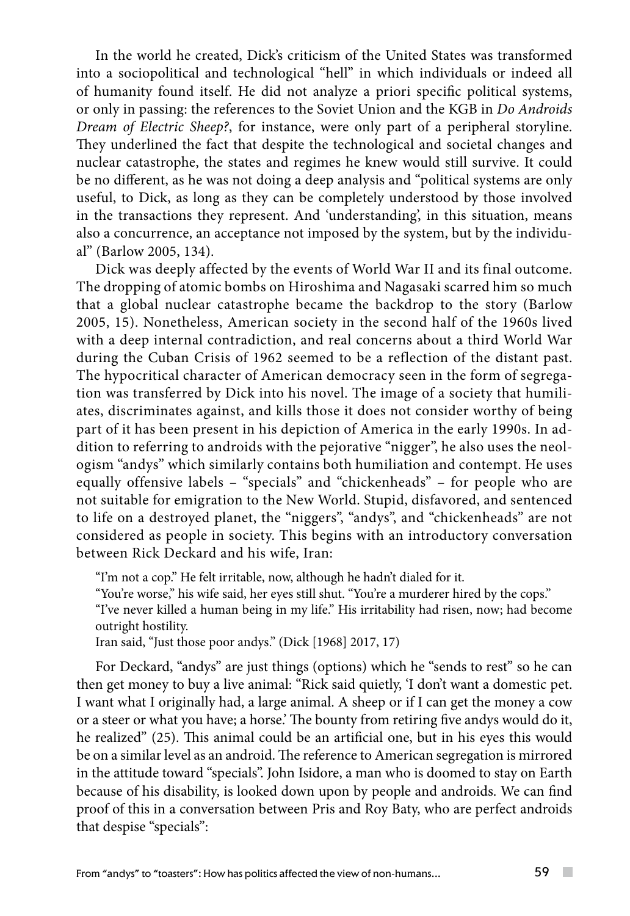In the world he created, Dick's criticism of the United States was transformed into a sociopolitical and technological "hell" in which individuals or indeed all of humanity found itself. He did not analyze a priori specific political systems, or only in passing: the references to the Soviet Union and the KGB in *Do Androids Dream of Electric Sheep?*, for instance, were only part of a peripheral storyline. They underlined the fact that despite the technological and societal changes and nuclear catastrophe, the states and regimes he knew would still survive. It could be no different, as he was not doing a deep analysis and "political systems are only useful, to Dick, as long as they can be completely understood by those involved in the transactions they represent. And 'understanding', in this situation, means also a concurrence, an acceptance not imposed by the system, but by the individual" (Barlow 2005, 134).

Dick was deeply affected by the events of World War II and its final outcome. The dropping of atomic bombs on Hiroshima and Nagasaki scarred him so much that a global nuclear catastrophe became the backdrop to the story (Barlow 2005, 15). Nonetheless, American society in the second half of the 1960s lived with a deep internal contradiction, and real concerns about a third World War during the Cuban Crisis of 1962 seemed to be a reflection of the distant past. The hypocritical character of American democracy seen in the form of segregation was transferred by Dick into his novel. The image of a society that humiliates, discriminates against, and kills those it does not consider worthy of being part of it has been present in his depiction of America in the early 1990s. In addition to referring to androids with the pejorative "nigger", he also uses the neologism "andys" which similarly contains both humiliation and contempt. He uses equally offensive labels – "specials" and "chickenheads" – for people who are not suitable for emigration to the New World. Stupid, disfavored, and sentenced to life on a destroyed planet, the "niggers", "andys", and "chickenheads" are not considered as people in society. This begins with an introductory conversation between Rick Deckard and his wife, Iran:

"I'm not a cop." He felt irritable, now, although he hadn't dialed for it.

"You're worse," his wife said, her eyes still shut. "You're a murderer hired by the cops."

"I've never killed a human being in my life." His irritability had risen, now; had become outright hostility.

Iran said, "Just those poor andys." (Dick [1968] 2017, 17)

For Deckard, "andys" are just things (options) which he "sends to rest" so he can then get money to buy a live animal: "Rick said quietly, 'I don't want a domestic pet. I want what I originally had, a large animal. A sheep or if I can get the money a cow or a steer or what you have; a horse.' The bounty from retiring five andys would do it, he realized" (25). This animal could be an artificial one, but in his eyes this would be on a similar level as an android. The reference to American segregation is mirrored in the attitude toward "specials". John Isidore, a man who is doomed to stay on Earth because of his disability, is looked down upon by people and androids. We can find proof of this in a conversation between Pris and Roy Baty, who are perfect androids that despise "specials":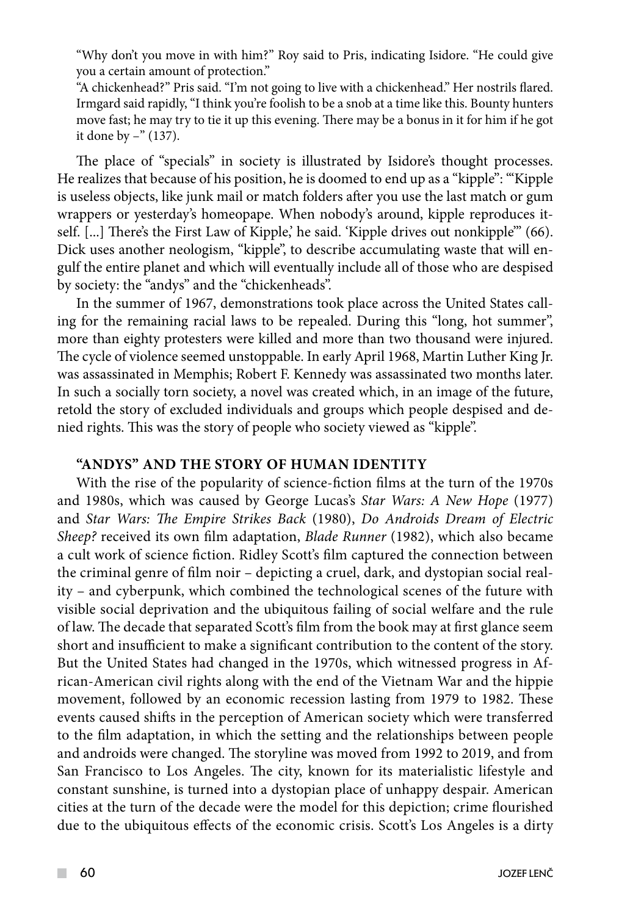"Why don't you move in with him?" Roy said to Pris, indicating Isidore. "He could give you a certain amount of protection."

"A chickenhead?" Pris said. "I'm not going to live with a chickenhead." Her nostrils flared. Irmgard said rapidly, "I think you're foolish to be a snob at a time like this. Bounty hunters move fast; he may try to tie it up this evening. There may be a bonus in it for him if he got it done by –" (137).

The place of "specials" in society is illustrated by Isidore's thought processes. He realizes that because of his position, he is doomed to end up as a "kipple": "'Kipple is useless objects, like junk mail or match folders after you use the last match or gum wrappers or yesterday's homeopape. When nobody's around, kipple reproduces itself. [...] There's the First Law of Kipple,' he said. 'Kipple drives out nonkipple"' (66). Dick uses another neologism, "kipple", to describe accumulating waste that will engulf the entire planet and which will eventually include all of those who are despised by society: the "andys" and the "chickenheads".

In the summer of 1967, demonstrations took place across the United States calling for the remaining racial laws to be repealed. During this "long, hot summer", more than eighty protesters were killed and more than two thousand were injured. The cycle of violence seemed unstoppable. In early April 1968, Martin Luther King Jr. was assassinated in Memphis; Robert F. Kennedy was assassinated two months later. In such a socially torn society, a novel was created which, in an image of the future, retold the story of excluded individuals and groups which people despised and denied rights. This was the story of people who society viewed as "kipple".

## **"Andys" and the story of human identity**

With the rise of the popularity of science-fiction films at the turn of the 1970s and 1980s, which was caused by George Lucas's *Star Wars: A New Hope* (1977) and *Star Wars: The Empire Strikes Back* (1980), *Do Androids Dream of Electric Sheep?* received its own film adaptation, *Blade Runner* (1982), which also became a cult work of science fiction. Ridley Scott's film captured the connection between the criminal genre of film noir – depicting a cruel, dark, and dystopian social reality – and cyberpunk, which combined the technological scenes of the future with visible social deprivation and the ubiquitous failing of social welfare and the rule of law. The decade that separated Scott's film from the book may at first glance seem short and insufficient to make a significant contribution to the content of the story. But the United States had changed in the 1970s, which witnessed progress in African-American civil rights along with the end of the Vietnam War and the hippie movement, followed by an economic recession lasting from 1979 to 1982. These events caused shifts in the perception of American society which were transferred to the film adaptation, in which the setting and the relationships between people and androids were changed. The storyline was moved from 1992 to 2019, and from San Francisco to Los Angeles. The city, known for its materialistic lifestyle and constant sunshine, is turned into a dystopian place of unhappy despair. American cities at the turn of the decade were the model for this depiction; crime flourished due to the ubiquitous effects of the economic crisis. Scott's Los Angeles is a dirty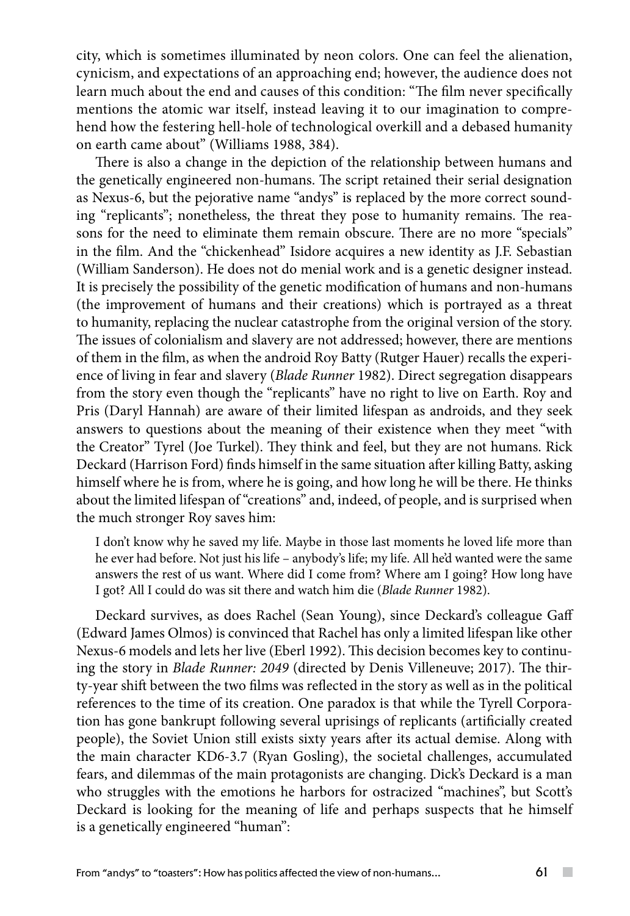city, which is sometimes illuminated by neon colors. One can feel the alienation, cynicism, and expectations of an approaching end; however, the audience does not learn much about the end and causes of this condition: "The film never specifically mentions the atomic war itself, instead leaving it to our imagination to comprehend how the festering hell-hole of technological overkill and a debased humanity on earth came about" (Williams 1988, 384).

There is also a change in the depiction of the relationship between humans and the genetically engineered non-humans. The script retained their serial designation as Nexus-6, but the pejorative name "andys" is replaced by the more correct sounding "replicants"; nonetheless, the threat they pose to humanity remains. The reasons for the need to eliminate them remain obscure. There are no more "specials" in the film. And the "chickenhead" Isidore acquires a new identity as J.F. Sebastian (William Sanderson). He does not do menial work and is a genetic designer instead. It is precisely the possibility of the genetic modification of humans and non-humans (the improvement of humans and their creations) which is portrayed as a threat to humanity, replacing the nuclear catastrophe from the original version of the story. The issues of colonialism and slavery are not addressed; however, there are mentions of them in the film, as when the android Roy Batty (Rutger Hauer) recalls the experience of living in fear and slavery (*Blade Runner* 1982). Direct segregation disappears from the story even though the "replicants" have no right to live on Earth. Roy and Pris (Daryl Hannah) are aware of their limited lifespan as androids, and they seek answers to questions about the meaning of their existence when they meet "with the Creator" Tyrel (Joe Turkel). They think and feel, but they are not humans. Rick Deckard (Harrison Ford) finds himself in the same situation after killing Batty, asking himself where he is from, where he is going, and how long he will be there. He thinks about the limited lifespan of "creations" and, indeed, of people, and is surprised when the much stronger Roy saves him:

I don't know why he saved my life. Maybe in those last moments he loved life more than he ever had before. Not just his life – anybody's life; my life. All he'd wanted were the same answers the rest of us want. Where did I come from? Where am I going? How long have I got? All I could do was sit there and watch him die (*Blade Runner* 1982).

Deckard survives, as does Rachel (Sean Young), since Deckard's colleague Gaff (Edward James Olmos) is convinced that Rachel has only a limited lifespan like other Nexus-6 models and lets her live (Eberl 1992). This decision becomes key to continuing the story in *Blade Runner: 2049* (directed by Denis Villeneuve; 2017). The thirty-year shift between the two films was reflected in the story as well as in the political references to the time of its creation. One paradox is that while the Tyrell Corporation has gone bankrupt following several uprisings of replicants (artificially created people), the Soviet Union still exists sixty years after its actual demise. Along with the main character KD6-3.7 (Ryan Gosling), the societal challenges, accumulated fears, and dilemmas of the main protagonists are changing. Dick's Deckard is a man who struggles with the emotions he harbors for ostracized "machines", but Scott's Deckard is looking for the meaning of life and perhaps suspects that he himself is a genetically engineered "human":

 $\sim$  10  $\pm$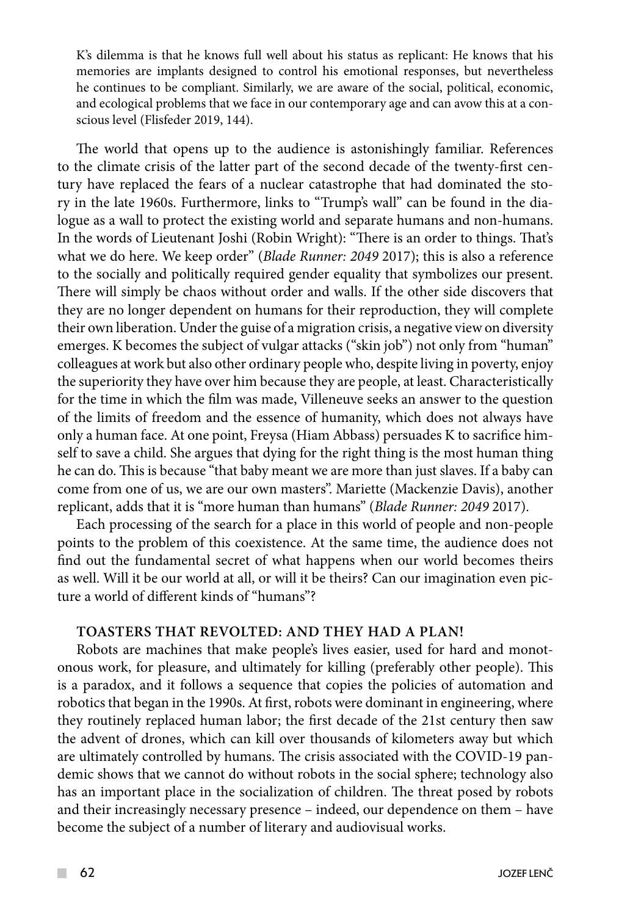K's dilemma is that he knows full well about his status as replicant: He knows that his memories are implants designed to control his emotional responses, but nevertheless he continues to be compliant. Similarly, we are aware of the social, political, economic, and ecological problems that we face in our contemporary age and can avow this at a conscious level (Flisfeder 2019, 144).

The world that opens up to the audience is astonishingly familiar. References to the climate crisis of the latter part of the second decade of the twenty-first century have replaced the fears of a nuclear catastrophe that had dominated the story in the late 1960s. Furthermore, links to "Trump's wall" can be found in the dialogue as a wall to protect the existing world and separate humans and non-humans. In the words of Lieutenant Joshi (Robin Wright): "There is an order to things. That's what we do here. We keep order" (*Blade Runner: 2049* 2017); this is also a reference to the socially and politically required gender equality that symbolizes our present. There will simply be chaos without order and walls. If the other side discovers that they are no longer dependent on humans for their reproduction, they will complete their own liberation. Under the guise of a migration crisis, a negative view on diversity emerges. K becomes the subject of vulgar attacks ("skin job") not only from "human" colleagues at work but also other ordinary people who, despite living in poverty, enjoy the superiority they have over him because they are people, at least. Characteristically for the time in which the film was made, Villeneuve seeks an answer to the question of the limits of freedom and the essence of humanity, which does not always have only a human face. At one point, Freysa (Hiam Abbass) persuades K to sacrifice himself to save a child. She argues that dying for the right thing is the most human thing he can do. This is because "that baby meant we are more than just slaves. If a baby can come from one of us, we are our own masters". Mariette (Mackenzie Davis), another replicant, adds that it is "more human than humans" (*Blade Runner: 2049* 2017).

Each processing of the search for a place in this world of people and non-people points to the problem of this coexistence. At the same time, the audience does not find out the fundamental secret of what happens when our world becomes theirs as well. Will it be our world at all, or will it be theirs? Can our imagination even picture a world of different kinds of "humans"?

# **Toasters that revolted: And they had a plan!**

Robots are machines that make people's lives easier, used for hard and monotonous work, for pleasure, and ultimately for killing (preferably other people). This is a paradox, and it follows a sequence that copies the policies of automation and robotics that began in the 1990s. At first, robots were dominant in engineering, where they routinely replaced human labor; the first decade of the 21st century then saw the advent of drones, which can kill over thousands of kilometers away but which are ultimately controlled by humans. The crisis associated with the COVID-19 pandemic shows that we cannot do without robots in the social sphere; technology also has an important place in the socialization of children. The threat posed by robots and their increasingly necessary presence – indeed, our dependence on them – have become the subject of a number of literary and audiovisual works.

 $\mathcal{L}^{\mathcal{L}}$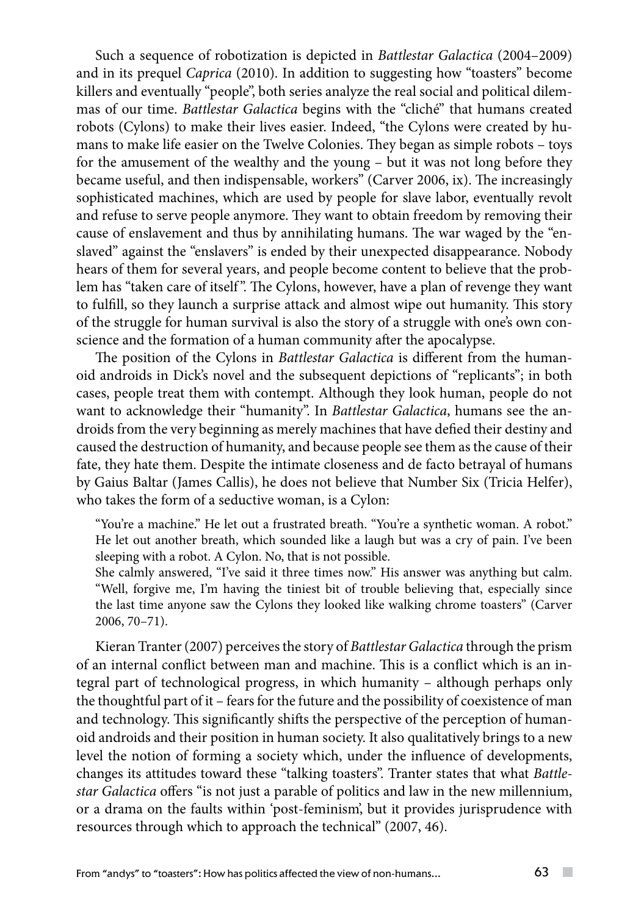Such a sequence of robotization is depicted in *Battlestar Galactica* (2004–2009) and in its prequel *Caprica* (2010). In addition to suggesting how "toasters" become killers and eventually "people", both series analyze the real social and political dilemmas of our time. *Battlestar Galactica* begins with the "cliché" that humans created robots (Cylons) to make their lives easier. Indeed, "the Cylons were created by humans to make life easier on the Twelve Colonies. They began as simple robots – toys for the amusement of the wealthy and the young – but it was not long before they became useful, and then indispensable, workers" (Carver 2006, ix). The increasingly sophisticated machines, which are used by people for slave labor, eventually revolt and refuse to serve people anymore. They want to obtain freedom by removing their cause of enslavement and thus by annihilating humans. The war waged by the "enslaved" against the "enslavers" is ended by their unexpected disappearance. Nobody hears of them for several years, and people become content to believe that the problem has "taken care of itself". The Cylons, however, have a plan of revenge they want to fulfill, so they launch a surprise attack and almost wipe out humanity. This story of the struggle for human survival is also the story of a struggle with one's own conscience and the formation of a human community after the apocalypse.

The position of the Cylons in *Battlestar Galactica* is different from the humanoid androids in Dick's novel and the subsequent depictions of "replicants"; in both cases, people treat them with contempt. Although they look human, people do not want to acknowledge their "humanity". In *Battlestar Galactica*, humans see the androids from the very beginning as merely machines that have defied their destiny and caused the destruction of humanity, and because people see them as the cause of their fate, they hate them. Despite the intimate closeness and de facto betrayal of humans by Gaius Baltar (James Callis), he does not believe that Number Six (Tricia Helfer), who takes the form of a seductive woman, is a Cylon:

"You're a machine." He let out a frustrated breath. "You're a synthetic woman. A robot." He let out another breath, which sounded like a laugh but was a cry of pain. I've been sleeping with a robot. A Cylon. No, that is not possible.

She calmly answered, "I've said it three times now." His answer was anything but calm. "Well, forgive me, I'm having the tiniest bit of trouble believing that, especially since the last time anyone saw the Cylons they looked like walking chrome toasters" (Carver 2006, 70–71).

Kieran Tranter (2007) perceives the story of *Battlestar Galactica* through the prism of an internal conflict between man and machine. This is a conflict which is an integral part of technological progress, in which humanity – although perhaps only the thoughtful part of it – fears for the future and the possibility of coexistence of man and technology. This significantly shifts the perspective of the perception of humanoid androids and their position in human society. It also qualitatively brings to a new level the notion of forming a society which, under the influence of developments, changes its attitudes toward these "talking toasters". Tranter states that what *Battlestar Galactica* offers "is not just a parable of politics and law in the new millennium, or a drama on the faults within 'post-feminism', but it provides jurisprudence with resources through which to approach the technical" (2007, 46).

 $\sim$  10  $\pm$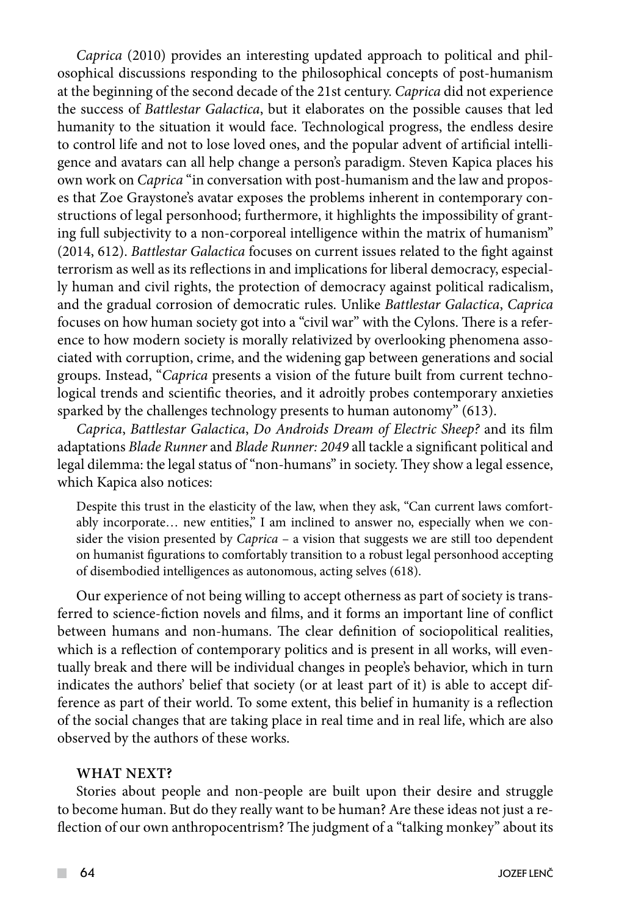*Caprica* (2010) provides an interesting updated approach to political and philosophical discussions responding to the philosophical concepts of post-humanism at the beginning of the second decade of the 21st century. *Caprica* did not experience the success of *Battlestar Galactica*, but it elaborates on the possible causes that led humanity to the situation it would face. Technological progress, the endless desire to control life and not to lose loved ones, and the popular advent of artificial intelligence and avatars can all help change a person's paradigm. Steven Kapica places his own work on *Caprica* "in conversation with post-humanism and the law and proposes that Zoe Graystone's avatar exposes the problems inherent in contemporary constructions of legal personhood; furthermore, it highlights the impossibility of granting full subjectivity to a non-corporeal intelligence within the matrix of humanism" (2014, 612). *Battlestar Galactica* focuses on current issues related to the fight against terrorism as well as its reflections in and implications for liberal democracy, especially human and civil rights, the protection of democracy against political radicalism, and the gradual corrosion of democratic rules. Unlike *Battlestar Galactica*, *Caprica* focuses on how human society got into a "civil war" with the Cylons. There is a reference to how modern society is morally relativized by overlooking phenomena associated with corruption, crime, and the widening gap between generations and social groups. Instead, "*Caprica* presents a vision of the future built from current technological trends and scientific theories, and it adroitly probes contemporary anxieties sparked by the challenges technology presents to human autonomy" (613).

*Caprica*, *Battlestar Galactica*, *Do Androids Dream of Electric Sheep?* and its film adaptations *Blade Runner* and *Blade Runner: 2049* all tackle a significant political and legal dilemma: the legal status of "non-humans" in society. They show a legal essence, which Kapica also notices:

Despite this trust in the elasticity of the law, when they ask, "Can current laws comfortably incorporate… new entities," I am inclined to answer no, especially when we consider the vision presented by *Caprica* – a vision that suggests we are still too dependent on humanist figurations to comfortably transition to a robust legal personhood accepting of disembodied intelligences as autonomous, acting selves (618).

Our experience of not being willing to accept otherness as part of society is transferred to science-fiction novels and films, and it forms an important line of conflict between humans and non-humans. The clear definition of sociopolitical realities, which is a reflection of contemporary politics and is present in all works, will eventually break and there will be individual changes in people's behavior, which in turn indicates the authors' belief that society (or at least part of it) is able to accept difference as part of their world. To some extent, this belief in humanity is a reflection of the social changes that are taking place in real time and in real life, which are also observed by the authors of these works.

### **What next?**

Stories about people and non-people are built upon their desire and struggle to become human. But do they really want to be human? Are these ideas not just a reflection of our own anthropocentrism? The judgment of a "talking monkey" about its

 $\mathcal{L}^{\mathcal{L}}$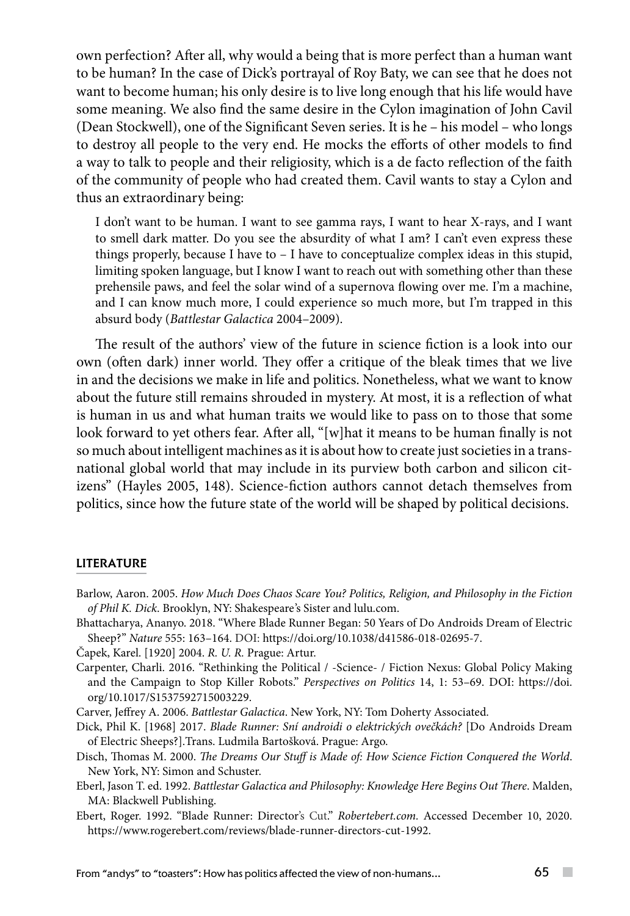own perfection? After all, why would a being that is more perfect than a human want to be human? In the case of Dick's portrayal of Roy Baty, we can see that he does not want to become human; his only desire is to live long enough that his life would have some meaning. We also find the same desire in the Cylon imagination of John Cavil (Dean Stockwell), one of the Significant Seven series. It is he – his model – who longs to destroy all people to the very end. He mocks the efforts of other models to find a way to talk to people and their religiosity, which is a de facto reflection of the faith of the community of people who had created them. Cavil wants to stay a Cylon and thus an extraordinary being:

I don't want to be human. I want to see gamma rays, I want to hear X-rays, and I want to smell dark matter. Do you see the absurdity of what I am? I can't even express these things properly, because I have to – I have to conceptualize complex ideas in this stupid, limiting spoken language, but I know I want to reach out with something other than these prehensile paws, and feel the solar wind of a supernova flowing over me. I'm a machine, and I can know much more, I could experience so much more, but I'm trapped in this absurd body (*Battlestar Galactica* 2004–2009).

The result of the authors' view of the future in science fiction is a look into our own (often dark) inner world. They offer a critique of the bleak times that we live in and the decisions we make in life and politics. Nonetheless, what we want to know about the future still remains shrouded in mystery. At most, it is a reflection of what is human in us and what human traits we would like to pass on to those that some look forward to yet others fear. After all, "[w]hat it means to be human finally is not so much about intelligent machines as it is about how to create just societies in a transnational global world that may include in its purview both carbon and silicon citizens" (Hayles 2005, 148). Science-fiction authors cannot detach themselves from politics, since how the future state of the world will be shaped by political decisions.

### **LITERATURE**

- Barlow, Aaron. 2005. *How Much Does Chaos Scare You? Politics, Religion, and Philosophy in the Fiction of Phil K. Dick*. Brooklyn, NY: Shakespeare's Sister and lulu.com.
- Bhattacharya, Ananyo. 2018. "Where Blade Runner Began: 50 Years of Do Androids Dream of Electric Sheep?" *Nature* 555: 163–164. DOI: https://doi.org/10.1038/d41586-018-02695-7.
- Čapek, Karel. [1920] 2004. *R. U. R.* Prague: Artur.
- Carpenter, Charli. 2016. "Rethinking the Political / -Science- / Fiction Nexus: Global Policy Making and the Campaign to Stop Killer Robots." *Perspectives on Politics* 14, 1: 53–69. DOI: https://doi. org/10.1017/S1537592715003229.
- Carver, Jeffrey A. 2006. *Battlestar Galactica*. New York, NY: Tom Doherty Associated.
- Dick, Phil K. [1968] 2017. *Blade Runner: Sní androidi o elektrických ovečkách?* [Do Androids Dream of Electric Sheeps?].Trans. Ludmila Bartošková. Prague: Argo.
- Disch, Thomas M. 2000. *The Dreams Our Stuff is Made of: How Science Fiction Conquered the World*. New York, NY: Simon and Schuster.
- Eberl, Jason T. ed. 1992. *Battlestar Galactica and Philosophy: Knowledge Here Begins Out There*. Malden, MA: Blackwell Publishing.
- Ebert, Roger. 1992. "Blade Runner: Director's Cut." *Robertebert.com.* Accessed December 10, 2020. https://www.rogerebert.com/reviews/blade-runner-directors-cut-1992.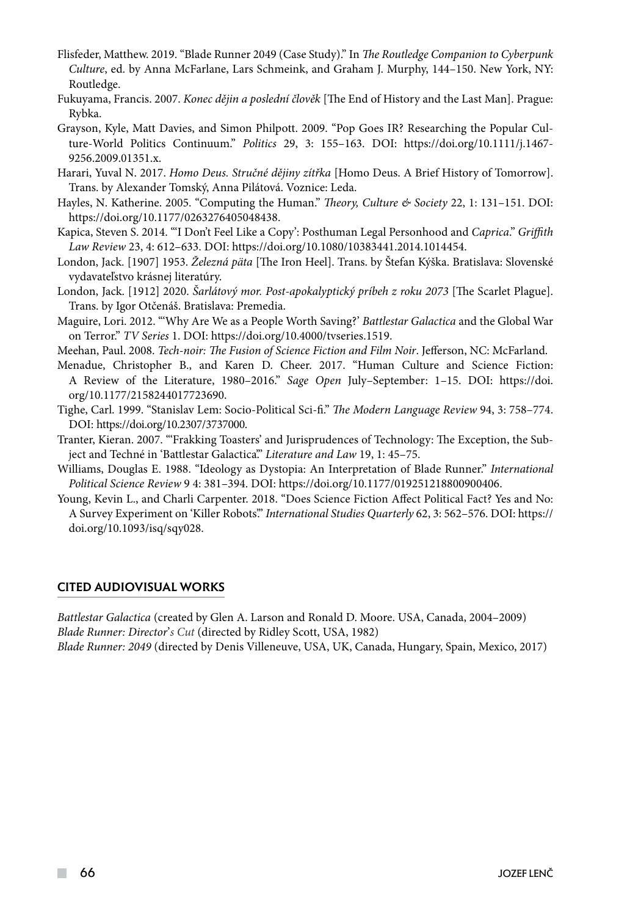- Flisfeder, Matthew. 2019. "Blade Runner 2049 (Case Study)." In *The Routledge Companion to Cyberpunk Culture*, ed. by Anna McFarlane, Lars Schmeink, and Graham J. Murphy, 144–150. New York, NY: Routledge.
- Fukuyama, Francis. 2007. *Konec dějin a poslední člověk* [The End of History and the Last Man]. Prague: Rybka.
- Grayson, Kyle, Matt Davies, and Simon Philpott. 2009. "Pop Goes IR? Researching the Popular Culture-World Politics Continuum." *Politics* 29, 3: 155–163. DOI: https://doi.org/10.1111/j.1467- 9256.2009.01351.x.
- Harari, Yuval N. 2017. *Homo Deus. Stručné dějiny zítřka* [Homo Deus. A Brief History of Tomorrow]. Trans. by Alexander Tomský, Anna Pilátová. Voznice: Leda.
- Hayles, N. Katherine. 2005. "Computing the Human." *Theory, Culture & Society* 22, 1: 131–151. DOI: https://doi.org/10.1177/0263276405048438.
- Kapica, Steven S. 2014. "'I Don't Feel Like a Copy': Posthuman Legal Personhood and *Caprica*." *Griffith Law Review* 23, 4: 612–633. DOI: https://doi.org/10.1080/10383441.2014.1014454.
- London, Jack. [1907] 1953. *Železná päta* [The Iron Heel]. Trans. by Štefan Kýška. Bratislava: Slovenské vydavateľstvo krásnej literatúry.
- London, Jack. [1912] 2020. *Šarlátový mor. Post-apokalyptický príbeh z roku 2073* [The Scarlet Plague]. Trans. by Igor Otčenáš. Bratislava: Premedia.
- Maguire, Lori. 2012. "'Why Are We as a People Worth Saving?' *Battlestar Galactica* and the Global War on Terror." *TV Series* 1. DOI: <https://doi.org/10.4000/tvseries.1519>.
- Meehan, Paul. 2008. *Tech-noir: The Fusion of Science Fiction and Film Noir*. Jefferson, NC: McFarland.
- Menadue, Christopher B., and Karen D. Cheer. 2017. "Human Culture and Science Fiction: A Review of the Literature, 1980–2016." *Sage Open* July–September: 1–15. DOI: https://doi. org/10.1177/2158244017723690.
- Tighe, Carl. 1999. "Stanislav Lem: Socio-Political Sci-fi." *The Modern Language Review* 94, 3: 758–774. DOI: https://doi.org/10.2307/3737000.
- Tranter, Kieran. 2007. "'Frakking Toasters' and Jurisprudences of Technology: The Exception, the Subject and Techné in 'Battlestar Galactica'." *Literature and Law* 19, 1: 45–75.
- Williams, Douglas E. 1988. "Ideology as Dystopia: An Interpretation of Blade Runner." *International Political Science Review* 9 4: 381–394. DOI: https://doi.org/10.1177/019251218800900406.
- Young, Kevin L., and Charli Carpenter. 2018. "Does Science Fiction Affect Political Fact? Yes and No: A Survey Experiment on 'Killer Robots'." *International Studies Quarterly* 62, 3: 562–576. DOI: https:// doi.org/10.1093/isq/sqy028.

### CITED AUDIOVISUAL WORKS

*Battlestar Galactica* (created by Glen A. Larson and Ronald D. Moore. USA, Canada, 2004–2009) *Blade Runner: Director*'*s Cut* (directed by Ridley Scott, USA, 1982)

*Blade Runner: 2049* (directed by Denis Villeneuve, USA, UK, Canada, Hungary, Spain, Mexico, 2017)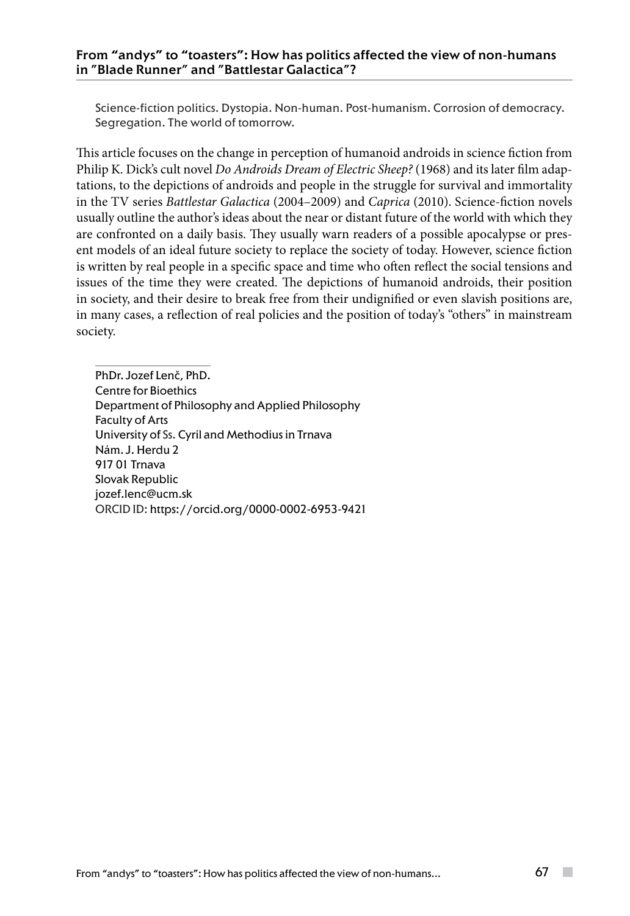Science-fiction politics. Dystopia. Non-human. Post-humanism. Corrosion of democracy. Segregation. The world of tomorrow.

This article focuses on the change in perception of humanoid androids in science fiction from Philip K. Dick's cult novel *Do Androids Dream of Electric Sheep?* (1968) and its later film adaptations, to the depictions of androids and people in the struggle for survival and immortality in the TV series *Battlestar Galactica* (2004–2009) and *Caprica* (2010). Science-fiction novels usually outline the author's ideas about the near or distant future of the world with which they are confronted on a daily basis. They usually warn readers of a possible apocalypse or present models of an ideal future society to replace the society of today. However, science fiction is written by real people in a specific space and time who often reflect the social tensions and issues of the time they were created. The depictions of humanoid androids, their position in society, and their desire to break free from their undignified or even slavish positions are, in many cases, a reflection of real policies and the position of today's "others" in mainstream society.

PhDr. Jozef Lenč, PhD. Centre for Bioethics Department of Philosophy and Applied Philosophy Faculty of Arts University of Ss. Cyril and Methodius in Trnava Nám. J. Herdu 2 917 01 Trnava Slovak Republic jozef.lenc@ucm.sk ORCID ID: https://orcid.org/0000-0002-6953-9421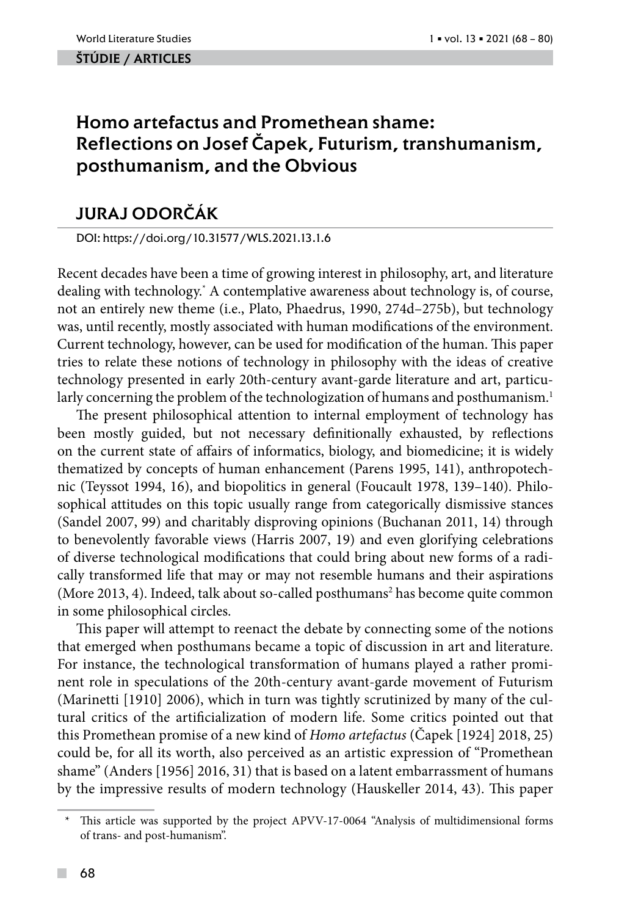### ŠTÚDIE / ARTicles

# Homo artefactus and Promethean shame: Reflections on Josef Čapek, Futurism, transhumanism, posthumanism, and the Obvious

# Juraj Odorčák

DOI: https://doi.org/10.31577/WLS.2021.13.1.6

Recent decades have been a time of growing interest in philosophy, art, and literature dealing with technology.\* A contemplative awareness about technology is, of course, not an entirely new theme (i.e., Plato, Phaedrus, 1990, 274d–275b), but technology was, until recently, mostly associated with human modifications of the environment. Current technology, however, can be used for modification of the human. This paper tries to relate these notions of technology in philosophy with the ideas of creative technology presented in early 20th-century avant-garde literature and art, particularly concerning the problem of the technologization of humans and posthumanism.<sup>1</sup>

The present philosophical attention to internal employment of technology has been mostly guided, but not necessary definitionally exhausted, by reflections on the current state of affairs of informatics, biology, and biomedicine; it is widely thematized by concepts of human enhancement (Parens 1995, 141), anthropotechnic (Teyssot 1994, 16), and biopolitics in general (Foucault 1978, 139–140). Philosophical attitudes on this topic usually range from categorically dismissive stances (Sandel 2007, 99) and charitably disproving opinions (Buchanan 2011, 14) through to benevolently favorable views (Harris 2007, 19) and even glorifying celebrations of diverse technological modifications that could bring about new forms of a radically transformed life that may or may not resemble humans and their aspirations (More 2013, 4). Indeed, talk about so-called posthumans<sup>2</sup> has become quite common in some philosophical circles.

This paper will attempt to reenact the debate by connecting some of the notions that emerged when posthumans became a topic of discussion in art and literature. For instance, the technological transformation of humans played a rather prominent role in speculations of the 20th-century avant-garde movement of Futurism (Marinetti [1910] 2006), which in turn was tightly scrutinized by many of the cultural critics of the artificialization of modern life. Some critics pointed out that this Promethean promise of a new kind of *Homo artefactus* (Čapek [1924] 2018, 25) could be, for all its worth, also perceived as an artistic expression of "Promethean shame" (Anders [1956] 2016, 31) that is based on a latent embarrassment of humans by the impressive results of modern technology (Hauskeller 2014, 43). This paper

This article was supported by the project APVV-17-0064 "Analysis of multidimensional forms of trans- and post-humanism".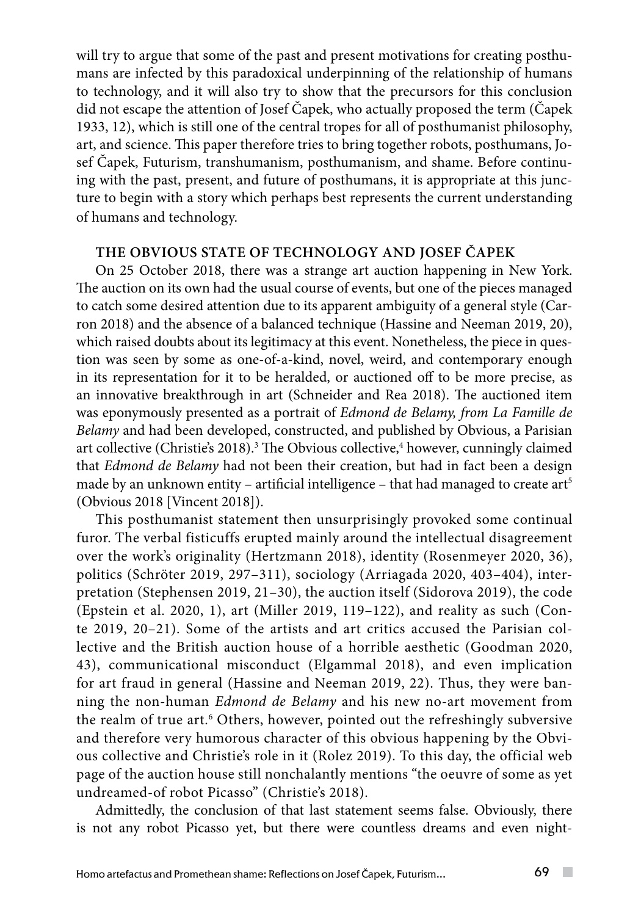will try to argue that some of the past and present motivations for creating posthumans are infected by this paradoxical underpinning of the relationship of humans to technology, and it will also try to show that the precursors for this conclusion did not escape the attention of Josef Čapek, who actually proposed the term (Čapek 1933, 12), which is still one of the central tropes for all of posthumanist philosophy, art, and science. This paper therefore tries to bring together robots, posthumans, Josef Čapek, Futurism, transhumanism, posthumanism, and shame. Before continuing with the past, present, and future of posthumans, it is appropriate at this juncture to begin with a story which perhaps best represents the current understanding of humans and technology.

## **THE OBVIOUS STATE OF TECHNOLOGY AND JOSEF ČAPEK**

On 25 October 2018, there was a strange art auction happening in New York. The auction on its own had the usual course of events, but one of the pieces managed to catch some desired attention due to its apparent ambiguity of a general style (Carron 2018) and the absence of a balanced technique (Hassine and Neeman 2019, 20), which raised doubts about its legitimacy at this event. Nonetheless, the piece in question was seen by some as one-of-a-kind, novel, weird, and contemporary enough in its representation for it to be heralded, or auctioned off to be more precise, as an innovative breakthrough in art (Schneider and Rea 2018). The auctioned item was eponymously presented as a portrait of *Edmond de Belamy, from La Famille de Belamy* and had been developed, constructed, and published by Obvious, a Parisian art collective (Christie's 2018).<sup>3</sup> The Obvious collective,<sup>4</sup> however, cunningly claimed that *Edmond de Belamy* had not been their creation, but had in fact been a design made by an unknown entity – artificial intelligence – that had managed to create art<sup>5</sup> (Obvious 2018 [Vincent 2018]).

This posthumanist statement then unsurprisingly provoked some continual furor. The verbal fisticuffs erupted mainly around the intellectual disagreement over the work's originality (Hertzmann 2018), identity (Rosenmeyer 2020, 36), politics (Schröter 2019, 297–311), sociology (Arriagada 2020, 403–404), interpretation (Stephensen 2019, 21–30), the auction itself (Sidorova 2019), the code (Epstein et al. 2020, 1), art (Miller 2019, 119–122), and reality as such (Conte 2019, 20–21). Some of the artists and art critics accused the Parisian collective and the British auction house of a horrible aesthetic (Goodman 2020, 43), communicational misconduct (Elgammal 2018), and even implication for art fraud in general (Hassine and Neeman 2019, 22). Thus, they were banning the non-human *Edmond de Belamy* and his new no-art movement from the realm of true art.<sup>6</sup> Others, however, pointed out the refreshingly subversive and therefore very humorous character of this obvious happening by the Obvious collective and Christie's role in it (Rolez 2019). To this day, the official web page of the auction house still nonchalantly mentions "the oeuvre of some as yet undreamed-of robot Picasso" (Christie's 2018).

Admittedly, the conclusion of that last statement seems false. Obviously, there is not any robot Picasso yet, but there were countless dreams and even night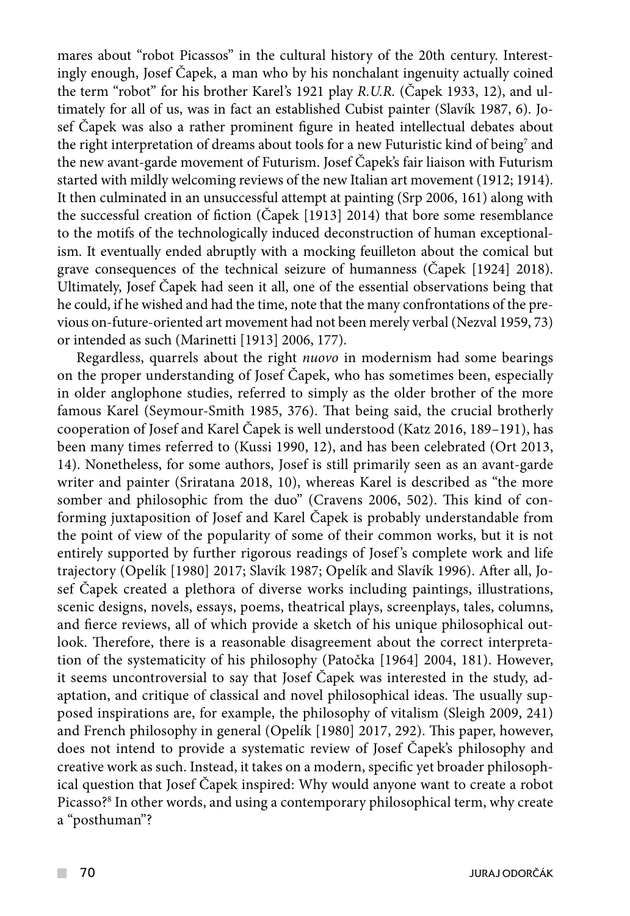mares about "robot Picassos" in the cultural history of the 20th century. Interestingly enough, Josef Čapek, a man who by his nonchalant ingenuity actually coined the term "robot" for his brother Karel's 1921 play *R.U.R.* (Čapek 1933, 12), and ultimately for all of us, was in fact an established Cubist painter (Slavík 1987, 6). Josef Čapek was also a rather prominent figure in heated intellectual debates about the right interpretation of dreams about tools for a new Futuristic kind of being $^7$  and the new avant-garde movement of Futurism. Josef Čapek's fair liaison with Futurism started with mildly welcoming reviews of the new Italian art movement (1912; 1914). It then culminated in an unsuccessful attempt at painting (Srp 2006, 161) along with the successful creation of fiction (Čapek [1913] 2014) that bore some resemblance to the motifs of the technologically induced deconstruction of human exceptionalism. It eventually ended abruptly with a mocking feuilleton about the comical but grave consequences of the technical seizure of humanness (Čapek [1924] 2018). Ultimately, Josef Čapek had seen it all, one of the essential observations being that he could, if he wished and had the time, note that the many confrontations of the previous on-future-oriented art movement had not been merely verbal (Nezval 1959, 73) or intended as such (Marinetti [1913] 2006, 177).

Regardless, quarrels about the right *nuovo* in modernism had some bearings on the proper understanding of Josef Čapek, who has sometimes been, especially in older anglophone studies, referred to simply as the older brother of the more famous Karel (Seymour-Smith 1985, 376). That being said, the crucial brotherly cooperation of Josef and Karel Čapek is well understood (Katz 2016, 189–191), has been many times referred to (Kussi 1990, 12), and has been celebrated (Ort 2013, 14). Nonetheless, for some authors, Josef is still primarily seen as an avant-garde writer and painter (Sriratana 2018, 10), whereas Karel is described as "the more somber and philosophic from the duo" (Cravens 2006, 502). This kind of conforming juxtaposition of Josef and Karel Čapek is probably understandable from the point of view of the popularity of some of their common works, but it is not entirely supported by further rigorous readings of Josef 's complete work and life trajectory (Opelík [1980] 2017; Slavík 1987; Opelík and Slavík 1996). After all, Josef Čapek created a plethora of diverse works including paintings, illustrations, scenic designs, novels, essays, poems, theatrical plays, screenplays, tales, columns, and fierce reviews, all of which provide a sketch of his unique philosophical outlook. Therefore, there is a reasonable disagreement about the correct interpretation of the systematicity of his philosophy (Patočka [1964] 2004, 181). However, it seems uncontroversial to say that Josef Čapek was interested in the study, adaptation, and critique of classical and novel philosophical ideas. The usually supposed inspirations are, for example, the philosophy of vitalism (Sleigh 2009, 241) and French philosophy in general (Opelík [1980] 2017, 292). This paper, however, does not intend to provide a systematic review of Josef Čapek's philosophy and creative work as such. Instead, it takes on a modern, specific yet broader philosophical question that Josef Čapek inspired: Why would anyone want to create a robot Picasso?<sup>8</sup> In other words, and using a contemporary philosophical term, why create a "posthuman"?

 $\sim$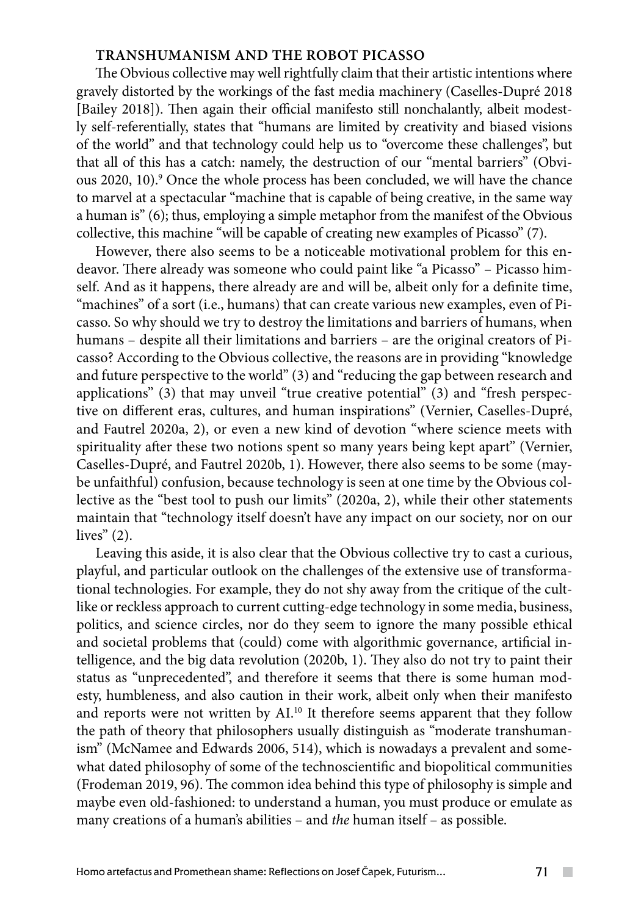# **TRANSHUMANISM AND THE ROBOT PICASSO**

The Obvious collective may well rightfully claim that their artistic intentions where gravely distorted by the workings of the fast media machinery (Caselles-Dupré 2018 [Bailey 2018]). Then again their official manifesto still nonchalantly, albeit modestly self-referentially, states that "humans are limited by creativity and biased visions of the world" and that technology could help us to "overcome these challenges", but that all of this has a catch: namely, the destruction of our "mental barriers" (Obvious 2020, 10).9 Once the whole process has been concluded, we will have the chance to marvel at a spectacular "machine that is capable of being creative, in the same way a human is" (6); thus, employing a simple metaphor from the manifest of the Obvious collective, this machine "will be capable of creating new examples of Picasso" (7).

However, there also seems to be a noticeable motivational problem for this endeavor. There already was someone who could paint like "a Picasso" – Picasso himself. And as it happens, there already are and will be, albeit only for a definite time, "machines" of a sort (i.e., humans) that can create various new examples, even of Picasso. So why should we try to destroy the limitations and barriers of humans, when humans – despite all their limitations and barriers – are the original creators of Picasso? According to the Obvious collective, the reasons are in providing "knowledge and future perspective to the world" (3) and "reducing the gap between research and applications" (3) that may unveil "true creative potential" (3) and "fresh perspective on different eras, cultures, and human inspirations" (Vernier, Caselles-Dupré, and Fautrel 2020a, 2), or even a new kind of devotion "where science meets with spirituality after these two notions spent so many years being kept apart" (Vernier, Caselles-Dupré, and Fautrel 2020b, 1). However, there also seems to be some (maybe unfaithful) confusion, because technology is seen at one time by the Obvious collective as the "best tool to push our limits" (2020a, 2), while their other statements maintain that "technology itself doesn't have any impact on our society, nor on our lives"  $(2)$ .

Leaving this aside, it is also clear that the Obvious collective try to cast a curious, playful, and particular outlook on the challenges of the extensive use of transformational technologies. For example, they do not shy away from the critique of the cultlike or reckless approach to current cutting-edge technology in some media, business, politics, and science circles, nor do they seem to ignore the many possible ethical and societal problems that (could) come with algorithmic governance, artificial intelligence, and the big data revolution (2020b, 1). They also do not try to paint their status as "unprecedented", and therefore it seems that there is some human modesty, humbleness, and also caution in their work, albeit only when their manifesto and reports were not written by AI.<sup>10</sup> It therefore seems apparent that they follow the path of theory that philosophers usually distinguish as "moderate transhumanism" (McNamee and Edwards 2006, 514), which is nowadays a prevalent and somewhat dated philosophy of some of the technoscientific and biopolitical communities (Frodeman 2019, 96). The common idea behind this type of philosophy is simple and maybe even old-fashioned: to understand a human, you must produce or emulate as many creations of a human's abilities – and *the* human itself – as possible.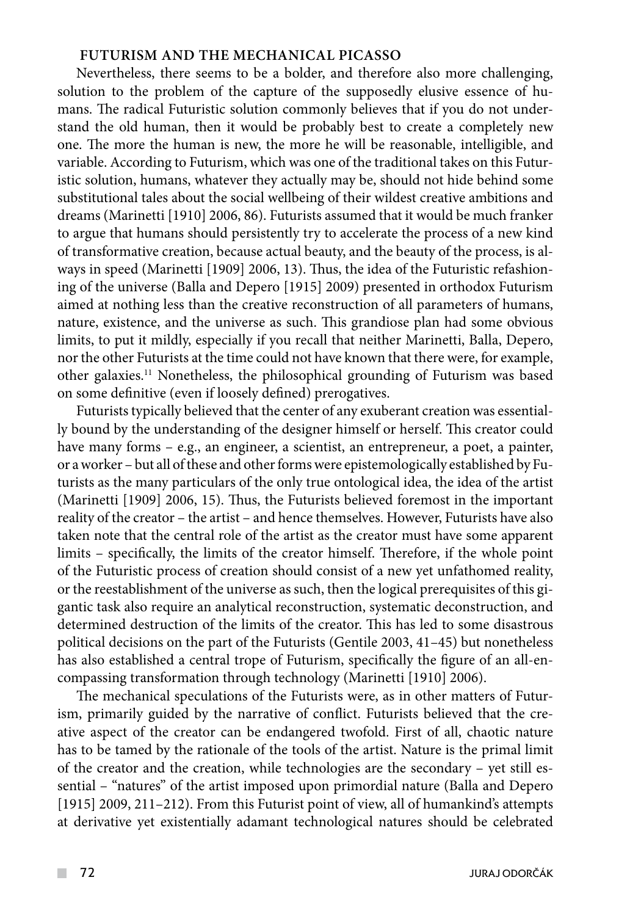# **FUTURISM AND THE MECHANICAL PICASSO**

Nevertheless, there seems to be a bolder, and therefore also more challenging, solution to the problem of the capture of the supposedly elusive essence of humans. The radical Futuristic solution commonly believes that if you do not understand the old human, then it would be probably best to create a completely new one. The more the human is new, the more he will be reasonable, intelligible, and variable. According to Futurism, which was one of the traditional takes on this Futuristic solution, humans, whatever they actually may be, should not hide behind some substitutional tales about the social wellbeing of their wildest creative ambitions and dreams (Marinetti [1910] 2006, 86). Futurists assumed that it would be much franker to argue that humans should persistently try to accelerate the process of a new kind of transformative creation, because actual beauty, and the beauty of the process, is always in speed (Marinetti [1909] 2006, 13). Thus, the idea of the Futuristic refashioning of the universe (Balla and Depero [1915] 2009) presented in orthodox Futurism aimed at nothing less than the creative reconstruction of all parameters of humans, nature, existence, and the universe as such. This grandiose plan had some obvious limits, to put it mildly, especially if you recall that neither Marinetti, Balla, Depero, nor the other Futurists at the time could not have known that there were, for example, other galaxies.11 Nonetheless, the philosophical grounding of Futurism was based on some definitive (even if loosely defined) prerogatives.

Futurists typically believed that the center of any exuberant creation was essentially bound by the understanding of the designer himself or herself. This creator could have many forms – e.g., an engineer, a scientist, an entrepreneur, a poet, a painter, or a worker – but all of these and other forms were epistemologically established by Futurists as the many particulars of the only true ontological idea, the idea of the artist (Marinetti [1909] 2006, 15). Thus, the Futurists believed foremost in the important reality of the creator – the artist – and hence themselves. However, Futurists have also taken note that the central role of the artist as the creator must have some apparent limits – specifically, the limits of the creator himself. Therefore, if the whole point of the Futuristic process of creation should consist of a new yet unfathomed reality, or the reestablishment of the universe as such, then the logical prerequisites of this gigantic task also require an analytical reconstruction, systematic deconstruction, and determined destruction of the limits of the creator. This has led to some disastrous political decisions on the part of the Futurists (Gentile 2003, 41–45) but nonetheless has also established a central trope of Futurism, specifically the figure of an all-encompassing transformation through technology (Marinetti [1910] 2006).

The mechanical speculations of the Futurists were, as in other matters of Futurism, primarily guided by the narrative of conflict. Futurists believed that the creative aspect of the creator can be endangered twofold. First of all, chaotic nature has to be tamed by the rationale of the tools of the artist. Nature is the primal limit of the creator and the creation, while technologies are the secondary – yet still essential – "natures" of the artist imposed upon primordial nature (Balla and Depero [1915] 2009, 211–212). From this Futurist point of view, all of humankind's attempts at derivative yet existentially adamant technological natures should be celebrated

 $\mathcal{L}^{\mathcal{L}}$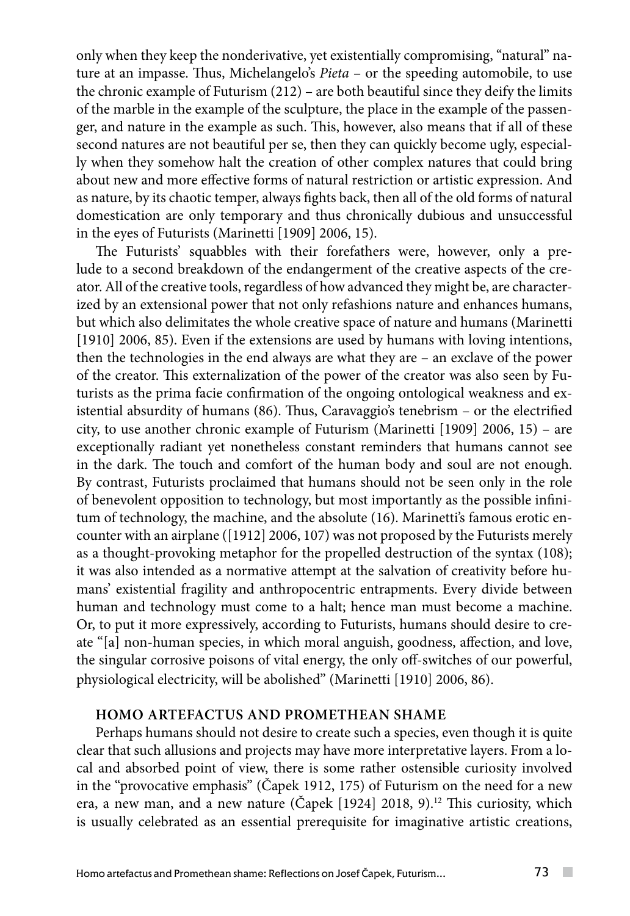only when they keep the nonderivative, yet existentially compromising, "natural" nature at an impasse. Thus, Michelangelo's *Pieta* – or the speeding automobile, to use the chronic example of Futurism (212) – are both beautiful since they deify the limits of the marble in the example of the sculpture, the place in the example of the passenger, and nature in the example as such. This, however, also means that if all of these second natures are not beautiful per se, then they can quickly become ugly, especially when they somehow halt the creation of other complex natures that could bring about new and more effective forms of natural restriction or artistic expression. And as nature, by its chaotic temper, always fights back, then all of the old forms of natural domestication are only temporary and thus chronically dubious and unsuccessful in the eyes of Futurists (Marinetti [1909] 2006, 15).

The Futurists' squabbles with their forefathers were, however, only a prelude to a second breakdown of the endangerment of the creative aspects of the creator. All of the creative tools, regardless of how advanced they might be, are characterized by an extensional power that not only refashions nature and enhances humans, but which also delimitates the whole creative space of nature and humans (Marinetti [1910] 2006, 85). Even if the extensions are used by humans with loving intentions, then the technologies in the end always are what they are – an exclave of the power of the creator. This externalization of the power of the creator was also seen by Futurists as the prima facie confirmation of the ongoing ontological weakness and existential absurdity of humans (86). Thus, Caravaggio's tenebrism – or the electrified city, to use another chronic example of Futurism (Marinetti [1909] 2006, 15) – are exceptionally radiant yet nonetheless constant reminders that humans cannot see in the dark. The touch and comfort of the human body and soul are not enough. By contrast, Futurists proclaimed that humans should not be seen only in the role of benevolent opposition to technology, but most importantly as the possible infinitum of technology, the machine, and the absolute (16). Marinetti's famous erotic encounter with an airplane ([1912] 2006, 107) was not proposed by the Futurists merely as a thought-provoking metaphor for the propelled destruction of the syntax (108); it was also intended as a normative attempt at the salvation of creativity before humans' existential fragility and anthropocentric entrapments. Every divide between human and technology must come to a halt; hence man must become a machine. Or, to put it more expressively, according to Futurists, humans should desire to create "[a] non-human species, in which moral anguish, goodness, affection, and love, the singular corrosive poisons of vital energy, the only off-switches of our powerful, physiological electricity, will be abolished" (Marinetti [1910] 2006, 86).

#### **HOMO ARTEFACTUS AND PROMETHEAN SHAME**

Perhaps humans should not desire to create such a species, even though it is quite clear that such allusions and projects may have more interpretative layers. From a local and absorbed point of view, there is some rather ostensible curiosity involved in the "provocative emphasis" (Čapek 1912, 175) of Futurism on the need for a new era, a new man, and a new nature (Čapek [1924] 2018, 9).<sup>12</sup> This curiosity, which is usually celebrated as an essential prerequisite for imaginative artistic creations,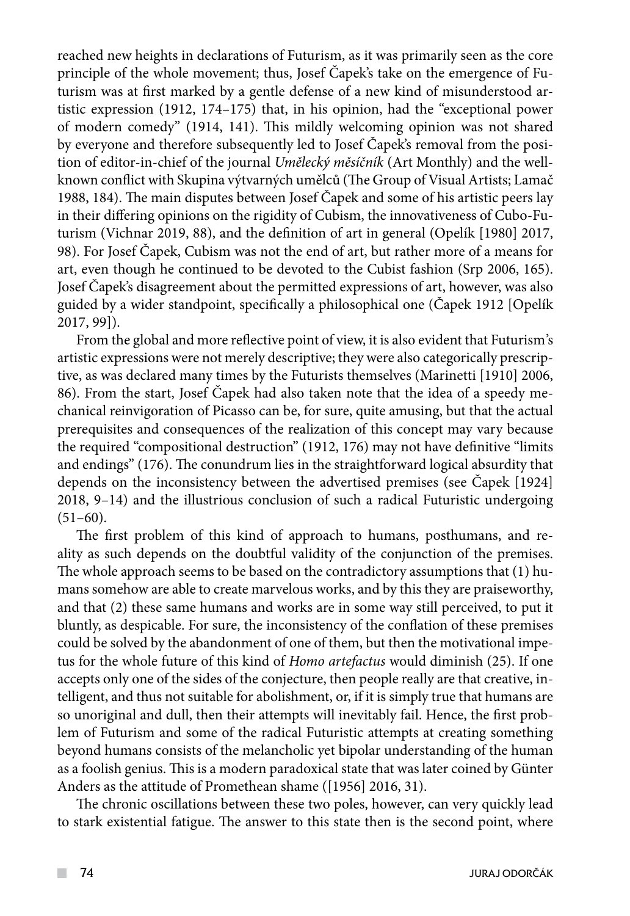reached new heights in declarations of Futurism, as it was primarily seen as the core principle of the whole movement; thus, Josef Čapek's take on the emergence of Futurism was at first marked by a gentle defense of a new kind of misunderstood artistic expression (1912, 174–175) that, in his opinion, had the "exceptional power of modern comedy" (1914, 141). This mildly welcoming opinion was not shared by everyone and therefore subsequently led to Josef Čapek's removal from the position of editor-in-chief of the journal *Umělecký měsíčník* (Art Monthly) and the wellknown conflict with Skupina výtvarných umělců (The Group of Visual Artists; Lamač 1988, 184). The main disputes between Josef Čapek and some of his artistic peers lay in their differing opinions on the rigidity of Cubism, the innovativeness of Cubo-Futurism (Vichnar 2019, 88), and the definition of art in general (Opelík [1980] 2017, 98). For Josef Čapek, Cubism was not the end of art, but rather more of a means for art, even though he continued to be devoted to the Cubist fashion (Srp 2006, 165). Josef Čapek's disagreement about the permitted expressions of art, however, was also guided by a wider standpoint, specifically a philosophical one (Čapek 1912 [Opelík 2017, 99]).

From the global and more reflective point of view, it is also evident that Futurism's artistic expressions were not merely descriptive; they were also categorically prescriptive, as was declared many times by the Futurists themselves (Marinetti [1910] 2006, 86). From the start, Josef Čapek had also taken note that the idea of a speedy mechanical reinvigoration of Picasso can be, for sure, quite amusing, but that the actual prerequisites and consequences of the realization of this concept may vary because the required "compositional destruction" (1912, 176) may not have definitive "limits and endings" (176). The conundrum lies in the straightforward logical absurdity that depends on the inconsistency between the advertised premises (see Čapek [1924] 2018, 9–14) and the illustrious conclusion of such a radical Futuristic undergoing  $(51–60)$ .

The first problem of this kind of approach to humans, posthumans, and reality as such depends on the doubtful validity of the conjunction of the premises. The whole approach seems to be based on the contradictory assumptions that (1) humans somehow are able to create marvelous works, and by this they are praiseworthy, and that (2) these same humans and works are in some way still perceived, to put it bluntly, as despicable. For sure, the inconsistency of the conflation of these premises could be solved by the abandonment of one of them, but then the motivational impetus for the whole future of this kind of *Homo artefactus* would diminish (25). If one accepts only one of the sides of the conjecture, then people really are that creative, intelligent, and thus not suitable for abolishment, or, if it is simply true that humans are so unoriginal and dull, then their attempts will inevitably fail. Hence, the first problem of Futurism and some of the radical Futuristic attempts at creating something beyond humans consists of the melancholic yet bipolar understanding of the human as a foolish genius. This is a modern paradoxical state that was later coined by Günter Anders as the attitude of Promethean shame ([1956] 2016, 31).

The chronic oscillations between these two poles, however, can very quickly lead to stark existential fatigue. The answer to this state then is the second point, where

 $\mathcal{L}^{\mathcal{L}}$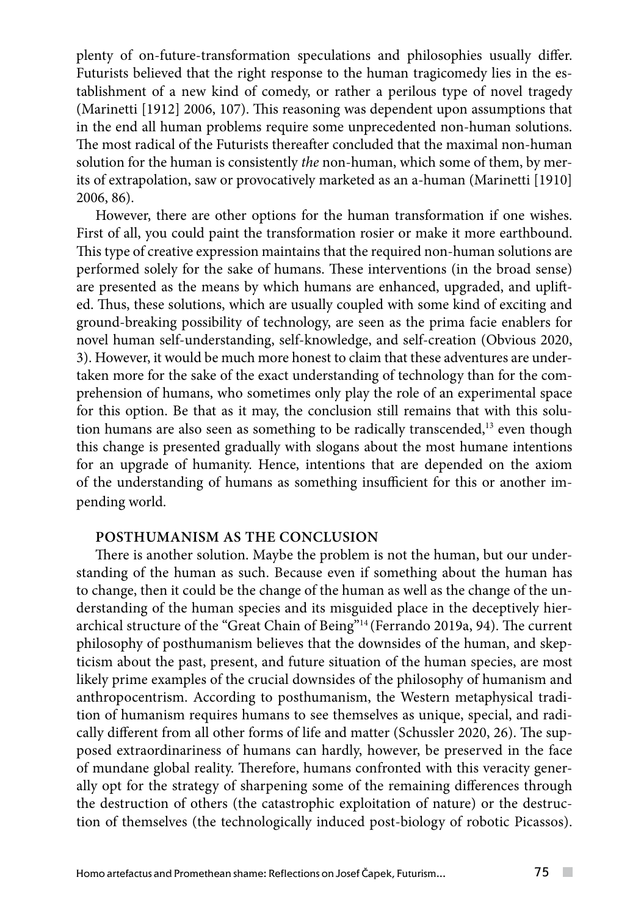plenty of on-future-transformation speculations and philosophies usually differ. Futurists believed that the right response to the human tragicomedy lies in the establishment of a new kind of comedy, or rather a perilous type of novel tragedy (Marinetti [1912] 2006, 107). This reasoning was dependent upon assumptions that in the end all human problems require some unprecedented non-human solutions. The most radical of the Futurists thereafter concluded that the maximal non-human solution for the human is consistently *the* non-human, which some of them, by merits of extrapolation, saw or provocatively marketed as an a-human (Marinetti [1910] 2006, 86).

However, there are other options for the human transformation if one wishes. First of all, you could paint the transformation rosier or make it more earthbound. This type of creative expression maintains that the required non-human solutions are performed solely for the sake of humans. These interventions (in the broad sense) are presented as the means by which humans are enhanced, upgraded, and uplifted. Thus, these solutions, which are usually coupled with some kind of exciting and ground-breaking possibility of technology, are seen as the prima facie enablers for novel human self-understanding, self-knowledge, and self-creation (Obvious 2020, 3). However, it would be much more honest to claim that these adventures are undertaken more for the sake of the exact understanding of technology than for the comprehension of humans, who sometimes only play the role of an experimental space for this option. Be that as it may, the conclusion still remains that with this solution humans are also seen as something to be radically transcended,<sup>13</sup> even though this change is presented gradually with slogans about the most humane intentions for an upgrade of humanity. Hence, intentions that are depended on the axiom of the understanding of humans as something insufficient for this or another impending world.

#### **POSTHUMANISM AS THE CONCLUSION**

There is another solution. Maybe the problem is not the human, but our understanding of the human as such. Because even if something about the human has to change, then it could be the change of the human as well as the change of the understanding of the human species and its misguided place in the deceptively hierarchical structure of the "Great Chain of Being"14 (Ferrando 2019a, 94). The current philosophy of posthumanism believes that the downsides of the human, and skepticism about the past, present, and future situation of the human species, are most likely prime examples of the crucial downsides of the philosophy of humanism and anthropocentrism. According to posthumanism, the Western metaphysical tradition of humanism requires humans to see themselves as unique, special, and radically different from all other forms of life and matter (Schussler 2020, 26). The supposed extraordinariness of humans can hardly, however, be preserved in the face of mundane global reality. Therefore, humans confronted with this veracity generally opt for the strategy of sharpening some of the remaining differences through the destruction of others (the catastrophic exploitation of nature) or the destruction of themselves (the technologically induced post-biology of robotic Picassos).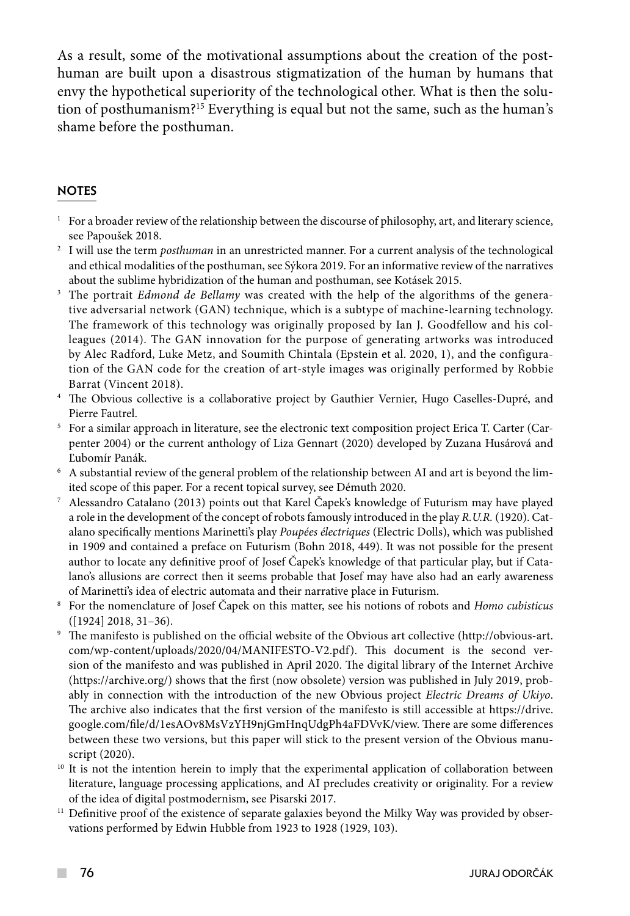As a result, some of the motivational assumptions about the creation of the posthuman are built upon a disastrous stigmatization of the human by humans that envy the hypothetical superiority of the technological other. What is then the solution of posthumanism?15 Everything is equal but not the same, such as the human's shame before the posthuman.

### **NOTES**

- $1$  For a broader review of the relationship between the discourse of philosophy, art, and literary science,
- see Papoušek 2018. 2 I will use the term *posthuman* in an unrestricted manner. For a current analysis of the technological and ethical modalities of the posthuman, see Sýkora 2019. For an informative review of the narratives about the sublime hybridization of the human and posthuman, see Kotásek 2015.
- <sup>3</sup> The portrait *Edmond de Bellamy* was created with the help of the algorithms of the generative adversarial network (GAN) technique, which is a subtype of machine-learning technology. The framework of this technology was originally proposed by Ian J. Goodfellow and his colleagues (2014). The GAN innovation for the purpose of generating artworks was introduced by Alec Radford, Luke Metz, and Soumith Chintala (Epstein et al. 2020, 1), and the configuration of the GAN code for the creation of art-style images was originally performed by Robbie
- Barrat (Vincent 2018).<br><sup>4</sup> The Obvious collective is a collaborative project by Gauthier Vernier, Hugo Caselles-Dupré, and Pierre Fautrel.
- <sup>5</sup> For a similar approach in literature, see the electronic text composition project Erica T. Carter (Carpenter 2004) or the current anthology of Liza Gennart (2020) developed by Zuzana Husárová and
- Lubomír Panák.<br><sup>6</sup> A substantial review of the general problem of the relationship between AI and art is beyond the lim-
- ited scope of this paper. For a recent topical survey, see Démuth 2020. 7 Alessandro Catalano (2013) points out that Karel Čapek's knowledge of Futurism may have played a role in the development of the concept of robots famously introduced in the play *R.U.R.* (1920). Catalano specifically mentions Marinetti's play *Poupées électriques* (Electric Dolls), which was published in 1909 and contained a preface on Futurism (Bohn 2018, 449). It was not possible for the present author to locate any definitive proof of Josef Čapek's knowledge of that particular play, but if Catalano's allusions are correct then it seems probable that Josef may have also had an early awareness of Marinetti's idea of electric automata and their narrative place in Futurism.
- <sup>8</sup> For the nomenclature of Josef Čapek on this matter, see his notions of robots and *Homo cubisticus* ([1924] 2018, 31–36).
- <sup>9</sup> The manifesto is published on the official website of the Obvious art collective (http://obvious-art. com/wp-content/uploads/2020/04/MANIFESTO-V2.pdf). This document is the second version of the manifesto and was published in April 2020. The digital library of the Internet Archive (https://archive.org/) shows that the first (now obsolete) version was published in July 2019, probably in connection with the introduction of the new Obvious project *Electric Dreams of Ukiyo*. The archive also indicates that the first version of the manifesto is still accessible at https://drive. google.com/file/d/1esAOv8MsVzYH9njGmHnqUdgPh4aFDVvK/view. There are some differences between these two versions, but this paper will stick to the present version of the Obvious manuscript (2020).
- <sup>10</sup> It is not the intention herein to imply that the experimental application of collaboration between literature, language processing applications, and AI precludes creativity or originality. For a review of the idea of digital postmodernism, see Pisarski 2017.<br><sup>11</sup> Definitive proof of the existence of separate galaxies beyond the Milky Way was provided by obser-
- vations performed by Edwin Hubble from 1923 to 1928 (1929, 103).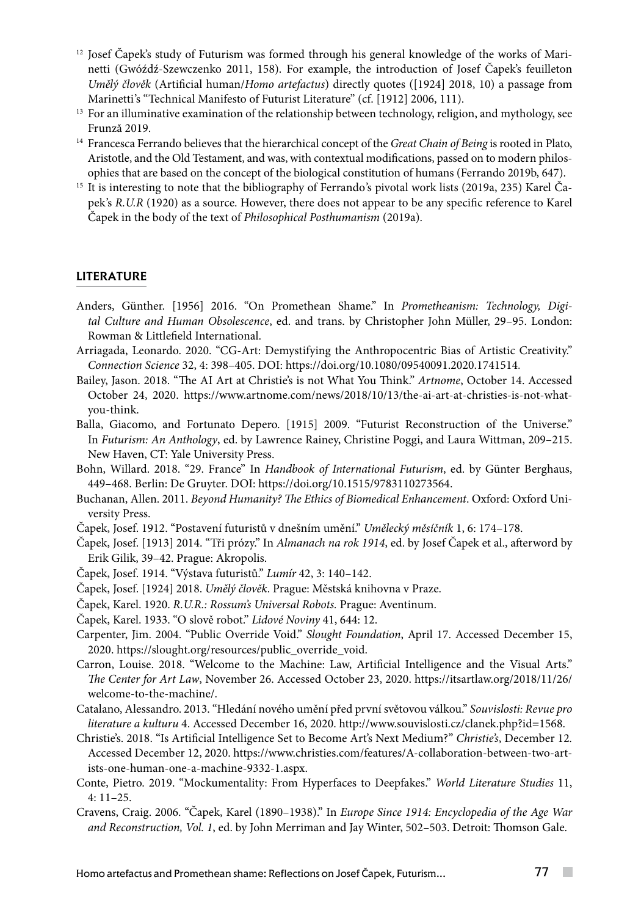- $12$  Josef Čapek's study of Futurism was formed through his general knowledge of the works of Marinetti (Gwóźdź-Szewczenko 2011, 158). For example, the introduction of Josef Čapek's feuilleton *Umělý člověk* (Artificial human/*Homo artefactus*) directly quotes ([1924] 2018, 10) a passage from
- Marinetti's "Technical Manifesto of Futurist Literature" (cf. [1912] 2006, 111).<br><sup>13</sup> For an illuminative examination of the relationship between technology, religion, and mythology, see Frunză 2019.
- <sup>14</sup> Francesca Ferrando believes that the hierarchical concept of the *Great Chain of Being* is rooted in Plato, Aristotle, and the Old Testament, and was, with contextual modifications, passed on to modern philosophies that are based on the concept of the biological constitution of humans (Ferrando 2019b, 647).
- <sup>15</sup> It is interesting to note that the bibliography of Ferrando's pivotal work lists (2019a, 235) Karel Čapek's *R.U.R* (1920) as a source. However, there does not appear to be any specific reference to Karel Čapek in the body of the text of *Philosophical Posthumanism* (2019a).

#### **LITERATURE**

- Anders, Günther. [1956] 2016. "On Promethean Shame." In *Prometheanism: Technology, Digital Culture and Human Obsolescence*, ed. and trans. by Christopher John Müller, 29–95. London: Rowman & Littlefield International.
- Arriagada, Leonardo. 2020. "CG-Art: Demystifying the Anthropocentric Bias of Artistic Creativity." *Connection Science* 32, 4: 398–405. DOI: https://doi.org/10.1080/09540091.2020.1741514.
- Bailey, Jason. 2018. "The AI Art at Christie's is not What You Think." *Artnome*, October 14. Accessed October 24, 2020. https://www.artnome.com/news/2018/10/13/the-ai-art-at-christies-is-not-whatyou-think.
- Balla, Giacomo, and Fortunato Depero. [1915] 2009. "Futurist Reconstruction of the Universe." In *Futurism: An Anthology*, ed. by Lawrence Rainey, Christine Poggi, and Laura Wittman, 209–215. New Haven, CT: Yale University Press.
- Bohn, Willard. 2018. "29. France" In *Handbook of International Futurism*, ed. by Günter Berghaus, 449–468. Berlin: De Gruyter. DOI: https://doi.org/10.1515/9783110273564.
- Buchanan, Allen. 2011. *Beyond Humanity? The Ethics of Biomedical Enhancement*. Oxford: Oxford University Press.
- Čapek, Josef. 1912. "Postavení futuristů v dnešním umění." *Umělecký měsíčník* 1, 6: 174–178.
- Čapek, Josef. [1913] 2014. "Tři prózy." In *Almanach na rok 1914*, ed. by Josef Čapek et al., afterword by Erik Gilik, 39–42. Prague: Akropolis.
- Čapek, Josef. 1914. "Výstava futuristů." *Lumír* 42, 3: 140–142.
- Čapek, Josef. [1924] 2018. *Umělý člověk*. Prague: Městská knihovna v Praze.
- Čapek, Karel. 1920. *R.U.R.: Rossum's Universal Robots.* Prague: Aventinum.
- Čapek, Karel. 1933. "O slově robot." *Lidové Noviny* 41, 644: 12.
- Carpenter, Jim. 2004. "Public Override Void." *Slought Foundation*, April 17. Accessed December 15, 2020. https://slought.org/resources/public\_override\_void.
- Carron, Louise. 2018. "Welcome to the Machine: Law, Artificial Intelligence and the Visual Arts." *The Center for Art Law*, November 26. Accessed October 23, 2020. https://itsartlaw.org/2018/11/26/ welcome-to-the-machine/.
- Catalano, Alessandro. 2013. "Hledání nového umění před první světovou válkou." *Souvislosti: Revue pro literature a kulturu* 4. Accessed December 16, 2020. http://www.souvislosti.cz/clanek.php?id=1568.
- Christie's. 2018. "Is Artificial Intelligence Set to Become Art's Next Medium?" *Christie's*, December 12*.* Accessed December 12, 2020. https://www.christies.com/features/A-collaboration-between-two-artists-one-human-one-a-machine-9332-1.aspx.
- Conte, Pietro. 2019. "Mockumentality: From Hyperfaces to Deepfakes." *World Literature Studies* 11, 4: 11–25.
- Cravens, Craig. 2006. "Čapek, Karel (1890–1938)." In *Europe Since 1914: Encyclopedia of the Age War and Reconstruction, Vol. 1*, ed. by John Merriman and Jay Winter, 502–503. Detroit: Thomson Gale.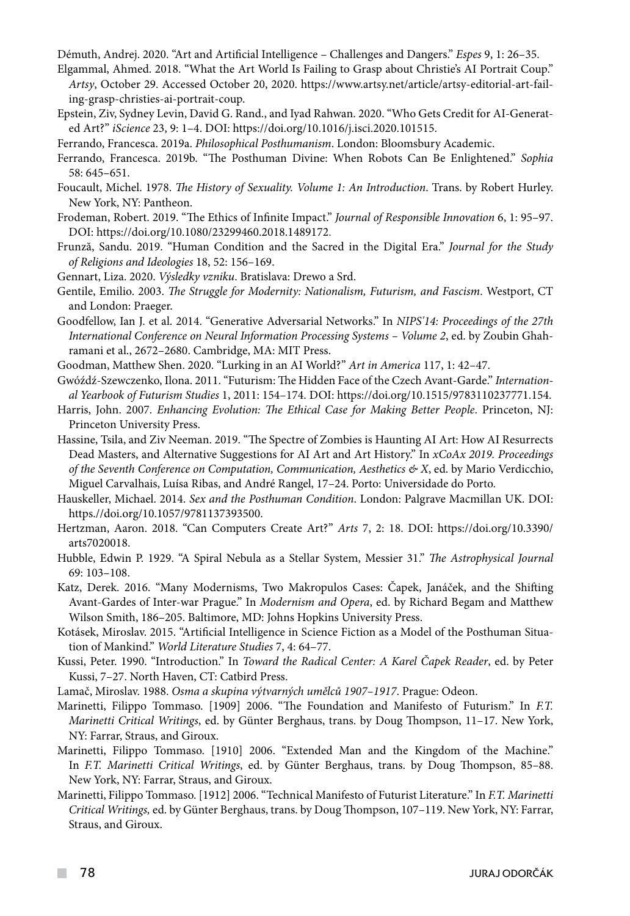Démuth, Andrej. 2020. "Art and Artificial Intelligence – Challenges and Dangers." *Espes* 9, 1: 26–35.

- Elgammal, Ahmed. 2018. "What the Art World Is Failing to Grasp about Christie's AI Portrait Coup." *Artsy*, October 29. Accessed October 20, 2020. https://www.artsy.net/article/artsy-editorial-art-failing-grasp-christies-ai-portrait-coup.
- Epstein, Ziv, Sydney Levin, David G. Rand., and Iyad Rahwan. 2020. "Who Gets Credit for AI-Generated Art?" *iScience* 23, 9: 1–4. DOI: https://doi.org/10.1016/j.isci.2020.101515.
- Ferrando, Francesca. 2019a. *Philosophical Posthumanism*. London: Bloomsbury Academic.
- Ferrando, Francesca. 2019b. "The Posthuman Divine: When Robots Can Be Enlightened." *Sophia*  58: 645–651.
- Foucault, Michel. 1978. *The History of Sexuality. Volume 1: An Introduction*. Trans. by Robert Hurley. New York, NY: Pantheon.
- Frodeman, Robert. 2019. "The Ethics of Infinite Impact." *Journal of Responsible Innovation* 6, 1: 95–97. DOI: https://doi.org/10.1080/23299460.2018.1489172.
- Frunză, Sandu. 2019. "Human Condition and the Sacred in the Digital Era." *Journal for the Study of Religions and Ideologies* 18, 52: 156–169.
- Gennart, Liza. 2020. *Výsledky vzniku*. Bratislava: Drewo a Srd.
- Gentile, Emilio. 2003. *The Struggle for Modernity: Nationalism, Futurism, and Fascism*. Westport, CT and London: Praeger.
- Goodfellow, Ian J. et al. 2014. "Generative Adversarial Networks." In *NIPS'14: Proceedings of the 27th International Conference on Neural Information Processing Systems – Volume 2*, ed. by Zoubin Ghahramani et al., 2672–2680. Cambridge, MA: MIT Press.
- Goodman, Matthew Shen. 2020. "Lurking in an AI World?" *Art in America* 117, 1: 42–47.
- Gwóźdź-Szewczenko, Ilona. 2011. "Futurism: The Hidden Face of the Czech Avant-Garde." *International Yearbook of Futurism Studies* 1, 2011: 154–174. DOI: https://doi.org/10.1515/9783110237771.154.
- Harris, John. 2007. *Enhancing Evolution: The Ethical Case for Making Better People*. Princeton, NJ: Princeton University Press.
- Hassine, Tsila, and Ziv Neeman. 2019. "The Spectre of Zombies is Haunting AI Art: How AI Resurrects Dead Masters, and Alternative Suggestions for AI Art and Art History." In *xCoAx 2019. Proceedings of the Seventh Conference on Computation, Communication, Aesthetics & X*, ed. by Mario Verdicchio, Miguel Carvalhais, Luísa Ribas, and André Rangel, 17–24. Porto: Universidade do Porto.
- Hauskeller, Michael. 2014. *Sex and the Posthuman Condition*. London: Palgrave Macmillan UK. DOI: https.//doi.org/10.1057/9781137393500.
- Hertzman, Aaron. 2018. "Can Computers Create Art?" *Arts* 7, 2: 18. DOI: https://doi.org/10.3390/ arts7020018.
- Hubble, Edwin P. 1929. "A Spiral Nebula as a Stellar System, Messier 31." *The Astrophysical Journal* 69: 103–108.
- Katz, Derek. 2016. "Many Modernisms, Two Makropulos Cases: Čapek, Janáček, and the Shifting Avant-Gardes of Inter-war Prague." In *Modernism and Opera*, ed. by Richard Begam and Matthew Wilson Smith, 186–205. Baltimore, MD: Johns Hopkins University Press.
- Kotásek, Miroslav. 2015. "Artificial Intelligence in Science Fiction as a Model of the Posthuman Situation of Mankind." *World Literature Studies* 7, 4: 64–77.
- Kussi, Peter. 1990. "Introduction." In *Toward the Radical Center: A Karel Čapek Reader*, ed. by Peter Kussi, 7–27. North Haven, CT: Catbird Press.
- Lamač, Miroslav. 1988. *Osma a skupina výtvarných umělců 1907–1917*. Prague: Odeon.
- Marinetti, Filippo Tommaso. [1909] 2006. "The Foundation and Manifesto of Futurism." In *F.T. Marinetti Critical Writings*, ed. by Günter Berghaus, trans. by Doug Thompson, 11–17. New York, NY: Farrar, Straus, and Giroux.
- Marinetti, Filippo Tommaso. [1910] 2006. "Extended Man and the Kingdom of the Machine." In *F.T. Marinetti Critical Writings*, ed. by Günter Berghaus, trans. by Doug Thompson, 85–88. New York, NY: Farrar, Straus, and Giroux.
- Marinetti, Filippo Tommaso. [1912] 2006. "Technical Manifesto of Futurist Literature." In *F.T. Marinetti Critical Writings,* ed. by Günter Berghaus, trans. by Doug Thompson, 107–119. New York, NY: Farrar, Straus, and Giroux.

**The Co**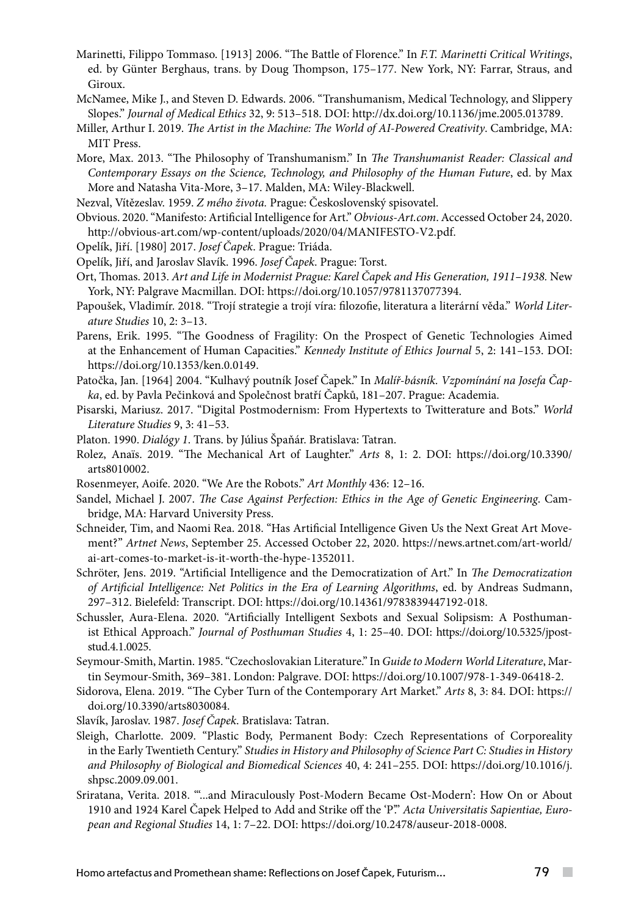- Marinetti, Filippo Tommaso. [1913] 2006. "The Battle of Florence." In *F.T. Marinetti Critical Writings*, ed. by Günter Berghaus, trans. by Doug Thompson, 175–177. New York, NY: Farrar, Straus, and Giroux.
- McNamee, Mike J., and Steven D. Edwards. 2006. "Transhumanism, Medical Technology, and Slippery Slopes." *Journal of Medical Ethics* 32, 9: 513–518. DOI: http://dx.doi.org/10.1136/jme.2005.013789.
- Miller, Arthur I. 2019. *The Artist in the Machine: The World of AI-Powered Creativity*. Cambridge, MA: MIT Press.
- More, Max. 2013. "The Philosophy of Transhumanism." In *The Transhumanist Reader: Classical and Contemporary Essays on the Science, Technology, and Philosophy of the Human Future*, ed. by Max More and Natasha Vita-More, 3–17. Malden, MA: Wiley-Blackwell.
- Nezval, Vítězeslav. 1959. *Z mého života.* Prague: Československý spisovatel.
- Obvious. 2020. "Manifesto: Artificial Intelligence for Art." *Obvious-Art.com*. Accessed October 24, 2020. http://obvious-art.com/wp-content/uploads/2020/04/MANIFESTO-V2.pdf.
- Opelík, Jiří. [1980] 2017. *Josef Čapek*. Prague: Triáda.
- Opelík, Jiří, and Jaroslav Slavík. 1996. *Josef Čapek*. Prague: Torst.
- Ort, Thomas. 2013. *Art and Life in Modernist Prague: Karel Čapek and His Generation, 1911–1938.* New York, NY: Palgrave Macmillan. DOI: https://doi.org/10.1057/9781137077394.
- Papoušek, Vladimír. 2018. "Trojí strategie a trojí víra: filozofie, literatura a literární věda." *World Literature Studies* 10, 2: 3–13.
- Parens, Erik. 1995. "The Goodness of Fragility: On the Prospect of Genetic Technologies Aimed at the Enhancement of Human Capacities." *Kennedy Institute of Ethics Journal* 5, 2: 141–153. DOI: https://doi.org/10.1353/ken.0.0149.
- Patočka, Jan. [1964] 2004. "Kulhavý poutník Josef Čapek." In *Malíř-básník. Vzpomínání na Josefa Čapka*, ed. by Pavla Pečinková and Společnost bratří Čapků, 181–207. Prague: Academia.
- Pisarski, Mariusz. 2017. "Digital Postmodernism: From Hypertexts to Twitterature and Bots." *World Literature Studies* 9, 3: 41–53.
- Platon. 1990. *Dialógy 1*. Trans. by Július Špaňár. Bratislava: Tatran.
- Rolez, Anaïs. 2019. "The Mechanical Art of Laughter." *Arts* 8, 1: 2. DOI: https://doi.org/10.3390/ arts8010002.
- Rosenmeyer, Aoife. 2020. "We Are the Robots." *Art Monthly* 436: 12–16.
- Sandel, Michael J. 2007. *The Case Against Perfection: Ethics in the Age of Genetic Engineering*. Cambridge, MA: Harvard University Press.
- Schneider, Tim, and Naomi Rea. 2018. "Has Artificial Intelligence Given Us the Next Great Art Movement?" *Artnet News*, September 25. Accessed October 22, 2020. https://news.artnet.com/art-world/ ai-art-comes-to-market-is-it-worth-the-hype-1352011.
- Schröter, Jens. 2019. "Artificial Intelligence and the Democratization of Art." In *The Democratization of Artificial Intelligence: Net Politics in the Era of Learning Algorithms*, ed. by Andreas Sudmann, 297–312. Bielefeld: Transcript. DOI: https://doi.org/10.14361/9783839447192-018.
- Schussler, Aura-Elena. 2020. "Artificially Intelligent Sexbots and Sexual Solipsism: A Posthumanist Ethical Approach." *Journal of Posthuman Studies* 4, 1: 25–40. DOI: https://doi.org/10.5325/jpoststud.4.1.0025.
- Seymour-Smith, Martin. 1985. "Czechoslovakian Literature." In *Guide to Modern World Literature*, Martin Seymour-Smith, 369–381. London: Palgrave. DOI: https://doi.org/10.1007/978-1-349-06418-2.
- Sidorova, Elena. 2019. "The Cyber Turn of the Contemporary Art Market." *Arts* 8, 3: 84. DOI: https:// doi.org/10.3390/arts8030084.
- Slavík, Jaroslav. 1987. *Josef Čapek*. Bratislava: Tatran.
- Sleigh, Charlotte. 2009. "Plastic Body, Permanent Body: Czech Representations of Corporeality in the Early Twentieth Century." *Studies in History and Philosophy of Science Part C: Studies in History and Philosophy of Biological and Biomedical Sciences* 40, 4: 241–255. DOI: https://doi.org/10.1016/j. shpsc.2009.09.001.
- Sriratana, Verita. 2018. "'...and Miraculously Post-Modern Became Ost-Modern': How On or About 1910 and 1924 Karel Čapek Helped to Add and Strike off the 'P'." *Acta Universitatis Sapientiae, European and Regional Studies* 14, 1: 7–22. DOI: https://doi.org/10.2478/auseur-2018-0008.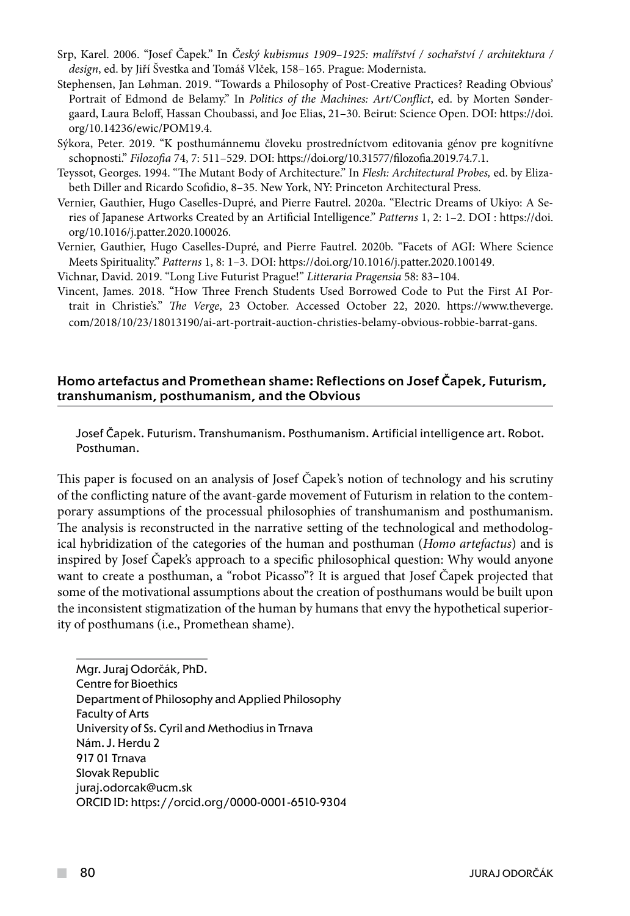- Srp, Karel. 2006. "Josef Čapek." In *Český kubismus 1909–1925: malířství / sochařství / architektura / design*, ed. by Jiří Švestka and Tomáš Vlček, 158–165. Prague: Modernista.
- Stephensen, Jan Løhman. 2019. "Towards a Philosophy of Post-Creative Practices? Reading Obvious' Portrait of Edmond de Belamy." In *Politics of the Machines: Art/Conflict*, ed. by Morten Søndergaard, Laura Beloff, Hassan Choubassi, and Joe Elias, 21–30. Beirut: Science Open. DOI: https://doi. org/10.14236/ewic/POM19.4.
- Sýkora, Peter. 2019. "K posthumánnemu človeku prostredníctvom editovania génov pre kognitívne schopnosti." *Filozofia* 74, 7: 511–529. DOI: https://doi.org/10.31577/filozofia.2019.74.7.1.
- Teyssot, Georges. 1994. "The Mutant Body of Architecture." In *Flesh: Architectural Probes,* ed. by Elizabeth Diller and Ricardo Scofidio, 8–35. New York, NY: Princeton Architectural Press.
- Vernier, Gauthier, Hugo Caselles-Dupré, and Pierre Fautrel. 2020a. "Electric Dreams of Ukiyo: A Series of Japanese Artworks Created by an Artificial Intelligence." *Patterns* 1, 2: 1–2. DOI : https://doi. org/10.1016/j.patter.2020.100026.
- Vernier, Gauthier, Hugo Caselles-Dupré, and Pierre Fautrel. 2020b. "Facets of AGI: Where Science Meets Spirituality." *Patterns* 1, 8: 1–3. DOI: https://doi.org/10.1016/j.patter.2020.100149.
- Vichnar, David. 2019. "Long Live Futurist Prague!" *Litteraria Pragensia* 58: 83–104.
- Vincent, James. 2018. "How Three French Students Used Borrowed Code to Put the First AI Portrait in Christie's." *The Verge*, 23 October. Accessed October 22, 2020. https://www.theverge. com/2018/10/23/18013190/ai-art-portrait-auction-christies-belamy-obvious-robbie-barrat-gans.

#### Homo artefactus and Promethean shame: Reflections on Josef Čapek, Futurism, transhumanism, posthumanism, and the Obvious

Josef Čapek. Futurism. Transhumanism. Posthumanism. Artificial intelligence art. Robot. Posthuman.

This paper is focused on an analysis of Josef Čapek's notion of technology and his scrutiny of the conflicting nature of the avant-garde movement of Futurism in relation to the contemporary assumptions of the processual philosophies of transhumanism and posthumanism. The analysis is reconstructed in the narrative setting of the technological and methodological hybridization of the categories of the human and posthuman (*Homo artefactus*) and is inspired by Josef Čapek's approach to a specific philosophical question: Why would anyone want to create a posthuman, a "robot Picasso"? It is argued that Josef Čapek projected that some of the motivational assumptions about the creation of posthumans would be built upon the inconsistent stigmatization of the human by humans that envy the hypothetical superiority of posthumans (i.e., Promethean shame).

Mgr. Juraj Odorčák, PhD. Centre for Bioethics Department of Philosophy and Applied Philosophy Faculty of Arts University of Ss. Cyril and Methodius in Trnava Nám. J. Herdu 2 917 01 Trnava Slovak Republic juraj.odorcak@ucm.sk ORCID ID: https://orcid.org/0000-0001-6510-9304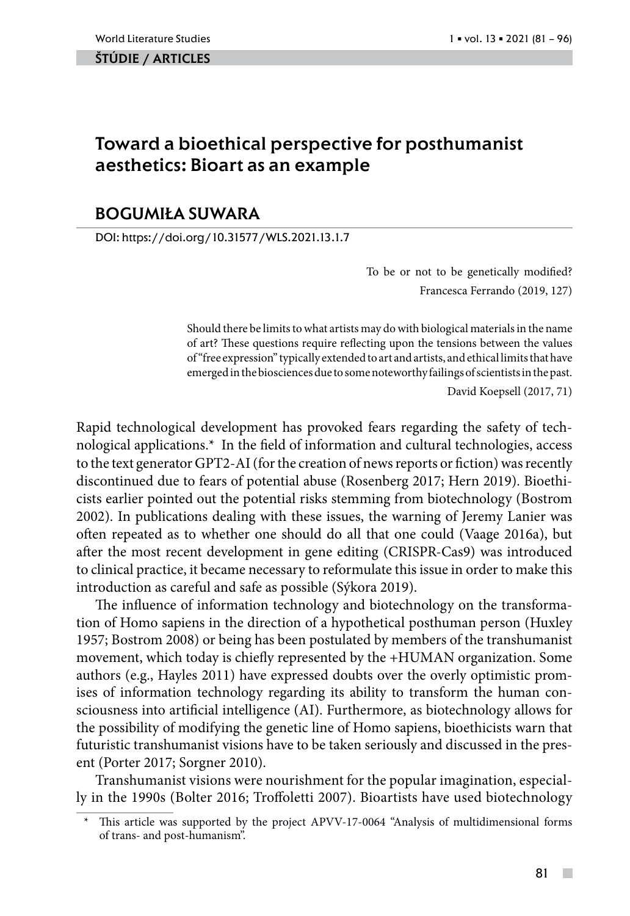#### ŠTÚDIE / ARTicles

# Toward a bioethical perspective for posthumanist aesthetics: Bioart as an example

### BOGUMIŁA SUWARA

DOI: https://doi.org/10.31577/WLS.2021.13.1.7

To be or not to be genetically modified? Francesca Ferrando (2019, 127)

Should there be limits to what artists may do with biological materials in the name of art? These questions require reflecting upon the tensions between the values of "free expression" typically extended to art and artists, and ethical limits that have emerged in the biosciences due to some noteworthy failings of scientists in the past.

David Koepsell (2017, 71)

Rapid technological development has provoked fears regarding the safety of technological applications.\* In the field of information and cultural technologies, access to the text generator GPT2-AI (for the creation of news reports or fiction) was recently discontinued due to fears of potential abuse (Rosenberg 2017; Hern 2019). Bioethicists earlier pointed out the potential risks stemming from biotechnology (Bostrom 2002). In publications dealing with these issues, the warning of Jeremy Lanier was often repeated as to whether one should do all that one could (Vaage 2016a), but after the most recent development in gene editing (CRISPR-Cas9) was introduced to clinical practice, it became necessary to reformulate this issue in order to make this introduction as careful and safe as possible (Sýkora 2019).

The influence of information technology and biotechnology on the transformation of Homo sapiens in the direction of a hypothetical posthuman person (Huxley 1957; Bostrom 2008) or being has been postulated by members of the transhumanist movement, which today is chiefly represented by the +HUMAN organization. Some authors (e.g., Hayles 2011) have expressed doubts over the overly optimistic promises of information technology regarding its ability to transform the human consciousness into artificial intelligence (AI). Furthermore, as biotechnology allows for the possibility of modifying the genetic line of Homo sapiens, bioethicists warn that futuristic transhumanist visions have to be taken seriously and discussed in the present (Porter 2017; Sorgner 2010).

Transhumanist visions were nourishment for the popular imagination, especially in the 1990s (Bolter 2016; Troffoletti 2007). Bioartists have used biotechnology

 $\sim$ 

This article was supported by the project APVV-17-0064 "Analysis of multidimensional forms of trans- and post-humanism".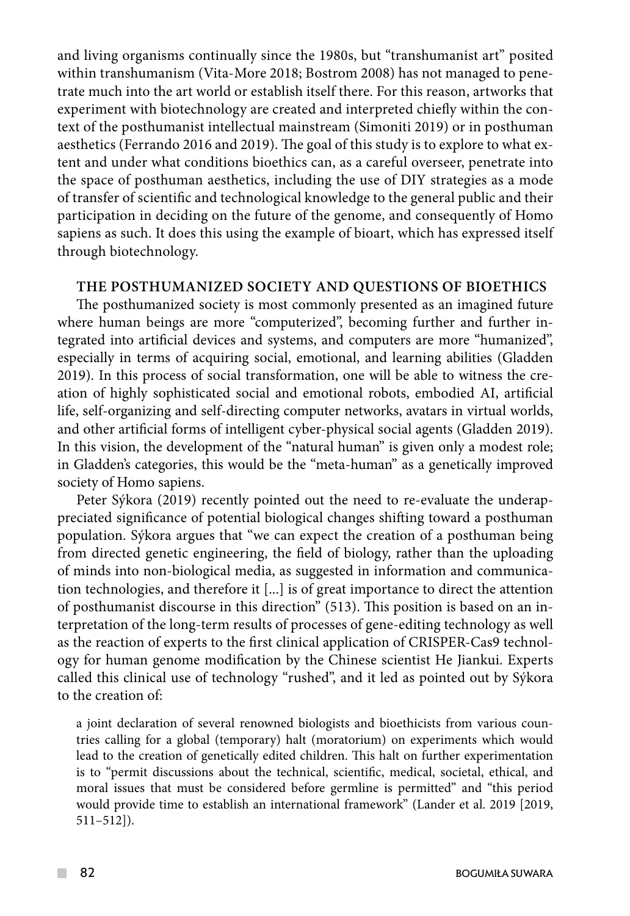and living organisms continually since the 1980s, but "transhumanist art" posited within transhumanism (Vita-More 2018; Bostrom 2008) has not managed to penetrate much into the art world or establish itself there. For this reason, artworks that experiment with biotechnology are created and interpreted chiefly within the context of the posthumanist intellectual mainstream (Simoniti 2019) or in posthuman aesthetics (Ferrando 2016 and 2019). The goal of this study is to explore to what extent and under what conditions bioethics can, as a careful overseer, penetrate into the space of posthuman aesthetics, including the use of DIY strategies as a mode of transfer of scientific and technological knowledge to the general public and their participation in deciding on the future of the genome, and consequently of Homo sapiens as such. It does this using the example of bioart, which has expressed itself through biotechnology.

#### **The posthumanized society and questions of bioethics**

The posthumanized society is most commonly presented as an imagined future where human beings are more "computerized", becoming further and further integrated into artificial devices and systems, and computers are more "humanized", especially in terms of acquiring social, emotional, and learning abilities (Gladden 2019). In this process of social transformation, one will be able to witness the creation of highly sophisticated social and emotional robots, embodied AI, artificial life, self-organizing and self-directing computer networks, avatars in virtual worlds, and other artificial forms of intelligent cyber-physical social agents (Gladden 2019). In this vision, the development of the "natural human" is given only a modest role; in Gladden's categories, this would be the "meta-human" as a genetically improved society of Homo sapiens.

Peter Sýkora (2019) recently pointed out the need to re-evaluate the underappreciated significance of potential biological changes shifting toward a posthuman population. Sýkora argues that "we can expect the creation of a posthuman being from directed genetic engineering, the field of biology, rather than the uploading of minds into non-biological media, as suggested in information and communication technologies, and therefore it [...] is of great importance to direct the attention of posthumanist discourse in this direction" (513). This position is based on an interpretation of the long-term results of processes of gene-editing technology as well as the reaction of experts to the first clinical application of CRISPER-Cas9 technology for human genome modification by the Chinese scientist He Jiankui. Experts called this clinical use of technology "rushed", and it led as pointed out by Sýkora to the creation of:

a joint declaration of several renowned biologists and bioethicists from various countries calling for a global (temporary) halt (moratorium) on experiments which would lead to the creation of genetically edited children. This halt on further experimentation is to "permit discussions about the technical, scientific, medical, societal, ethical, and moral issues that must be considered before germline is permitted" and "this period would provide time to establish an international framework" (Lander et al. 2019 [2019, 511–512]).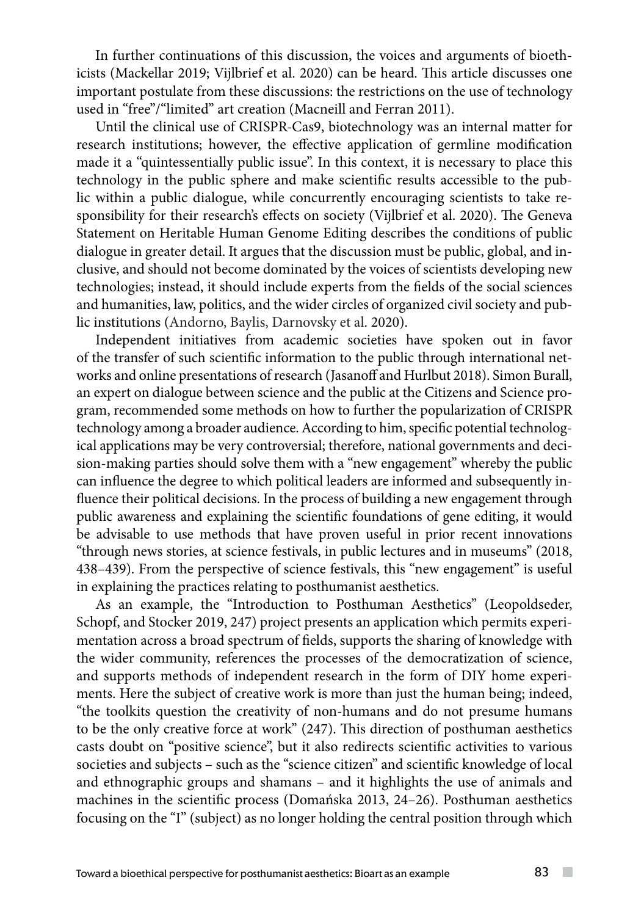In further continuations of this discussion, the voices and arguments of bioethicists (Mackellar 2019; Vijlbrief et al. 2020) can be heard. This article discusses one important postulate from these discussions: the restrictions on the use of technology used in "free"/"limited" art creation (Macneill and Ferran 2011).

Until the clinical use of CRISPR-Cas9, biotechnology was an internal matter for research institutions; however, the effective application of germline modification made it a "quintessentially public issue". In this context, it is necessary to place this technology in the public sphere and make scientific results accessible to the public within a public dialogue, while concurrently encouraging scientists to take responsibility for their research's effects on society (Vijlbrief et al. 2020). The Geneva Statement on Heritable Human Genome Editing describes the conditions of public dialogue in greater detail. It argues that the discussion must be public, global, and inclusive, and should not become dominated by the voices of scientists developing new technologies; instead, it should include experts from the fields of the social sciences and humanities, law, politics, and the wider circles of organized civil society and public institutions (Andorno, Baylis, Darnovsky et al. 2020).

Independent initiatives from academic societies have spoken out in favor of the transfer of such scientific information to the public through international networks and online presentations of research (Jasanoff and Hurlbut 2018). Simon Burall, an expert on dialogue between science and the public at the Citizens and Science program, recommended some methods on how to further the popularization of CRISPR technology among a broader audience. According to him, specific potential technological applications may be very controversial; therefore, national governments and decision-making parties should solve them with a "new engagement" whereby the public can influence the degree to which political leaders are informed and subsequently influence their political decisions. In the process of building a new engagement through public awareness and explaining the scientific foundations of gene editing, it would be advisable to use methods that have proven useful in prior recent innovations "through news stories, at science festivals, in public lectures and in museums" (2018, 438–439). From the perspective of science festivals, this "new engagement" is useful in explaining the practices relating to posthumanist aesthetics.

As an example, the "Introduction to Posthuman Aesthetics" (Leopoldseder, Schopf, and Stocker 2019, 247) project presents an application which permits experimentation across a broad spectrum of fields, supports the sharing of knowledge with the wider community, references the processes of the democratization of science, and supports methods of independent research in the form of DIY home experiments. Here the subject of creative work is more than just the human being; indeed, "the toolkits question the creativity of non-humans and do not presume humans to be the only creative force at work" (247). This direction of posthuman aesthetics casts doubt on "positive science", but it also redirects scientific activities to various societies and subjects – such as the "science citizen" and scientific knowledge of local and ethnographic groups and shamans – and it highlights the use of animals and machines in the scientific process (Domańska 2013, 24–26). Posthuman aesthetics focusing on the "I" (subject) as no longer holding the central position through which

 $\sim$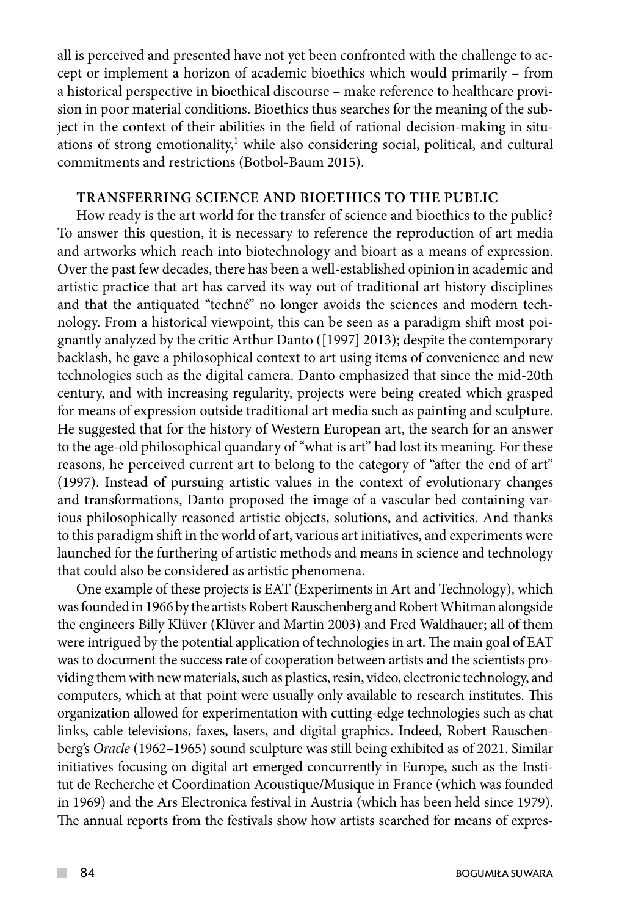all is perceived and presented have not yet been confronted with the challenge to accept or implement a horizon of academic bioethics which would primarily – from a historical perspective in bioethical discourse – make reference to healthcare provision in poor material conditions. Bioethics thus searches for the meaning of the subject in the context of their abilities in the field of rational decision-making in situations of strong emotionality,<sup>1</sup> while also considering social, political, and cultural commitments and restrictions (Botbol-Baum 2015).

### **Transferring science and bioethics to the public**

How ready is the art world for the transfer of science and bioethics to the public? To answer this question, it is necessary to reference the reproduction of art media and artworks which reach into biotechnology and bioart as a means of expression. Over the past few decades, there has been a well-established opinion in academic and artistic practice that art has carved its way out of traditional art history disciplines and that the antiquated "techné" no longer avoids the sciences and modern technology. From a historical viewpoint, this can be seen as a paradigm shift most poignantly analyzed by the critic Arthur Danto ([1997] 2013); despite the contemporary backlash, he gave a philosophical context to art using items of convenience and new technologies such as the digital camera. Danto emphasized that since the mid-20th century, and with increasing regularity, projects were being created which grasped for means of expression outside traditional art media such as painting and sculpture. He suggested that for the history of Western European art, the search for an answer to the age-old philosophical quandary of "what is art" had lost its meaning. For these reasons, he perceived current art to belong to the category of "after the end of art" (1997). Instead of pursuing artistic values in the context of evolutionary changes and transformations, Danto proposed the image of a vascular bed containing various philosophically reasoned artistic objects, solutions, and activities. And thanks to this paradigm shift in the world of art, various art initiatives, and experiments were launched for the furthering of artistic methods and means in science and technology that could also be considered as artistic phenomena.

One example of these projects is EAT (Experiments in Art and Technology), which was founded in 1966 by the artists Robert Rauschenberg and Robert Whitman alongside the engineers Billy Klüver (Klüver and Martin 2003) and Fred Waldhauer; all of them were intrigued by the potential application of technologies in art. The main goal of EAT was to document the success rate of cooperation between artists and the scientists providing them with new materials, such as plastics, resin, video, electronic technology, and computers, which at that point were usually only available to research institutes. This organization allowed for experimentation with cutting-edge technologies such as chat links, cable televisions, faxes, lasers, and digital graphics. Indeed, Robert Rauschenberg's *Oracle* (1962–1965) sound sculpture was still being exhibited as of 2021. Similar initiatives focusing on digital art emerged concurrently in Europe, such as the Institut de Recherche et Coordination Acoustique/Musique in France (which was founded in 1969) and the Ars Electronica festival in Austria (which has been held since 1979). The annual reports from the festivals show how artists searched for means of expres-

 $\mathcal{L}^{\mathcal{L}}$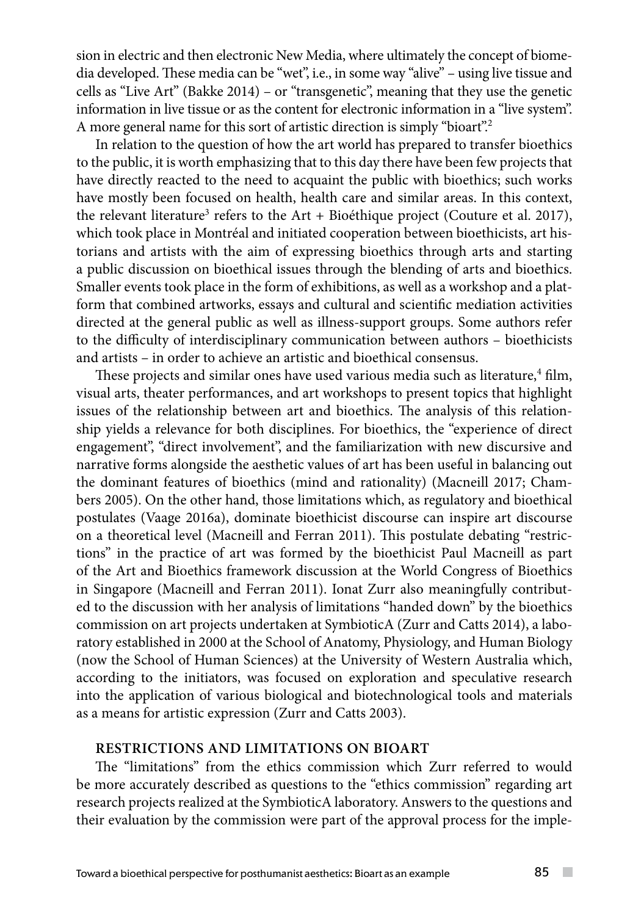sion in electric and then electronic New Media, where ultimately the concept of biomedia developed. These media can be "wet", i.e., in some way "alive" – using live tissue and cells as "Live Art" (Bakke 2014) – or "transgenetic", meaning that they use the genetic information in live tissue or as the content for electronic information in a "live system". A more general name for this sort of artistic direction is simply "bioart".2

In relation to the question of how the art world has prepared to transfer bioethics to the public, it is worth emphasizing that to this day there have been few projects that have directly reacted to the need to acquaint the public with bioethics; such works have mostly been focused on health, health care and similar areas. In this context, the relevant literature<sup>3</sup> refers to the Art + Bioéthique project (Couture et al. 2017), which took place in Montréal and initiated cooperation between bioethicists, art historians and artists with the aim of expressing bioethics through arts and starting a public discussion on bioethical issues through the blending of arts and bioethics. Smaller events took place in the form of exhibitions, as well as a workshop and a platform that combined artworks, essays and cultural and scientific mediation activities directed at the general public as well as illness-support groups. Some authors refer to the difficulty of interdisciplinary communication between authors – bioethicists and artists – in order to achieve an artistic and bioethical consensus.

These projects and similar ones have used various media such as literature,<sup>4</sup> film, visual arts, theater performances, and art workshops to present topics that highlight issues of the relationship between art and bioethics. The analysis of this relationship yields a relevance for both disciplines. For bioethics, the "experience of direct engagement", "direct involvement", and the familiarization with new discursive and narrative forms alongside the aesthetic values of art has been useful in balancing out the dominant features of bioethics (mind and rationality) (Macneill 2017; Chambers 2005). On the other hand, those limitations which, as regulatory and bioethical postulates (Vaage 2016a), dominate bioethicist discourse can inspire art discourse on a theoretical level (Macneill and Ferran 2011). This postulate debating "restrictions" in the practice of art was formed by the bioethicist Paul Macneill as part of the Art and Bioethics framework discussion at the World Congress of Bioethics in Singapore (Macneill and Ferran 2011). Ionat Zurr also meaningfully contributed to the discussion with her analysis of limitations "handed down" by the bioethics commission on art projects undertaken at SymbioticA (Zurr and Catts 2014), a laboratory established in 2000 at the School of Anatomy, Physiology, and Human Biology (now the School of Human Sciences) at the University of Western Australia which, according to the initiators, was focused on exploration and speculative research into the application of various biological and biotechnological tools and materials as a means for artistic expression (Zurr and Catts 2003).

#### **Restrictions and limitations on bioart**

The "limitations" from the ethics commission which Zurr referred to would be more accurately described as questions to the "ethics commission" regarding art research projects realized at the SymbioticA laboratory. Answers to the questions and their evaluation by the commission were part of the approval process for the imple-

 $\sim$  10  $\pm$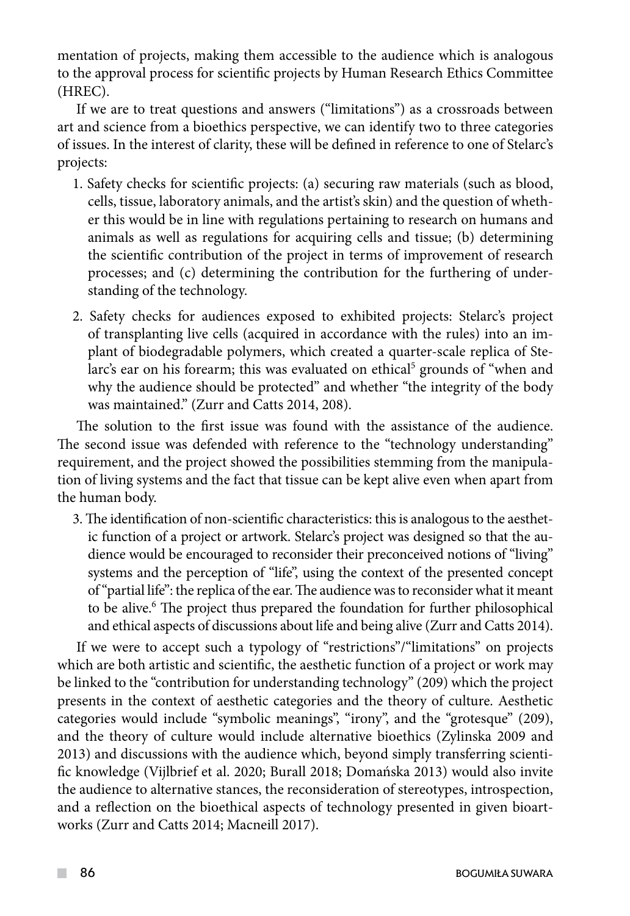mentation of projects, making them accessible to the audience which is analogous to the approval process for scientific projects by Human Research Ethics Committee (HREC).

If we are to treat questions and answers ("limitations") as a crossroads between art and science from a bioethics perspective, we can identify two to three categories of issues. In the interest of clarity, these will be defined in reference to one of Stelarc's projects:

- 1. Safety checks for scientific projects: (a) securing raw materials (such as blood, cells, tissue, laboratory animals, and the artist's skin) and the question of whether this would be in line with regulations pertaining to research on humans and animals as well as regulations for acquiring cells and tissue; (b) determining the scientific contribution of the project in terms of improvement of research processes; and (c) determining the contribution for the furthering of understanding of the technology.
- 2. Safety checks for audiences exposed to exhibited projects: Stelarc's project of transplanting live cells (acquired in accordance with the rules) into an implant of biodegradable polymers, which created a quarter-scale replica of Stelarc's ear on his forearm; this was evaluated on ethical<sup>5</sup> grounds of "when and why the audience should be protected" and whether "the integrity of the body was maintained." (Zurr and Catts 2014, 208).

The solution to the first issue was found with the assistance of the audience. The second issue was defended with reference to the "technology understanding" requirement, and the project showed the possibilities stemming from the manipulation of living systems and the fact that tissue can be kept alive even when apart from the human body.

3. The identification of non-scientific characteristics: this is analogous to the aesthetic function of a project or artwork. Stelarc's project was designed so that the audience would be encouraged to reconsider their preconceived notions of "living" systems and the perception of "life", using the context of the presented concept of "partial life": the replica of the ear. The audience was to reconsider what it meant to be alive.<sup>6</sup> The project thus prepared the foundation for further philosophical and ethical aspects of discussions about life and being alive (Zurr and Catts 2014).

If we were to accept such a typology of "restrictions"/"limitations" on projects which are both artistic and scientific, the aesthetic function of a project or work may be linked to the "contribution for understanding technology" (209) which the project presents in the context of aesthetic categories and the theory of culture. Aesthetic categories would include "symbolic meanings", "irony", and the "grotesque" (209), and the theory of culture would include alternative bioethics (Zylinska 2009 and 2013) and discussions with the audience which, beyond simply transferring scientific knowledge (Vijlbrief et al. 2020; Burall 2018; Domańska 2013) would also invite the audience to alternative stances, the reconsideration of stereotypes, introspection, and a reflection on the bioethical aspects of technology presented in given bioartworks (Zurr and Catts 2014; Macneill 2017).

 $\mathcal{L}^{\mathcal{L}}$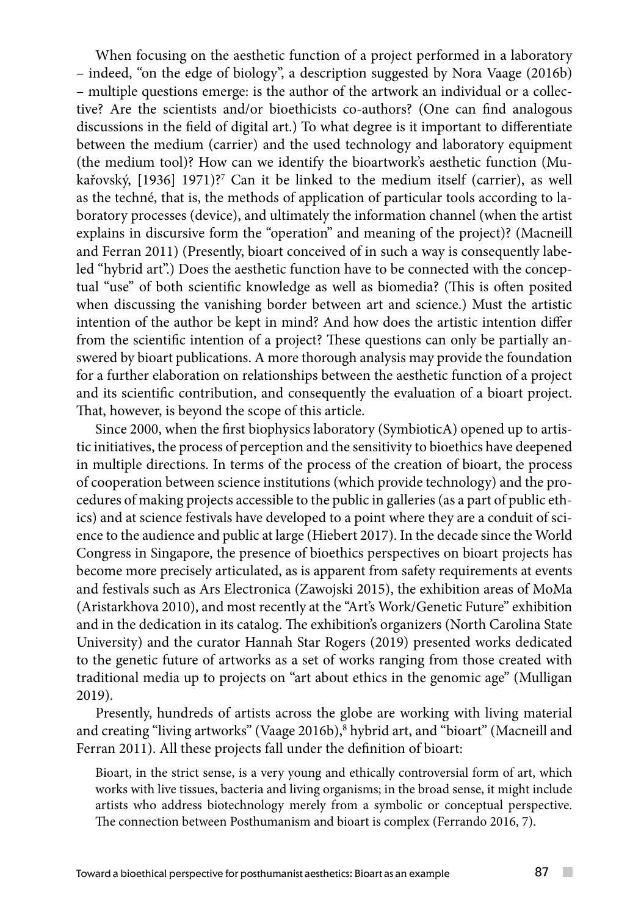When focusing on the aesthetic function of a project performed in a laboratory – indeed, "on the edge of biology", a description suggested by Nora Vaage (2016b) – multiple questions emerge: is the author of the artwork an individual or a collective? Are the scientists and/or bioethicists co-authors? (One can find analogous discussions in the field of digital art.) To what degree is it important to differentiate between the medium (carrier) and the used technology and laboratory equipment (the medium tool)? How can we identify the bioartwork's aesthetic function (Mukařovský, [1936] 1971)?7 Can it be linked to the medium itself (carrier), as well as the techné, that is, the methods of application of particular tools according to laboratory processes (device), and ultimately the information channel (when the artist explains in discursive form the "operation" and meaning of the project)? (Macneill and Ferran 2011) (Presently, bioart conceived of in such a way is consequently labeled "hybrid art".) Does the aesthetic function have to be connected with the conceptual "use" of both scientific knowledge as well as biomedia? (This is often posited when discussing the vanishing border between art and science.) Must the artistic intention of the author be kept in mind? And how does the artistic intention differ from the scientific intention of a project? These questions can only be partially answered by bioart publications. A more thorough analysis may provide the foundation for a further elaboration on relationships between the aesthetic function of a project and its scientific contribution, and consequently the evaluation of a bioart project. That, however, is beyond the scope of this article.

Since 2000, when the first biophysics laboratory (SymbioticA) opened up to artistic initiatives, the process of perception and the sensitivity to bioethics have deepened in multiple directions. In terms of the process of the creation of bioart, the process of cooperation between science institutions (which provide technology) and the procedures of making projects accessible to the public in galleries (as a part of public ethics) and at science festivals have developed to a point where they are a conduit of science to the audience and public at large (Hiebert 2017). In the decade since the World Congress in Singapore, the presence of bioethics perspectives on bioart projects has become more precisely articulated, as is apparent from safety requirements at events and festivals such as Ars Electronica (Zawojski 2015), the exhibition areas of MoMa (Aristarkhova 2010), and most recently at the "Art's Work/Genetic Future" exhibition and in the dedication in its catalog. The exhibition's organizers (North Carolina State University) and the curator Hannah Star Rogers (2019) presented works dedicated to the genetic future of artworks as a set of works ranging from those created with traditional media up to projects on "art about ethics in the genomic age" (Mulligan 2019).

Presently, hundreds of artists across the globe are working with living material and creating "living artworks" (Vaage 2016b), <sup>8</sup> hybrid art, and "bioart" (Macneill and Ferran 2011). All these projects fall under the definition of bioart:

Bioart, in the strict sense, is a very young and ethically controversial form of art, which works with live tissues, bacteria and living organisms; in the broad sense, it might include artists who address biotechnology merely from a symbolic or conceptual perspective. The connection between Posthumanism and bioart is complex (Ferrando 2016, 7).

 $\sim$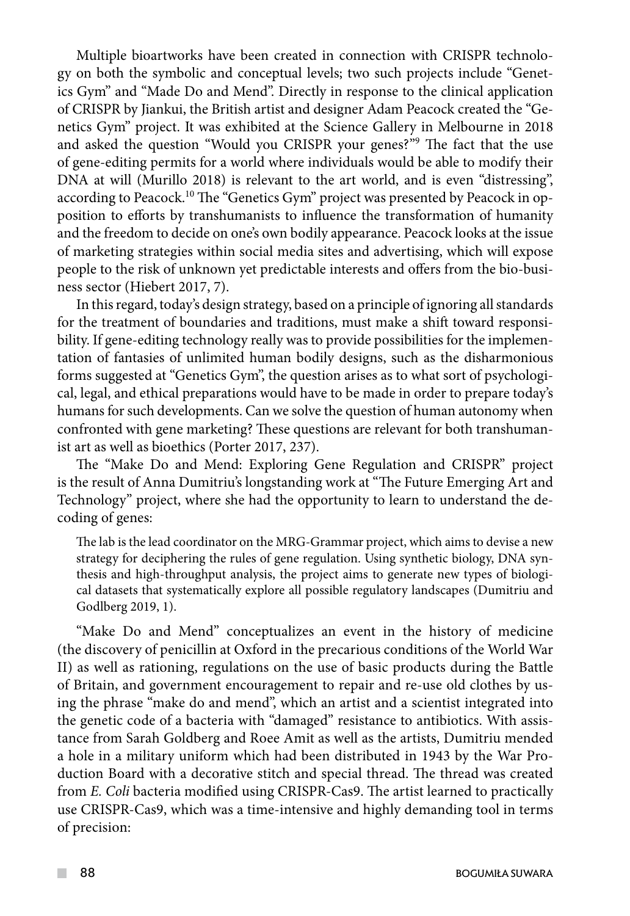Multiple bioartworks have been created in connection with CRISPR technology on both the symbolic and conceptual levels; two such projects include "Genetics Gym" and "Made Do and Mend". Directly in response to the clinical application of CRISPR by Jiankui, the British artist and designer Adam Peacock created the "Genetics Gym" project. It was exhibited at the Science Gallery in Melbourne in 2018 and asked the question "Would you CRISPR your genes?"9 The fact that the use of gene-editing permits for a world where individuals would be able to modify their DNA at will (Murillo 2018) is relevant to the art world, and is even "distressing", according to Peacock.<sup>10</sup> The "Genetics Gym" project was presented by Peacock in opposition to efforts by transhumanists to influence the transformation of humanity and the freedom to decide on one's own bodily appearance. Peacock looks at the issue of marketing strategies within social media sites and advertising, which will expose people to the risk of unknown yet predictable interests and offers from the bio-business sector (Hiebert 2017, 7).

In this regard, today's design strategy, based on a principle of ignoring all standards for the treatment of boundaries and traditions, must make a shift toward responsibility. If gene-editing technology really was to provide possibilities for the implementation of fantasies of unlimited human bodily designs, such as the disharmonious forms suggested at "Genetics Gym", the question arises as to what sort of psychological, legal, and ethical preparations would have to be made in order to prepare today's humans for such developments. Can we solve the question of human autonomy when confronted with gene marketing? These questions are relevant for both transhumanist art as well as bioethics (Porter 2017, 237).

The "Make Do and Mend: Exploring Gene Regulation and CRISPR" project is the result of Anna Dumitriu's longstanding work at "The Future Emerging Art and Technology" project, where she had the opportunity to learn to understand the decoding of genes:

The lab is the lead coordinator on the MRG-Grammar project, which aims to devise a new strategy for deciphering the rules of gene regulation. Using synthetic biology, DNA synthesis and high-throughput analysis, the project aims to generate new types of biological datasets that systematically explore all possible regulatory landscapes (Dumitriu and Godlberg 2019, 1).

"Make Do and Mend" conceptualizes an event in the history of medicine (the discovery of penicillin at Oxford in the precarious conditions of the World War II) as well as rationing, regulations on the use of basic products during the Battle of Britain, and government encouragement to repair and re-use old clothes by using the phrase "make do and mend", which an artist and a scientist integrated into the genetic code of a bacteria with "damaged" resistance to antibiotics. With assistance from Sarah Goldberg and Roee Amit as well as the artists, Dumitriu mended a hole in a military uniform which had been distributed in 1943 by the War Production Board with a decorative stitch and special thread. The thread was created from *E. Coli* bacteria modified using CRISPR-Cas9. The artist learned to practically use CRISPR-Cas9, which was a time-intensive and highly demanding tool in terms of precision: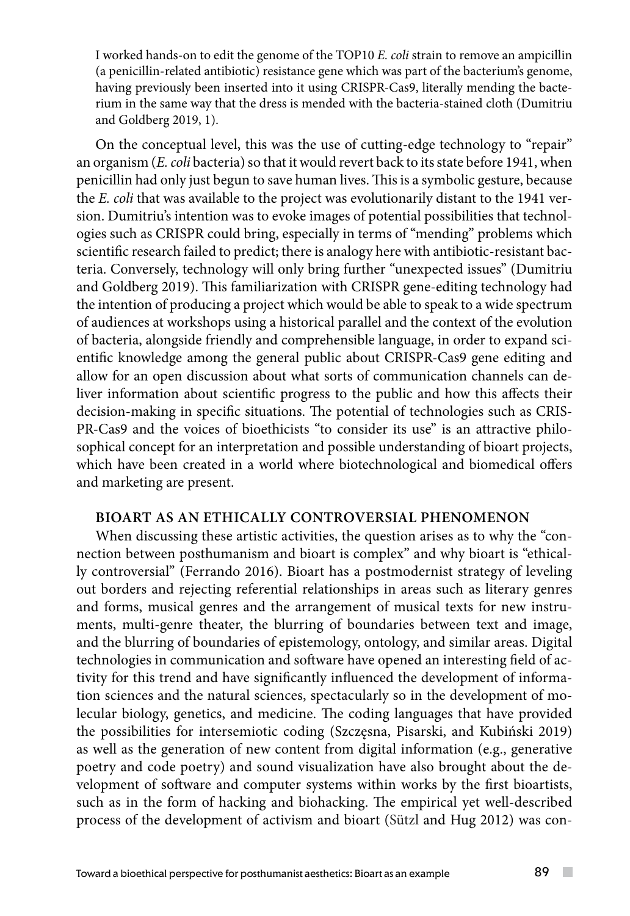I worked hands-on to edit the genome of the TOP10 *E. coli* strain to remove an ampicillin (a penicillin-related antibiotic) resistance gene which was part of the bacterium's genome, having previously been inserted into it using CRISPR-Cas9, literally mending the bacterium in the same way that the dress is mended with the bacteria-stained cloth (Dumitriu and Goldberg 2019, 1).

On the conceptual level, this was the use of cutting-edge technology to "repair" an organism (*E. coli* bacteria) so that it would revert back to its state before 1941, when penicillin had only just begun to save human lives. This is a symbolic gesture, because the *E. coli* that was available to the project was evolutionarily distant to the 1941 version. Dumitriu's intention was to evoke images of potential possibilities that technologies such as CRISPR could bring, especially in terms of "mending" problems which scientific research failed to predict; there is analogy here with antibiotic-resistant bacteria. Conversely, technology will only bring further "unexpected issues" (Dumitriu and Goldberg 2019). This familiarization with CRISPR gene-editing technology had the intention of producing a project which would be able to speak to a wide spectrum of audiences at workshops using a historical parallel and the context of the evolution of bacteria, alongside friendly and comprehensible language, in order to expand scientific knowledge among the general public about CRISPR-Cas9 gene editing and allow for an open discussion about what sorts of communication channels can deliver information about scientific progress to the public and how this affects their decision-making in specific situations. The potential of technologies such as CRIS-PR-Cas9 and the voices of bioethicists "to consider its use" is an attractive philosophical concept for an interpretation and possible understanding of bioart projects, which have been created in a world where biotechnological and biomedical offers and marketing are present.

### **Bioart as an ethically controversial phenomenon**

When discussing these artistic activities, the question arises as to why the "connection between posthumanism and bioart is complex" and why bioart is "ethically controversial" (Ferrando 2016). Bioart has a postmodernist strategy of leveling out borders and rejecting referential relationships in areas such as literary genres and forms, musical genres and the arrangement of musical texts for new instruments, multi-genre theater, the blurring of boundaries between text and image, and the blurring of boundaries of epistemology, ontology, and similar areas. Digital technologies in communication and software have opened an interesting field of activity for this trend and have significantly influenced the development of information sciences and the natural sciences, spectacularly so in the development of molecular biology, genetics, and medicine. The coding languages that have provided the possibilities for intersemiotic coding (Szczęsna, Pisarski, and Kubiński 2019) as well as the generation of new content from digital information (e.g., generative poetry and code poetry) and sound visualization have also brought about the development of software and computer systems within works by the first bioartists, such as in the form of hacking and biohacking. The empirical yet well-described process of the development of activism and bioart (Sützl and Hug 2012) was con-

 $\sim$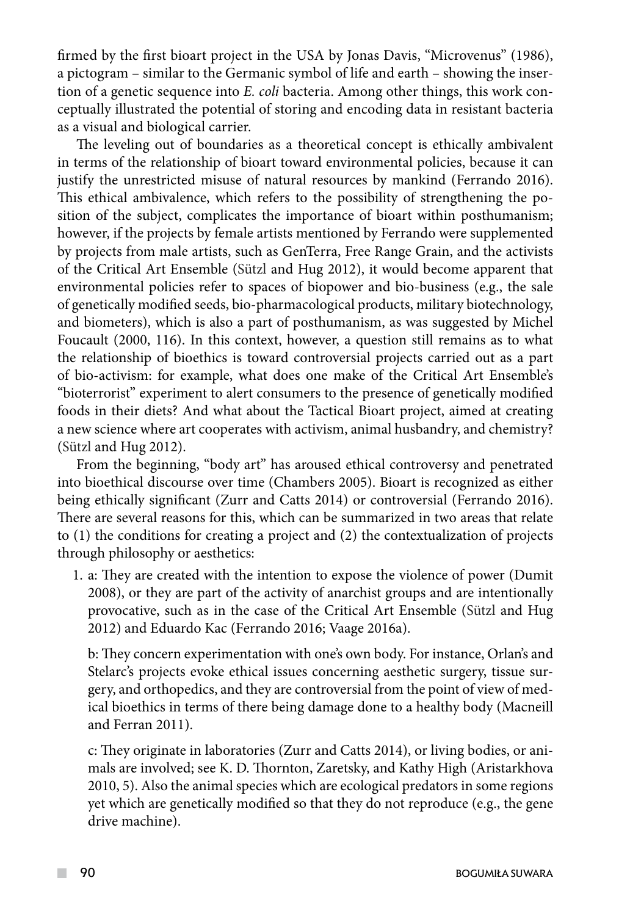firmed by the first bioart project in the USA by Jonas Davis, "Microvenus" (1986), a pictogram – similar to the Germanic symbol of life and earth – showing the insertion of a genetic sequence into *E. coli* bacteria. Among other things, this work conceptually illustrated the potential of storing and encoding data in resistant bacteria as a visual and biological carrier.

The leveling out of boundaries as a theoretical concept is ethically ambivalent in terms of the relationship of bioart toward environmental policies, because it can justify the unrestricted misuse of natural resources by mankind (Ferrando 2016). This ethical ambivalence, which refers to the possibility of strengthening the position of the subject, complicates the importance of bioart within posthumanism; however, if the projects by female artists mentioned by Ferrando were supplemented by projects from male artists, such as GenTerra, Free Range Grain, and the activists of the Critical Art Ensemble (Sützl and Hug 2012), it would become apparent that environmental policies refer to spaces of biopower and bio-business (e.g., the sale of genetically modified seeds, bio-pharmacological products, military biotechnology, and biometers), which is also a part of posthumanism, as was suggested by Michel Foucault (2000, 116). In this context, however, a question still remains as to what the relationship of bioethics is toward controversial projects carried out as a part of bio-activism: for example, what does one make of the Critical Art Ensemble's "bioterrorist" experiment to alert consumers to the presence of genetically modified foods in their diets? And what about the Tactical Bioart project, aimed at creating a new science where art cooperates with activism, animal husbandry, and chemistry? (Sützl and Hug 2012).

From the beginning, "body art" has aroused ethical controversy and penetrated into bioethical discourse over time (Chambers 2005). Bioart is recognized as either being ethically significant (Zurr and Catts 2014) or controversial (Ferrando 2016). There are several reasons for this, which can be summarized in two areas that relate to (1) the conditions for creating a project and (2) the contextualization of projects through philosophy or aesthetics:

1. a: They are created with the intention to expose the violence of power (Dumit 2008), or they are part of the activity of anarchist groups and are intentionally provocative, such as in the case of the Critical Art Ensemble (Sützl and Hug 2012) and Eduardo Kac (Ferrando 2016; Vaage 2016a).

b: They concern experimentation with one's own body. For instance, Orlan's and Stelarc's projects evoke ethical issues concerning aesthetic surgery, tissue surgery, and orthopedics, and they are controversial from the point of view of medical bioethics in terms of there being damage done to a healthy body (Macneill and Ferran 2011).

c: They originate in laboratories (Zurr and Catts 2014), or living bodies, or animals are involved; see K. D. Thornton, Zaretsky, and Kathy High (Aristarkhova 2010, 5). Also the animal species which are ecological predators in some regions yet which are genetically modified so that they do not reproduce (e.g., the gene drive machine).

 $\mathcal{L}^{\mathcal{L}}$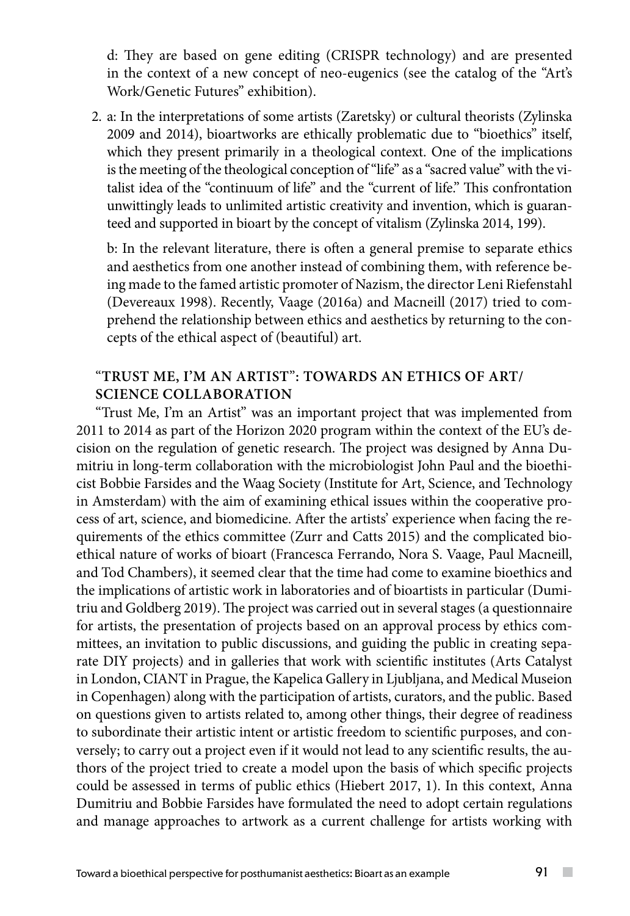d: They are based on gene editing (CRISPR technology) and are presented in the context of a new concept of neo-eugenics (see the catalog of the "Art's Work/Genetic Futures" exhibition).

2. a: In the interpretations of some artists (Zaretsky) or cultural theorists (Zylinska 2009 and 2014), bioartworks are ethically problematic due to "bioethics" itself, which they present primarily in a theological context. One of the implications is the meeting of the theological conception of "life" as a "sacred value" with the vitalist idea of the "continuum of life" and the "current of life." This confrontation unwittingly leads to unlimited artistic creativity and invention, which is guaranteed and supported in bioart by the concept of vitalism (Zylinska 2014, 199).

b: In the relevant literature, there is often a general premise to separate ethics and aesthetics from one another instead of combining them, with reference being made to the famed artistic promoter of Nazism, the director Leni Riefenstahl (Devereaux 1998). Recently, Vaage (2016a) and Macneill (2017) tried to comprehend the relationship between ethics and aesthetics by returning to the concepts of the ethical aspect of (beautiful) art.

### "**Trust Me, I'm an Artist**"**: towards an ethics of art/ science collaboration**

"Trust Me, I'm an Artist" was an important project that was implemented from 2011 to 2014 as part of the Horizon 2020 program within the context of the EU's decision on the regulation of genetic research. The project was designed by Anna Dumitriu in long-term collaboration with the microbiologist John Paul and the bioethicist Bobbie Farsides and the Waag Society (Institute for Art, Science, and Technology in Amsterdam) with the aim of examining ethical issues within the cooperative process of art, science, and biomedicine. After the artists' experience when facing the requirements of the ethics committee (Zurr and Catts 2015) and the complicated bioethical nature of works of bioart (Francesca Ferrando, Nora S. Vaage, Paul Macneill, and Tod Chambers), it seemed clear that the time had come to examine bioethics and the implications of artistic work in laboratories and of bioartists in particular (Dumitriu and Goldberg 2019). The project was carried out in several stages (a questionnaire for artists, the presentation of projects based on an approval process by ethics committees, an invitation to public discussions, and guiding the public in creating separate DIY projects) and in galleries that work with scientific institutes (Arts Catalyst in London, CIANT in Prague, the Kapelica Gallery in Ljubljana, and Medical Museion in Copenhagen) along with the participation of artists, curators, and the public. Based on questions given to artists related to, among other things, their degree of readiness to subordinate their artistic intent or artistic freedom to scientific purposes, and conversely; to carry out a project even if it would not lead to any scientific results, the authors of the project tried to create a model upon the basis of which specific projects could be assessed in terms of public ethics (Hiebert 2017, 1). In this context, Anna Dumitriu and Bobbie Farsides have formulated the need to adopt certain regulations and manage approaches to artwork as a current challenge for artists working with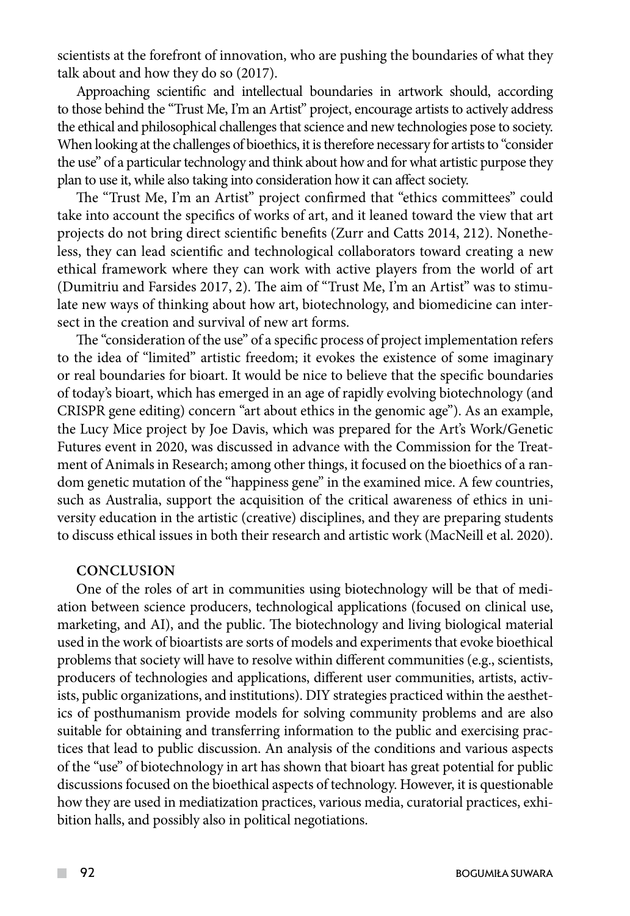scientists at the forefront of innovation, who are pushing the boundaries of what they talk about and how they do so (2017).

Approaching scientific and intellectual boundaries in artwork should, according to those behind the "Trust Me, I'm an Artist" project, encourage artists to actively address the ethical and philosophical challenges that science and new technologies pose to society. When looking at the challenges of bioethics, it is therefore necessary for artists to "consider the use" of a particular technology and think about how and for what artistic purpose they plan to use it, while also taking into consideration how it can affect society.

The "Trust Me, I'm an Artist" project confirmed that "ethics committees" could take into account the specifics of works of art, and it leaned toward the view that art projects do not bring direct scientific benefits (Zurr and Catts 2014, 212). Nonetheless, they can lead scientific and technological collaborators toward creating a new ethical framework where they can work with active players from the world of art (Dumitriu and Farsides 2017, 2). The aim of "Trust Me, I'm an Artist" was to stimulate new ways of thinking about how art, biotechnology, and biomedicine can intersect in the creation and survival of new art forms.

The "consideration of the use" of a specific process of project implementation refers to the idea of "limited" artistic freedom; it evokes the existence of some imaginary or real boundaries for bioart. It would be nice to believe that the specific boundaries of today's bioart, which has emerged in an age of rapidly evolving biotechnology (and CRISPR gene editing) concern "art about ethics in the genomic age"). As an example, the Lucy Mice project by Joe Davis, which was prepared for the Art's Work/Genetic Futures event in 2020, was discussed in advance with the Commission for the Treatment of Animals in Research; among other things, it focused on the bioethics of a random genetic mutation of the "happiness gene" in the examined mice. A few countries, such as Australia, support the acquisition of the critical awareness of ethics in university education in the artistic (creative) disciplines, and they are preparing students to discuss ethical issues in both their research and artistic work (MacNeill et al. 2020).

#### **Conclusion**

One of the roles of art in communities using biotechnology will be that of mediation between science producers, technological applications (focused on clinical use, marketing, and AI), and the public. The biotechnology and living biological material used in the work of bioartists are sorts of models and experiments that evoke bioethical problems that society will have to resolve within different communities (e.g., scientists, producers of technologies and applications, different user communities, artists, activists, public organizations, and institutions). DIY strategies practiced within the aesthetics of posthumanism provide models for solving community problems and are also suitable for obtaining and transferring information to the public and exercising practices that lead to public discussion. An analysis of the conditions and various aspects of the "use" of biotechnology in art has shown that bioart has great potential for public discussions focused on the bioethical aspects of technology. However, it is questionable how they are used in mediatization practices, various media, curatorial practices, exhibition halls, and possibly also in political negotiations.

 $\mathcal{L}^{\mathcal{L}}$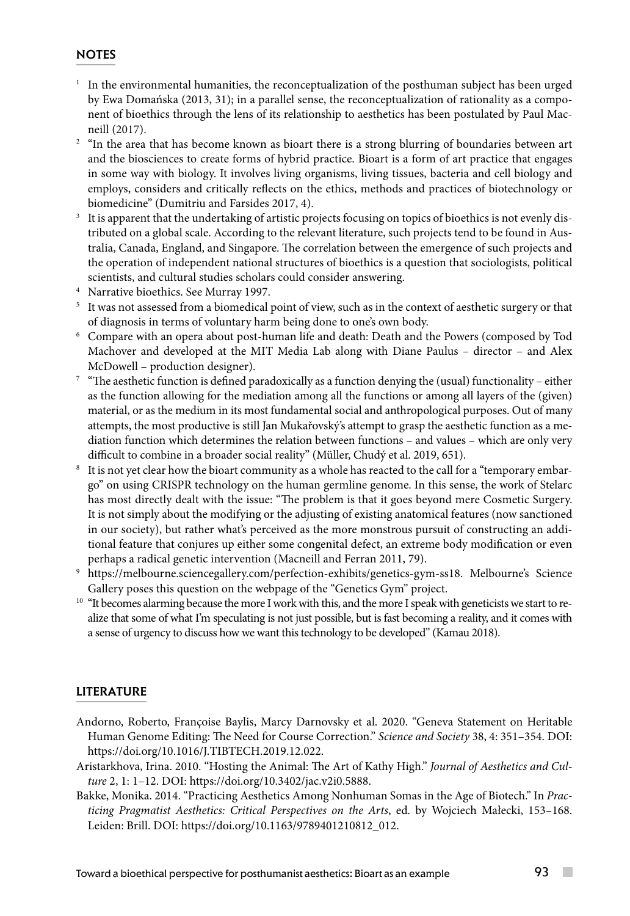#### **NOTES**

- <sup>1</sup> In the environmental humanities, the reconceptualization of the posthuman subject has been urged by Ewa Domańska (2013, 31); in a parallel sense, the reconceptualization of rationality as a component of bioethics through the lens of its relationship to aesthetics has been postulated by Paul Mac-
- neill (2017).<br><sup>2</sup> "In the area that has become known as bioart there is a strong blurring of boundaries between art and the biosciences to create forms of hybrid practice. Bioart is a form of art practice that engages in some way with biology. It involves living organisms, living tissues, bacteria and cell biology and employs, considers and critically reflects on the ethics, methods and practices of biotechnology or biomedicine" (Dumitriu and Farsides 2017, 4).
- It is apparent that the undertaking of artistic projects focusing on topics of bioethics is not evenly distributed on a global scale. According to the relevant literature, such projects tend to be found in Australia, Canada, England, and Singapore. The correlation between the emergence of such projects and the operation of independent national structures of bioethics is a question that sociologists, political scientists, and cultural studies scholars could consider answering. 4 Narrative bioethics. See Murray 1997.
- 
- <sup>5</sup> It was not assessed from a biomedical point of view, such as in the context of aesthetic surgery or that of diagnosis in terms of voluntary harm being done to one's own body. 6 Compare with an opera about post-human life and death: Death and the Powers (composed by Tod
- Machover and developed at the MIT Media Lab along with Diane Paulus director and Alex McDowell – production designer).
- <sup>7</sup> "The aesthetic function is defined paradoxically as a function denying the (usual) functionality either as the function allowing for the mediation among all the functions or among all layers of the (given) material, or as the medium in its most fundamental social and anthropological purposes. Out of many attempts, the most productive is still Jan Mukařovský's attempt to grasp the aesthetic function as a mediation function which determines the relation between functions – and values – which are only very difficult to combine in a broader social reality" (Müller, Chudý et al. 2019, 651).
- <sup>8</sup> It is not yet clear how the bioart community as a whole has reacted to the call for a "temporary embargo" on using CRISPR technology on the human germline genome. In this sense, the work of Stelarc has most directly dealt with the issue: "The problem is that it goes beyond mere Cosmetic Surgery. It is not simply about the modifying or the adjusting of existing anatomical features (now sanctioned in our society), but rather what's perceived as the more monstrous pursuit of constructing an additional feature that conjures up either some congenital defect, an extreme body modification or even perhaps a radical genetic intervention (Macneill and Ferran 2011, 79).
- <sup>9</sup> https://melbourne.sciencegallery.com/perfection-exhibits/genetics-gym-ss18. Melbourne's Science Gallery poses this question on the webpage of the "Genetics Gym" project.<br><sup>10</sup> "It becomes alarming because the more I work with this, and the more I speak with geneticists we start to re-
- alize that some of what I'm speculating is not just possible, but is fast becoming a reality, and it comes with a sense of urgency to discuss how we want this technology to be developed" (Kamau 2018).

#### **LITERATURE**

- Andorno, Roberto, Françoise Baylis, Marcy Darnovsky et al. 2020. "Geneva Statement on Heritable Human Genome Editing: The Need for Course Correction." *Science and Society* 38, 4: 351–354. DOI: [https://doi.org/10.1016/J.TIBTECH.2019.12.022.](https://doi.org/10.1016/J.TIBTECH.2019.12.022)
- Aristarkhova, Irina. 2010. "Hosting the Animal: The Art of Kathy High." *Journal of Aesthetics and Culture* 2, 1: 1–12. DOI: https://doi.org/10.3402/jac.v2i0.5888.
- Bakke, Monika. 2014. "Practicing Aesthetics Among Nonhuman Somas in the Age of Biotech." In *Practicing Pragmatist Aesthetics: Critical Perspectives on the Arts*, ed. by Wojciech Małecki, 153–168. Leiden: Brill. DOI: https://doi.org/10.1163/9789401210812\_012.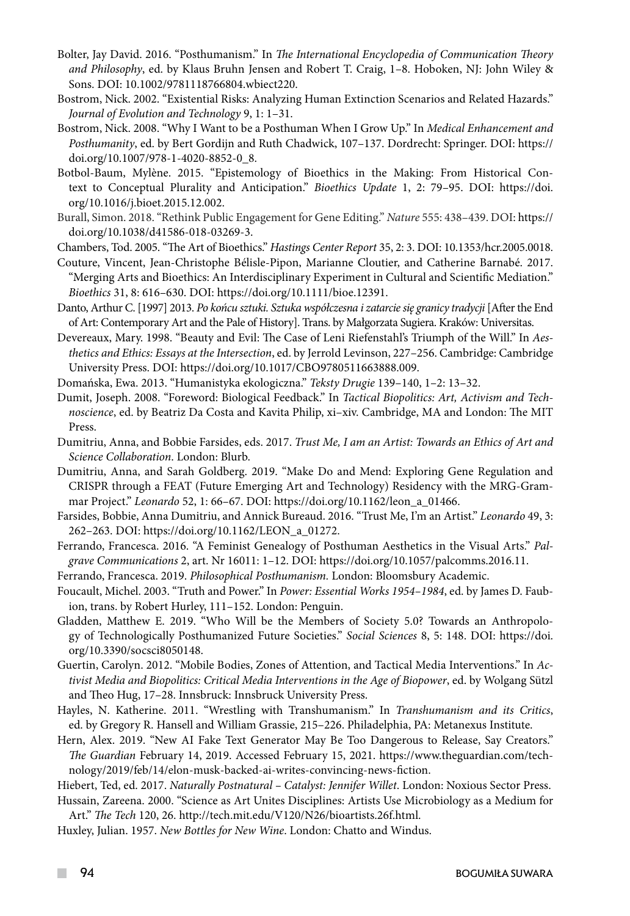- Bolter, Jay David. 2016. "Posthumanism." In *The International Encyclopedia of Communication Theory and Philosophy*, ed. by Klaus Bruhn Jensen and Robert T. Craig, 1–8. Hoboken, NJ: John Wiley & Sons. DOI: 10.1002/9781118766804.wbiect220.
- Bostrom, Nick. 2002. "Existential Risks: Analyzing Human Extinction Scenarios and Related Hazards." *Journal of Evolution and Technology* 9, 1: 1–31.
- Bostrom, Nick. 2008. "Why I Want to be a Posthuman When I Grow Up." In *Medical Enhancement and Posthumanity*, ed. by Bert Gordijn and Ruth Chadwick, 107–137. Dordrecht: Springer. DOI: https:// doi.org/10.1007/978-1-4020-8852-0\_8.
- [Botbol-Baum](https://www.sciencedirect.com/science/article/abs/pii/S2395938X15000212#!), Mylène. 2015. "Epistemology of Bioethics in the Making: From Historical Context to Conceptual Plurality and Anticipation." *Bioethics Update* 1, 2: 79–95. DOI: https://doi. org/10.1016/j.bioet.2015.12.002.
- Burall, Simon. 2018. "Rethink Public Engagement for Gene Editing." *Nature* 555: 438–439. DOI: https:// doi.org/10.1038/d41586-018-03269-3.
- Chambers, Tod. 2005. "The Art of Bioethics." *Hastings Center Report* 35, 2: 3. DOI: 10.1353/hcr.2005.0018.
- Couture, Vincent, Jean-Christophe Bélisle-Pipon, Marianne Cloutier, and Catherine Barnabé. 2017. "Merging Arts and Bioethics: An Interdisciplinary Experiment in Cultural and Scientific Mediation." *Bioethics* 31, 8: 616–630. DOI: https://doi.org/10.1111/bioe.12391.
- Danto, Arthur C. [1997] 2013. *Po końcu sztuki. Sztuka współczesna i zatarcie się granicy tradycji* [After the End of Art: Contemporary Art and the Pale of History]. Trans. by Małgorzata Sugiera. Kraków: Universitas.
- Devereaux, Mary. 1998. "Beauty and Evil: The Case of Leni Riefenstahl's Triumph of the Will." In *Aesthetics and Ethics: Essays at the Intersection*, ed. by Jerrold Levinson, 227–256. Cambridge: Cambridge University Press. DOI: https://doi.org/10.1017/CBO9780511663888.009.
- Domańska, Ewa. 2013. "Humanistyka ekologiczna." *Teksty Drugie* 139–140, 1–2: 13–32.
- Dumit, Joseph. 2008. "Foreword: Biological Feedback." In *Tactical Biopolitics: Art, Activism and Technoscience*, ed. by Beatriz Da Costa and Kavita Philip, xi–xiv. Cambridge, MA and London: The MIT Press.
- Dumitriu, Anna, and Bobbie Farsides, eds. 2017. *Trust Me, I am an Artist: Towards an Ethics of Art and Science Collaboration*. London: Blurb.
- Dumitriu, Anna, and Sarah Goldberg. 2019. "Make Do and Mend: Exploring Gene Regulation and CRISPR through a FEAT (Future Emerging Art and Technology) Residency with the MRG-Grammar Project." *Leonardo* 52, 1: 66–67. DOI: https://doi.org/10.1162/leon\_a\_01466.
- Farsides, Bobbie, Anna Dumitriu, and Annick Bureaud. 2016. "Trust Me, I'm an Artist." *Leonardo* 49, 3: 262–263. DOI: https://doi.org/10.1162/LEON\_a\_01272.
- Ferrando, Francesca. 2016. "A Feminist Genealogy of Posthuman Aesthetics in the Visual Arts." *Palgrave Communications* 2, art. Nr 16011: 1–12. DOI: https://doi.org/10.1057/palcomms.2016.11.
- Ferrando, Francesca. 2019. *Philosophical Posthumanism.* London: Bloomsbury Academic.
- Foucault, Michel. 2003. "Truth and Power." In *Power: Essential Works 1954–1984*, ed. by James D. Faubion, trans. by Robert Hurley, 111–152. London: Penguin.
- Gladden, Matthew E. 2019. "Who Will be the Members of Society 5.0? Towards an Anthropology of Technologically Posthumanized Future Societies." *Social Sciences* 8, 5: 148. DOI: https://doi. org/10.3390/socsci8050148.
- Guertin, Carolyn. 2012. "Mobile Bodies, Zones of Attention, and Tactical Media Interventions." In *Activist Media and Biopolitics: Critical Media Interventions in the Age of Biopower*, ed. by Wolgang Sützl and Theo Hug, 17–28. Innsbruck: Innsbruck University Press.
- Hayles, N. Katherine. 2011. "Wrestling with Transhumanism." In *Transhumanism and its Critics*, ed. by Gregory R. Hansell and William Grassie, 215–226. Philadelphia, PA: Metanexus Institute.
- Hern, Alex. 2019. "New AI Fake Text Generator May Be Too Dangerous to Release, Say Creators." *The Guardian* February 14, 2019. Accessed February 15, 2021. https://www.theguardian.com/technology/2019/feb/14/elon-musk-backed-ai-writes-convincing-news-fiction.
- Hiebert, Ted, ed. 2017. *Naturally Postnatural Catalyst: Jennifer Willet*. London: Noxious Sector Press.
- Hussain, Zareena. 2000. "Science as Art Unites Disciplines: Artists Use Microbiology as a Medium for Art." *The Tech* 120, 26. http://tech.mit.edu/V120/N26/bioartists.26f.html.
- Huxley, Julian. 1957. *New Bottles for New Wine*. London: Chatto and Windus.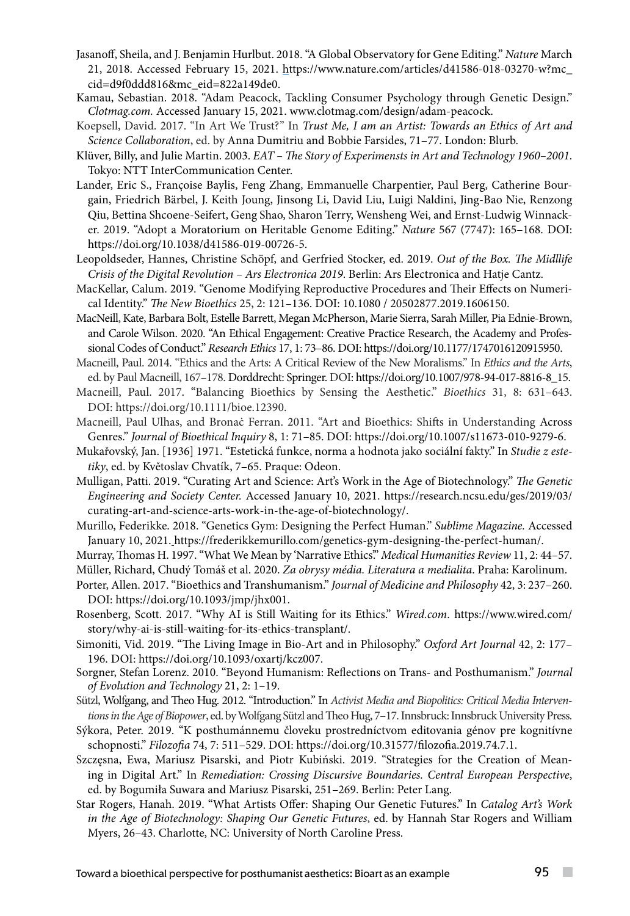- Jasanoff, Sheila, and J. Benjamin Hurlbut. 2018. "A Global Observatory for Gene Editing." *Nature* March 21, 2018. Accessed February 15, 2021. https://www.nature.com/articles/d41586-018-03270-w?mc\_ cid=d9f0ddd816&mc\_eid=822a149de0.
- Kamau, Sebastian. 2018. "Adam Peacock, Tackling Consumer Psychology through Genetic Design." *Clotmag.com.* Accessed January 15, 2021. www.clotmag.com/design/adam-peacock.
- Koepsell, David. 2017. "In Art We Trust?" In *Trust Me, I am an Artist: Towards an Ethics of Art and Science Collaboration*, ed. by Anna Dumitriu and Bobbie Farsides, 71–77. London: Blurb.
- Klüver, Billy, and Julie Martin. 2003. *EAT The Story of Experimensts in Art and Technology 1960–2001*. Tokyo: NTT InterCommunication Center.
- Lander, Eric S., Françoise Baylis, Feng Zhang, Emmanuelle Charpentier, Paul Berg, Catherine Bourgain, Friedrich Bärbel, J. Keith Joung, Jinsong Li, David Liu, Luigi Naldini, Jing-Bao Nie, Renzong Qiu, Bettina Shcoene-Seifert, Geng Shao, Sharon Terry, Wensheng Wei, and Ernst-Ludwig Winnacker. 2019. "Adopt a Moratorium on Heritable Genome Editing." *Nature* 567 (7747): 165–168. DOI: https://doi.org/10.1038/d41586-019-00726-5.
- Leopoldseder, Hannes, Christine Schöpf, and Gerfried Stocker, ed. 2019. *Out of the Box. The Midllife Crisis of the Digital Revolution – Ars Electronica 2019*. Berlin: Ars Electronica and Hatje Cantz.
- MacKellar, Calum. 2019. "Genome Modifying Reproductive Procedures and Their Effects on Numerical Identity." *The New Bioethics* 25, 2: 121–136. DOI: 10.1080 / 20502877.2019.1606150.
- MacNeill, Kate, Barbara Bolt, Estelle Barrett, Megan McPherson, Marie Sierra, Sarah Miller, Pia Ednie-Brown, and Carole Wilson. 2020. "An Ethical Engagement: Creative Practice Research, the Academy and Professional Codes of Conduct." *Research Ethics* 17, 1: 73–86. DOI: https://doi.org/10.1177/1747016120915950.

Macneill, Paul. 2014. "Ethics and the Arts: A Critical Review of the New Moralisms." In *Ethics and the Arts*, ed. by Paul Macneill, 167–178. Dorddrecht: Springer. DOI: https://doi.org/10.1007/978-94-017-8816-8\_15.

- Macneill, Paul. 2017. "Balancing Bioethics by Sensing the Aesthetic." *[Bioethics](https://www.researchgate.net/journal/Bioethics-1467-8519)* 31, 8: 631–643. DOI: https://doi.org/[10.1111/bioe.12390.](https://www.researchgate.net/deref/http%3A%2F%2Fdx.doi.org%2F10.1111%2Fbioe.12390)
- Macneill, Paul Ulhas, and Bronaċ Ferran. 2011. "Art and Bioethics: Shifts in Understanding Across Genres." *Journal of Bioethical Inquiry* 8, 1: 71–85. DOI: https://doi.org/10.1007/s11673-010-9279-6.
- Mukařovský, Jan. [1936] 1971. "Estetická funkce, norma a hodnota jako sociální fakty." In *Studie z estetiky*, ed. by Květoslav Chvatík, 7–65. Praque: Odeon.
- Mulligan, Patti. 2019. "Curating Art and Science: Art's Work in the Age of Biotechnology." *The Genetic Engineering and Society Center.* Accessed January 10, 2021. https://research.ncsu.edu/ges/2019/03/ curating-art-and-science-arts-work-in-the-age-of-biotechnology/.
- Murillo, Federikke. 2018. "Genetics Gym: Designing the Perfect Human." *Sublime Magazine.* Accessed January 10, 2021. https://frederikkemurillo.com/genetics-gym-designing-the-perfect-human/.
- Murray, Thomas H. 1997. "What We Mean by 'Narrative Ethics'." *Medical Humanities Review* 11, 2: 44–57. Müller, Richard, Chudý Tomáš et al. 2020. *Za obrysy média. Literatura a medialita*. Praha: Karolinum.
- Porter, Allen. 2017. "Bioethics and Transhumanism." *Journal of Medicine and Philosophy* 42, 3: 237–260. DOI: https://doi.org/10.1093/jmp/jhx001.
- Rosenberg, Scott. 2017. "Why AI is Still Waiting for its Ethics." *Wired.com*. https://www.wired.com/ story/why-ai-is-still-waiting-for-its-ethics-transplant/.
- Simoniti, Vid. 2019. "The Living Image in Bio-Art and in Philosophy." *Oxford Art Journal* 42, 2: 177– 196. DOI: https://doi.org/10.1093/oxartj/kcz007.
- Sorgner, Stefan Lorenz. 2010. "Beyond Humanism: Reflections on Trans- and Posthumanism." *Journal of Evolution and Technology* 21, 2: 1–19.
- Sützl, Wolfgang, and Theo Hug. 2012. "Introduction." In *Activist Media and Biopolitics: Critical Media Interventions in the Age of Biopower*, ed. by Wolfgang Sützl and Theo Hug, 7–17. Innsbruck: Innsbruck University Press.
- Sýkora, Peter. 2019. "K posthumánnemu človeku prostredníctvom editovania génov pre kognitívne schopnosti." *Filozofia* 74, 7: 511–529. DOI: https://doi.org/10.31577/filozofia.2019.74.7.1.
- Szczęsna, Ewa, Mariusz Pisarski, and Piotr Kubiński. 2019. "Strategies for the Creation of Meaning in Digital Art." In *Remediation: Crossing Discursive Boundaries. Central European Perspective*, ed. by Bogumiła Suwara and Mariusz Pisarski, 251–269. Berlin: Peter Lang.
- Star Rogers, Hanah. 2019. "What Artists Offer: Shaping Our Genetic Futures." In *Catalog Art's Work in the Age of Biotechnology: Shaping Our Genetic Futures*, ed. by Hannah Star Rogers and William Myers, 26–43. Charlotte, NC: University of North Caroline Press.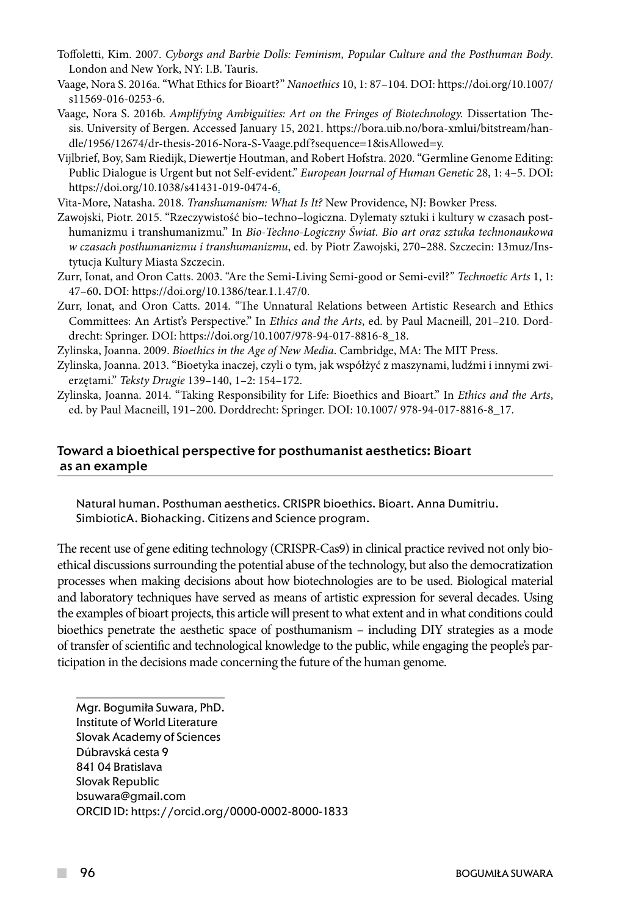- Toffoletti, Kim. 2007. *Cyborgs and Barbie Dolls: Feminism, Popular Culture and the Posthuman Body*. London and New York, NY: I.B. Tauris.
- Vaage, Nora S. 2016a. "What Ethics for Bioart?" *Nanoethics* 10, 1: 87–104. DOI: https://doi.org/10.1007/ s11569-016-0253-6.
- Vaage, Nora S. 2016b. *Amplifying Ambiguities: Art on the Fringes of Biotechnology.* Dissertation Thesis. University of Bergen. Accessed January 15, 2021. https://bora.uib.no/bora-xmlui/bitstream/handle/1956/12674/dr-thesis-2016-Nora-S-Vaage.pdf?sequence=1&isAllowed=y.
- Vijlbrief, Boy, Sam Riedijk, Diewertje Houtman, and Robert Hofstra. 2020. "Germline Genome Editing: Public Dialogue is Urgent but not Self-evident." *European Journal of Human Genetic* 28, 1: 4–5. DOI: https://doi.org/10.1038/s41431-019-0474-6.
- Vita-More, Natasha. 2018. *Transhumanism: What Is It?* New Providence, NJ: Bowker Press.
- Zawojski, Piotr. 2015. "Rzeczywistość bio–techno–logiczna. Dylematy sztuki i kultury w czasach posthumanizmu i transhumanizmu." In *Bio-Techno-Logiczny Świat. Bio art oraz sztuka technonaukowa w czasach posthumanizmu i transhumanizmu*, ed. by Piotr Zawojski, 270–288. Szczecin: 13muz/Instytucja Kultury Miasta Szczecin.
- Zurr, Ionat, and Oron Catts. 2003. "Are the Semi-Living Semi-good or Semi-evil?" *Technoetic Arts* 1, 1: 47–60**.** DOI: https://doi.org/10.1386/tear.1.1.47/0.
- Zurr, Ionat, and Oron Catts. 2014. "The Unnatural Relations between Artistic Research and Ethics Committees: An Artist's Perspective." In *Ethics and the Arts*, ed. by Paul Macneill, 201–210. Dorddrecht: Springer. DOI: https://doi.org/10.1007/978-94-017-8816-8\_18.
- Zylinska, Joanna. 2009. *Bioethics in the Age of New Media*. Cambridge, MA: The MIT Press.
- Zylinska, Joanna. 2013. "Bioetyka inaczej, czyli o tym, jak współżyć z maszynami, ludźmi i innymi zwierzętami." *Teksty Drugie* 139–140, 1–2: 154–172.
- Zylinska, Joanna. 2014. "Taking Responsibility for Life: Bioethics and Bioart." In *Ethics and the Arts*, ed. by Paul Macneill, 191–200. Dorddrecht: Springer. DOI: 10.1007/ 978-94-017-8816-8\_17.

#### Toward a bioethical perspective for posthumanist aesthetics: Bioart as an example

Natural human. Posthuman aesthetics. CRISPR bioethics. Bioart. Anna Dumitriu. SimbioticA. Biohacking. Citizens and Science program.

The recent use of gene editing technology (CRISPR-Cas9) in clinical practice revived not only bioethical discussions surrounding the potential abuse of the technology, but also the democratization processes when making decisions about how biotechnologies are to be used. Biological material and laboratory techniques have served as means of artistic expression for several decades. Using the examples of bioart projects, this article will present to what extent and in what conditions could bioethics penetrate the aesthetic space of posthumanism – including DIY strategies as a mode of transfer of scientific and technological knowledge to the public, while engaging the people's participation in the decisions made concerning the future of the human genome.

Mgr. Bogumiła Suwara, PhD. Institute of World Literature Slovak Academy of Sciences Dúbravská cesta 9 841 04 Bratislava Slovak Republic bsuwara@gmail.com ORCID ID: https://orcid.org/0000-0002-8000-1833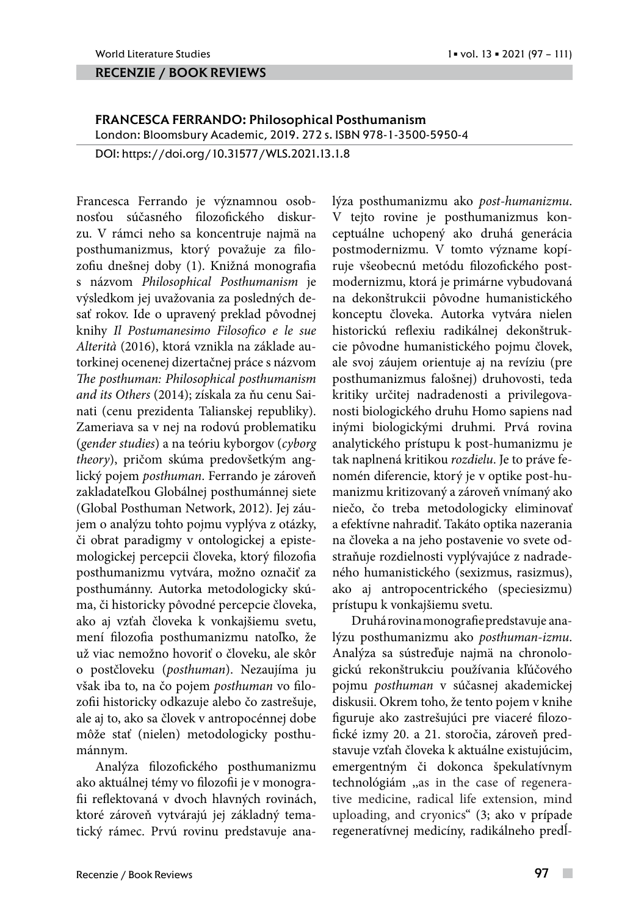#### recenzie / book reviews

## FRANCESCA FERRANDO: Philosophical Posthumanism

London: Bloomsbury Academic, 2019. 272 s. ISBN 978-1-3500-5950-4

DOI: https://doi.org/10.31577/WLS.2021.13.1.8

Francesca Ferrando je významnou osobnosťou súčasného filozofického diskurzu. V rámci neho sa koncentruje najmä na posthumanizmus, ktorý považuje za filozofiu dnešnej doby (1). Knižná monografia s názvom *Philosophical Posthumanism* je výsledkom jej uvažovania za posledných desať rokov. Ide o upravený preklad pôvodnej knihy *[Il Postumanesimo Filosofico e le sue](file:///C:/Users/Kontrisova/Documents/USTAVNE/WLS/VOL13NO1_21/javascript:void(0))  [Alterità](file:///C:/Users/Kontrisova/Documents/USTAVNE/WLS/VOL13NO1_21/javascript:void(0))* (2016), ktorá vznikla na základe autorkinej ocenenej dizertačnej práce s názvom *The posthuman: Philosophical posthumanism and its Others* (2014); získala za ňu cenu Sainati (cenu prezidenta Talianskej republiky). Zameriava sa v nej na rodovú problematiku (*gender studies*) a na teóriu kyborgov (*cyborg theory*), pričom skúma predovšetkým anglický pojem *posthuman*. Ferrando je zároveň zakladateľkou Globálnej posthumánnej siete (Global Posthuman Network, 2012). Jej záujem o analýzu tohto pojmu vyplýva z otázky, či obrat paradigmy v ontologickej a epistemologickej percepcii človeka, ktorý filozofia posthumanizmu vytvára, možno označiť za posthumánny. Autorka metodologicky skúma, či historicky pôvodné percepcie človeka, ako aj vzťah človeka k vonkajšiemu svetu, mení filozofia posthumanizmu natoľko, že už viac nemožno hovoriť o človeku, ale skôr o postčloveku (*posthuman*). Nezaujíma ju však iba to, na čo pojem *posthuman* vo filozofii historicky odkazuje alebo čo zastrešuje, ale aj to, ako sa človek v antropocénnej dobe môže stať (nielen) metodologicky posthumánnym.

Analýza filozofického posthumanizmu ako aktuálnej témy vo filozofii je v monografii reflektovaná v dvoch hlavných rovinách, ktoré zároveň vytvárajú jej základný tematický rámec. Prvú rovinu predstavuje analýza posthumanizmu ako *post-humanizmu*. V tejto rovine je posthumanizmus konceptuálne uchopený ako druhá generácia postmodernizmu. V tomto význame kopíruje všeobecnú metódu filozofického postmodernizmu, ktorá je primárne vybudovaná na dekonštrukcii pôvodne humanistického konceptu človeka. Autorka vytvára nielen historickú reflexiu radikálnej dekonštrukcie pôvodne humanistického pojmu človek, ale svoj záujem orientuje aj na revíziu (pre posthumanizmus falošnej) druhovosti, teda kritiky určitej nadradenosti a privilegovanosti biologického druhu Homo sapiens nad inými biologickými druhmi. Prvá rovina analytického prístupu k post-humanizmu je tak naplnená kritikou *rozdielu*. Je to práve fenomén diferencie, ktorý je v optike post-humanizmu kritizovaný a zároveň vnímaný ako niečo, čo treba metodologicky eliminovať a efektívne nahradiť. Takáto optika nazerania na človeka a na jeho postavenie vo svete odstraňuje rozdielnosti vyplývajúce z nadradeného humanistického (sexizmus, rasizmus), ako aj antropocentrického (speciesizmu) prístupu k vonkajšiemu svetu.

Druhá rovina monografie predstavuje analýzu posthumanizmu ako *posthuman-izmu*. Analýza sa sústreďuje najmä na chronologickú rekonštrukciu používania kľúčového pojmu *posthuman* v súčasnej akademickej diskusii. Okrem toho, že tento pojem v knihe figuruje ako zastrešujúci pre viaceré filozofické izmy 20. a 21. storočia, zároveň predstavuje vzťah človeka k aktuálne existujúcim, emergentným či dokonca špekulatívnym technológiám ,,as in the case of regenerative medicine, radical life extension, mind uploading, and cryonics" (3; ako v prípade regeneratívnej medicíny, radikálneho predĺ-

 $\overline{\phantom{a}}$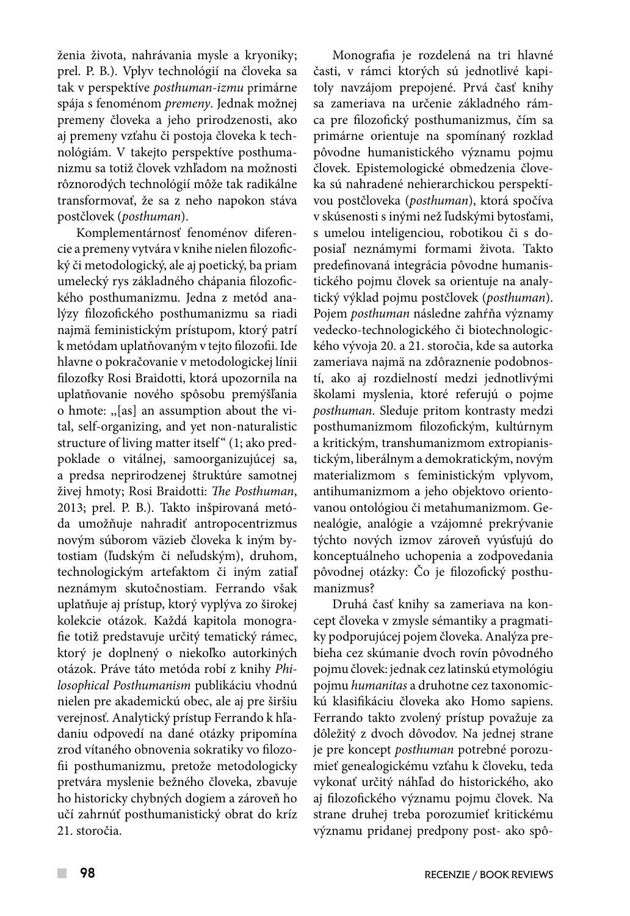ženia života, nahrávania mysle a kryoniky; prel. P. B.). Vplyv technológií na človeka sa tak v perspektíve *posthuman-izmu* primárne spája s fenoménom *premeny*. Jednak možnej premeny človeka a jeho prirodzenosti, ako aj premeny vzťahu či postoja človeka k technológiám. V takejto perspektíve posthumanizmu sa totiž človek vzhľadom na možnosti rôznorodých technológií môže tak radikálne transformovať, že sa z neho napokon stáva postčlovek (*posthuman*).

Komplementárnosť fenoménov diferencie a premeny vytvára v knihe nielen filozofický či metodologický, ale aj poetický, ba priam umelecký rys základného chápania filozofického posthumanizmu. Jedna z metód analýzy filozofického posthumanizmu sa riadi najmä feministickým prístupom, ktorý patrí k metódam uplatňovaným v tejto filozofii. Ide hlavne o pokračovanie v metodologickej línii filozofky Rosi Braidotti, ktorá upozornila na uplatňovanie nového spôsobu premýšľania o hmote: ,,[as] an assumption about the vital, self-organizing, and yet non-naturalistic structure of living matter itself<sup>"</sup> (1; ako predpoklade o vitálnej, samoorganizujúcej sa, a predsa neprirodzenej štruktúre samotnej živej hmoty; Rosi Braidotti: *The Posthuman*, 2013; prel. P. B.). Takto inšpirovaná metóda umožňuje nahradiť antropocentrizmus novým súborom väzieb človeka k iným bytostiam (ľudským či neľudským), druhom, technologickým artefaktom či iným zatiaľ neznámym skutočnostiam. Ferrando však uplatňuje aj prístup, ktorý vyplýva zo širokej kolekcie otázok. Každá kapitola monografie totiž predstavuje určitý tematický rámec, ktorý je doplnený o niekoľko autorkiných otázok. Práve táto metóda robí z knihy *Philosophical Posthumanism* publikáciu vhodnú nielen pre akademickú obec, ale aj pre širšiu verejnosť. Analytický prístup Ferrando k hľadaniu odpovedí na dané otázky pripomína zrod vítaného obnovenia sokratiky vo filozofii posthumanizmu, pretože metodologicky pretvára myslenie bežného človeka, zbavuje ho historicky chybných dogiem a zároveň ho učí zahrnúť posthumanistický obrat do kríz 21. storočia.

Monografia je rozdelená na tri hlavné časti, v rámci ktorých sú jednotlivé kapitoly navzájom prepojené. Prvá časť knihy sa zameriava na určenie základného rámca pre filozofický posthumanizmus, čím sa primárne orientuje na spomínaný rozklad pôvodne humanistického významu pojmu človek. Epistemologické obmedzenia človeka sú nahradené nehierarchickou perspektívou postčloveka (*posthuman*), ktorá spočíva v skúsenosti s inými než ľudskými bytosťami, s umelou inteligenciou, robotikou či s doposiaľ neznámymi formami života. Takto predefinovaná integrácia pôvodne humanistického pojmu človek sa orientuje na analytický výklad pojmu postčlovek (*posthuman*). Pojem *posthuman* následne zahŕňa významy vedecko-technologického či biotechnologického vývoja 20. a 21. storočia, kde sa autorka zameriava najmä na zdôraznenie podobností, ako aj rozdielností medzi jednotlivými školami myslenia, ktoré referujú o pojme *posthuman*. Sleduje pritom kontrasty medzi posthumanizmom filozofickým, kultúrnym a kritickým, transhumanizmom extropianistickým, liberálnym a demokratickým, novým materializmom s feministickým vplyvom, antihumanizmom a jeho objektovo orientovanou ontológiou či metahumanizmom. Genealógie, analógie a vzájomné prekrývanie týchto nových izmov zároveň vyúsťujú do konceptuálneho uchopenia a zodpovedania pôvodnej otázky: Čo je filozofický posthumanizmus?

Druhá časť knihy sa zameriava na koncept človeka v zmysle sémantiky a pragmatiky podporujúcej pojem človeka. Analýza prebieha cez skúmanie dvoch rovín pôvodného pojmu človek: jednak cez latinskú etymológiu pojmu *humanitas* a druhotne cez taxonomickú klasifikáciu človeka ako Homo sapiens. Ferrando takto zvolený prístup považuje za dôležitý z dvoch dôvodov. Na jednej strane je pre koncept *posthuman* potrebné porozumieť genealogickému vzťahu k človeku, teda vykonať určitý náhľad do historického, ako aj filozofického významu pojmu človek. Na strane druhej treba porozumieť kritickému významu pridanej predpony post- ako spô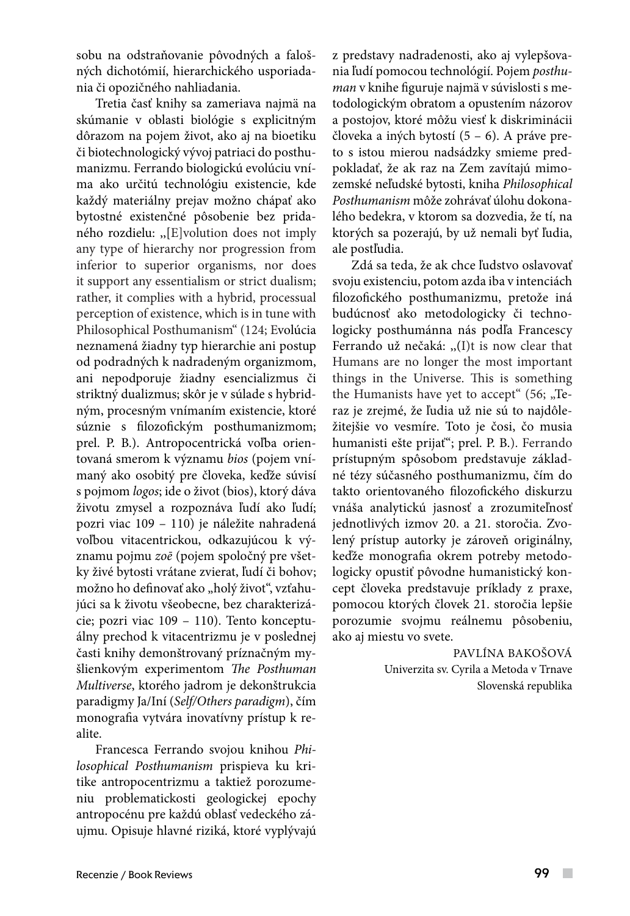sobu na odstraňovanie pôvodných a falošných dichotómií, hierarchického usporiadania či opozičného nahliadania.

Tretia časť knihy sa zameriava najmä na skúmanie v oblasti biológie s explicitným dôrazom na pojem život, ako aj na bioetiku či biotechnologický vývoj patriaci do posthumanizmu. Ferrando biologickú evolúciu vníma ako určitú technológiu existencie, kde každý materiálny prejav možno chápať ako bytostné existenčné pôsobenie bez pridaného rozdielu: ,,[E]volution does not imply any type of hierarchy nor progression from inferior to superior organisms, nor does it support any essentialism or strict dualism; rather, it complies with a hybrid, processual perception of existence, which is in tune with Philosophical Posthumanism" (124; Evolúcia neznamená žiadny typ hierarchie ani postup od podradných k nadradeným organizmom, ani nepodporuje žiadny esencializmus či striktný dualizmus; skôr je v súlade s hybridným, procesným vnímaním existencie, ktoré súznie s filozofickým posthumanizmom; prel. P. B.). Antropocentrická voľba orientovaná smerom k významu *bios* (pojem vnímaný ako osobitý pre človeka, keďže súvisí s pojmom *logos*; ide o život (bios), ktorý dáva životu zmysel a rozpoznáva ľudí ako ľudí; pozri viac 109 – 110) je náležite nahradená voľbou vitacentrickou, odkazujúcou k významu pojmu *zoē* (pojem spoločný pre všetky živé bytosti vrátane zvierat, ľudí či bohov; možno ho definovať ako "holý život", vzťahujúci sa k životu všeobecne, bez charakterizácie; pozri viac 109 – 110). Tento konceptuálny prechod k vitacentrizmu je v poslednej časti knihy demonštrovaný príznačným myšlienkovým experimentom *The Posthuman Multiverse*, ktorého jadrom je dekonštrukcia paradigmy Ja/Iní (*Self/Others paradigm*), čím monografia vytvára inovatívny prístup k realite.

Francesca Ferrando svojou knihou *Philosophical Posthumanism* prispieva ku kritike antropocentrizmu a taktiež porozumeniu problematickosti geologickej epochy antropocénu pre každú oblasť vedeckého záujmu. Opisuje hlavné riziká, ktoré vyplývajú z predstavy nadradenosti, ako aj vylepšovania ľudí pomocou technológií. Pojem *posthuman* v knihe figuruje najmä v súvislosti s metodologickým obratom a opustením názorov a postojov, ktoré môžu viesť k diskriminácii človeka a iných bytostí (5 – 6). A práve preto s istou mierou nadsádzky smieme predpokladať, že ak raz na Zem zavítajú mimozemské neľudské bytosti, kniha *Philosophical Posthumanism* môže zohrávať úlohu dokonalého bedekra, v ktorom sa dozvedia, že tí, na ktorých sa pozerajú, by už nemali byť ľudia, ale postľudia.

Zdá sa teda, že ak chce ľudstvo oslavovať svoju existenciu, potom azda iba v intenciách filozofického posthumanizmu, pretože iná budúcnosť ako metodologicky či technologicky posthumánna nás podľa Francescy Ferrando už nečaká: ,,(I)t is now clear that Humans are no longer the most important things in the Universe. This is something the Humanists have yet to accept"  $(56;$   $nTe$ raz je zrejmé, že ľudia už nie sú to najdôležitejšie vo vesmíre. Toto je čosi, čo musia humanisti ešte prijať"; prel. P. B.). Ferrando prístupným spôsobom predstavuje základné tézy súčasného posthumanizmu, čím do takto orientovaného filozofického diskurzu vnáša analytickú jasnosť a zrozumiteľnosť jednotlivých izmov 20. a 21. storočia. Zvolený prístup autorky je zároveň originálny, keďže monografia okrem potreby metodologicky opustiť pôvodne humanistický koncept človeka predstavuje príklady z praxe, pomocou ktorých človek 21. storočia lepšie porozumie svojmu reálnemu pôsobeniu, ako aj miestu vo svete.

> PAVLÍNA BAKOŠOVÁ Univerzita sv. Cyrila a Metoda v Trnave Slovenská republika

 $\mathcal{L}_{\mathcal{A}}$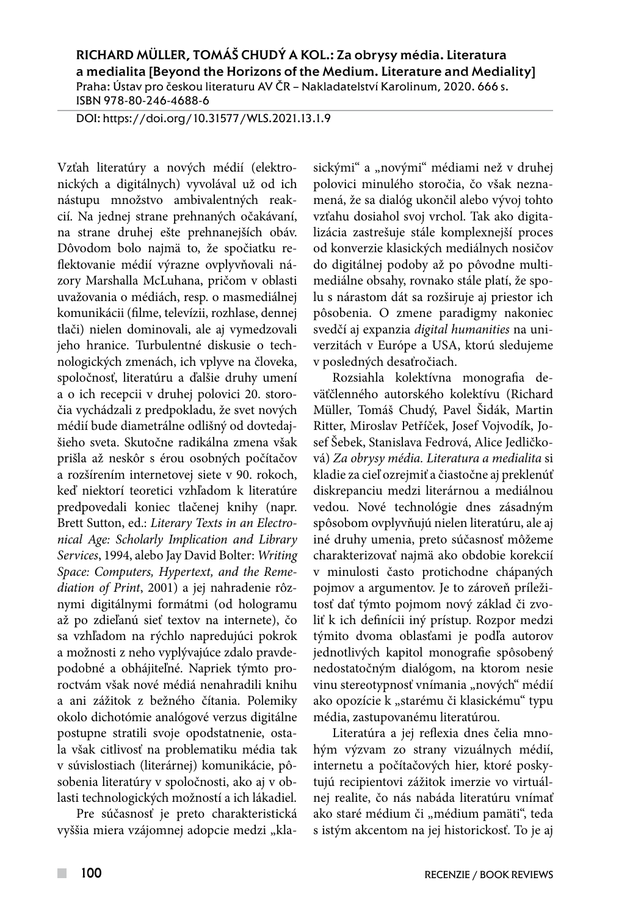RICHARD MÜLLER, TOMÁŠ CHUDÝ A KOL.: Za obrysy média. Literatura a medialita [Beyond the Horizons of the Medium. Literature and Mediality] Praha: Ústav pro českou literaturu AV ČR – Nakladatelství Karolinum, 2020. 666 s. ISBN 978-80-246-4688-6

DOI: https://doi.org/10.31577/WLS.2021.13.1.9

Vzťah literatúry a nových médií (elektronických a digitálnych) vyvolával už od ich nástupu množstvo ambivalentných reakcií. Na jednej strane prehnaných očakávaní, na strane druhej ešte prehnanejších obáv. Dôvodom bolo najmä to, že spočiatku reflektovanie médií výrazne ovplyvňovali názory Marshalla McLuhana, pričom v oblasti uvažovania o médiách, resp. o masmediálnej komunikácii (filme, televízii, rozhlase, dennej tlači) nielen dominovali, ale aj vymedzovali jeho hranice. Turbulentné diskusie o technologických zmenách, ich vplyve na človeka, spoločnosť, literatúru a ďalšie druhy umení a o ich recepcii v druhej polovici 20. storočia vychádzali z predpokladu, že svet nových médií bude diametrálne odlišný od dovtedajšieho sveta. Skutočne radikálna zmena však prišla až neskôr s érou osobných počítačov a rozšírením internetovej siete v 90. rokoch, keď niektorí teoretici vzhľadom k literatúre predpovedali koniec tlačenej knihy (napr. Brett Sutton, ed.: *Literary Texts in an Electronical Age: Scholarly Implication and Library Services*, 1994, alebo Jay David Bolter: *Writing Space: Computers, Hypertext, and the Remediation of Print*, 2001) a jej nahradenie rôznymi digitálnymi formátmi (od hologramu až po zdieľanú sieť textov na internete), čo sa vzhľadom na rýchlo napredujúci pokrok a možnosti z neho vyplývajúce zdalo pravdepodobné a obhájiteľné. Napriek týmto proroctvám však nové médiá nenahradili knihu a ani zážitok z bežného čítania. Polemiky okolo dichotómie analógové verzus digitálne postupne stratili svoje opodstatnenie, ostala však citlivosť na problematiku média tak v súvislostiach (literárnej) komunikácie, pôsobenia literatúry v spoločnosti, ako aj v oblasti technologických možností a ich lákadiel.

Pre súčasnosť je preto charakteristická vyššia miera vzájomnej adopcie medzi "klasickými" a "novými" médiami než v druhej polovici minulého storočia, čo však neznamená, že sa dialóg ukončil alebo vývoj tohto vzťahu dosiahol svoj vrchol. Tak ako digitalizácia zastrešuje stále komplexnejší proces od konverzie klasických mediálnych nosičov do digitálnej podoby až po pôvodne multimediálne obsahy, rovnako stále platí, že spolu s nárastom dát sa rozširuje aj priestor ich pôsobenia. O zmene paradigmy nakoniec svedčí aj expanzia *digital humanities* na univerzitách v Európe a USA, ktorú sledujeme v posledných desaťročiach.

Rozsiahla kolektívna monografia deväťčlenného autorského kolektívu (Richard Müller, Tomáš Chudý, Pavel Šidák, Martin Ritter, Miroslav Petříček, Josef Vojvodík, Josef Šebek, Stanislava Fedrová, Alice Jedličková) *Za obrysy média. Literatura a medialita* si kladie za cieľ ozrejmiť a čiastočne aj preklenúť diskrepanciu medzi literárnou a mediálnou vedou. Nové technológie dnes zásadným spôsobom ovplyvňujú nielen literatúru, ale aj iné druhy umenia, preto súčasnosť môžeme charakterizovať najmä ako obdobie korekcií v minulosti často protichodne chápaných pojmov a argumentov. Je to zároveň príležitosť dať týmto pojmom nový základ či zvoliť k ich definícii iný prístup. Rozpor medzi týmito dvoma oblasťami je podľa autorov jednotlivých kapitol monografie spôsobený nedostatočným dialógom, na ktorom nesie vinu stereotypnosť vnímania "nových" médií ako opozície k "starému či klasickému" typu média, zastupovanému literatúrou.

Literatúra a jej reflexia dnes čelia mnohým výzvam zo strany vizuálnych médií, internetu a počítačových hier, ktoré poskytujú recipientovi zážitok imerzie vo virtuálnej realite, čo nás nabáda literatúru vnímať ako staré médium či "médium pamäti", teda s istým akcentom na jej historickosť. To je aj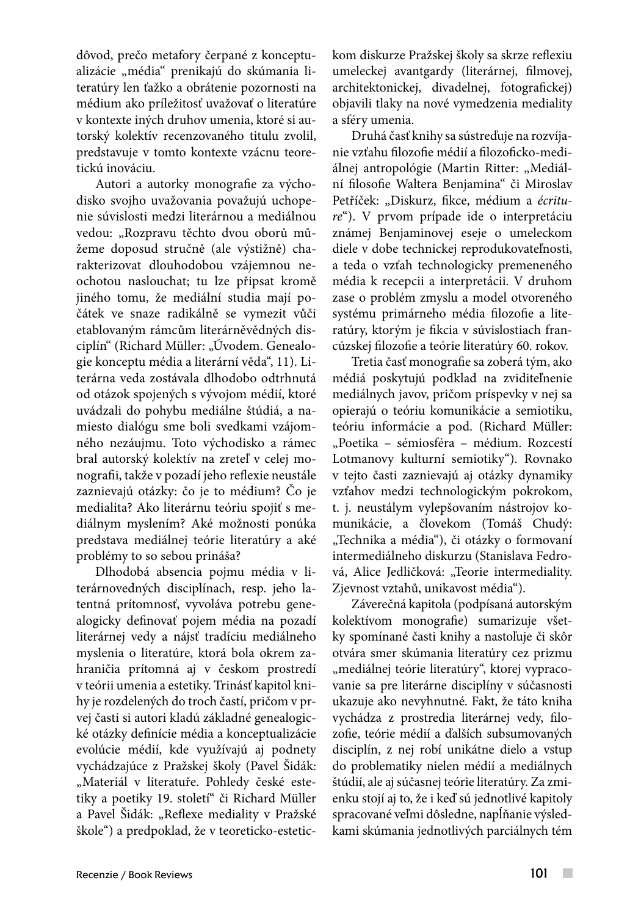dôvod, prečo metafory čerpané z konceptualizácie "média" prenikajú do skúmania literatúry len ťažko a obrátenie pozornosti na médium ako príležitosť uvažovať o literatúre v kontexte iných druhov umenia, ktoré si autorský kolektív recenzovaného titulu zvolil, predstavuje v tomto kontexte vzácnu teoretickú inováciu.

Autori a autorky monografie za východisko svojho uvažovania považujú uchopenie súvislosti medzi literárnou a mediálnou vedou: "Rozpravu těchto dvou oborů můžeme doposud stručně (ale výstižně) charakterizovat dlouhodobou vzájemnou neochotou naslouchat; tu lze připsat kromě jiného tomu, že mediální studia mají počátek ve snaze radikálně se vymezit vůči etablovaným rámcům literárněvědných disciplín" (Richard Müller: "Úvodem. Genealogie konceptu média a literární věda", 11). Literárna veda zostávala dlhodobo odtrhnutá od otázok spojených s vývojom médií, ktoré uvádzali do pohybu mediálne štúdiá, a namiesto dialógu sme boli svedkami vzájomného nezáujmu. Toto východisko a rámec bral autorský kolektív na zreteľ v celej monografii, takže v pozadí jeho reflexie neustále zaznievajú otázky: čo je to médium? Čo je medialita? Ako literárnu teóriu spojiť s mediálnym myslením? Aké možnosti ponúka predstava mediálnej teórie literatúry a aké problémy to so sebou prináša?

Dlhodobá absencia pojmu média v literárnovedných disciplínach, resp. jeho latentná prítomnosť, vyvoláva potrebu genealogicky definovať pojem média na pozadí literárnej vedy a nájsť tradíciu mediálneho myslenia o literatúre, ktorá bola okrem zahraničia prítomná aj v českom prostredí v teórii umenia a estetiky. Trinásť kapitol knihy je rozdelených do troch častí, pričom v prvej časti si autori kladú základné genealogické otázky definície média a konceptualizácie evolúcie médií, kde využívajú aj podnety vychádzajúce z Pražskej školy (Pavel Šidák: "Materiál v literatuře. Pohledy české estetiky a poetiky 19. století" či Richard Müller a Pavel Šidák: "Reflexe mediality v Pražské škole") a predpoklad, že v teoreticko-estetickom diskurze Pražskej školy sa skrze reflexiu umeleckej avantgardy (literárnej, filmovej, architektonickej, divadelnej, fotografickej) objavili tlaky na nové vymedzenia mediality a sféry umenia.

Druhá časť knihy sa sústreďuje na rozvíjanie vzťahu filozofie médií a filozoficko-mediálnej antropológie (Martin Ritter: "Mediální filosofie Waltera Benjamina" či Miroslav Petříček: "Diskurz, fikce, médium a écritu*re*"). V prvom prípade ide o interpretáciu známej Benjaminovej eseje o umeleckom diele v dobe technickej reprodukovateľnosti, a teda o vzťah technologicky premeneného média k recepcii a interpretácii. V druhom zase o problém zmyslu a model otvoreného systému primárneho média filozofie a literatúry, ktorým je fikcia v súvislostiach francúzskej filozofie a teórie literatúry 60. rokov.

Tretia časť monografie sa zoberá tým, ako médiá poskytujú podklad na zviditeľnenie mediálnych javov, pričom príspevky v nej sa opierajú o teóriu komunikácie a semiotiku, teóriu informácie a pod. (Richard Müller: "Poetika - sémiosféra - médium. Rozcestí Lotmanovy kulturní semiotiky"). Rovnako v tejto časti zaznievajú aj otázky dynamiky vzťahov medzi technologickým pokrokom, t. j. neustálym vylepšovaním nástrojov komunikácie, a človekom (Tomáš Chudý: "Technika a média"), či otázky o formovaní intermediálneho diskurzu (Stanislava Fedrová, Alice Jedličková: "Teorie intermediality. Zjevnost vztahů, unikavost média").

Záverečná kapitola (podpísaná autorským kolektívom monografie) sumarizuje všetky spomínané časti knihy a nastoľuje či skôr otvára smer skúmania literatúry cez prizmu "mediálnej teórie literatúry", ktorej vypracovanie sa pre literárne disciplíny v súčasnosti ukazuje ako nevyhnutné. Fakt, že táto kniha vychádza z prostredia literárnej vedy, filozofie, teórie médií a ďalších subsumovaných disciplín, z nej robí unikátne dielo a vstup do problematiky nielen médií a mediálnych štúdií, ale aj súčasnej teórie literatúry. Za zmienku stojí aj to, že i keď sú jednotlivé kapitoly spracované veľmi dôsledne, napĺňanie výsledkami skúmania jednotlivých parciálnych tém

 $\mathcal{L}_{\mathcal{A}}$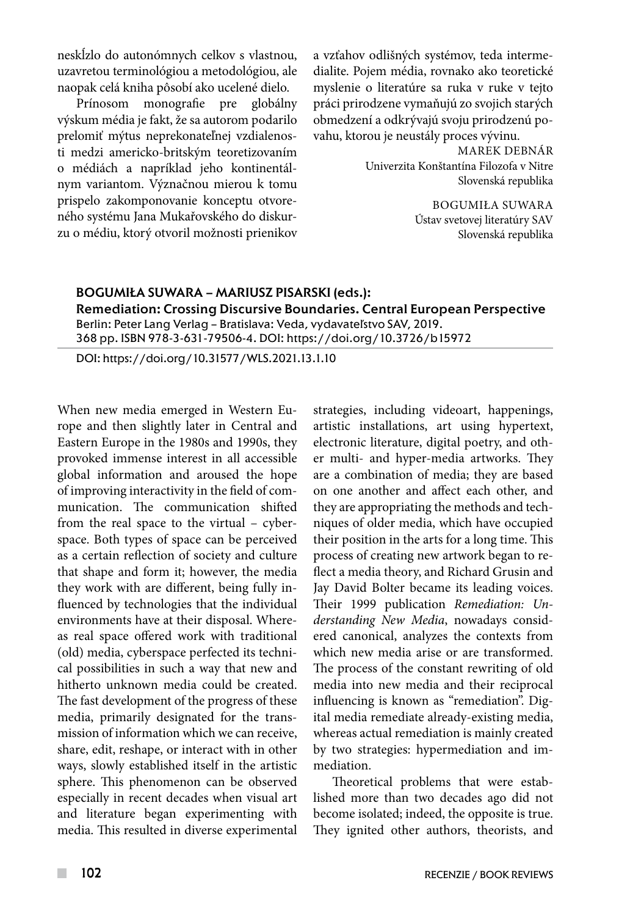neskĺzlo do autonómnych celkov s vlastnou, uzavretou terminológiou a metodológiou, ale naopak celá kniha pôsobí ako ucelené dielo.

Prínosom monografie pre globálny výskum média je fakt, že sa autorom podarilo prelomiť mýtus neprekonateľnej vzdialenosti medzi americko-britským teoretizovaním o médiách a napríklad jeho kontinentálnym variantom. Význačnou mierou k tomu prispelo zakomponovanie konceptu otvoreného systému Jana Mukařovského do diskurzu o médiu, ktorý otvoril možnosti prienikov

a vzťahov odlišných systémov, teda intermedialite. Pojem média, rovnako ako teoretické myslenie o literatúre sa ruka v ruke v tejto práci prirodzene vymaňujú zo svojich starých obmedzení a odkrývajú svoju prirodzenú povahu, ktorou je neustály proces vývinu.

> MAREK DEBNÁR Univerzita Konštantína Filozofa v Nitre Slovenská republika

> > BOGUMIŁA SUWARA Ústav svetovej literatúry SAV Slovenská republika

#### BOGUMIŁA SUWARA – MARIUSZ PISARSKI (eds.): Remediation: Crossing Discursive Boundaries. Central European Perspective Berlin: Peter Lang Verlag – Bratislava: Veda, vydavateľstvo SAV, 2019. 368 pp. ISBN 978-3-631-79506-4. DOI: https://doi.org/10.3726/b15972

DOI: https://doi.org/10.31577/WLS.2021.13.1.10

When new media emerged in Western Europe and then slightly later in Central and Eastern Europe in the 1980s and 1990s, they provoked immense interest in all accessible global information and aroused the hope of improving interactivity in the field of communication. The communication shifted from the real space to the virtual – cyberspace. Both types of space can be perceived as a certain reflection of society and culture that shape and form it; however, the media they work with are different, being fully influenced by technologies that the individual environments have at their disposal. Whereas real space offered work with traditional (old) media, cyberspace perfected its technical possibilities in such a way that new and hitherto unknown media could be created. The fast development of the progress of these media, primarily designated for the transmission of information which we can receive, share, edit, reshape, or interact with in other ways, slowly established itself in the artistic sphere. This phenomenon can be observed especially in recent decades when visual art and literature began experimenting with media. This resulted in diverse experimental

strategies, including videoart, happenings, artistic installations, art using hypertext, electronic literature, digital poetry, and other multi- and hyper-media artworks. They are a combination of media; they are based on one another and affect each other, and they are appropriating the methods and techniques of older media, which have occupied their position in the arts for a long time. This process of creating new artwork began to reflect a media theory, and Richard Grusin and Jay David Bolter became its leading voices. Their 1999 publication *Remediation: Understanding New Media*, nowadays considered canonical, analyzes the contexts from which new media arise or are transformed. The process of the constant rewriting of old media into new media and their reciprocal influencing is known as "remediation". Digital media remediate already-existing media, whereas actual remediation is mainly created by two strategies: hypermediation and immediation.

Theoretical problems that were established more than two decades ago did not become isolated; indeed, the opposite is true. They ignited other authors, theorists, and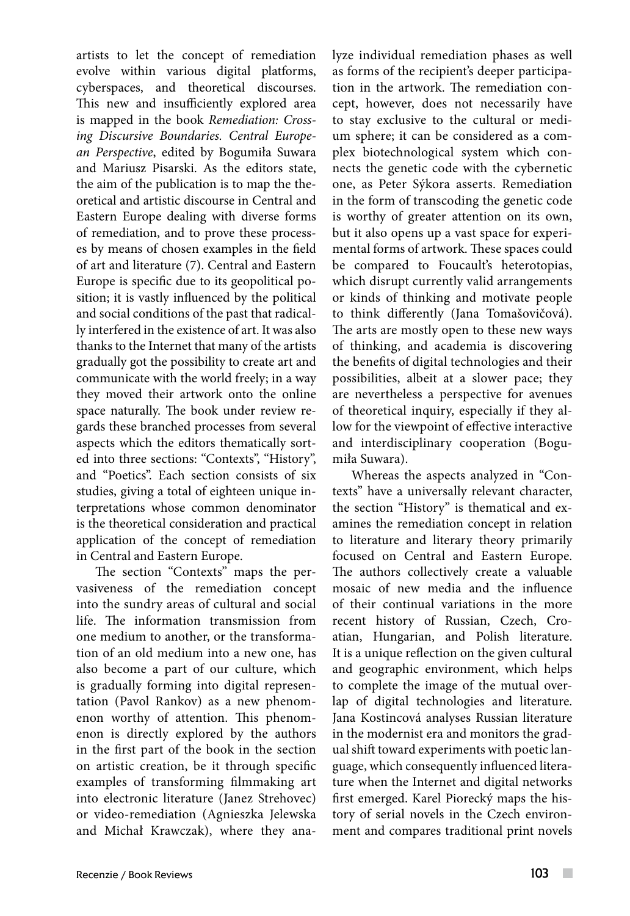artists to let the concept of remediation evolve within various digital platforms, cyberspaces, and theoretical discourses. This new and insufficiently explored area is mapped in the book *Remediation: Crossing Discursive Boundaries. Central European Perspective*, edited by Bogumiła Suwara and Mariusz Pisarski. As the editors state, the aim of the publication is to map the theoretical and artistic discourse in Central and Eastern Europe dealing with diverse forms of remediation, and to prove these processes by means of chosen examples in the field of art and literature (7). Central and Eastern Europe is specific due to its geopolitical position; it is vastly influenced by the political and social conditions of the past that radically interfered in the existence of art. It was also thanks to the Internet that many of the artists gradually got the possibility to create art and communicate with the world freely; in a way they moved their artwork onto the online space naturally. The book under review regards these branched processes from several aspects which the editors thematically sorted into three sections: "Contexts", "History", and "Poetics". Each section consists of six studies, giving a total of eighteen unique interpretations whose common denominator is the theoretical consideration and practical application of the concept of remediation in Central and Eastern Europe.

The section "Contexts" maps the pervasiveness of the remediation concept into the sundry areas of cultural and social life. The information transmission from one medium to another, or the transformation of an old medium into a new one, has also become a part of our culture, which is gradually forming into digital representation (Pavol Rankov) as a new phenomenon worthy of attention. This phenomenon is directly explored by the authors in the first part of the book in the section on artistic creation, be it through specific examples of transforming filmmaking art into electronic literature (Janez Strehovec) or video-remediation (Agnieszka Jelewska and Michał Krawczak), where they analyze individual remediation phases as well as forms of the recipient's deeper participation in the artwork. The remediation concept, however, does not necessarily have to stay exclusive to the cultural or medium sphere; it can be considered as a complex biotechnological system which connects the genetic code with the cybernetic one, as Peter Sýkora asserts. Remediation in the form of transcoding the genetic code is worthy of greater attention on its own, but it also opens up a vast space for experimental forms of artwork. These spaces could be compared to Foucault's heterotopias, which disrupt currently valid arrangements or kinds of thinking and motivate people to think differently (Jana Tomašovičová). The arts are mostly open to these new ways of thinking, and academia is discovering the benefits of digital technologies and their possibilities, albeit at a slower pace; they are nevertheless a perspective for avenues of theoretical inquiry, especially if they allow for the viewpoint of effective interactive and interdisciplinary cooperation (Bogumiła Suwara).

Whereas the aspects analyzed in "Contexts" have a universally relevant character, the section "History" is thematical and examines the remediation concept in relation to literature and literary theory primarily focused on Central and Eastern Europe. The authors collectively create a valuable mosaic of new media and the influence of their continual variations in the more recent history of Russian, Czech, Croatian, Hungarian, and Polish literature. It is a unique reflection on the given cultural and geographic environment, which helps to complete the image of the mutual overlap of digital technologies and literature. Jana Kostincová analyses Russian literature in the modernist era and monitors the gradual shift toward experiments with poetic language, which consequently influenced literature when the Internet and digital networks first emerged. Karel Piorecký maps the history of serial novels in the Czech environment and compares traditional print novels

 $\overline{\phantom{a}}$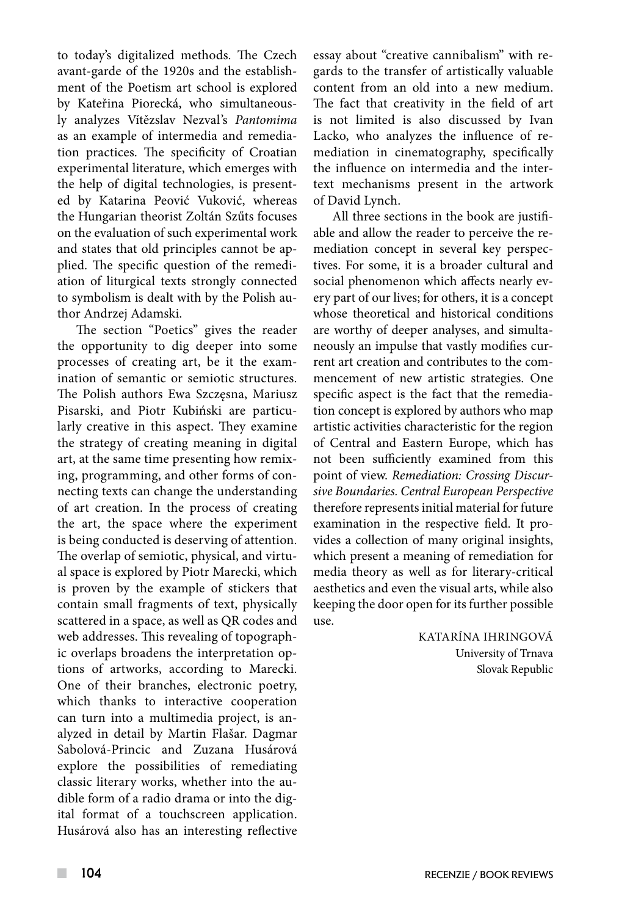to today's digitalized methods. The Czech avant-garde of the 1920s and the establishment of the Poetism art school is explored by Kateřina Piorecká, who simultaneously analyzes Vítězslav Nezval's *Pantomima* as an example of intermedia and remediation practices. The specificity of Croatian experimental literature, which emerges with the help of digital technologies, is presented by Katarina Peović Vuković, whereas the Hungarian theorist Zoltán Szűts focuses on the evaluation of such experimental work and states that old principles cannot be applied. The specific question of the remediation of liturgical texts strongly connected to symbolism is dealt with by the Polish author Andrzej Adamski.

The section "Poetics" gives the reader the opportunity to dig deeper into some processes of creating art, be it the examination of semantic or semiotic structures. The Polish authors Ewa Szczęsna, Mariusz Pisarski, and Piotr Kubiński are particularly creative in this aspect. They examine the strategy of creating meaning in digital art, at the same time presenting how remixing, programming, and other forms of connecting texts can change the understanding of art creation. In the process of creating the art, the space where the experiment is being conducted is deserving of attention. The overlap of semiotic, physical, and virtual space is explored by Piotr Marecki, which is proven by the example of stickers that contain small fragments of text, physically scattered in a space, as well as QR codes and web addresses. This revealing of topographic overlaps broadens the interpretation options of artworks, according to Marecki. One of their branches, electronic poetry, which thanks to interactive cooperation can turn into a multimedia project, is analyzed in detail by Martin Flašar. Dagmar Sabolová-Princic and Zuzana Husárová explore the possibilities of remediating classic literary works, whether into the audible form of a radio drama or into the digital format of a touchscreen application. Husárová also has an interesting reflective essay about "creative cannibalism" with regards to the transfer of artistically valuable content from an old into a new medium. The fact that creativity in the field of art is not limited is also discussed by Ivan Lacko, who analyzes the influence of remediation in cinematography, specifically the influence on intermedia and the intertext mechanisms present in the artwork of David Lynch.

All three sections in the book are justifiable and allow the reader to perceive the remediation concept in several key perspectives. For some, it is a broader cultural and social phenomenon which affects nearly every part of our lives; for others, it is a concept whose theoretical and historical conditions are worthy of deeper analyses, and simultaneously an impulse that vastly modifies current art creation and contributes to the commencement of new artistic strategies. One specific aspect is the fact that the remediation concept is explored by authors who map artistic activities characteristic for the region of Central and Eastern Europe, which has not been sufficiently examined from this point of view. *Remediation: Crossing Discursive Boundaries. Central European Perspective* therefore represents initial material for future examination in the respective field. It provides a collection of many original insights, which present a meaning of remediation for media theory as well as for literary-critical aesthetics and even the visual arts, while also keeping the door open for its further possible use.

> KATARÍNA IHRINGOVÁ University of Trnava Slovak Republic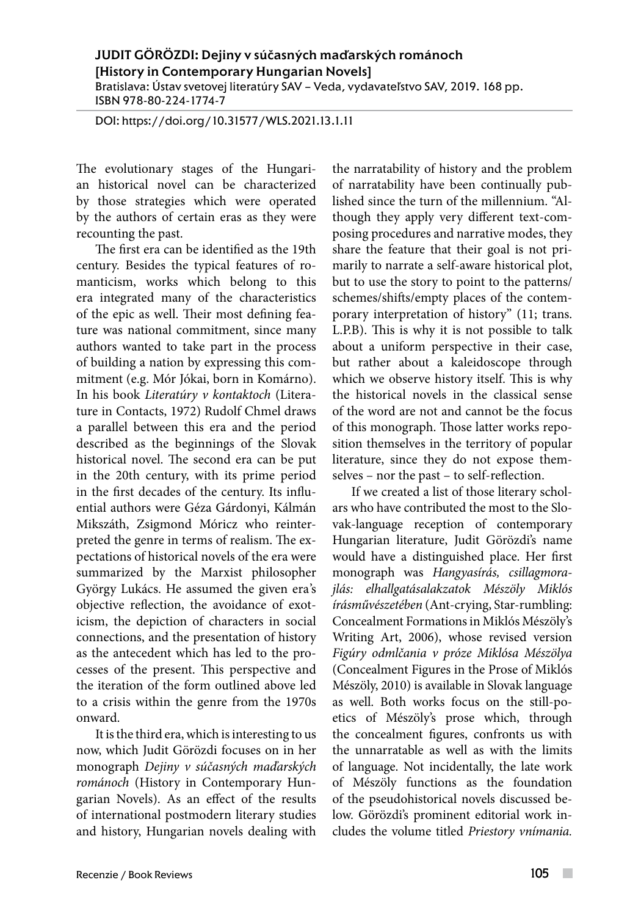JUDIT GÖRÖZDI: Dejiny v súčasných maďarských románoch [History in Contemporary Hungarian Novels] Bratislava: Ústav svetovej literatúry SAV – Veda, vydavateľstvo SAV, 2019. 168 pp. ISBN 978-80-224-1774-7

DOI: https://doi.org/10.31577/WLS.2021.13.1.11

The evolutionary stages of the Hungarian historical novel can be characterized by those strategies which were operated by the authors of certain eras as they were recounting the past.

The first era can be identified as the 19th century. Besides the typical features of romanticism, works which belong to this era integrated many of the characteristics of the epic as well. Their most defining feature was national commitment, since many authors wanted to take part in the process of building a nation by expressing this commitment (e.g. Mór Jókai, born in Komárno). In his book *Literatúry v kontaktoch* (Literature in Contacts, 1972) Rudolf Chmel draws a parallel between this era and the period described as the beginnings of the Slovak historical novel. The second era can be put in the 20th century, with its prime period in the first decades of the century. Its influential authors were Géza Gárdonyi, Kálmán Mikszáth, Zsigmond Móricz who reinterpreted the genre in terms of realism. The expectations of historical novels of the era were summarized by the Marxist philosopher György Lukács. He assumed the given era's objective reflection, the avoidance of exoticism, the depiction of characters in social connections, and the presentation of history as the antecedent which has led to the processes of the present. This perspective and the iteration of the form outlined above led to a crisis within the genre from the 1970s onward.

It is the third era, which is interesting to us now, which Judit Görözdi focuses on in her monograph *Dejiny v súčasných maďarských románoch* (History in Contemporary Hungarian Novels). As an effect of the results of international postmodern literary studies and history, Hungarian novels dealing with the narratability of history and the problem of narratability have been continually published since the turn of the millennium. "Although they apply very different text-composing procedures and narrative modes, they share the feature that their goal is not primarily to narrate a self-aware historical plot, but to use the story to point to the patterns/ schemes/shifts/empty places of the contemporary interpretation of history" (11; trans. L.P.B). This is why it is not possible to talk about a uniform perspective in their case, but rather about a kaleidoscope through which we observe history itself. This is why the historical novels in the classical sense of the word are not and cannot be the focus of this monograph. Those latter works reposition themselves in the territory of popular literature, since they do not expose themselves – nor the past – to self-reflection.

If we created a list of those literary scholars who have contributed the most to the Slovak-language reception of contemporary Hungarian literature, Judit Görözdi's name would have a distinguished place. Her first monograph was *Hangyasírás, csillagmorajlás: elhallgatásalakzatok Mészöly Miklós írásművészetében* (Ant-crying, Star-rumbling: Concealment Formations in Miklós Mészöly's Writing Art, 2006), whose revised version *Figúry odmlčania v próze Miklósa Mészölya* (Concealment Figures in the Prose of Miklós Mészöly, 2010) is available in Slovak language as well. Both works focus on the still-poetics of Mészöly's prose which, through the concealment figures, confronts us with the unnarratable as well as with the limits of language. Not incidentally, the late work of Mészöly functions as the foundation of the pseudohistorical novels discussed below. Görözdi's prominent editorial work includes the volume titled *Priestory vnímania.* 

 $\overline{\phantom{a}}$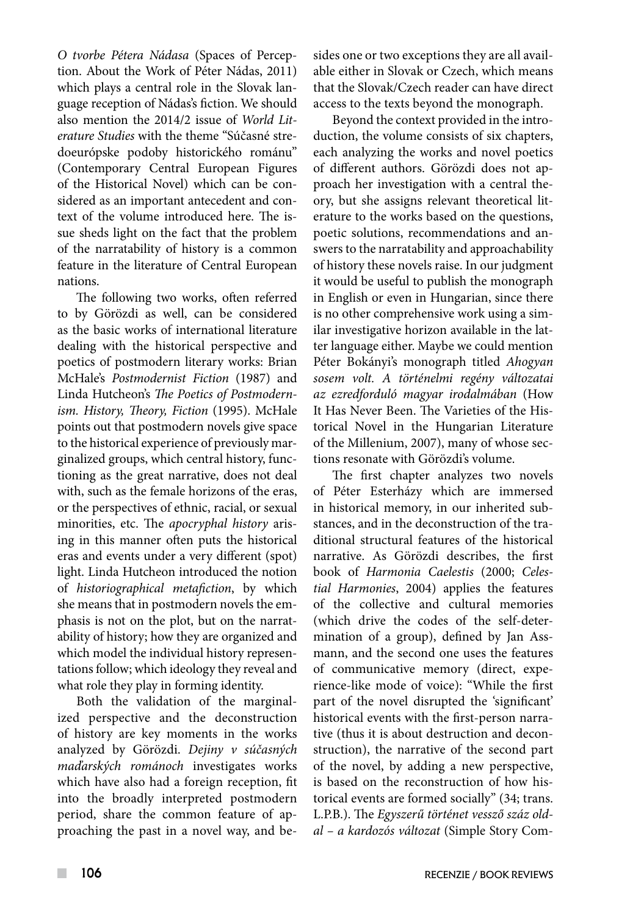*O tvorbe Pétera Nádasa* (Spaces of Perception. About the Work of Péter Nádas, 2011) which plays a central role in the Slovak language reception of Nádas's fiction. We should also mention the 2014/2 issue of *World Literature Studies* with the theme "Súčasné stredoeurópske podoby historického románu" (Contemporary Central European Figures of the Historical Novel) which can be considered as an important antecedent and context of the volume introduced here. The issue sheds light on the fact that the problem of the narratability of history is a common feature in the literature of Central European nations.

The following two works, often referred to by Görözdi as well, can be considered as the basic works of international literature dealing with the historical perspective and poetics of postmodern literary works: Brian McHale's *Postmodernist Fiction* (1987) and Linda Hutcheon's *The Poetics of Postmodernism. History, Theory, Fiction* (1995). McHale points out that postmodern novels give space to the historical experience of previously marginalized groups, which central history, functioning as the great narrative, does not deal with, such as the female horizons of the eras, or the perspectives of ethnic, racial, or sexual minorities, etc. The *apocryphal history* arising in this manner often puts the historical eras and events under a very different (spot) light. Linda Hutcheon introduced the notion of *historiographical metafiction*, by which she means that in postmodern novels the emphasis is not on the plot, but on the narratability of history; how they are organized and which model the individual history representations follow; which ideology they reveal and what role they play in forming identity.

Both the validation of the marginalized perspective and the deconstruction of history are key moments in the works analyzed by Görözdi. *Dejiny v súčasných maďarských románoch* investigates works which have also had a foreign reception, fit into the broadly interpreted postmodern period, share the common feature of approaching the past in a novel way, and besides one or two exceptions they are all available either in Slovak or Czech, which means that the Slovak/Czech reader can have direct access to the texts beyond the monograph.

Beyond the context provided in the introduction, the volume consists of six chapters, each analyzing the works and novel poetics of different authors. Görözdi does not approach her investigation with a central theory, but she assigns relevant theoretical literature to the works based on the questions, poetic solutions, recommendations and answers to the narratability and approachability of history these novels raise. In our judgment it would be useful to publish the monograph in English or even in Hungarian, since there is no other comprehensive work using a similar investigative horizon available in the latter language either. Maybe we could mention Péter Bokányi's monograph titled *Ahogyan sosem volt. A történelmi regény változatai az ezredforduló magyar irodalmában* (How It Has Never Been. The Varieties of the Historical Novel in the Hungarian Literature of the Millenium, 2007), many of whose sections resonate with Görözdi's volume.

The first chapter analyzes two novels of Péter Esterházy which are immersed in historical memory, in our inherited substances, and in the deconstruction of the traditional structural features of the historical narrative. As Görözdi describes, the first book of *Harmonia Caelestis* (2000; *Celestial Harmonies*, 2004) applies the features of the collective and cultural memories (which drive the codes of the self-determination of a group), defined by Jan Assmann, and the second one uses the features of communicative memory (direct, experience-like mode of voice): "While the first part of the novel disrupted the 'significant' historical events with the first-person narrative (thus it is about destruction and deconstruction), the narrative of the second part of the novel, by adding a new perspective, is based on the reconstruction of how historical events are formed socially" (34; trans. L.P.B.). The *Egyszerű történet vessző száz oldal – a kardozós változat* (Simple Story Com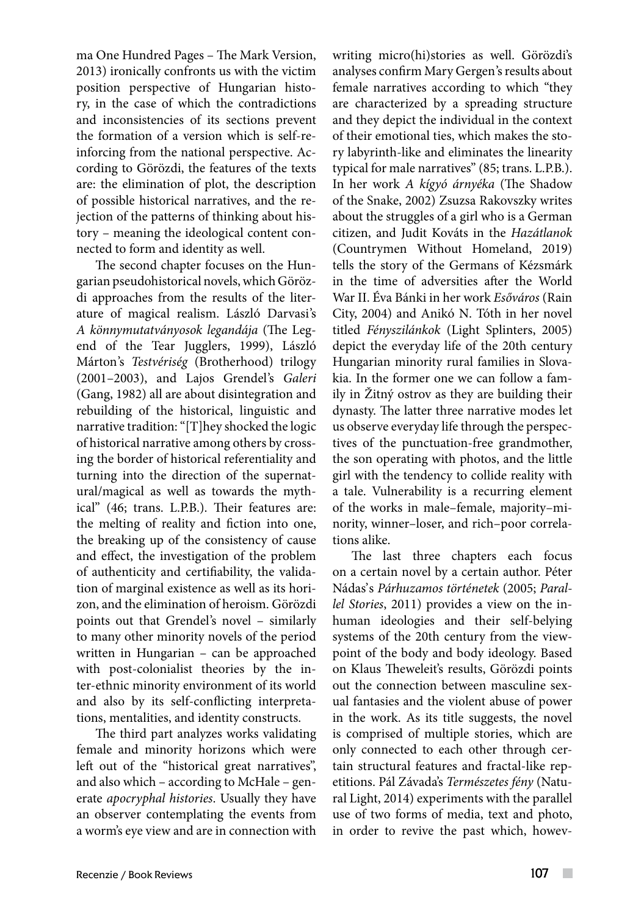ma One Hundred Pages – The Mark Version, 2013) ironically confronts us with the victim position perspective of Hungarian history, in the case of which the contradictions and inconsistencies of its sections prevent the formation of a version which is self-reinforcing from the national perspective. According to Görözdi, the features of the texts are: the elimination of plot, the description of possible historical narratives, and the rejection of the patterns of thinking about history – meaning the ideological content connected to form and identity as well.

The second chapter focuses on the Hungarian pseudohistorical novels, which Görözdi approaches from the results of the literature of magical realism. László Darvasi's *A könnymutatványosok legandája* (The Legend of the Tear Jugglers, 1999), László Márton's *Testvériség* (Brotherhood) trilogy (2001–2003), and Lajos Grendel's *Galeri* (Gang, 1982) all are about disintegration and rebuilding of the historical, linguistic and narrative tradition: "[T]hey shocked the logic of historical narrative among others by crossing the border of historical referentiality and turning into the direction of the supernatural/magical as well as towards the mythical" (46; trans. L.P.B.). Their features are: the melting of reality and fiction into one, the breaking up of the consistency of cause and effect, the investigation of the problem of authenticity and certifiability, the validation of marginal existence as well as its horizon, and the elimination of heroism. Görözdi points out that Grendel's novel – similarly to many other minority novels of the period written in Hungarian – can be approached with post-colonialist theories by the inter-ethnic minority environment of its world and also by its self-conflicting interpretations, mentalities, and identity constructs.

The third part analyzes works validating female and minority horizons which were left out of the "historical great narratives", and also which – according to McHale – generate *apocryphal histories*. Usually they have an observer contemplating the events from a worm's eye view and are in connection with writing micro(hi)stories as well. Görözdi's analyses confirm Mary Gergen's results about female narratives according to which "they are characterized by a spreading structure and they depict the individual in the context of their emotional ties, which makes the story labyrinth-like and eliminates the linearity typical for male narratives" (85; trans. L.P.B.). In her work *A kígyó árnyéka* (The Shadow of the Snake, 2002) Zsuzsa Rakovszky writes about the struggles of a girl who is a German citizen, and Judit Kováts in the *Hazátlanok*  (Countrymen Without Homeland, 2019) tells the story of the Germans of Kézsmárk in the time of adversities after the World War II. Éva Bánki in her work *Esőváros* (Rain City, 2004) and Anikó N. Tóth in her novel titled *Fényszilánkok* (Light Splinters, 2005) depict the everyday life of the 20th century Hungarian minority rural families in Slovakia. In the former one we can follow a family in Žitný ostrov as they are building their dynasty. The latter three narrative modes let us observe everyday life through the perspectives of the punctuation-free grandmother, the son operating with photos, and the little girl with the tendency to collide reality with a tale. Vulnerability is a recurring element of the works in male–female, majority–minority, winner–loser, and rich–poor correlations alike.

The last three chapters each focus on a certain novel by a certain author. Péter Nádas's *Párhuzamos történetek* (2005; *Parallel Stories*, 2011) provides a view on the inhuman ideologies and their self-belying systems of the 20th century from the viewpoint of the body and body ideology. Based on Klaus Theweleit's results, Görözdi points out the connection between masculine sexual fantasies and the violent abuse of power in the work. As its title suggests, the novel is comprised of multiple stories, which are only connected to each other through certain structural features and fractal-like repetitions. Pál Závada's *Természetes fény* (Natural Light, 2014) experiments with the parallel use of two forms of media, text and photo, in order to revive the past which, howev-

 $\overline{\phantom{a}}$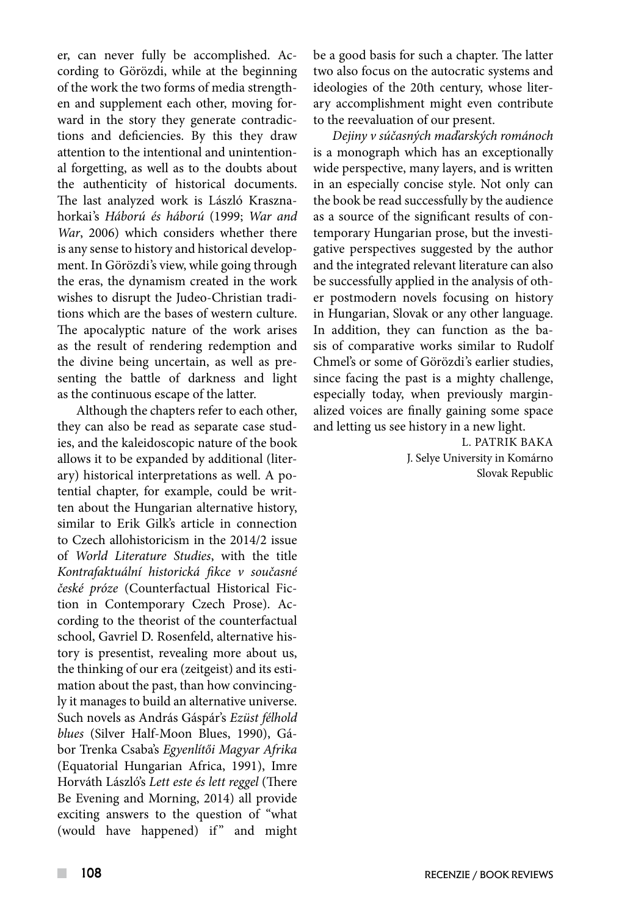er, can never fully be accomplished. According to Görözdi, while at the beginning of the work the two forms of media strengthen and supplement each other, moving forward in the story they generate contradictions and deficiencies. By this they draw attention to the intentional and unintentional forgetting, as well as to the doubts about the authenticity of historical documents. The last analyzed work is László Krasznahorkai's *Háború és háború* (1999; *War and War*, 2006) which considers whether there is any sense to history and historical development. In Görözdi's view, while going through the eras, the dynamism created in the work wishes to disrupt the Judeo-Christian traditions which are the bases of western culture. The apocalyptic nature of the work arises as the result of rendering redemption and the divine being uncertain, as well as presenting the battle of darkness and light as the continuous escape of the latter.

Although the chapters refer to each other, they can also be read as separate case studies, and the kaleidoscopic nature of the book allows it to be expanded by additional (literary) historical interpretations as well. A potential chapter, for example, could be written about the Hungarian alternative history, similar to Erik Gilk's article in connection to Czech allohistoricism in the 2014/2 issue of *World Literature Studies*, with the title *Kontrafaktuální historická fikce v současné české próze* (Counterfactual Historical Fiction in Contemporary Czech Prose). According to the theorist of the counterfactual school, Gavriel D. Rosenfeld, alternative history is presentist, revealing more about us, the thinking of our era (zeitgeist) and its estimation about the past, than how convincingly it manages to build an alternative universe. Such novels as András Gáspár's *Ezüst félhold blues* (Silver Half-Moon Blues, 1990), Gábor Trenka Csaba's *Egyenlítői Magyar Afrika* (Equatorial Hungarian Africa, 1991), Imre Horváth László's *Lett este és lett reggel* (There Be Evening and Morning, 2014) all provide exciting answers to the question of "what (would have happened) if" and might

be a good basis for such a chapter. The latter two also focus on the autocratic systems and ideologies of the 20th century, whose literary accomplishment might even contribute to the reevaluation of our present.

*Dejiny v súčasných maďarských románoch* is a monograph which has an exceptionally wide perspective, many layers, and is written in an especially concise style. Not only can the book be read successfully by the audience as a source of the significant results of contemporary Hungarian prose, but the investigative perspectives suggested by the author and the integrated relevant literature can also be successfully applied in the analysis of other postmodern novels focusing on history in Hungarian, Slovak or any other language. In addition, they can function as the basis of comparative works similar to Rudolf Chmel's or some of Görözdi's earlier studies, since facing the past is a mighty challenge, especially today, when previously marginalized voices are finally gaining some space and letting us see history in a new light.

> L. PATRIK BAKA J. Selye University in Komárno Slovak Republic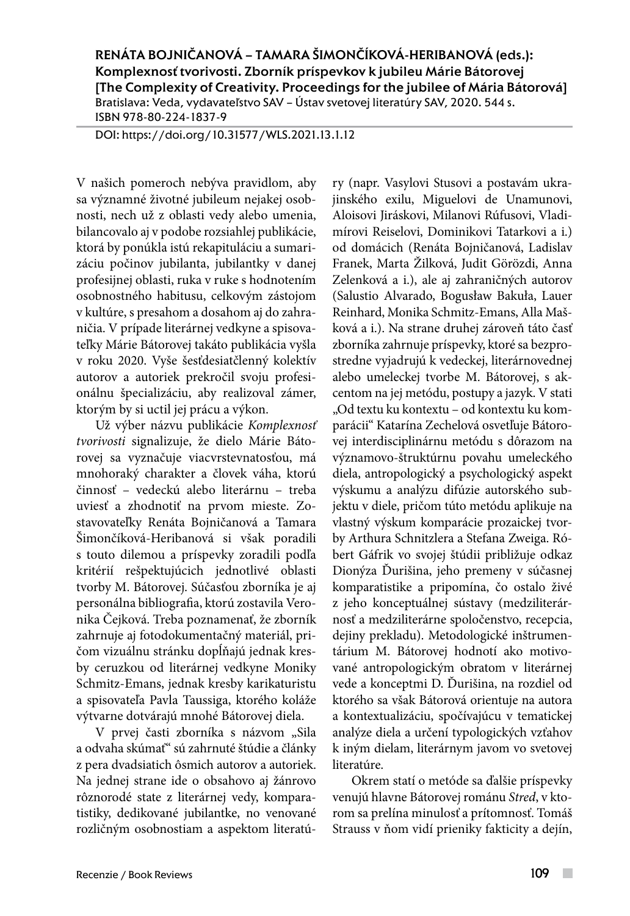RENÁTA BOJNIČANOVÁ – TAMARA ŠIMONČÍKOVÁ-HERIBANOVÁ (eds.): Komplexnosť tvorivosti. Zborník príspevkov k jubileu Márie Bátorovej [The Complexity of Creativity. Proceedings for the jubilee of Mária Bátorová] Bratislava: Veda, vydavateľstvo SAV – Ústav svetovej literatúry SAV, 2020. 544 s.

ISBN 978-80-224-1837-9

DOI: https://doi.org/10.31577/WLS.2021.13.1.12

V našich pomeroch nebýva pravidlom, aby sa významné životné jubileum nejakej osobnosti, nech už z oblasti vedy alebo umenia, bilancovalo aj v podobe rozsiahlej publikácie, ktorá by ponúkla istú rekapituláciu a sumarizáciu počinov jubilanta, jubilantky v danej profesijnej oblasti, ruka v ruke s hodnotením osobnostného habitusu, celkovým zástojom v kultúre, s presahom a dosahom aj do zahraničia. V prípade literárnej vedkyne a spisovateľky Márie Bátorovej takáto publikácia vyšla v roku 2020. Vyše šesťdesiatčlenný kolektív autorov a autoriek prekročil svoju profesionálnu špecializáciu, aby realizoval zámer, ktorým by si uctil jej prácu a výkon.

Už výber názvu publikácie *Komplexnosť tvorivosti* signalizuje, že dielo Márie Bátorovej sa vyznačuje viacvrstevnatosťou, má mnohoraký charakter a človek váha, ktorú činnosť – vedeckú alebo literárnu – treba uviesť a zhodnotiť na prvom mieste. Zostavovateľky Renáta Bojničanová a Tamara Šimončíková-Heribanová si však poradili s touto dilemou a príspevky zoradili podľa kritérií rešpektujúcich jednotlivé oblasti tvorby M. Bátorovej. Súčasťou zborníka je aj personálna bibliografia, ktorú zostavila Veronika Čejková. Treba poznamenať, že zborník zahrnuje aj fotodokumentačný materiál, pričom vizuálnu stránku dopĺňajú jednak kresby ceruzkou od literárnej vedkyne Moniky Schmitz-Emans, jednak kresby karikaturistu a spisovateľa Pavla Taussiga, ktorého koláže výtvarne dotvárajú mnohé Bátorovej diela.

V prvej časti zborníka s názvom "Sila a odvaha skúmať" sú zahrnuté štúdie a články z pera dvadsiatich ôsmich autorov a autoriek. Na jednej strane ide o obsahovo aj žánrovo rôznorodé state z literárnej vedy, komparatistiky, dedikované jubilantke, no venované rozličným osobnostiam a aspektom literatúry (napr. Vasylovi Stusovi a postavám ukrajinského exilu, Miguelovi de Unamunovi, Aloisovi Jiráskovi, Milanovi Rúfusovi, Vladimírovi Reiselovi, Dominikovi Tatarkovi a i.) od domácich (Renáta Bojničanová, Ladislav Franek, Marta Žilková, Judit Görözdi, Anna Zelenková a i.), ale aj zahraničných autorov (Salustio Alvarado, Bogusław Bakuła, Lauer Reinhard, Monika Schmitz-Emans, Alla Mašková a i.). Na strane druhej zároveň táto časť zborníka zahrnuje príspevky, ktoré sa bezprostredne vyjadrujú k vedeckej, literárnovednej alebo umeleckej tvorbe M. Bátorovej, s akcentom na jej metódu, postupy a jazyk. V stati "Od textu ku kontextu – od kontextu ku komparácii" Katarína Zechelová osvetľuje Bátorovej interdisciplinárnu metódu s dôrazom na významovo-štruktúrnu povahu umeleckého diela, antropologický a psychologický aspekt výskumu a analýzu difúzie autorského subjektu v diele, pričom túto metódu aplikuje na vlastný výskum komparácie prozaickej tvorby Arthura Schnitzlera a Stefana Zweiga. Róbert Gáfrik vo svojej štúdii približuje odkaz Dionýza Ďurišina, jeho premeny v súčasnej komparatistike a pripomína, čo ostalo živé z jeho konceptuálnej sústavy (medziliterárnosť a medziliterárne spoločenstvo, recepcia, dejiny prekladu). Metodologické inštrumentárium M. Bátorovej hodnotí ako motivované antropologickým obratom v literárnej vede a konceptmi D. Ďurišina, na rozdiel od ktorého sa však Bátorová orientuje na autora a kontextualizáciu, spočívajúcu v tematickej analýze diela a určení typologických vzťahov k iným dielam, literárnym javom vo svetovej literatúre.

Okrem statí o metóde sa ďalšie príspevky venujú hlavne Bátorovej románu *Stred*, v ktorom sa prelína minulosť a prítomnosť. Tomáš Strauss v ňom vidí prieniky fakticity a dejín,

 $\mathcal{L}_{\mathcal{A}}$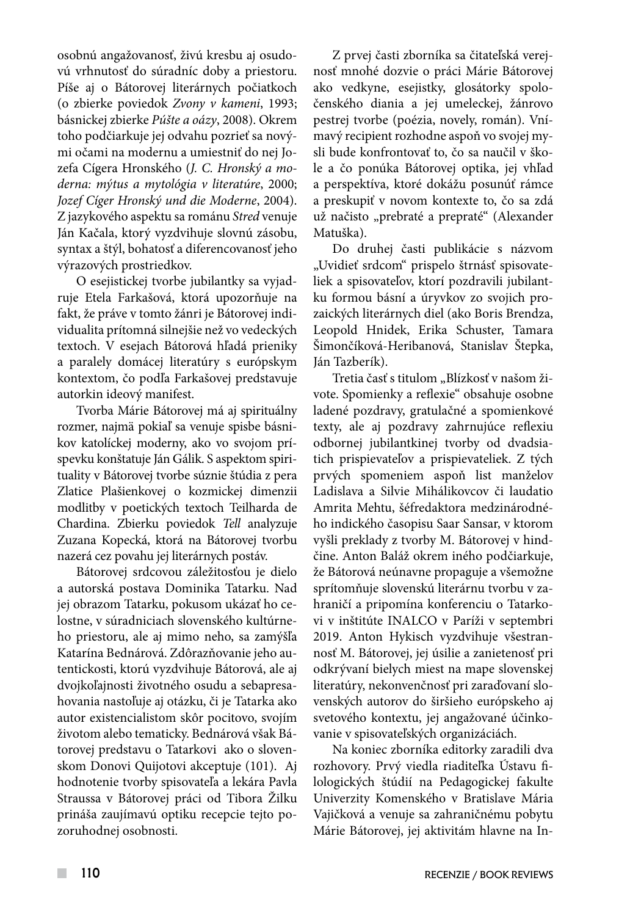osobnú angažovanosť, živú kresbu aj osudovú vrhnutosť do súradníc doby a priestoru. Píše aj o Bátorovej literárnych počiatkoch (o zbierke poviedok *Zvony v kameni*, 1993; básnickej zbierke *Púšte a oázy*, 2008). Okrem toho podčiarkuje jej odvahu pozrieť sa novými očami na modernu a umiestniť do nej Jozefa Cígera Hronského (*J. C. Hronský a moderna: mýtus a mytológia v literatúre*, 2000; *Jozef Cíger Hronský und die Moderne*, 2004). Z jazykového aspektu sa románu *Stred* venuje Ján Kačala, ktorý vyzdvihuje slovnú zásobu, syntax a štýl, bohatosť a diferencovanosť jeho výrazových prostriedkov.

O esejistickej tvorbe jubilantky sa vyjadruje Etela Farkašová, ktorá upozorňuje na fakt, že práve v tomto žánri je Bátorovej individualita prítomná silnejšie než vo vedeckých textoch. V esejach Bátorová hľadá prieniky a paralely domácej literatúry s európskym kontextom, čo podľa Farkašovej predstavuje autorkin ideový manifest.

Tvorba Márie Bátorovej má aj spirituálny rozmer, najmä pokiaľ sa venuje spisbe básnikov katolíckej moderny, ako vo svojom príspevku konštatuje Ján Gálik. S aspektom spirituality v Bátorovej tvorbe súznie štúdia z pera Zlatice Plašienkovej o kozmickej dimenzii modlitby v poetických textoch Teilharda de Chardina. Zbierku poviedok *Tell* analyzuje Zuzana Kopecká, ktorá na Bátorovej tvorbu nazerá cez povahu jej literárnych postáv.

Bátorovej srdcovou záležitosťou je dielo a autorská postava Dominika Tatarku. Nad jej obrazom Tatarku, pokusom ukázať ho celostne, v súradniciach slovenského kultúrneho priestoru, ale aj mimo neho, sa zamýšľa Katarína Bednárová. Zdôrazňovanie jeho autentickosti, ktorú vyzdvihuje Bátorová, ale aj dvojkoľajnosti životného osudu a sebapresahovania nastoľuje aj otázku, či je Tatarka ako autor existencialistom skôr pocitovo, svojím životom alebo tematicky. Bednárová však Bátorovej predstavu o Tatarkovi ako o slovenskom Donovi Quijotovi akceptuje (101). Aj hodnotenie tvorby spisovateľa a lekára Pavla Straussa v Bátorovej práci od Tibora Žilku prináša zaujímavú optiku recepcie tejto pozoruhodnej osobnosti.

Z prvej časti zborníka sa čitateľská verejnosť mnohé dozvie o práci Márie Bátorovej ako vedkyne, esejistky, glosátorky spoločenského diania a jej umeleckej, žánrovo pestrej tvorbe (poézia, novely, román). Vnímavý recipient rozhodne aspoň vo svojej mysli bude konfrontovať to, čo sa naučil v škole a čo ponúka Bátorovej optika, jej vhľad a perspektíva, ktoré dokážu posunúť rámce a preskupiť v novom kontexte to, čo sa zdá už načisto "prebraté a prepraté" (Alexander Matuška).

Do druhej časti publikácie s názvom "Uvidieť srdcom" prispelo štrnásť spisovateliek a spisovateľov, ktorí pozdravili jubilantku formou básní a úryvkov zo svojich prozaických literárnych diel (ako Boris Brendza, Leopold Hnidek, Erika Schuster, Tamara Šimončíková-Heribanová, Stanislav Štepka, Ján Tazberík).

Tretia časť s titulom "Blízkosť v našom živote. Spomienky a reflexie" obsahuje osobne ladené pozdravy, gratulačné a spomienkové texty, ale aj pozdravy zahrnujúce reflexiu odbornej jubilantkinej tvorby od dvadsiatich prispievateľov a prispievateliek. Z tých prvých spomeniem aspoň list manželov Ladislava a Silvie Mihálikovcov či laudatio Amrita Mehtu, šéfredaktora medzinárodného indického časopisu Saar Sansar, v ktorom vyšli preklady z tvorby M. Bátorovej v hindčine. Anton Baláž okrem iného podčiarkuje, že Bátorová neúnavne propaguje a všemožne sprítomňuje slovenskú literárnu tvorbu v zahraničí a pripomína konferenciu o Tatarkovi v inštitúte INALCO v Paríži v septembri 2019. Anton Hykisch vyzdvihuje všestrannosť M. Bátorovej, jej úsilie a zanietenosť pri odkrývaní bielych miest na mape slovenskej literatúry, nekonvenčnosť pri zaraďovaní slovenských autorov do širšieho európskeho aj svetového kontextu, jej angažované účinkovanie v spisovateľských organizáciách.

Na koniec zborníka editorky zaradili dva rozhovory. Prvý viedla riaditeľka Ústavu filologických štúdií na Pedagogickej fakulte Univerzity Komenského v Bratislave Mária Vajičková a venuje sa zahraničnému pobytu Márie Bátorovej, jej aktivitám hlavne na In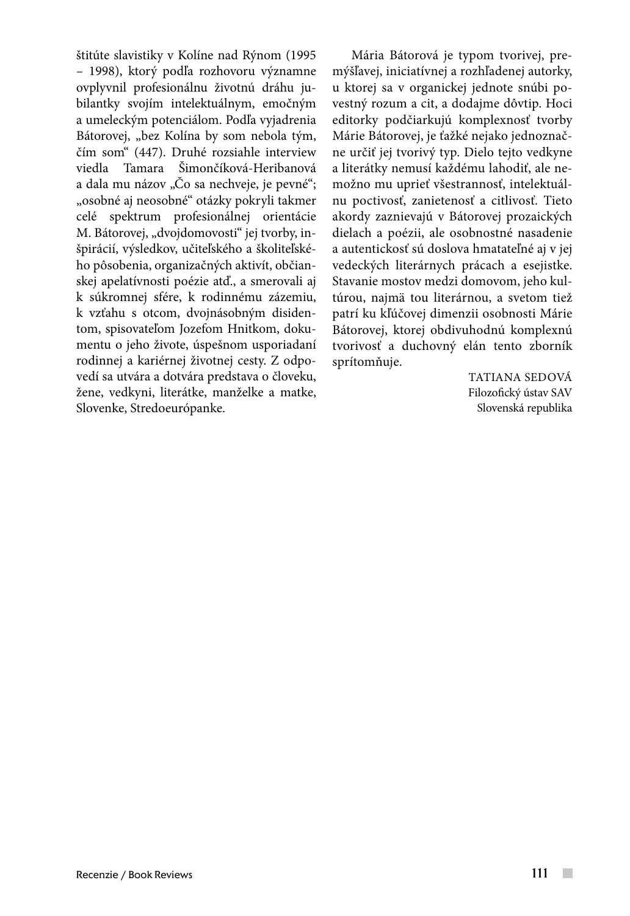štitúte slavistiky v Kolíne nad Rýnom (1995 – 1998), ktorý podľa rozhovoru významne ovplyvnil profesionálnu životnú dráhu jubilantky svojím intelektuálnym, emočným a umeleckým potenciálom. Podľa vyjadrenia Bátorovej, "bez Kolína by som nebola tým, čím som" (447). Druhé rozsiahle interview viedla Tamara Šimončíková-Heribanová a dala mu názov "Čo sa nechveje, je pevné"; "osobné aj neosobné" otázky pokryli takmer celé spektrum profesionálnej orientácie M. Bátorovej, "dvojdomovosti" jej tvorby, inšpirácií, výsledkov, učiteľského a školiteľského pôsobenia, organizačných aktivít, občianskej apelatívnosti poézie atď., a smerovali aj k súkromnej sfére, k rodinnému zázemiu, k vzťahu s otcom, dvojnásobným disidentom, spisovateľom Jozefom Hnitkom, dokumentu o jeho živote, úspešnom usporiadaní rodinnej a kariérnej životnej cesty. Z odpovedí sa utvára a dotvára predstava o človeku, žene, vedkyni, literátke, manželke a matke, Slovenke, Stredoeurópanke.

Mária Bátorová je typom tvorivej, premýšľavej, iniciatívnej a rozhľadenej autorky, u ktorej sa v organickej jednote snúbi povestný rozum a cit, a dodajme dôvtip. Hoci editorky podčiarkujú komplexnosť tvorby Márie Bátorovej, je ťažké nejako jednoznačne určiť jej tvorivý typ. Dielo tejto vedkyne a literátky nemusí každému lahodiť, ale nemožno mu uprieť všestrannosť, intelektuálnu poctivosť, zanietenosť a citlivosť. Tieto akordy zaznievajú v Bátorovej prozaických dielach a poézii, ale osobnostné nasadenie a autentickosť sú doslova hmatateľné aj v jej vedeckých literárnych prácach a esejistke. Stavanie mostov medzi domovom, jeho kultúrou, najmä tou literárnou, a svetom tiež patrí ku kľúčovej dimenzii osobnosti Márie Bátorovej, ktorej obdivuhodnú komplexnú tvorivosť a duchovný elán tento zborník sprítomňuje.

> TATIANA SEDOVÁ Filozofický ústav SAV Slovenská republika

 $\sim$  10  $\pm$